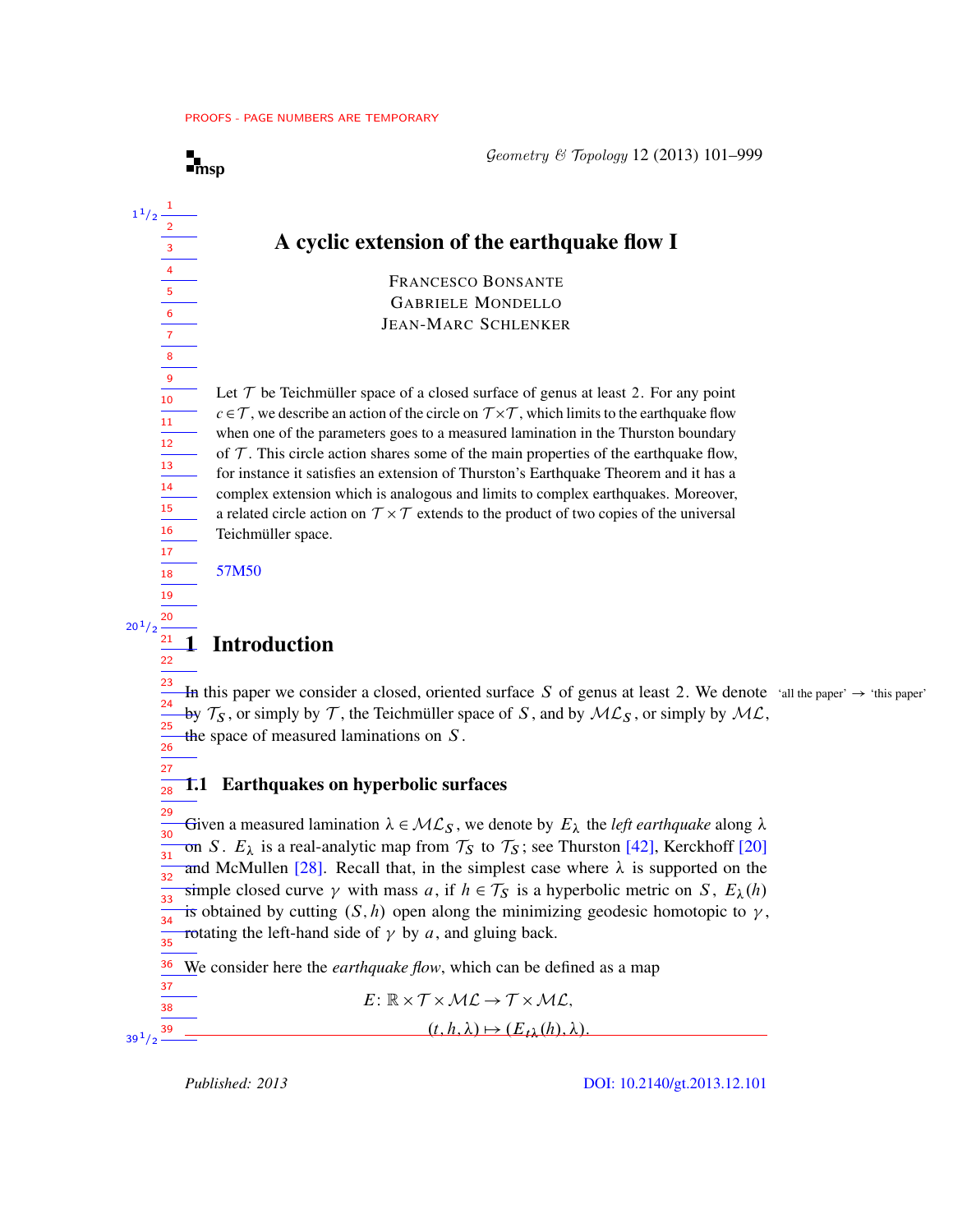## A cyclic extension of the earthquake flow I

FRANCESCO BONSANTE GABRIELE MONDELLO JEAN-MARC SCHLENKER

Let  $T$  be Teichmüller space of a closed surface of genus at least 2. For any point  $c \in \mathcal{T}$ , we describe an action of the circle on  $\mathcal{T} \times \mathcal{T}$ , which limits to the earthquake flow when one of the parameters goes to a measured lamination in the Thurston boundary of  $T$ . This circle action shares some of the main properties of the earthquake flow, for instance it satisfies an extension of Thurston's Earthquake Theorem and it has a complex extension which is analogous and limits to complex earthquakes. Moreover, a related circle action on  $\mathcal{T} \times \mathcal{T}$  extends to the product of two copies of the universal Teichmüller space.

[57M50](http://www.ams.org/mathscinet/search/mscdoc.html?code=57M50)

27

 $\mathbf{I}_{\text{msp}}$  $\mathbf{I}_{\text{msp}}$  $\mathbf{I}_{\text{msp}}$ 

1

## **Introduction**

In this paper we consider a closed, oriented surface S of genus at least 2. We denote 'all the paper'  $\rightarrow$  'this paper' by  $\mathcal{T}_S$ , or simply by  $\mathcal{T}$ , the Teichmüller space of S, and by  $\mathcal{ML}_S$ , or simply by  $\mathcal{ML}$ , the space of measured laminations on  $S$ . 23 24 25 26

#### 1.1 Earthquakes on hyperbolic surfaces 28

Given a measured lamination  $\lambda \in \mathcal{ML}_S$ , we denote by  $E_{\lambda}$  the *left earthquake* along  $\lambda$ on S.  $E_{\lambda}$  is a real-analytic map from  $\mathcal{T}_{S}$  to  $\mathcal{T}_{S}$ ; see Thurston [\[42\]](#page-77-0), Kerckhoff [\[20\]](#page-75-0) and McMullen [\[28\]](#page-76-0). Recall that, in the simplest case where  $\lambda$  is supported on the simple closed curve  $\gamma$  with mass a, if  $h \in \mathcal{T}_S$  is a hyperbolic metric on S,  $E_{\lambda}(h)$ is obtained by cutting  $(S, h)$  open along the minimizing geodesic homotopic to  $\gamma$ , rotating the left-hand side of  $\gamma$  by a, and gluing back. 29 30 31 32 33 34 35

We consider here the *earthquake flow*, which can be defined as a map 36

$$
E: \mathbb{R} \times T \times \mathcal{ML} \to T \times \mathcal{ML},
$$

 $(t, h, \lambda) \mapsto (E_{t\lambda}(h), \lambda).$ 

*Published: 2013* [DOI: 10.2140/gt.2013.12.101](http://dx.doi.org/10.2140/gt.2013.12.101)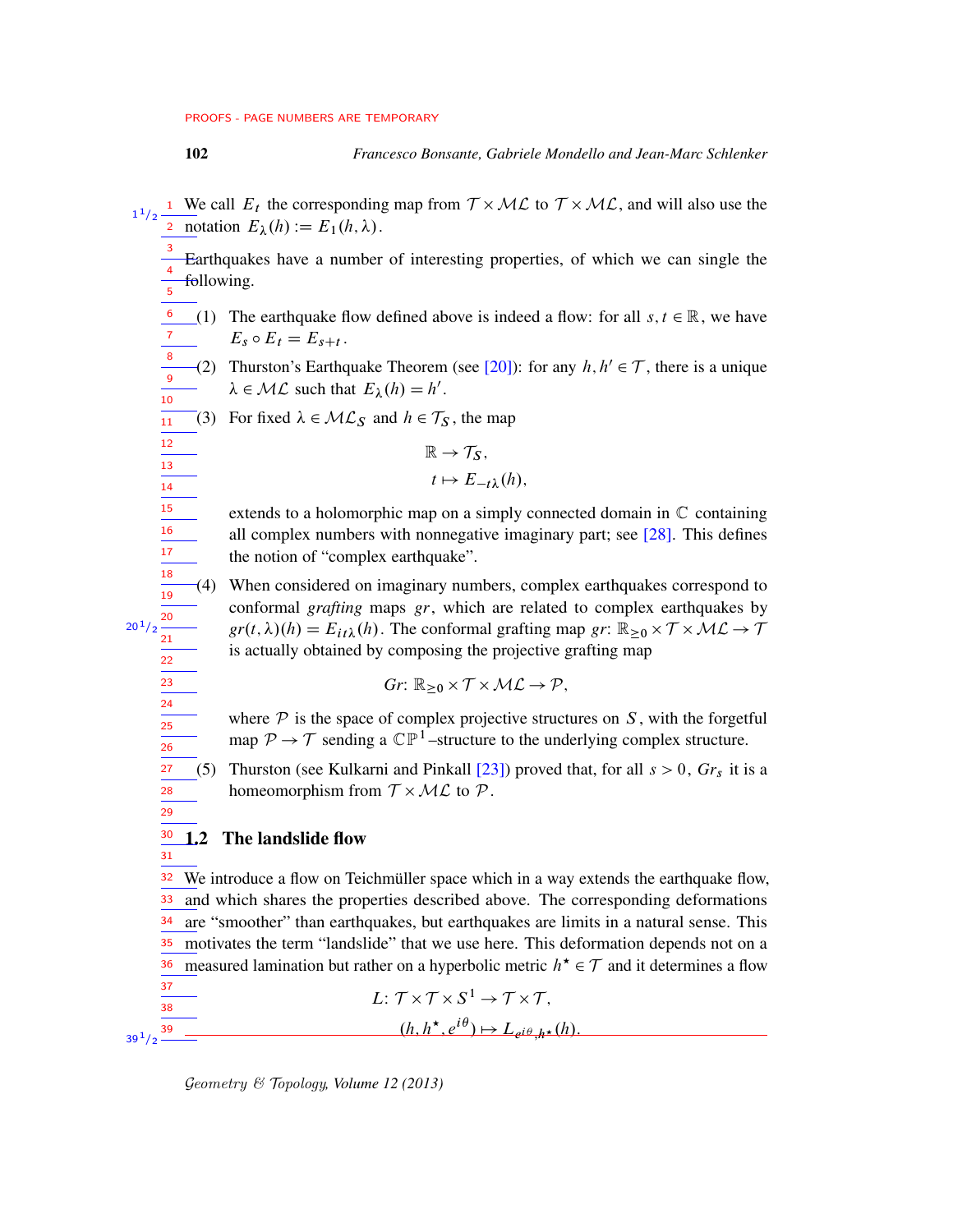- <sup>1</sup> We call  $E_t$  the corresponding map from  $T \times ML$  to  $T \times ML$ , and will also use the <sup>2</sup> notation  $E_{\lambda}(h) := E_1(h, \lambda)$ . 1  $1/2$ 
	- Earthquakes have a number of interesting properties, of which we can single the following. 3 4 5
	- (1) The earthquake flow defined above is indeed a flow: for all  $s, t \in \mathbb{R}$ , we have  $E_s \circ E_t = E_{s+t}$ . 6 7 8
	- (2) Thurston's Earthquake Theorem (see [\[20\]](#page-75-0)): for any  $h, h' \in \mathcal{T}$ , there is a unique  $\lambda \in \mathcal{ML}$  such that  $E_{\lambda}(h) = h'$ . 9 10
	- (3) For fixed  $\lambda \in \mathcal{ML}_S$  and  $h \in \mathcal{T}_S$ , the map  $\frac{1}{11}$

$$
\mathbb{R} \to \mathcal{T}_S,
$$
  

$$
t \mapsto E_{-t\lambda}(h),
$$

- extends to a holomorphic map on a simply connected domain in  $\mathbb C$  containing all complex numbers with nonnegative imaginary part; see  $[28]$ . This defines the notion of "complex earthquake".
- (4) When considered on imaginary numbers, complex earthquakes correspond to conformal *grafting* maps *gr*, which are related to complex earthquakes by  $gr(t, \lambda)(h) = E_{it\lambda}(h)$ . The conformal grafting map *gr*:  $\mathbb{R}_{\geq 0} \times \mathcal{T} \times \mathcal{ML} \rightarrow \mathcal{T}$ is actually obtained by composing the projective grafting map
	- $Gr: \mathbb{R}_{\geq 0} \times \mathcal{T} \times \mathcal{ML} \rightarrow \mathcal{P},$
- where  $P$  is the space of complex projective structures on  $S$ , with the forgetful map  $P \to T$  sending a  $\mathbb{CP}^1$ -structure to the underlying complex structure.
- (5) Thurston (see Kulkarni and Pinkall  $[23]$ ) proved that, for all  $s > 0$ ,  $Gr<sub>s</sub>$  it is a homeomorphism from  $T \times ML$  to  $P$ .
- 1.2 The landslide flow

We introduce a flow on Teichmüller space which in a way extends the earthquake flow, and which shares the properties described above. The corresponding deformations are "smoother" than earthquakes, but earthquakes are limits in a natural sense. This <sup>35</sup> motivates the term "landslide" that we use here. This deformation depends not on a <sup>36</sup> measured lamination but rather on a hyperbolic metric  $h^* \in \mathcal{T}$  and it determines a flow 32 33 34 37

$$
\frac{\frac{3i}{38}}{23^{3/2}} \frac{1}{2^{3/2}} \frac{1}{2^{3/2}} \frac{1}{2^{3/2}} \frac{1}{2^{3/2}} \frac{1}{2^{3/2}} \frac{1}{2^{3/2}} \frac{1}{2^{3/2}} \frac{1}{2^{3/2}} \frac{1}{2^{3/2}} \frac{1}{2^{3/2}} \frac{1}{2^{3/2}} \frac{1}{2^{3/2}} \frac{1}{2^{3/2}} \frac{1}{2^{3/2}} \frac{1}{2^{3/2}} \frac{1}{2^{3/2}} \frac{1}{2^{3/2}} \frac{1}{2^{3/2}} \frac{1}{2^{3/2}} \frac{1}{2^{3/2}} \frac{1}{2^{3/2}} \frac{1}{2^{3/2}} \frac{1}{2^{3/2}} \frac{1}{2^{3/2}} \frac{1}{2^{3/2}} \frac{1}{2^{3/2}} \frac{1}{2^{3/2}} \frac{1}{2^{3/2}} \frac{1}{2^{3/2}} \frac{1}{2^{3/2}} \frac{1}{2^{3/2}} \frac{1}{2^{3/2}} \frac{1}{2^{3/2}} \frac{1}{2^{3/2}} \frac{1}{2^{3/2}} \frac{1}{2^{3/2}} \frac{1}{2^{3/2}} \frac{1}{2^{3/2}} \frac{1}{2^{3/2}} \frac{1}{2^{3/2}} \frac{1}{2^{3/2}} \frac{1}{2^{3/2}} \frac{1}{2^{3/2}} \frac{1}{2^{3/2}} \frac{1}{2^{3/2}} \frac{1}{2^{3/2}} \frac{1}{2^{3/2}} \frac{1}{2^{3/2}} \frac{1}{2^{3/2}} \frac{1}{2^{3/2}} \frac{1}{2^{3/2}} \frac{1}{2^{3/2}} \frac{1}{2^{3/2}} \frac{1}{2^{3/2}} \frac{1}{2^{3/2}} \frac{1}{2^{3/2}} \frac{1}{2^{3/2}} \frac{1}{2^{3/2}} \frac{1}{2^{3/2}} \frac{1}{2^{3/2}} \frac{1}{2^{3/2}} \frac{1}{2^{3/2}} \frac{1}{2^{3/2}} \frac{1}{2^{3/2}} \frac{1}{2^{3/2}} \frac{1}{2^{3/2}} \frac{1}{2^{3/2}} \frac{1
$$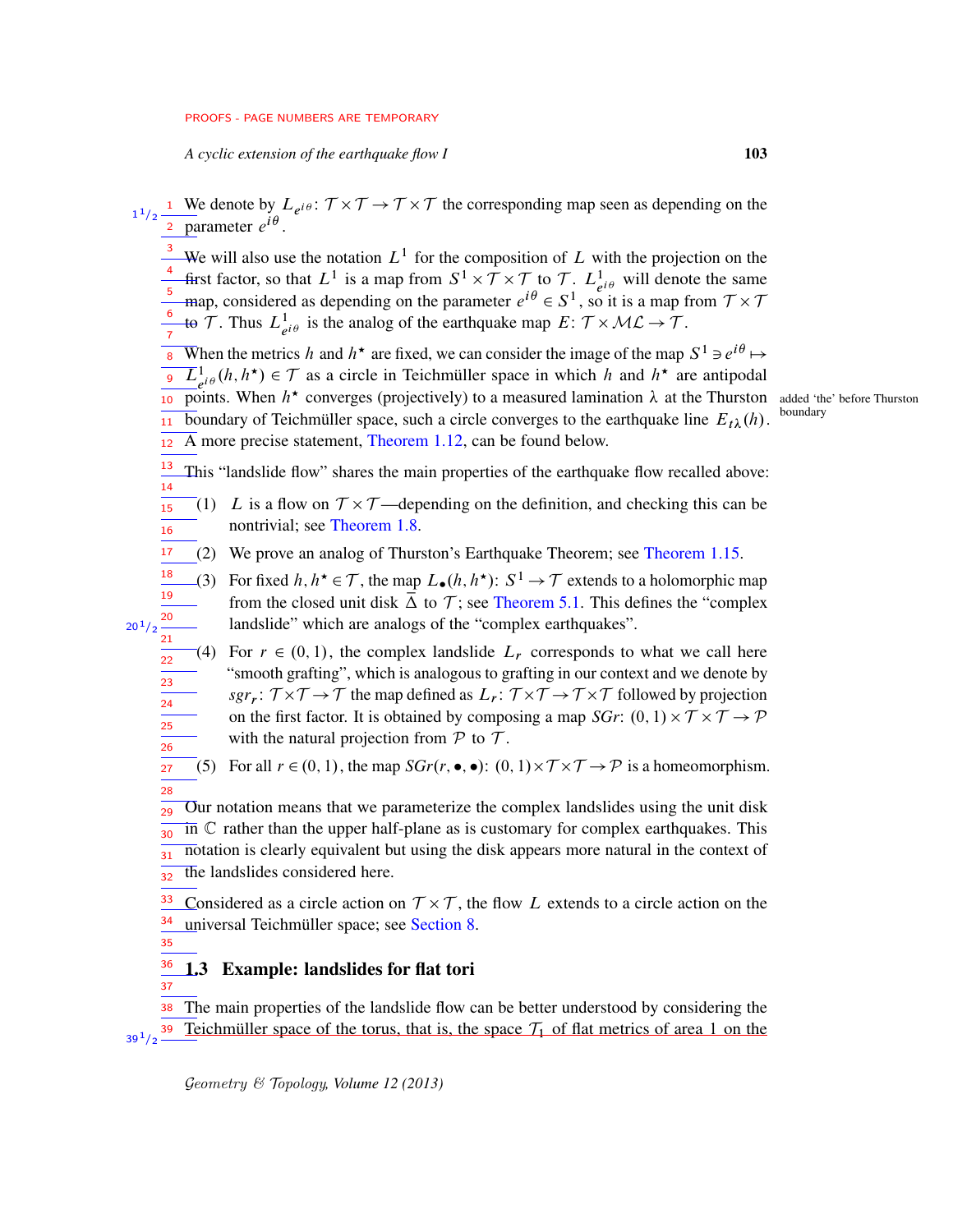*A cyclic extension of the earthquake flow I* 103

- <sup>3</sup> We will also use the notation  $L^1$  for the composition of L with the projection on the first factor, so that  $L^1$  is a map from  $S^1 \times T \times T$  to T.  $L^1_{e^{i\theta}}$  will denote the same map, considered as depending on the parameter  $e^{i\theta} \in S^1$ , so it is a map from  $\mathcal{T} \times \mathcal{T}$ to T. Thus  $L^1_{e^{i\theta}}$  is the analog of the earthquake map  $E: \mathcal{T} \times \mathcal{ML} \rightarrow \mathcal{T}$ . 4 5 6
- When the metrics h and  $h^*$  are fixed, we can consider the image of the map  $S^1 \ni e^{i\theta} \mapsto$ 7
- $\overline{L}_{e^{i\theta}}^1(h, h^*) \in \mathcal{T}$  as a circle in Teichmüller space in which h and  $h^*$  are antipodal **points.** When  $h^*$  converges (projectively) to a measured lamination  $\lambda$  at the Thurston added 'the' before Thurston boundary of Teichmüller space, such a circle converges to the earthquake line  $E_{t\lambda}(h)$ . boundary A more precise statement, [Theorem 1.12,](#page-8-0) can be found below. 11 12

This "landslide flow" shares the main properties of the earthquake flow recalled above: 13

- (1) L is a flow on  $T \times T$ —depending on the definition, and checking this can be nontrivial; see [Theorem 1.8.](#page-6-0) 15 16
- (2) We prove an analog of Thurston's Earthquake Theorem; see [Theorem 1.15.](#page-9-0) 17
- (3) For fixed  $h, h^* \in \mathcal{T}$ , the map  $L_{\bullet}(h, h^*)$ :  $S^1 \to \mathcal{T}$  extends to a holomorphic map from the closed unit disk  $\overline{\Delta}$  to  $\mathcal{T}$ ; see [Theorem 5.1.](#page-25-0) This defines the "complex" landslide" which are analogs of the "complex earthquakes". 18 19 20  $20^{1}/2$ 21
	- (4) For  $r \in (0, 1)$ , the complex landslide  $L_r$  corresponds to what we call here "smooth grafting", which is analogous to grafting in our context and we denote by  $sgr_r: \mathcal{T} \times \mathcal{T} \to \mathcal{T}$  the map defined as  $L_r: \mathcal{T} \times \mathcal{T} \to \mathcal{T} \times \mathcal{T}$  followed by projection on the first factor. It is obtained by composing a map *SGr*:  $(0, 1) \times T \times T \rightarrow P$ with the natural projection from  $P$  to  $T$ . 22 23 24 25 26
	- (5) For all  $r \in (0, 1)$ , the map  $SGr(r, \bullet, \bullet)$ :  $(0, 1) \times T \times T \rightarrow \mathcal{P}$  is a homeomorphism. 27 28
	- Our notation means that we parameterize the complex landslides using the unit disk  $\overline{in}$   $\mathbb C$  rather than the upper half-plane as is customary for complex earthquakes. This notation is clearly equivalent but using the disk appears more natural in the context of the landslides considered here. 29 30 31 32

Considered as a circle action on  $\mathcal{T} \times \mathcal{T}$ , the flow L extends to a circle action on the universal Teichmüller space; see [Section 8.](#page-67-0) 33 34

35

37

14

#### 1.3 Example: landslides for flat tori 36

The main properties of the landslide flow can be better understood by considering the Teichmüller space of the torus, that is, the space  $\mathcal{T}_1$  of flat metrics of area 1 on the 38 39  $39^{1/2}$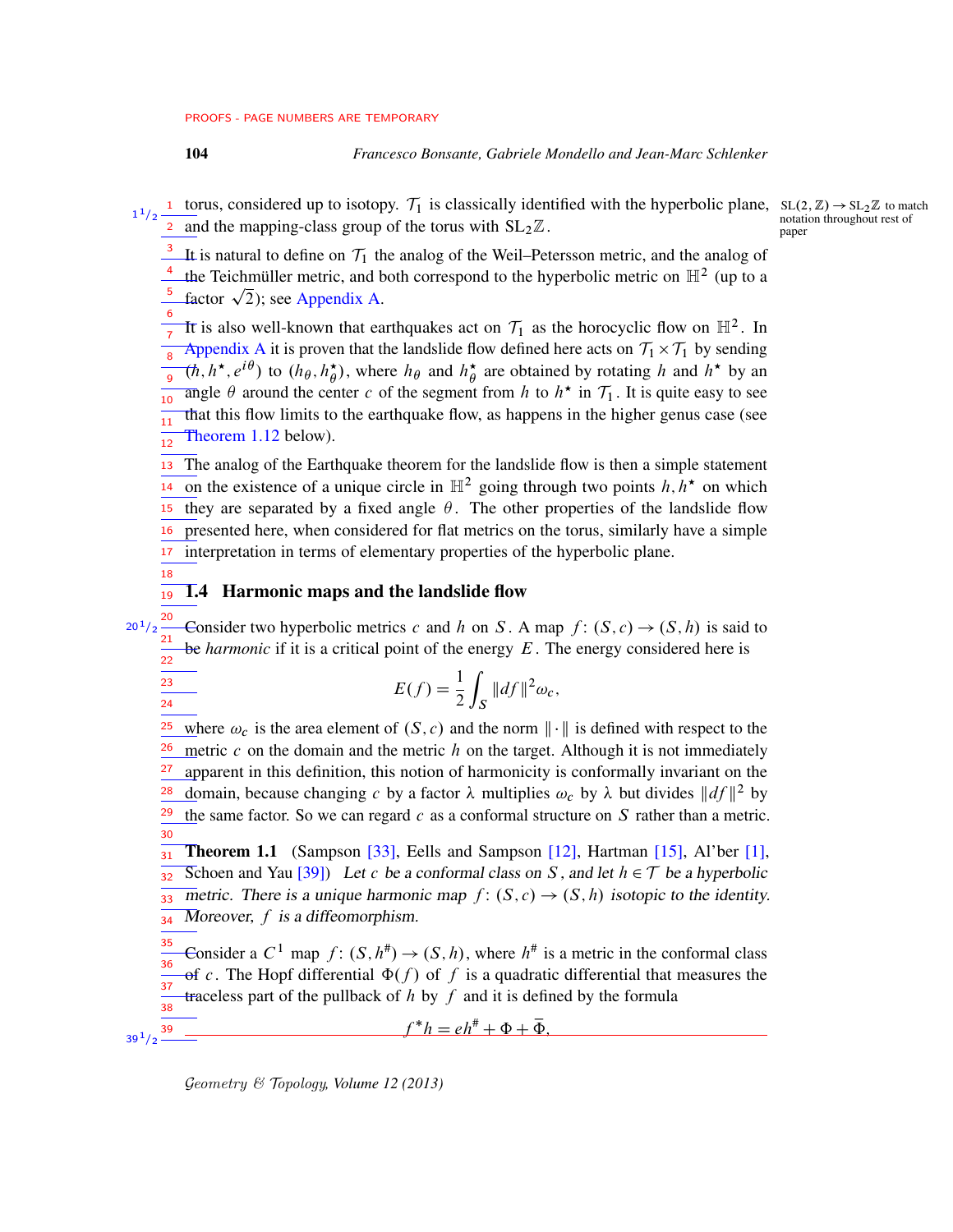1

<span id="page-3-0"></span>18

23 24

 $39^{1}/2$   $-$ 

 $20^{1}/2$ 

## 104 *Francesco Bonsante, Gabriele Mondello and Jean-Marc Schlenker*

1 torus, considered up to isotopy.  $T_1$  is classically identified with the hyperbolic plane,  $SL(2,\mathbb{Z}) \to SL_2\mathbb{Z}$  to match and the mapping-class group of the torus with  $SL_2\mathbb{Z}$ .  $1/2$ 2

 $n = 7$  notation throughout rest of

It is natural to define on  $\mathcal{T}_1$  the analog of the Weil–Petersson metric, and the analog of <sup>4</sup> the Teichmüller metric, and both correspond to the hyperbolic metric on  $\mathbb{H}^2$  (up to a 3

the Teichmüller metric, and b<br>factor  $\sqrt{2}$ ); see [Appendix A.](#page-72-0) 5

It is also well-known that earthquakes act on  $\mathcal{T}_1$  as the horocyclic flow on  $\mathbb{H}^2$ . In [Appendix A](#page-72-0) it is proven that the landslide flow defined here acts on  $\mathcal{T}_1 \times \mathcal{T}_1$  by sending  $(\hbar, h^\star, e^{i\theta})$  to  $(h_\theta, h^\star_\theta)$  $\phi(\phi)$ , where  $h_{\theta}$  and  $h_{\theta}^{\star}$  $\stackrel{\star}{\theta}$  are obtained by rotating h and  $h^*$  by an angle  $\theta$  around the center c of the segment from h to  $h^*$  in  $\mathcal{T}_1$ . It is quite easy to see that this flow limits to the earthquake flow, as happens in the higher genus case (see [Theorem 1.12](#page-8-0) below). 6 7 8 9 10 11 12

The analog of the Earthquake theorem for the landslide flow is then a simple statement on the existence of a unique circle in  $\mathbb{H}^2$  going through two points  $h, h^*$  on which they are separated by a fixed angle  $\theta$ . The other properties of the landslide flow presented here, when considered for flat metrics on the torus, similarly have a simple interpretation in terms of elementary properties of the hyperbolic plane. 13 14 15 16 17

#### 1.4 Harmonic maps and the landslide flow 19

Consider two hyperbolic metrics c and h on S. A map  $f: (S, c) \rightarrow (S, h)$  is said to be *harmonic* if it is a critical point of the energy E. The energy considered here is 20 21  $\frac{1}{22}$ 

$$
E(f) = \frac{1}{2} \int_{S} ||df||^2 \omega_c,
$$

where  $\omega_c$  is the area element of  $(S, c)$  and the norm  $\|\cdot\|$  is defined with respect to the metric c on the domain and the metric  $h$  on the target. Although it is not immediately apparent in this definition, this notion of harmonicity is conformally invariant on the domain, because changing c by a factor  $\lambda$  multiplies  $\omega_c$  by  $\lambda$  but divides  $||df||^2$  by the same factor. So we can regard  $c$  as a conformal structure on  $S$  rather than a metric. 25 26 27 28 29 30

<span id="page-3-1"></span>**Theorem 1.1** (Sampson [\[33\]](#page-76-1), Eells and Sampson [\[12\]](#page-75-2), Hartman [\[15\]](#page-75-3), Al'ber [\[1\]](#page-74-0), Schoen and Yau [\[39\]](#page-76-2)) Let c be a conformal class on S, and let  $h \in \mathcal{T}$  be a hyperbolic metric. There is a unique harmonic map  $f: (S, c) \rightarrow (S, h)$  isotopic to the identity. Moreover,  $f$  is a diffeomorphism. 31 32 33 34

Consider a  $C^1$  map  $f: (S, h^*) \to (S, h)$ , where  $h^*$  is a metric in the conformal class of c. The Hopf differential  $\Phi(f)$  of f is a quadratic differential that measures the traceless part of the pullback of  $h$  by  $f$  and it is defined by the formula 35 36  $\frac{1}{37}$ 38

 $f^*h = eh^{\#} + \Phi + \overline{\Phi},$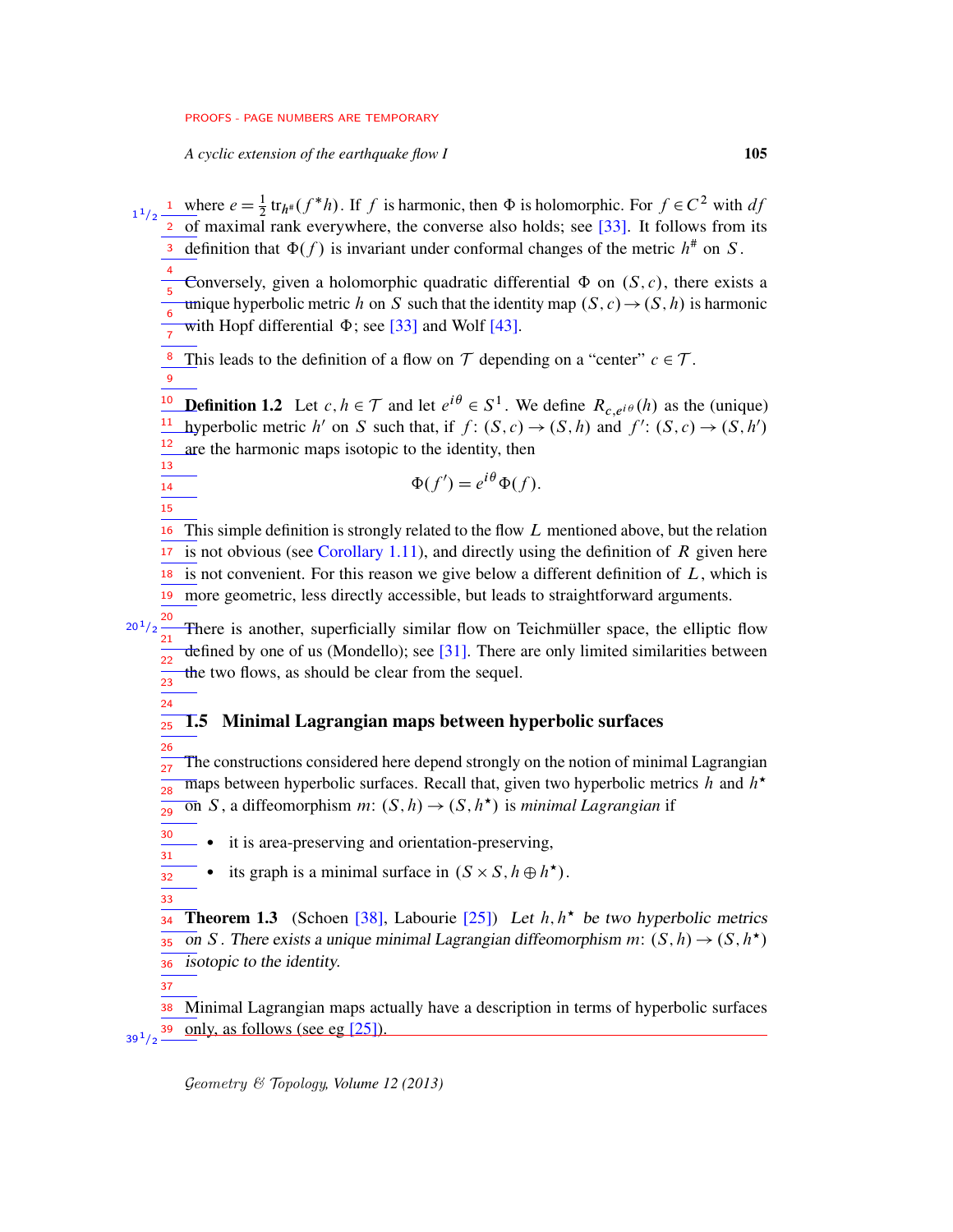*A cyclic extension of the earthquake flow I* 105

<sup>1</sup> where  $e = \frac{1}{2} \text{tr}_{h^*}(f^*h)$ . If f is harmonic, then  $\Phi$  is holomorphic. For  $f \in C^2$  with df 2 of maximal rank everywhere, the converse also holds; see [\[33\]](#page-76-1). It follows from its 3 definition that  $\Phi(f)$  is invariant under conformal changes of the metric  $h^*$  on S. 1  $1/2$ 

Conversely, given a holomorphic quadratic differential  $\Phi$  on  $(S, c)$ , there exists a unique hyperbolic metric h on S such that the identity map  $(S, c) \rightarrow (S, h)$  is harmonic with Hopf differential  $\Phi$ ; see [\[33\]](#page-76-1) and Wolf [\[43\]](#page-77-1). 4 5 6 7

<sup>8</sup> This leads to the definition of a flow on  $T$  depending on a "center"  $c \in T$ .

9

14 15

**Definition 1.2** Let  $c, h \in \mathcal{T}$  and let  $e^{i\theta} \in S^1$ . We define  $R_{c,e^{i\theta}}(h)$  as the (unique) <sup>11</sup> hyperbolic metric h' on S such that, if  $f: (S, c) \rightarrow (S, h)$  and  $f': (S, c) \rightarrow (S, h')$ are the harmonic maps isotopic to the identity, then 10 12 13

$$
\Phi(f') = e^{i\theta} \Phi(f).
$$

This simple definition is strongly related to the flow L mentioned above, but the relation is not obvious (see [Corollary 1.11\)](#page-8-1), and directly using the definition of  $R$  given here  $18$  is not convenient. For this reason we give below a different definition of  $L$ , which is more geometric, less directly accessible, but leads to straightforward arguments. 19 16 17

There is another, superficially similar flow on Teichmüller space, the elliptic flow defined by one of us (Mondello); see  $[31]$ . There are only limited similarities between the two flows, as should be clear from the sequel. 20  $20^{1}/2$ 21 22 23

#### 1.5 Minimal Lagrangian maps between hyperbolic surfaces 25

The constructions considered here depend strongly on the notion of minimal Lagrangian maps between hyperbolic surfaces. Recall that, given two hyperbolic metrics h and  $h^*$  $\overline{on} S$ , a diffeomorphism  $m: (S, h) \rightarrow (S, h^{\star})$  is *minimal Lagrangian* if 26 27 28 29

it is area-preserving and orientation-preserving,

- its graph is a minimal surface in  $(S \times S, h \oplus h^*)$ .
- 32 33

30 31

<span id="page-4-1"></span>24

<span id="page-4-0"></span>**Theorem 1.3** (Schoen [\[38\]](#page-76-4), Labourie [\[25\]](#page-76-5)) Let  $h, h^*$  be two hyperbolic metrics on S. There exists a unique minimal Lagrangian diffeomorphism m:  $(S, h) \rightarrow (S, h^{\star})$ isotopic to the identity. 34 35 36

37

Minimal Lagrangian maps actually have a description in terms of hyperbolic surfaces only, as follows (see eg [\[25\]](#page-76-5)). 38 39  $39^{1/2}$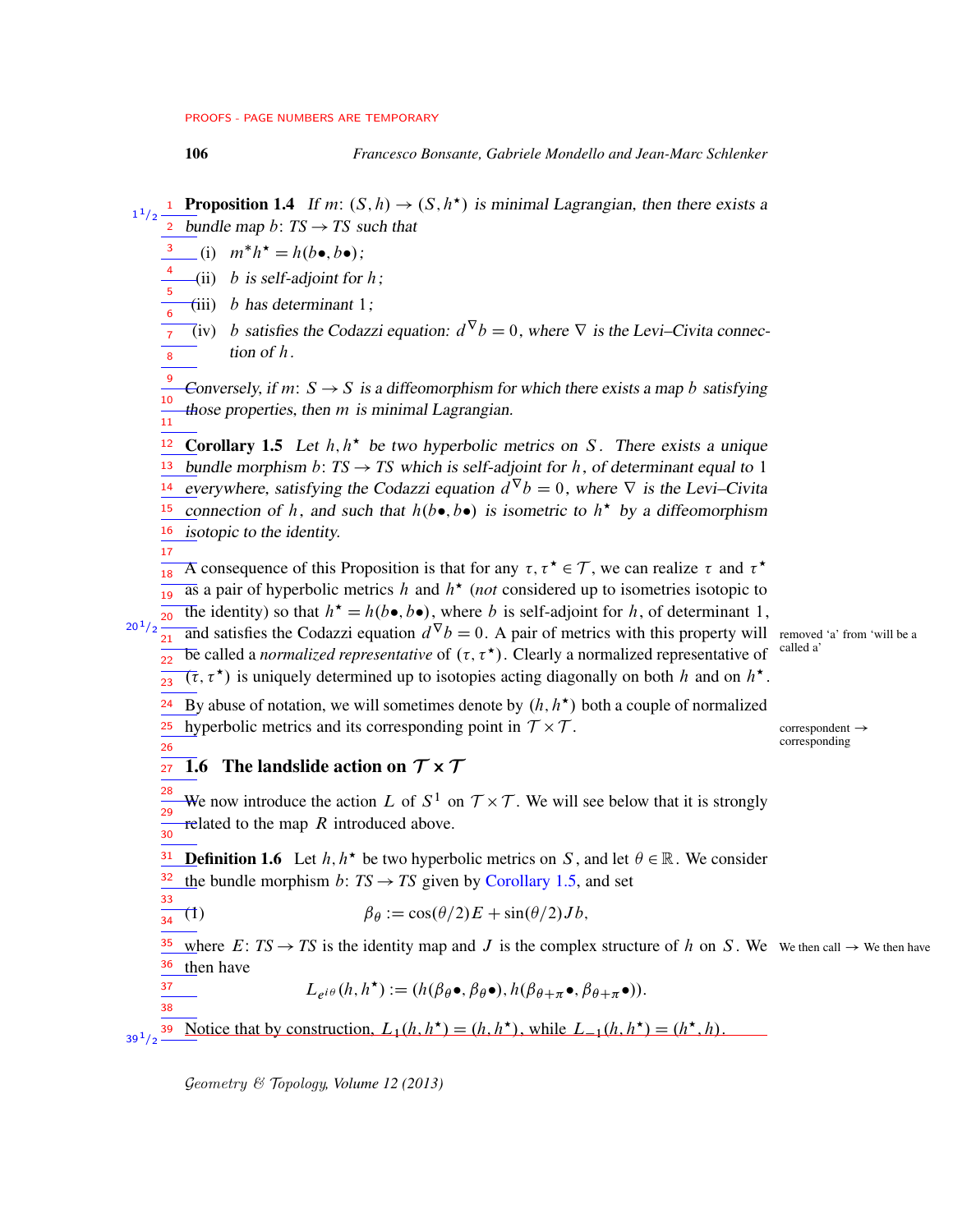17

<span id="page-5-2"></span>26

37 38

**Proposition 1.4** If m:  $(S, h) \rightarrow (S, h^*)$  is minimal Lagrangian, then there exists a  $\frac{1}{2}$  bundle map b: TS  $\rightarrow$  TS such that 1  $1/2$ 

- $\int_a^3$  (i)  $m^*h^* = h(b \bullet, b \bullet);$
- $(i)$  b is self-adjoint for h; 4 5
- (iii) b has determinant  $1$ ; 6

(iv) *b* satisfies the Codazzi equation:  $d^{\nabla}b = 0$ , where  $\nabla$  is the Levi–Civita connection of h.  $\overline{7}$  $\overline{8}$ 

Conversely, if m:  $S \rightarrow S$  is a diffeomorphism for which there exists a map b satisfying those properties, then m is minimal Lagrangian. 9 10 11

<span id="page-5-0"></span>**Corollary 1.5** Let  $h, h^*$  be two hyperbolic metrics on S. There exists a unique <sup>13</sup> bundle morphism *b*:  $TS \rightarrow TS$  which is self-adjoint for *h*, of determinant equal to 1 everywhere, satisfying the Codazzi equation  $d^{\nabla}b = 0$ , where  $\nabla$  is the Levi–Civita connection of h, and such that  $h(b\bullet, b\bullet)$  is isometric to  $h^*$  by a diffeomorphism  $\frac{16}{10}$  isotopic to the identity. 12 14 15

 $\overline{A}$  as A consequence of this Proposition is that for any  $\tau, \tau^* \in \mathcal{T}$ , we can realize  $\tau$  and  $\tau^*$ 

 $\overline{a}$ s a pair of hyperbolic metrics h and  $h^*$  (not considered up to isometries isotopic to 19

The identity) so that  $h^* = h(b \bullet, b \bullet)$ , where b is self-adjoint for h, of determinant 1,  $\overline{20}$  $20^{1}/2$ 

and satisfies the Codazzi equation  $d^{\nabla}b = 0$ . A pair of metrics with this property will removed 'a' from 'will be a  $\overline{be}$  called a *normalized representative* of  $(τ, τ<sup>★</sup>)$ . Clearly a normalized representative of <sup>called a</sup>  $\frac{1}{21}$  $\frac{1}{22}$ 

 $(\tau, \tau^*)$  is uniquely determined up to isotopies acting diagonally on both h and on  $h^*$ .  $23$ 

<sup>24</sup> By abuse of notation, we will sometimes denote by  $(h, h^*)$  both a couple of normalized <sup>25</sup> hyperbolic metrics and its corresponding point in  $T \times$ 

<span id="page-5-1"></span> $correspondent \rightarrow$ corresponding

#### 1.6 The landslide action on  $\mathcal{T} \times \mathcal{T}$ 27

We now introduce the action L of  $S^1$  on  $\mathcal{T} \times \mathcal{T}$ . We will see below that it is strongly related to the map  $R$  introduced above. 28 29 30

<span id="page-5-3"></span>**Definition 1.6** Let  $h, h^*$  be two hyperbolic metrics on S, and let  $\theta \in \mathbb{R}$ . We consider the bundle morphism  $b: TS \rightarrow TS$  given by [Corollary 1.5,](#page-5-0) and set 31 32 33

$$
\frac{\partial}{\partial s}(1) \qquad \beta_{\theta} := \cos(\theta/2)E + \sin(\theta/2)Jb,
$$

where  $E: TS \rightarrow TS$  is the identity map and J is the complex structure of h on S. We We then call  $\rightarrow$  We then have  $\frac{36}{10}$  then have 35

$$
L_{e^{i\theta}}(h, h^{\star}) := (h(\beta_{\theta}\bullet, \beta_{\theta}\bullet), h(\beta_{\theta+\pi}\bullet, \beta_{\theta+\pi}\bullet)).
$$

Notice that by construction,  $L_1(h, h^*) = (h, h^*)$ , while  $L_{-1}(h, h^*) = (h^*, h)$ .  $39^{1}/2$   $-$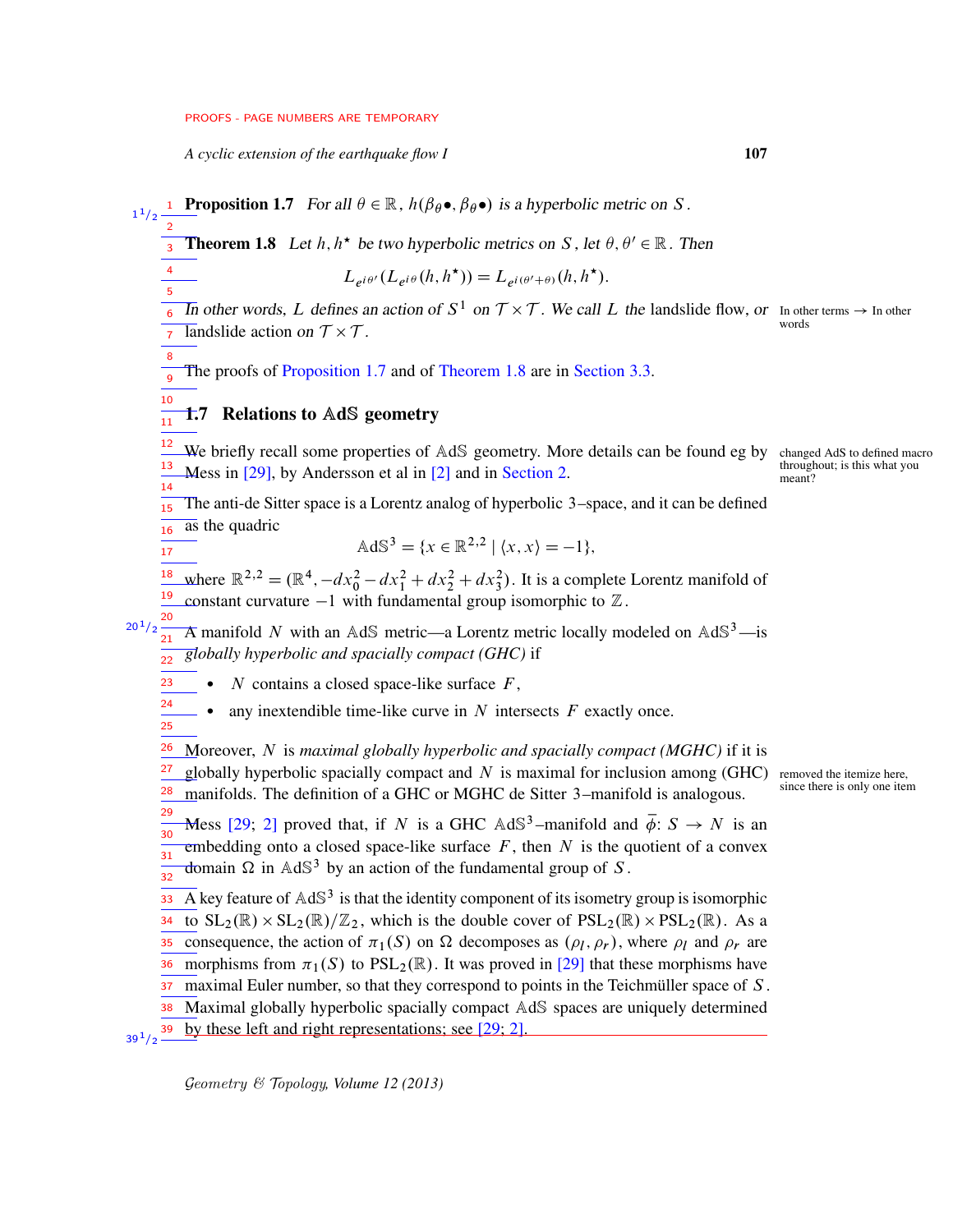*A cyclic extension of the earthquake flow I* 107

**Proposition 1.7** For all  $\theta \in \mathbb{R}$ ,  $h(\beta_{\theta} \bullet, \beta_{\theta} \bullet)$  is a hyperbolic metric on S. 1  $1/2$ 

**Theorem 1.8** Let  $h, h^*$  be two hyperbolic metrics on S, let  $\theta, \theta' \in \mathbb{R}$ . Then 3

 $L_{e^{i\theta'}}(L_{e^{i\theta}}(h,h^{\star})) = L_{e^{i(\theta'+\theta)}}(h,h^{\star}).$ 

In other words, L defines an action of  $S^1$  on  $\mathcal{T} \times \mathcal{T}$ . We call L the landslide flow, or In other terms  $\rightarrow$  In other  $\overline{\text{landslide}}$  action on  $\mathcal{T} \times \mathcal{T}$ . 6 7

The proofs of [Proposition 1.7](#page-6-1) and of [Theorem 1.8](#page-6-0) are in [Section 3.3.](#page-19-0) 9

#### 1.7 Relations to AdS geometry  $\frac{1}{11}$

We briefly recall some properties of AdS geometry. More details can be found eg by changed AdS to defined macro Mess in  $[29]$ , by Andersson et al in  $[2]$  and in [Section 2.](#page-12-0) 12 13 14

The anti-de Sitter space is a Lorentz analog of hyperbolic 3–space, and it can be defined 15

 $\frac{1}{16}$  as the quadric

<span id="page-6-1"></span><span id="page-6-0"></span>2

4 5

8

<span id="page-6-2"></span>10

17

$$
\text{AdS}^3 = \{ x \in \mathbb{R}^{2,2} \mid \langle x, x \rangle = -1 \},
$$

where  $\mathbb{R}^{2,2} = (\mathbb{R}^4, -dx_0^2 - dx_1^2 + dx_2^2 + dx_3^2)$ . It is a complete Lorentz manifold of constant curvature  $-1$  with fundamental group isomorphic to  $\mathbb{Z}$ . 18 19

 $a^{20/2}$  $\frac{20}{21}$  A manifold N with an AdS metric—a Lorentz metric locally modeled on AdS<sup>3</sup>—is *globally hyperbolic and spacially compact (GHC)* if 22

- $\bullet$  N contains a closed space-like surface  $F$ , 23
- any inextendible time-like curve in  $N$  intersects  $F$  exactly once. 24 25
- Moreover, N is *maximal globally hyperbolic and spacially compact (MGHC)* if it is 26
- globally hyperbolic spacially compact and N is maximal for inclusion among (GHC) removed the itemize here,<br>manifolds. The definition of a GUC on MCUC de Sitter 2, manifold is analogous, since there is only one item 27 28
- manifolds. The definition of a GHC or MGHC de Sitter 3–manifold is analogous. 29
- Mess [\[29;](#page-76-6) [2\]](#page-74-1) proved that, if N is a GHC  $\mathbb{A}d\mathbb{S}^3$ -manifold and  $\overline{\phi}$ :  $S \to N$  is an embedding onto a closed space-like surface  $F$ , then  $N$  is the quotient of a convex domain  $\Omega$  in AdS<sup>3</sup> by an action of the fundamental group of S. 30 31 32

 $\overline{A}$  key feature of  $AdS^3$  is that the identity component of its isometry group is isomorphic to  $SL_2(\mathbb{R}) \times SL_2(\mathbb{R})/\mathbb{Z}_2$ , which is the double cover of  $PSL_2(\mathbb{R}) \times PSL_2(\mathbb{R})$ . As a consequence, the action of  $\pi_1(S)$  on  $\Omega$  decomposes as  $(\rho_l, \rho_r)$ , where  $\rho_l$  and  $\rho_r$  are morphisms from  $\pi_1(S)$  to PSL<sub>2</sub>( $\mathbb{R}$ ). It was proved in [\[29\]](#page-76-6) that these morphisms have maximal Euler number, so that they correspond to points in the Teichmüller space of S. Maximal globally hyperbolic spacially compact AdS spaces are uniquely determined by these left and right representations; see [\[29;](#page-76-6) [2\]](#page-74-1). 33 34 35 36 37 38  $39^{1}/2$   $-$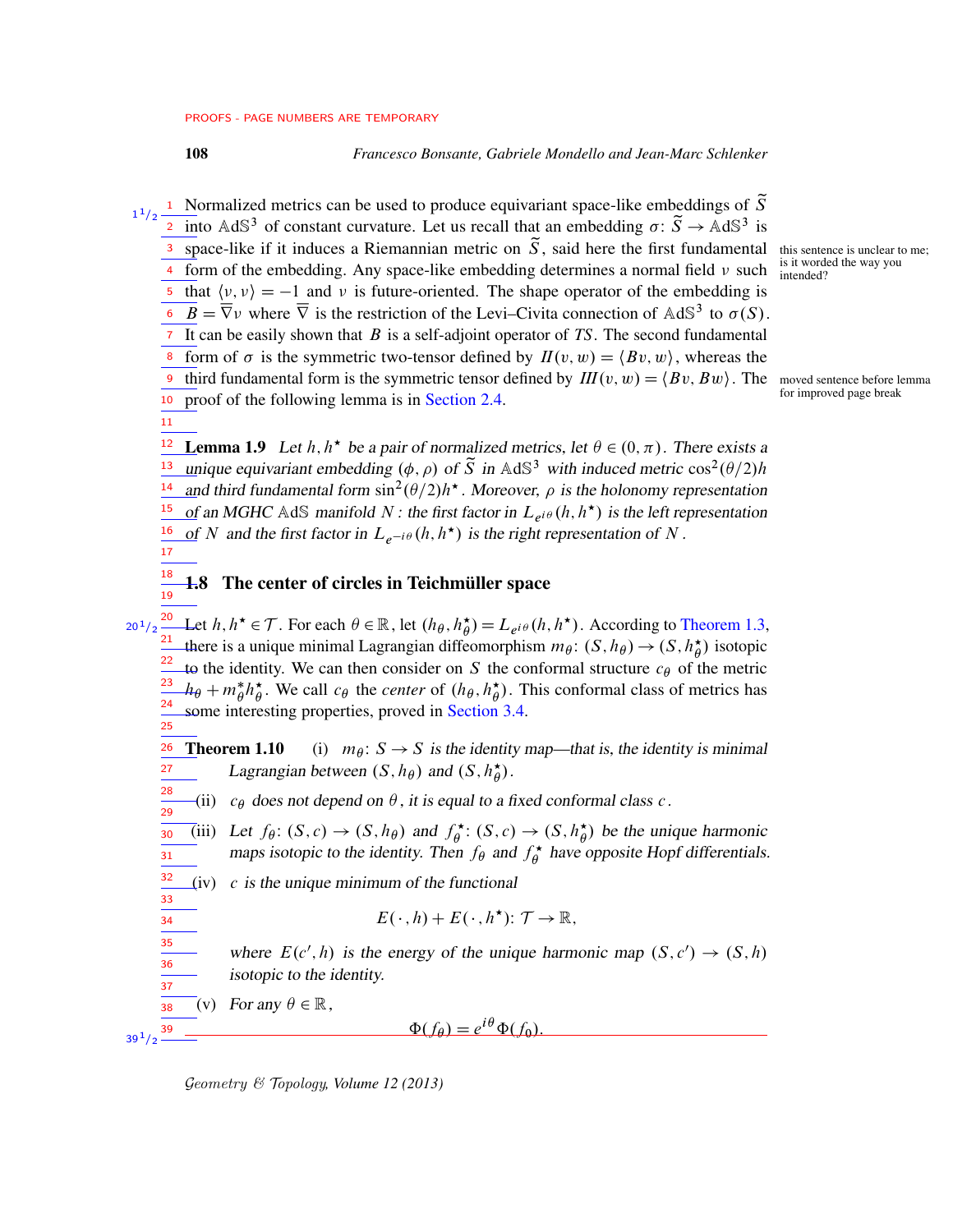108 *Francesco Bonsante, Gabriele Mondello and Jean-Marc Schlenker*

<sup>1</sup> Normalized metrics can be used to produce equivariant space-like embeddings of  $\tilde{S}$ <sup>2</sup> into AdS<sup>3</sup> of constant curvature. Let us recall that an embedding  $\sigma: \tilde{S} \to AdS^3$  is space-like if it induces a Riemannian metric on  $\tilde{S}$ , said here the first fundamental this sentence is unclear to me; is it worded the way you <sup>4</sup> form of the embedding. Any space-like embedding determines a normal field  $\nu$  such  $\frac{\text{is in word}}{\text{intended?}}$ <sup>5</sup> that  $\langle v, v \rangle = -1$  and v is future-oriented. The shape operator of the embedding is  $\overline{B} = \overline{\nabla}$  where  $\overline{\nabla}$  is the restriction of the Levi–Civita connection of AdS<sup>3</sup> to  $\sigma(S)$ .  $\overline{7}$  It can be easily shown that  $\overline{B}$  is a self-adjoint operator of *TS*. The second fundamental form of  $\sigma$  is the symmetric two-tensor defined by  $I(v, w) = \langle Bv, w \rangle$ , whereas the third fundamental form is the symmetric tensor defined by  $III(v, w) = \langle Bv, Bw \rangle$ . The moved sentence before lemma<br>records of the following lemma is in Section 2.4.  $\frac{10}{10}$  proof of the following lemma is in [Section 2.4.](#page-14-0) 1  $1/2$ 3 8 9

<span id="page-7-1"></span>11

**Lemma 1.9** Let  $h, h^*$  be a pair of normalized metrics, let  $\theta \in (0, \pi)$ . There exists a unique equivariant embedding  $(\phi, \rho)$  of  $\tilde{S}$  in AdS<sup>3</sup> with induced metric cos<sup>2</sup>( $\theta$ /2)*h* and third fundamental form  $\sin^2(\theta/2)h^*$ . Moreover,  $\rho$  is the holonomy representation of an MGHC AdS manifold N : the first factor in  $L_{e^{i\theta}}(h, h^*)$  is the left representation of N and the first factor in  $L_{e^{-i\theta}}(h, h^*)$  is the right representation of N. 12 13 14 15 16 17

1.8 The center of circles in Teichmüller space 18 19

Let  $h, h^{\star} \in \mathcal{T}$ . For each  $\theta \in \mathbb{R}$ , let  $(h_{\theta}, h_{\theta}^{\star})$  $\zeta(\vec{\theta}) = L_{e^{i\theta}}(h, h^{\star})$ . According to [Theorem 1.3,](#page-4-0) there is a unique minimal Lagrangian diffeomorphism  $m_{\theta}$ :  $(S, h_{\theta}) \rightarrow (S, h_{\theta}^{\star})$  $\stackrel{\star}{\theta}$ ) isotopic to the identity. We can then consider on S the conformal structure  $c_{\theta}$  of the metric  $h_{\theta} + m_{\theta}^* h_{\theta}^*$  $\phi^*$ . We call  $c_\theta$  the *center* of  $(h_\theta, h_\theta^*$  $\phi$ ). This conformal class of metrics has some interesting properties, proved in [Section 3.4.](#page-20-0) 20  $20^{1}/2$ 21 22 23 24 25

<span id="page-7-2"></span><span id="page-7-0"></span>**Theorem 1.10** (i)  $m_{\theta}$ :  $S \rightarrow S$  is the identity map—that is, the identity is minimal Lagrangian between  $(S, h_{\theta})$  and  $(S, h_{\theta}^{\star})$  $_{\theta}^{\star}).$ 26 27

- <span id="page-7-3"></span>(ii)  $c_{\theta}$  does not depend on  $\theta$ , it is equal to a fixed conformal class c. 28 29
- <span id="page-7-6"></span><span id="page-7-4"></span>(iii) Let  $f_{\theta}$ :  $(S, c) \rightarrow (S, h_{\theta})$  and  $f_{\theta}^*$  $\phi^{\star}$ :  $(S, c) \rightarrow (S, h_{\theta}^{\star})$  $\phi$ ) be the unique harmonic maps isotopic to the identity. Then  $f_{\theta}$  and  $f_{\theta}^{\star}$  $\hat{H}_{\theta}^{\star}$  have opposite Hopf differentials. 30 31
	- $(iv)$  c is the unique minimum of the functional

$$
E(\cdot,h)+E(\cdot,h^{\star})\colon\mathcal{T}\to\mathbb{R},
$$

where  $E(c', h)$  is the energy of the unique harmonic map  $(S, c') \rightarrow (S, h)$ isotopic to the identity.

<span id="page-7-5"></span>(v) For any  $\theta \in \mathbb{R}$ ,

 $\Phi(f_\theta) = e^{i\theta} \Phi(f_0).$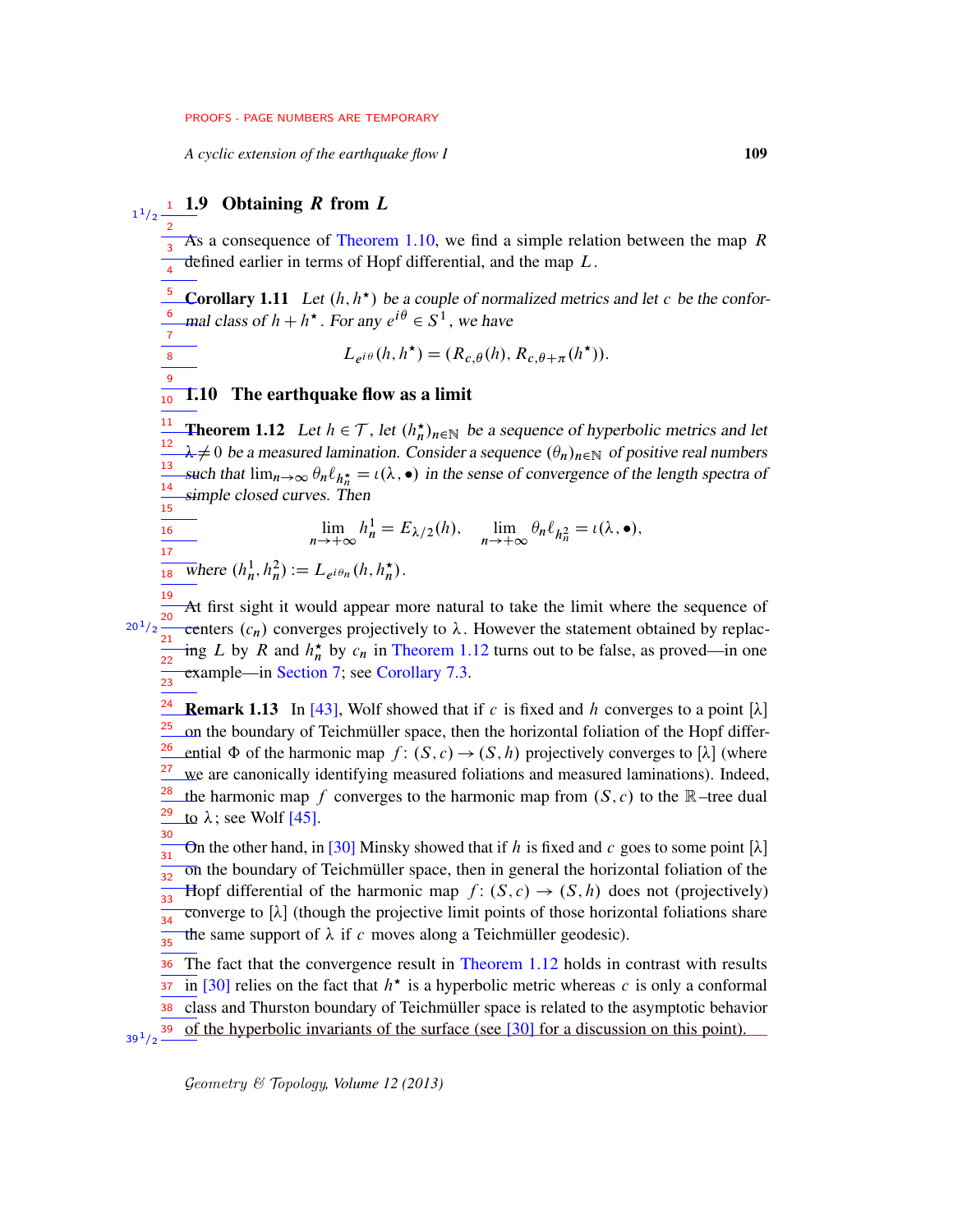*A cyclic extension of the earthquake flow I* 109

# $1^{1/2}$   $\frac{1}{2}$   $\frac{1}{2}$  Obtaining R from L

2

8 9

16 17

As a consequence of [Theorem 1.10,](#page-7-0) we find a simple relation between the map  $R$ defined earlier in terms of Hopf differential, and the map  $L$ . 3 4

<span id="page-8-1"></span>**Corollary 1.11** Let  $(h, h^*)$  be a couple of normalized metrics and let c be the conformal class of  $h + h^{\star}$ . For any  $e^{i\theta} \in S^1$ , we have 5 6  $\overline{7}$ 

 $L_{e^{i\theta}}(h, h^{\star}) = (R_{c,\theta}(h), R_{c,\theta+\pi}(h^{\star})).$ 

#### 1.10 The earthquake flow as a limit 10

<span id="page-8-0"></span>**Theorem 1.12** Let  $h \in \mathcal{T}$ , let  $(h_n^{\star})_{n \in \mathbb{N}}$  be a sequence of hyperbolic metrics and let  $\lambda \neq 0$  be a measured lamination. Consider a sequence  $(\theta_n)_{n \in \mathbb{N}}$  of positive real numbers such that  $\lim_{n\to\infty} \theta_n \ell_{h_n^*} = \iota(\lambda, \bullet)$  in the sense of convergence of the length spectra of simple closed curves. Then 11 12 13 14 15

$$
\lim_{n \to +\infty} h_n^1 = E_{\lambda/2}(h), \quad \lim_{n \to +\infty} \theta_n \ell_{h_n^2} = \iota(\lambda, \bullet),
$$

 $\frac{1}{18}$  where  $(h_n^1, h_n^2) := L_{e^{i\theta_n}}(h, h_n^{\star}).$ 

At first sight it would appear more natural to take the limit where the sequence of centers  $(c_n)$  converges projectively to  $\lambda$ . However the statement obtained by replacing L by R and  $h_n^*$  by  $c_n$  in [Theorem 1.12](#page-8-0) turns out to be false, as proved—in one example—in [Section 7;](#page-61-0) see [Corollary 7.3.](#page-63-0) 19 20  $20\,^{1\!}/_2$ 21 22  $\frac{1}{23}$ 

**Remark 1.13** In [\[43\]](#page-77-1), Wolf showed that if c is fixed and h converges to a point  $[\lambda]$ on the boundary of Teichmüller space, then the horizontal foliation of the Hopf differential  $\Phi$  of the harmonic map  $f: (S, c) \rightarrow (S, h)$  projectively converges to  $[\lambda]$  (where we are canonically identifying measured foliations and measured laminations). Indeed, the harmonic map f converges to the harmonic map from  $(S, c)$  to the R–tree dual to  $\lambda$ ; see Wolf [\[45\]](#page-77-2). 24 25 26 27 28 29 30

On the other hand, in [\[30\]](#page-76-7) Minsky showed that if h is fixed and c goes to some point  $[\lambda]$ on the boundary of Teichmüller space, then in general the horizontal foliation of the Hopf differential of the harmonic map  $f: (S, c) \rightarrow (S, h)$  does not (projectively)  $\overline{\text{converge}}$  to  $[\lambda]$  (though the projective limit points of those horizontal foliations share the same support of  $\lambda$  if c moves along a Teichmüller geodesic). 31 32 33 34 35

The fact that the convergence result in [Theorem 1.12](#page-8-0) holds in contrast with results in [\[30\]](#page-76-7) relies on the fact that  $h^*$  is a hyperbolic metric whereas c is only a conformal class and Thurston boundary of Teichmüller space is related to the asymptotic behavior of the hyperbolic invariants of the surface (see [\[30\]](#page-76-7) for a discussion on this point). 36 37 38  $39^{1}/2$   $-$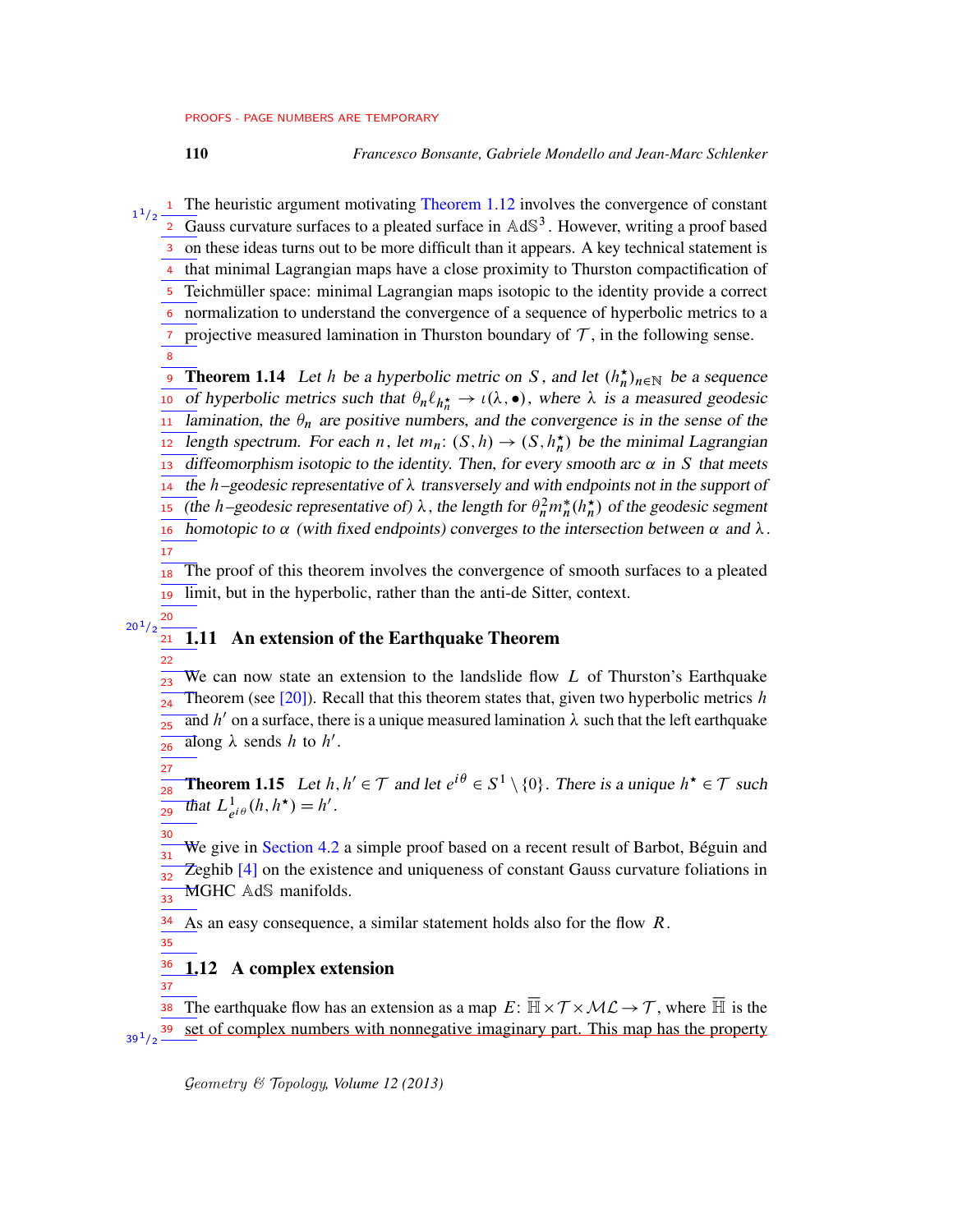110 *Francesco Bonsante, Gabriele Mondello and Jean-Marc Schlenker*

<sup>1</sup> The heuristic argument motivating [Theorem 1.12](#page-8-0) involves the convergence of constant  $\overline{a}$  Gauss curvature surfaces to a pleated surface in AdS<sup>3</sup>. However, writing a proof based on these ideas turns out to be more difficult than it appears. A key technical statement is 4 that minimal Lagrangian maps have a close proximity to Thurston compactification of <sup>5</sup> Teichmüller space: minimal Lagrangian maps isotopic to the identity provide a correct normalization to understand the convergence of a sequence of hyperbolic metrics to a  $\tau$  projective measured lamination in Thurston boundary of  $\tau$ , in the following sense. **Theorem 1.14** Let h be a hyperbolic metric on S, and let  $(h_n^{\star})_{n \in \mathbb{N}}$  be a sequence 10 of hyperbolic metrics such that  $\theta_n \ell_{h_n^*} \to \iota(\lambda, \bullet)$ , where  $\lambda$  is a measured geodesic Iamination, the  $\theta_n$  are positive numbers, and the convergence is in the sense of the length spectrum. For each n, let  $m_n: (S, h) \to (S, h_n^{\star})$  be the minimal Lagrangian diffeomorphism isotopic to the identity. Then, for every smooth arc  $\alpha$  in S that meets the h–geodesic representative of  $\lambda$  transversely and with endpoints not in the support of (the h–geodesic representative of)  $\lambda$ , the length for  $\theta_n^2 m_n^*(h_n^*)$  of the geodesic segment 1  $1/2$ 3 6 8 9 11 12 13 14 15

homotopic to  $\alpha$  (with fixed endpoints) converges to the intersection between  $\alpha$  and  $\lambda$ . 16 17

The proof of this theorem involves the convergence of smooth surfaces to a pleated limit, but in the hyperbolic, rather than the anti-de Sitter, context. 18 19

#### 1.11 An extension of the Earthquake Theorem  $20^{1}/2$ 21

We can now state an extension to the landslide flow  $L$  of Thurston's Earthquake Theorem (see  $[20]$ ). Recall that this theorem states that, given two hyperbolic metrics h and h' on a surface, there is a unique measured lamination  $\lambda$  such that the left earthquake along  $\lambda$  sends h to h'. ว่ว 24 25 26

**Theorem 1.15** Let  $h, h' \in \mathcal{T}$  and let  $e^{i\theta} \in S^1 \setminus \{0\}$ . There is a unique  $h^* \in \mathcal{T}$  such That  $L^1_{e^{i\theta}}(h, h^{\star}) = h'$ . 28 29

We give in [Section 4.2](#page-22-0) a simple proof based on a recent result of Barbot, Béguin and Zeghib [\[4\]](#page-74-2) on the existence and uniqueness of constant Gauss curvature foliations in MGHC AdS manifolds. 30 31 32 33

As an easy consequence, a similar statement holds also for the flow  $R$ . 34

35

37

20

22

<span id="page-9-0"></span>27

#### 1.12 A complex extension 36

The earthquake flow has an extension as a map  $E: \overline{\mathbb{H}} \times T \times \mathcal{ML} \to T$ , where  $\overline{\mathbb{H}}$  is the set of complex numbers with nonnegative imaginary part. This map has the property 38 39  $39^{1/2}$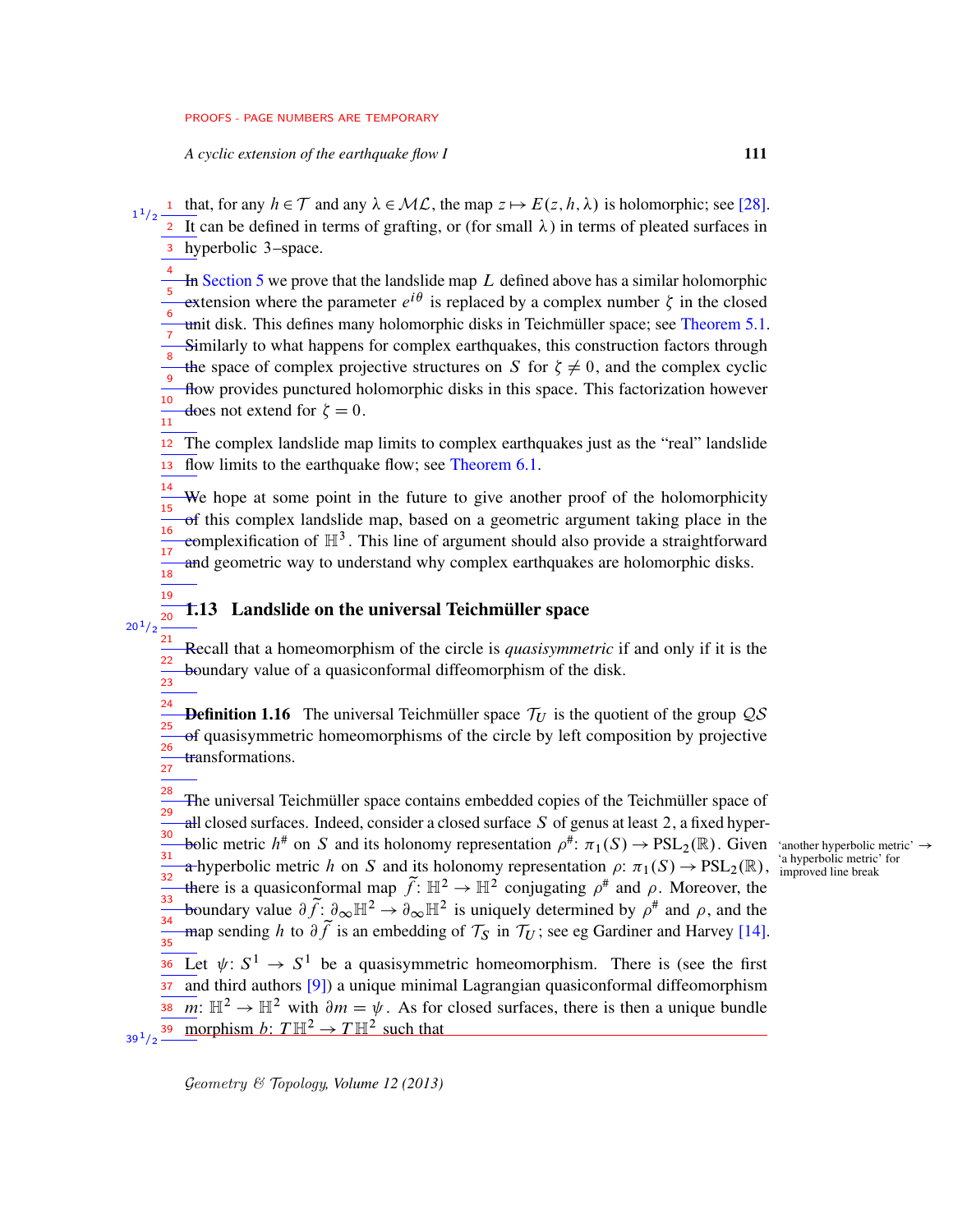*A cyclic extension of the earthquake flow I* 111

- 1 that, for any  $h \in \mathcal{T}$  and any  $\lambda \in \mathcal{ML}$ , the map  $z \mapsto E(z, h, \lambda)$  is holomorphic; see [\[28\]](#page-76-0). <sup>2</sup> It can be defined in terms of grafting, or (for small  $\lambda$ ) in terms of pleated surfaces in hyperbolic 3–space. 3 1  $1/2$ 
	- In [Section 5](#page-23-0) we prove that the landslide map  $L$  defined above has a similar holomorphic extension where the parameter  $e^{i\theta}$  is replaced by a complex number  $\zeta$  in the closed unit disk. This defines many holomorphic disks in Teichmüller space; see [Theorem 5.1.](#page-25-0) Similarly to what happens for complex earthquakes, this construction factors through the space of complex projective structures on S for  $\xi \neq 0$ , and the complex cyclic flow provides punctured holomorphic disks in this space. This factorization however does not extend for  $\zeta = 0$ . 4 5 6 7 8 9 10  $\frac{1}{11}$

The complex landslide map limits to complex earthquakes just as the "real" landslide flow limits to the earthquake flow; see [Theorem 6.1.](#page-38-0) 12 13

We hope at some point in the future to give another proof of the holomorphicity of this complex landslide map, based on a geometric argument taking place in the complexification of  $\mathbb{H}^3$ . This line of argument should also provide a straightforward and geometric way to understand why complex earthquakes are holomorphic disks. 14 15 16 17  $\frac{1}{18}$ 

## 1.13 Landslide on the universal Teichmüller space

19 20  $20^{1}/2$ 

Recall that a homeomorphism of the circle is *quasisymmetric* if and only if it is the boundary value of a quasiconformal diffeomorphism of the disk.  $21$ 22 23

**Definition 1.16** The universal Teichmüller space  $\mathcal{T}_U$  is the quotient of the group  $\mathcal{QS}$ of quasisymmetric homeomorphisms of the circle by left composition by projective transformations. 24 25 26  $\frac{1}{27}$ 

The universal Teichmüller space contains embedded copies of the Teichmüller space of all closed surfaces. Indeed, consider a closed surface  $S$  of genus at least 2, a fixed hyperbolic metric  $h^{\#}$  on S and its holonomy representation  $\rho^{\#}$ :  $\pi_1(S) \to \text{PSL}_2(\mathbb{R})$ . Given 'another hyperbolic metric'  $\to$ a hyperbolic metric h on S and its holonomy representation  $\rho: \pi_1(S) \to PSL_2(\mathbb{R}),$ there is a quasiconformal map  $\widetilde{f}$ :  $\mathbb{H}^2 \to \mathbb{H}^2$  conjugating  $\rho^{\#}$  and  $\rho$ . Moreover, the boundary value  $\partial \tilde{f}$ :  $\partial_{\infty} \mathbb{H}^2 \to \partial_{\infty} \mathbb{H}^2$  is uniquely determined by  $\rho^{\#}$  and  $\rho$ , and the map sending h to  $\partial \tilde{f}$  is an embedding of  $\mathcal{T}_S$  in  $\mathcal{T}_U$ ; see eg Gardiner and Harvey [\[14\]](#page-75-4). Let  $\psi: S^1 \to S^1$  be a quasisymmetric homeomorphism. There is (see the first and third authors [\[9\]](#page-75-5)) a unique minimal Lagrangian quasiconformal diffeomorphism 38 m:  $\mathbb{H}^2 \to \mathbb{H}^2$  with  $\partial m = \psi$ . As for closed surfaces, there is then a unique bundle morphism  $b: T \mathbb{H}^2 \to T \mathbb{H}^2$  such that 28 29 30 31 32 33 34 35 36 37 39  $39^{1/2}$ 

'a hyperbolic metric' for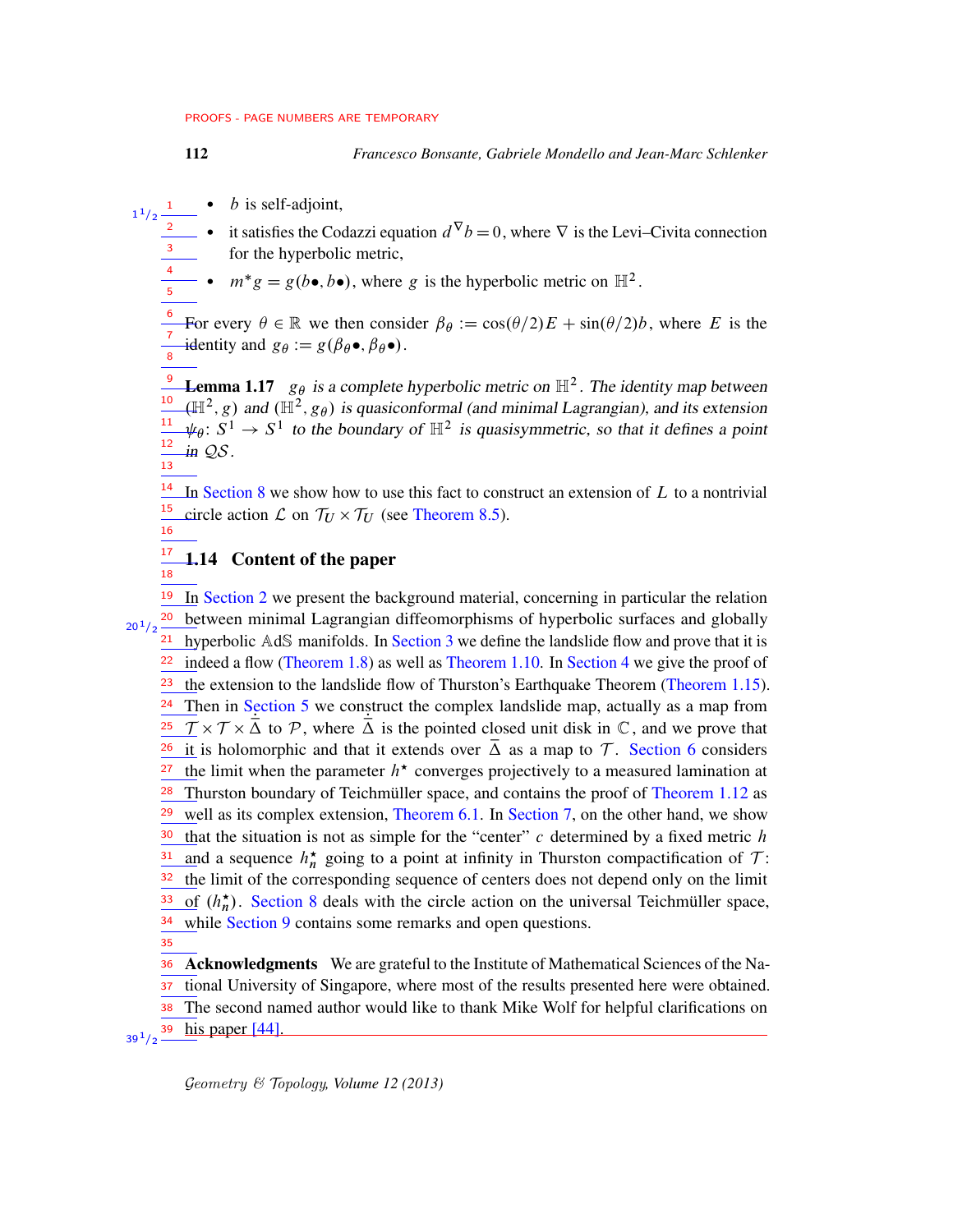4 5

- $\bullet$  *b* is self-adjoint, 1 1  $1/2$ 
	- it satisfies the Codazzi equation  $d^{\nabla} b = 0$ , where  $\nabla$  is the Levi–Civita connection for the hyperbolic metric, 2 3
	- $m^*g = g(b \bullet, b \bullet)$ , where g is the hyperbolic metric on  $\mathbb{H}^2$ .

For every  $\theta \in \mathbb{R}$  we then consider  $\beta_{\theta} := \cos(\theta/2)E + \sin(\theta/2)b$ , where E is the identity and  $g_{\theta} := g(\beta_{\theta} \bullet, \beta_{\theta} \bullet)$ . 6 7 8

**Lemma 1.17**  $g_{\theta}$  is a complete hyperbolic metric on  $\mathbb{H}^2$ . The identity map between  $(\mathbb{H}^2, g)$  and  $(\mathbb{H}^2, g_{\theta})$  is quasiconformal (and minimal Lagrangian), and its extension  $\psi_{\theta} \colon S^1 \to S^1$  to the boundary of  $\mathbb{H}^2$  is quasisymmetric, so that it defines a point in QS. 10 11 12  $\frac{1}{13}$ 

 $\frac{14}{1}$  In [Section 8](#page-67-0) we show how to use this fact to construct an extension of L to a nontrivial circle action  $\mathcal L$  on  $\mathcal T_U \times \mathcal T_U$  (see [Theorem 8.5\)](#page-69-0). 15 16

#### 1.14 Content of the paper 17 18

<sup>19</sup> In [Section 2](#page-12-0) we present the background material, concerning in particular the relation <sup>20</sup> between minimal Lagrangian diffeomorphisms of hyperbolic surfaces and globally  $\frac{21}{21}$  hyperbolic AdS manifolds. In [Section 3](#page-17-0) we define the landslide flow and prove that it is indeed a flow [\(Theorem 1.8\)](#page-6-0) as well as [Theorem 1.10.](#page-7-0) In [Section 4](#page-22-1) we give the proof of the extension to the landslide flow of Thurston's Earthquake Theorem [\(Theorem 1.15\)](#page-9-0).  $\frac{24}{}$  Then in [Section 5](#page-23-0) we construct the complex landslide map, actually as a map from  $\frac{25}{\sqrt{7}} \times \frac{7}{\sqrt{2}}$  to P, where  $\overline{\Delta}$  is the pointed closed unit disk in C, and we prove that  $\frac{26}{\pm}$  it is holomorphic and that it extends over  $\overline{\Delta}$  as a map to T. [Section 6](#page-37-0) considers the limit when the parameter  $h^*$  converges projectively to a measured lamination at Thurston boundary of Teichmüller space, and contains the proof of [Theorem 1.12](#page-8-0) as  $\frac{29}{2}$  well as its complex extension, [Theorem 6.1.](#page-38-0) In [Section 7,](#page-61-0) on the other hand, we show that the situation is not as simple for the "center"  $c$  determined by a fixed metric  $h$ and a sequence  $h_n^{\star}$  going to a point at infinity in Thurston compactification of  $\mathcal{T}$ : the limit of the corresponding sequence of centers does not depend only on the limit of  $(h_n^{\star})$ . [Section 8](#page-67-0) deals with the circle action on the universal Teichmüller space, while [Section 9](#page-70-0) contains some remarks and open questions. 36 Acknowledgments We are grateful to the Institute of Mathematical Sciences of the Na- $20^{1}/2$ 22 23 27 28 30 31 32 33 34 35

tional University of Singapore, where most of the results presented here were obtained. The second named author would like to thank Mike Wolf for helpful clarifications on his paper [\[44\]](#page-77-3). 37 38  $39^{1}/2$   $-$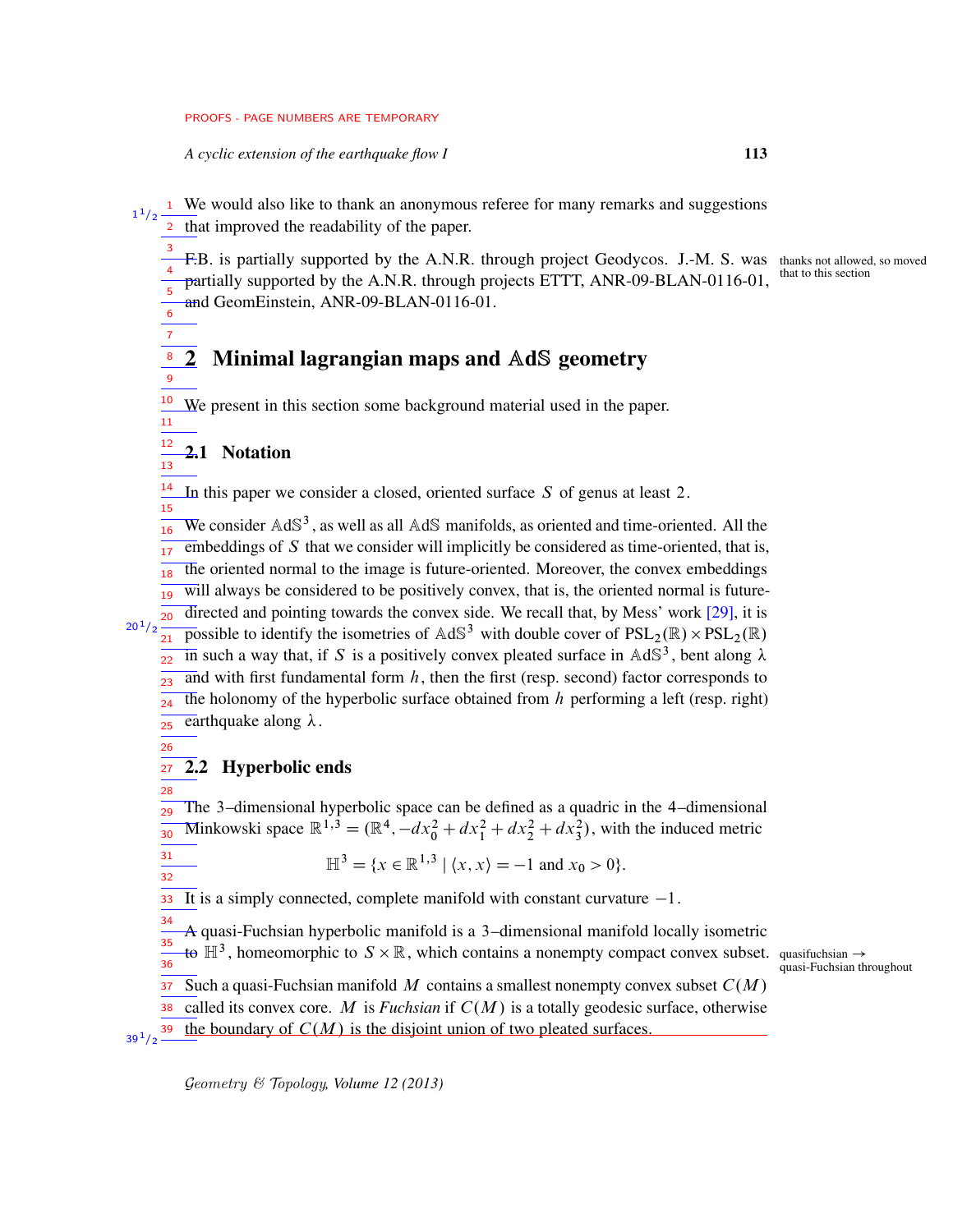*A cyclic extension of the earthquake flow I* 113

We would also like to thank an anonymous referee for many remarks and suggestions 1 2 that improved the readability of the paper. 1  $1/2$ 

- F.B. is partially supported by the A.N.R. through project Geodycos. J.-M. S. was thanks not allowed, so moved partially supported by the A.N.R. through projects ETTT, ANR-09-BLAN-0116-01, 3 4
- and GeomEinstein, ANR-09-BLAN-0116-01. 5 6

#### 2 Minimal lagrangian maps and AdS geometry 8 9

We present in this section some background material used in the paper. 10 11

2.1 Notation

<span id="page-12-0"></span>7

12 13

26

28

31 32

In this paper we consider a closed, oriented surface S of genus at least 2. 14 15

We consider  $AdS<sup>3</sup>$ , as well as all  $AdS$  manifolds, as oriented and time-oriented. All the  $\overline{embeddings}$  of  $S$  that we consider will implicitly be considered as time-oriented, that is, the oriented normal to the image is future-oriented. Moreover, the convex embeddings  $\overline{$ will always be considered to be positively convex, that is, the oriented normal is future-directed and pointing towards the convex side. We recall that, by Mess' work [\[29\]](#page-76-6), it is possible to identify the isometries of  $AdS^3$  with double cover of  $PSL_2(\mathbb{R}) \times PSL_2(\mathbb{R})$ in such a way that, if S is a positively convex pleated surface in  $AdS<sup>3</sup>$ , bent along  $\lambda$ and with first fundamental form  $h$ , then the first (resp. second) factor corresponds to the holonomy of the hyperbolic surface obtained from  $h$  performing a left (resp. right) earthquake along  $\lambda$ . 16 17 18 19 20  $20^{1}/2$  $21$ 22 ว่ว  $24$ 25

2.2 Hyperbolic ends  $27$ 

The 3–dimensional hyperbolic space can be defined as a quadric in the 4–dimensional Minkowski space  $\mathbb{R}^{1,3} = (\mathbb{R}^4, -dx_0^2 + dx_1^2 + dx_2^2 + dx_3^2)$ , with the induced metric 29 30

$$
\mathbb{H}^3 = \{x \in \mathbb{R}^{1,3} \mid \langle x, x \rangle = -1 \text{ and } x_0 > 0\}.
$$

It is a simply connected, complete manifold with constant curvature  $-1$ . 33

A quasi-Fuchsian hyperbolic manifold is a 3–dimensional manifold locally isometric to  $\mathbb{H}^3$ , homeomorphic to  $S \times \mathbb{R}$ , which contains a nonempty compact convex subset. quasifuchsian  $\rightarrow$ Such a quasi-Fuchsian manifold M contains a smallest nonempty convex subset  $C(M)$ 34 35  $\frac{1}{36}$ 37

quasi-Fuchsian throughout

called its convex core. M is *Fuchsian* if  $C(M)$  is a totally geodesic surface, otherwise 38

the boundary of  $C(M)$  is the disjoint union of two pleated surfaces.  $39^{1}/2$   $-$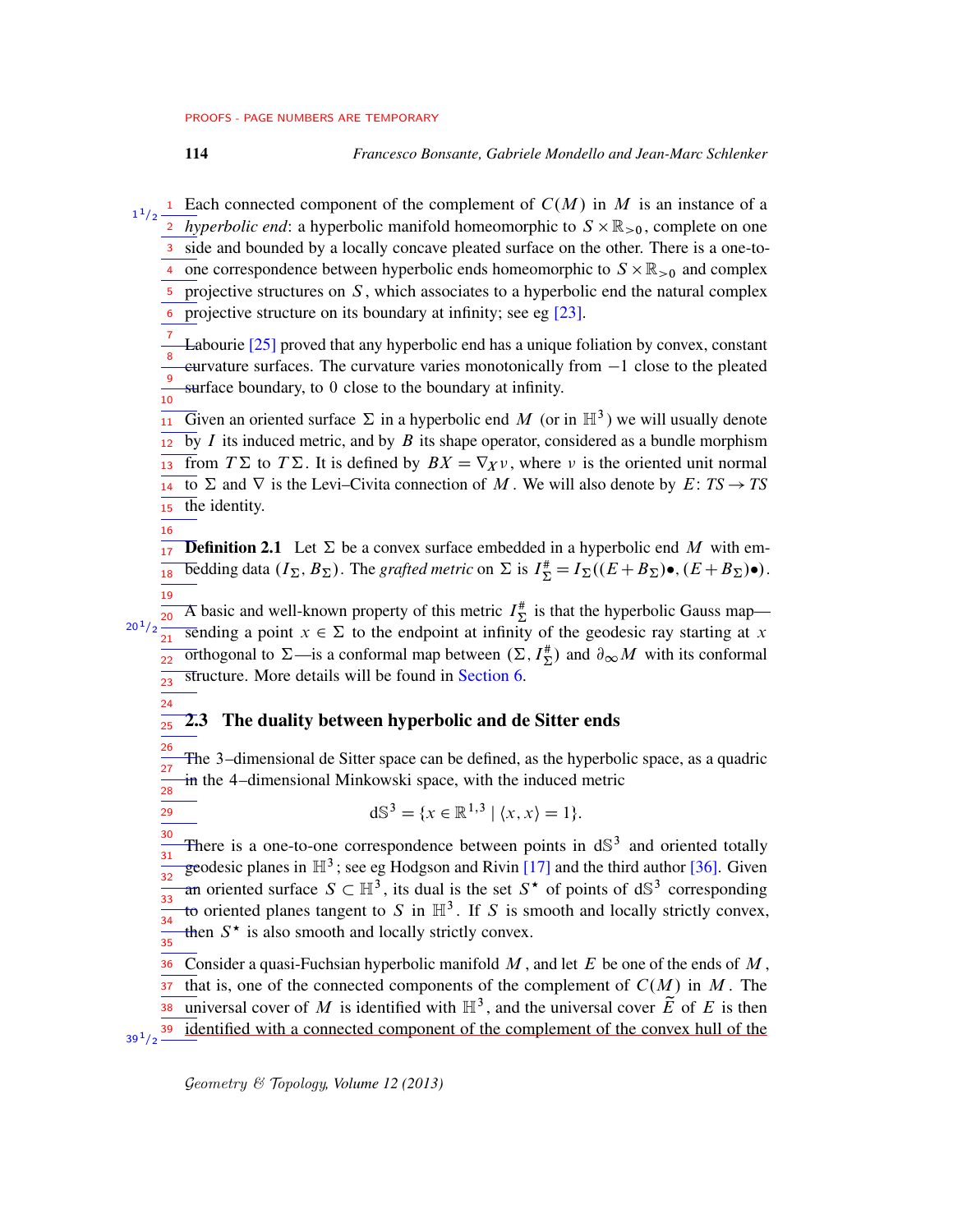<sup>1</sup> Each connected component of the complement of  $C(M)$  in M is an instance of a  $\frac{1}{2}$  *hyperbolic end*: a hyperbolic manifold homeomorphic to  $S \times \mathbb{R}_{>0}$ , complete on one 3 side and bounded by a locally concave pleated surface on the other. There is a one-to-4 one correspondence between hyperbolic ends homeomorphic to  $S \times \mathbb{R}_{>0}$  and complex  $\overline{5}$  projective structures on S, which associates to a hyperbolic end the natural complex projective structure on its boundary at infinity; see eg [\[23\]](#page-75-1). 1  $1/2$ 6

Labourie [\[25\]](#page-76-5) proved that any hyperbolic end has a unique foliation by convex, constant  $curvature$  surfaces. The curvature varies monotonically from  $-1$  close to the pleated surface boundary, to 0 close to the boundary at infinity. 7 8 9 10

Given an oriented surface  $\Sigma$  in a hyperbolic end M (or in  $\mathbb{H}^3$ ) we will usually denote by  $I$  its induced metric, and by  $B$  its shape operator, considered as a bundle morphism from  $T\Sigma$  to  $T\Sigma$ . It is defined by  $BX = \nabla_X v$ , where v is the oriented unit normal to  $\Sigma$  and  $\nabla$  is the Levi–Civita connection of M. We will also denote by  $E: TS \rightarrow TS$ the identity. 11 12 13 14 15

16

24

29

 $20^{1}/2$ 

**Definition 2.1** Let  $\Sigma$  be a convex surface embedded in a hyperbolic end M with embedding data  $(I_{\Sigma}, B_{\Sigma})$ . The *grafted metric* on  $\Sigma$  is  $I_{\Sigma}^{*} = I_{\Sigma}((E + B_{\Sigma})\bullet, (E + B_{\Sigma})\bullet)$ . 17 18 19

A basic and well-known property of this metric  $I_{\Sigma}^{*}$  is that the hyperbolic Gauss map sending a point  $x \in \Sigma$  to the endpoint at infinity of the geodesic ray starting at x Tribogonal to  $\Sigma$ —is a conformal map between  $(\Sigma, I_{\Sigma}^{\#})$  and  $\partial_{\infty}M$  with its conformal structure. More details will be found in [Section 6.](#page-37-0) 20 21 22 23

#### 2.3 The duality between hyperbolic and de Sitter ends 25

The 3–dimensional de Sitter space can be defined, as the hyperbolic space, as a quadric in the 4–dimensional Minkowski space, with the induced metric 26 27 28

$$
d\mathbb{S}^3 = \{x \in \mathbb{R}^{1,3} \mid \langle x, x \rangle = 1\}.
$$

There is a one-to-one correspondence between points in  $dS<sup>3</sup>$  and oriented totally geodesic planes in  $\mathbb{H}^3$ ; see eg Hodgson and Rivin [\[17\]](#page-75-6) and the third author [\[36\]](#page-76-8). Given an oriented surface  $S \subset \mathbb{H}^3$ , its dual is the set  $S^*$  of points of  $dS^3$  corresponding to oriented planes tangent to S in  $\mathbb{H}^3$ . If S is smooth and locally strictly convex, then  $S^*$  is also smooth and locally strictly convex. 30 31 32 33 34 35

Consider a quasi-Fuchsian hyperbolic manifold  $M$ , and let  $E$  be one of the ends of  $M$ , that is, one of the connected components of the complement of  $C(M)$  in M. The universal cover of M is identified with  $\mathbb{H}^3$ , and the universal cover  $\widetilde{E}$  of E is then identified with a connected component of the complement of the convex hull of the 36 37 38  $39^{1}/2$   $-$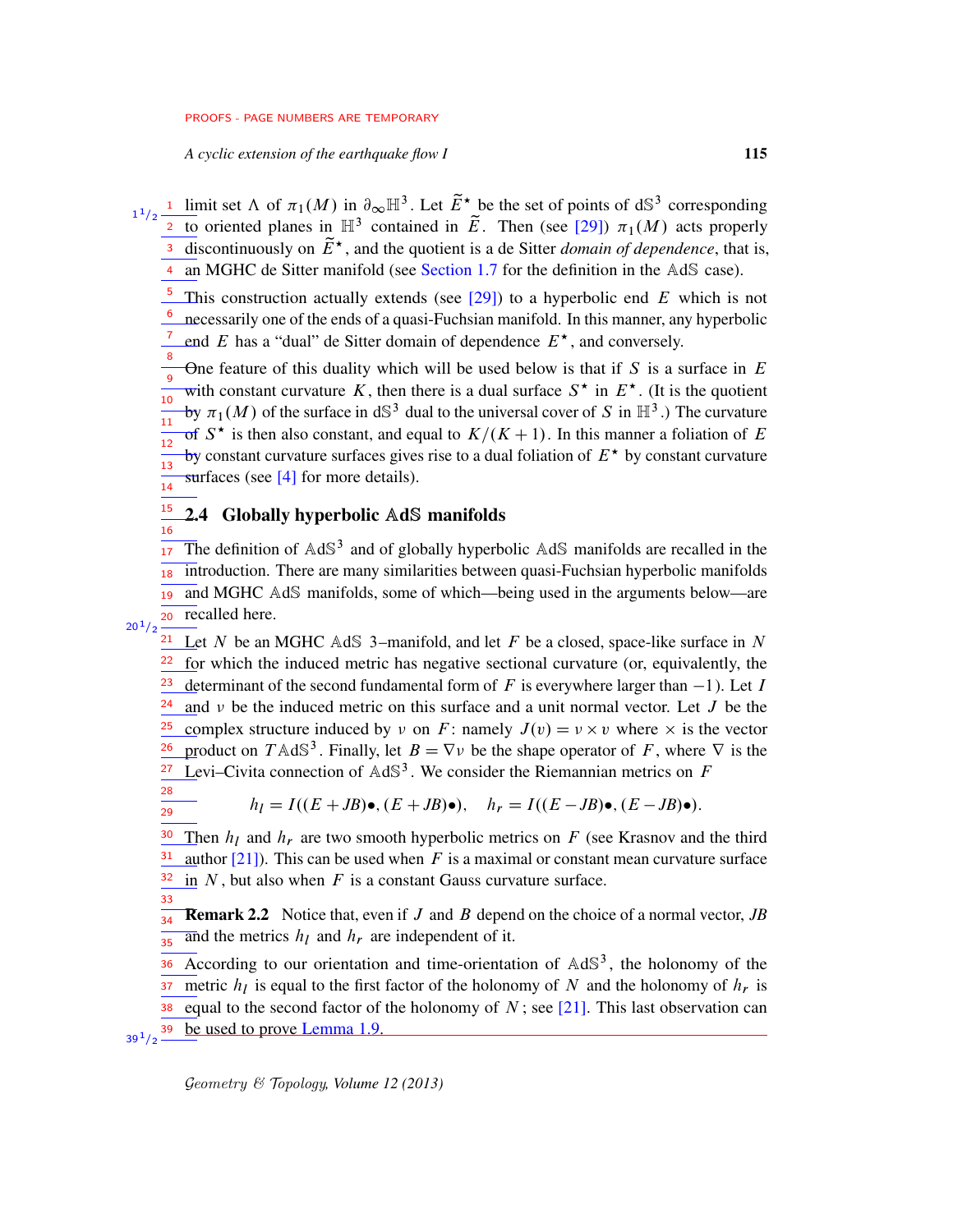*A cyclic extension of the earthquake flow I* 115

<sup>1</sup> limit set  $\Lambda$  of  $\pi_1(M)$  in  $\partial_{\infty} \mathbb{H}^3$ . Let  $\tilde{E}^{\star}$  be the set of points of dS<sup>3</sup> corresponding <sup>2</sup> to oriented planes in  $\mathbb{H}^3$  contained in  $\tilde{E}$ . Then (see [\[29\]](#page-76-6))  $\pi_1(M)$  acts properly discontinuously on  $\widetilde{E}^*$ , and the quotient is a de Sitter *domain of dependence*, that is, 4 an MGHC de Sitter manifold (see [Section 1.7](#page-6-2) for the definition in the AdS case). 1  $1/2$ 3

<sup>5</sup> This construction actually extends (see [\[29\]](#page-76-6)) to a hyperbolic end E which is not necessarily one of the ends of a quasi-Fuchsian manifold. In this manner, any hyperbolic end E has a "dual" de Sitter domain of dependence  $E^*$ , and conversely. 6 7

One feature of this duality which will be used below is that if  $S$  is a surface in  $E$ with constant curvature K, then there is a dual surface  $S^*$  in  $E^*$ . (It is the quotient by  $\pi_1(M)$  of the surface in dS<sup>3</sup> dual to the universal cover of S in  $\mathbb{H}^3$ .) The curvature of  $S^*$  is then also constant, and equal to  $K/(K+1)$ . In this manner a foliation of E by constant curvature surfaces gives rise to a dual foliation of  $E^*$  by constant curvature surfaces (see  $[4]$  for more details). 8 9 10  $\frac{1}{11}$ 12 13 14

#### <span id="page-14-0"></span>2.4 Globally hyperbolic AdS manifolds 15 16

The definition of  $AdS<sup>3</sup>$  and of globally hyperbolic  $AdS$  manifolds are recalled in the <sup>18</sup> introduction. There are many similarities between quasi-Fuchsian hyperbolic manifolds 19 and MGHC AdS manifolds, some of which—being used in the arguments below—are 20 recalled here. 17  $20^{1}/2$ 

 $\frac{21}{2}$  Let N be an MGHC AdS 3-manifold, and let F be a closed, space-like surface in N for which the induced metric has negative sectional curvature (or, equivalently, the determinant of the second fundamental form of F is everywhere larger than  $-1$ ). Let I and  $\nu$  be the induced metric on this surface and a unit normal vector. Let J be the complex structure induced by  $v$  on F: namely  $J(v) = v \times v$  where  $\times$  is the vector product on T AdS<sup>3</sup>. Finally, let  $B = \nabla \nu$  be the shape operator of F, where  $\nabla$  is the Levi–Civita connection of  $AdS<sup>3</sup>$ . We consider the Riemannian metrics on F 22 23 24 25 26 27

$$
\frac{28}{29}
$$

33

$$
h_I = I((E+JB)\bullet, (E+JB)\bullet), \quad h_r = I((E-JB)\bullet, (E-JB)\bullet).
$$

Then  $h_l$  and  $h_r$  are two smooth hyperbolic metrics on F (see Krasnov and the third author  $[21]$ ). This can be used when F is a maximal or constant mean curvature surface in  $N$ , but also when  $F$  is a constant Gauss curvature surface. 30 31 32

Remark 2.2 Notice that, even if J and B depend on the choice of a normal vector, *JB* and the metrics  $h_l$  and  $h_r$  are independent of it. 34 35

According to our orientation and time-orientation of  $AdS<sup>3</sup>$ , the holonomy of the metric  $h_l$  is equal to the first factor of the holonomy of N and the holonomy of  $h_r$  is equal to the second factor of the holonomy of  $N$ ; see [\[21\]](#page-75-7). This last observation can be used to prove [Lemma 1.9.](#page-7-1) 36 37 38  $39^{1}/2$   $-$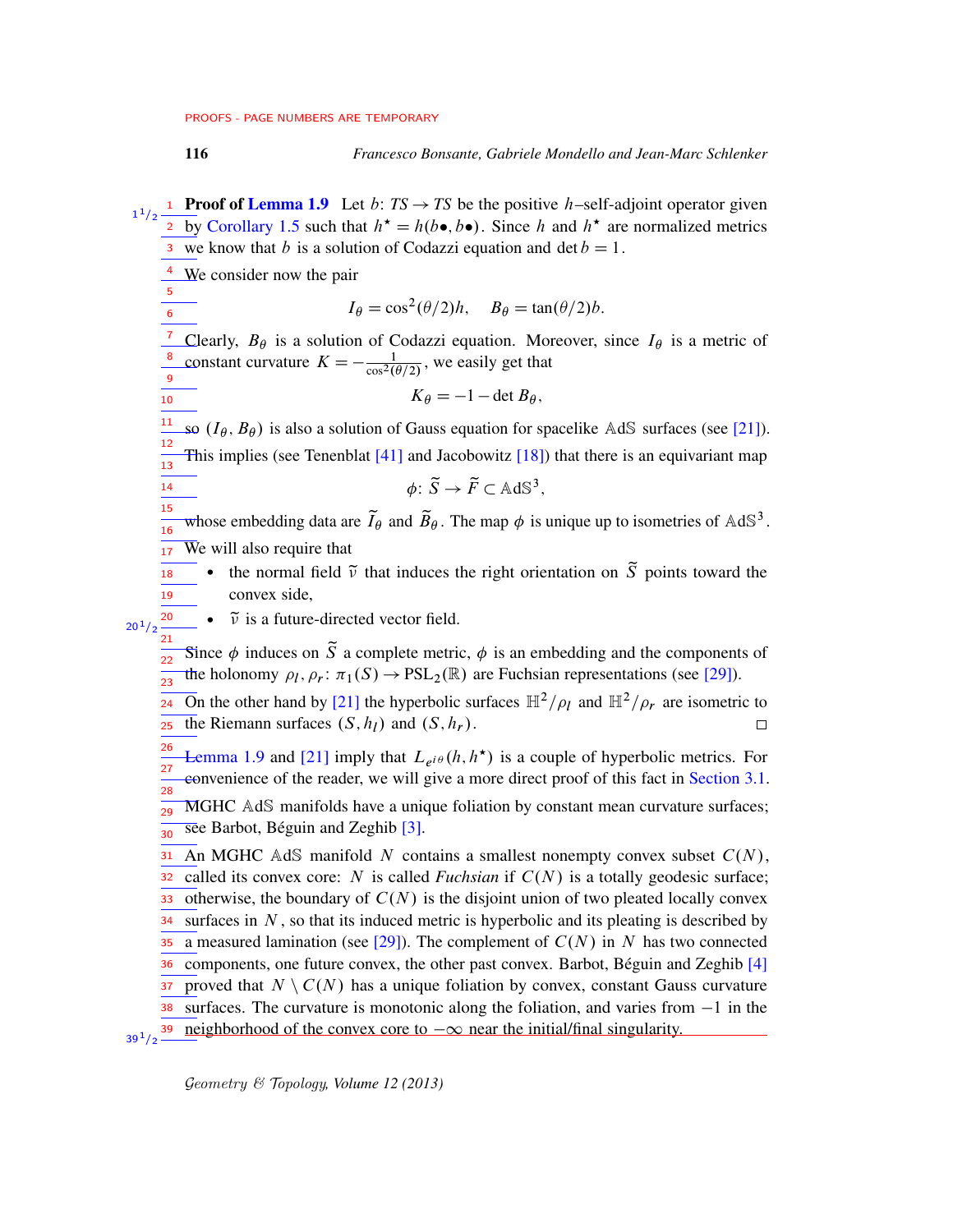**Proof of [Lemma 1.9](#page-7-1)** Let *b*:  $TS \rightarrow TS$  be the positive *h*-self-adjoint operator given  $1/2$ 1 <sup>2</sup> by [Corollary 1.5](#page-5-0) such that  $h^* = h(b \bullet, b \bullet)$ . Since h and  $h^*$  are normalized metrics <sup>3</sup> we know that *b* is a solution of Codazzi equation and det  $b = 1$ .  $\frac{4}{1}$  We consider now the pair 5  $I_{\theta} = \cos^2(\theta/2)h$ ,  $B_{\theta} = \tan(\theta/2)b$ . 6 7 Clearly,  $B_{\theta}$  is a solution of Codazzi equation. Moreover, since  $I_{\theta}$  is a metric of constant curvature  $K = -\frac{1}{\cos^2(\theta)}$ 8  $\frac{1}{\cos^2(\theta/2)}$ , we easily get that 9  $K_{\theta} = -1 - \det B_{\theta}$ , 10 11 so  $(I_{\theta}, B_{\theta})$  is also a solution of Gauss equation for spacelike AdS surfaces (see [\[21\]](#page-75-7)). 12 This implies (see Tenenblat  $[41]$  and Jacobowitz  $[18]$ ) that there is an equivariant map 13  $\phi \colon \widetilde{S} \to \widetilde{F} \subset \mathbb{AdS}^3,$ 14 15 whose embedding data are  $\tilde{I}_{\theta}$  and  $\tilde{B}_{\theta}$ . The map  $\phi$  is unique up to isometries of AdS<sup>3</sup>. 16  $\overline{W}$ e will also require that 17 • the normal field  $\tilde{v}$  that induces the right orientation on  $\tilde{S}$  points toward the 18 19 convex side, 20  $\cdot$   $\tilde{v}$  is a future-directed vector field.  $20^{1}/2$  $21$ Since  $\phi$  induces on  $\tilde{S}$  a complete metric,  $\phi$  is an embedding and the components of 22 the holonomy  $\rho_l$ ,  $\rho_r$ :  $\pi_1(S) \to \text{PSL}_2(\mathbb{R})$  are Fuchsian representations (see [\[29\]](#page-76-6)). 23 On the other hand by [\[21\]](#page-75-7) the hyperbolic surfaces  $\mathbb{H}^2/\rho_l$  and  $\mathbb{H}^2/\rho_r$  are isometric to 24 the Riemann surfaces  $(S, h_l)$  and  $(S, h_r)$ . 25  $\Box$ 26 [Lemma 1.9](#page-7-1) and [\[21\]](#page-75-7) imply that  $L_{e^{i\theta}}(h, h^*)$  is a couple of hyperbolic metrics. For  $27$ convenience of the reader, we will give a more direct proof of this fact in [Section 3.1.](#page-17-1) 28 MGHC AdS manifolds have a unique foliation by constant mean curvature surfaces; 29 see Barbot, Béguin and Zeghib [\[3\]](#page-74-3). 30 An MGHC AdS manifold N contains a smallest nonempty convex subset  $C(N)$ , 31 called its convex core: N is called *Fuchsian* if  $C(N)$  is a totally geodesic surface; 32 otherwise, the boundary of  $C(N)$  is the disjoint union of two pleated locally convex 33 surfaces in  $N$ , so that its induced metric is hyperbolic and its pleating is described by 34 a measured lamination (see [\[29\]](#page-76-6)). The complement of  $C(N)$  in N has two connected 35 components, one future convex, the other past convex. Barbot, Béguin and Zeghib [\[4\]](#page-74-2) 36 proved that  $N \setminus C(N)$  has a unique foliation by convex, constant Gauss curvature 37 surfaces. The curvature is monotonic along the foliation, and varies from  $-1$  in the 38 neighborhood of the convex core to  $-\infty$  near the initial/final singularity.  $39^{1}/2$   $-$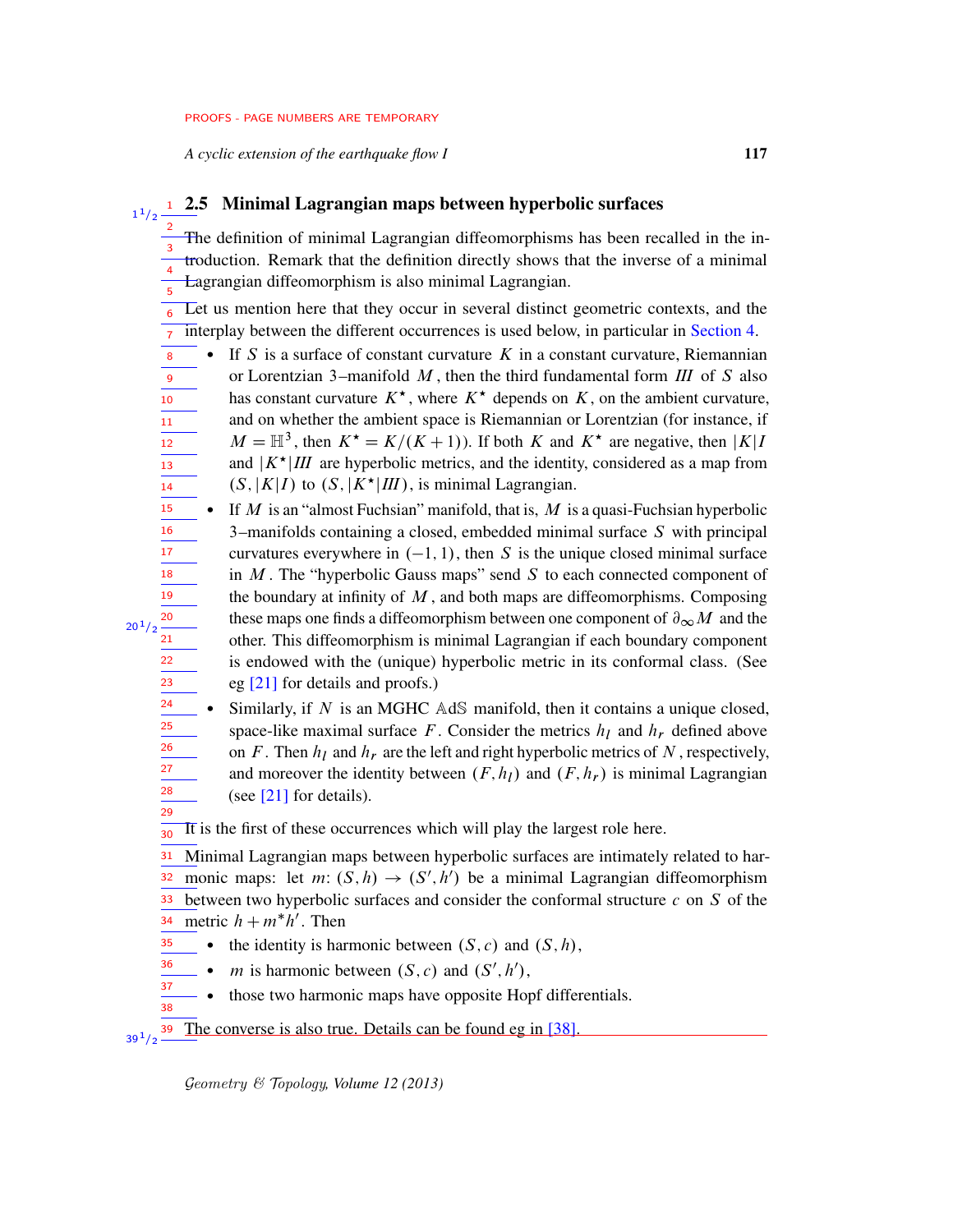*A cyclic extension of the earthquake flow I* 117

1  $1/2$ 

 $20^{1}/2$ 

## <span id="page-16-0"></span>2.5 Minimal Lagrangian maps between hyperbolic surfaces 1

The definition of minimal Lagrangian diffeomorphisms has been recalled in the introduction. Remark that the definition directly shows that the inverse of a minimal Lagrangian diffeomorphism is also minimal Lagrangian. 2 3 4 5

Let us mention here that they occur in several distinct geometric contexts, and the interplay between the different occurrences is used below, in particular in [Section 4.](#page-22-1) 6 7

- If S is a surface of constant curvature  $K$  in a constant curvature, Riemannian or Lorentzian 3–manifold  $M$ , then the third fundamental form  $III$  of S also has constant curvature  $K^*$ , where  $K^*$  depends on K, on the ambient curvature, and on whether the ambient space is Riemannian or Lorentzian (for instance, if  $M = \mathbb{H}^3$ , then  $K^* = K/(K+1)$ ). If both K and  $K^*$  are negative, then  $|K|I$ and  $|K^{\star}|III$  are hyperbolic metrics, and the identity, considered as a map from  $(S, |K|I)$  to  $(S, |K^{\star}|III)$ , is minimal Lagrangian. 8 9 10 11 12 13 14
- If M is an "almost Fuchsian" manifold, that is, M is a quasi-Fuchsian hyperbolic 3–manifolds containing a closed, embedded minimal surface S with principal curvatures everywhere in  $(-1, 1)$ , then S is the unique closed minimal surface in  $M$ . The "hyperbolic Gauss maps" send  $S$  to each connected component of the boundary at infinity of  $M$ , and both maps are diffeomorphisms. Composing these maps one finds a diffeomorphism between one component of  $\partial_{\infty}M$  and the other. This diffeomorphism is minimal Lagrangian if each boundary component is endowed with the (unique) hyperbolic metric in its conformal class. (See eg [\[21\]](#page-75-7) for details and proofs.) 15 16 17 18 19 20 21 22 23
	- Similarly, if  $N$  is an MGHC AdS manifold, then it contains a unique closed, space-like maximal surface F. Consider the metrics  $h_l$  and  $h_r$  defined above on F. Then  $h_l$  and  $h_r$  are the left and right hyperbolic metrics of N, respectively, and moreover the identity between  $(F, h_l)$  and  $(F, h_r)$  is minimal Lagrangian (see [\[21\]](#page-75-7) for details).

It is the first of these occurrences which will play the largest role here. 30

Minimal Lagrangian maps between hyperbolic surfaces are intimately related to harmonic maps: let  $m: (S, h) \rightarrow (S', h')$  be a minimal Lagrangian diffeomorphism between two hyperbolic surfaces and consider the conformal structure  $c$  on  $S$  of the metric  $h + m^* h'$ . Then 31 32 33 34

- the identity is harmonic between  $(S, c)$  and  $(S, h)$ , 35
- *m* is harmonic between  $(S, c)$  and  $(S', h')$ , 36
- those two harmonic maps have opposite Hopf differentials. 37 38

The converse is also true. Details can be found eg in [\[38\]](#page-76-4).  $39^{1}/2$   $-$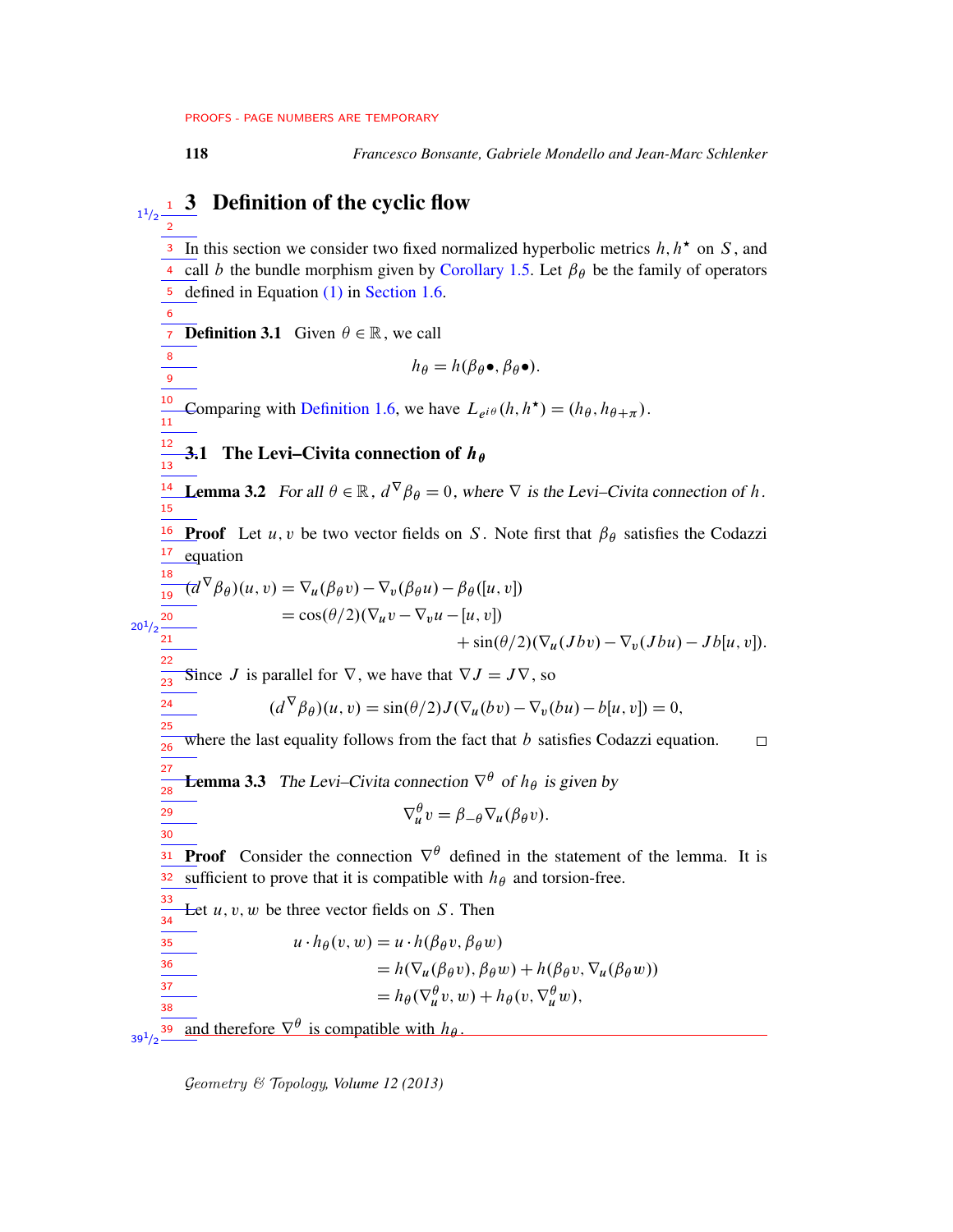<span id="page-17-0"></span>

6

8  $\overline{9}$ 

20

22

24 25

29 30

118 *Francesco Bonsante, Gabriele Mondello and Jean-Marc Schlenker*

## Definition of the cyclic flow  $1^{1/2}$  $\frac{1}{2}$

<sup>3</sup> In this section we consider two fixed normalized hyperbolic metrics  $h, h^*$  on S, and <sup>4</sup> call *b* the bundle morphism given by [Corollary 1.5.](#page-5-0) Let  $\beta_{\theta}$  be the family of operators 5 defined in Equation [\(1\)](#page-5-1) in [Section 1.6.](#page-5-2)

**Definition 3.1** Given  $\theta \in \mathbb{R}$ , we call

$$
h_{\theta} = h(\beta_{\theta} \bullet, \beta_{\theta} \bullet).
$$

Comparing with [Definition 1.6,](#page-5-3) we have  $L_{e^{i\theta}}(h, h^{\star}) = (h_{\theta}, h_{\theta + \pi}).$ 10  $\frac{1}{11}$ 

<span id="page-17-1"></span>**3.1 The Levi–Civita connection of**  $h_{\theta}$ 12  $\frac{1}{13}$ 

<span id="page-17-3"></span>**14 Lemma 3.2** For all  $\theta \in \mathbb{R}$ ,  $d^{\nabla} \beta_{\theta} = 0$ , where  $\nabla$  is the Levi–Civita connection of h. 15

<sup>16</sup> Proof Let *u*, *v* be two vector fields on *S*. Note first that  $\beta_{\theta}$  satisfies the Codazzi equation 17 18

$$
\frac{\frac{16}{19}(d^{\nabla}\beta_{\theta})(u,v)}{u_{1/2}\frac{20}{21}} = \cos(\theta/2)(\nabla_u v - \nabla_v u - [u, v]) \n= \cos(\theta/2)(\nabla_u v - \nabla_v u - [u, v]) \n+ \sin(\theta/2)(\nabla_u (Jbv) - \nabla_v (Jbu) - Jb[u, v]).
$$

Since J is parallel for  $\nabla$ , we have that  $\nabla J = J\nabla$ , so 23

$$
(d^{\nabla}\beta_{\theta})(u,v) = \sin(\theta/2)J(\nabla_u(bv) - \nabla_v(bu) - b[u,v]) = 0,
$$

where the last equality follows from the fact that  $b$  satisfies Codazzi equation.  $\Box$ 26

<span id="page-17-2"></span>**Lemma 3.3** The Levi–Civita connection  $\nabla^{\theta}$  of  $h_{\theta}$  is given by 27 28

$$
\nabla^{\theta}_{u}v = \beta_{-\theta}\nabla_{u}(\beta_{\theta}v).
$$

**Proof** Consider the connection  $\nabla^{\theta}$  defined in the statement of the lemma. It is sufficient to prove that it is compatible with  $h_{\theta}$  and torsion-free. 31 32

Let  $u, v, w$  be three vector fields on  $S$ . Then 33 34

$$
u \cdot h_{\theta}(v, w) = u \cdot h(\beta_{\theta} v, \beta_{\theta} w)
$$
  
=  $h(\nabla_u(\beta_{\theta} v), \beta_{\theta} w) + h(\beta_{\theta} v, \nabla_u(\beta_{\theta} w))$   
=  $h_{\theta}(\nabla_u^{\theta} v, w) + h_{\theta}(v, \nabla_u^{\theta} w),$ 

**<u>39</u>** and therefore  $\nabla^{\theta}$  is compatible with  $h_{\theta}$ .  $39^{1/2}$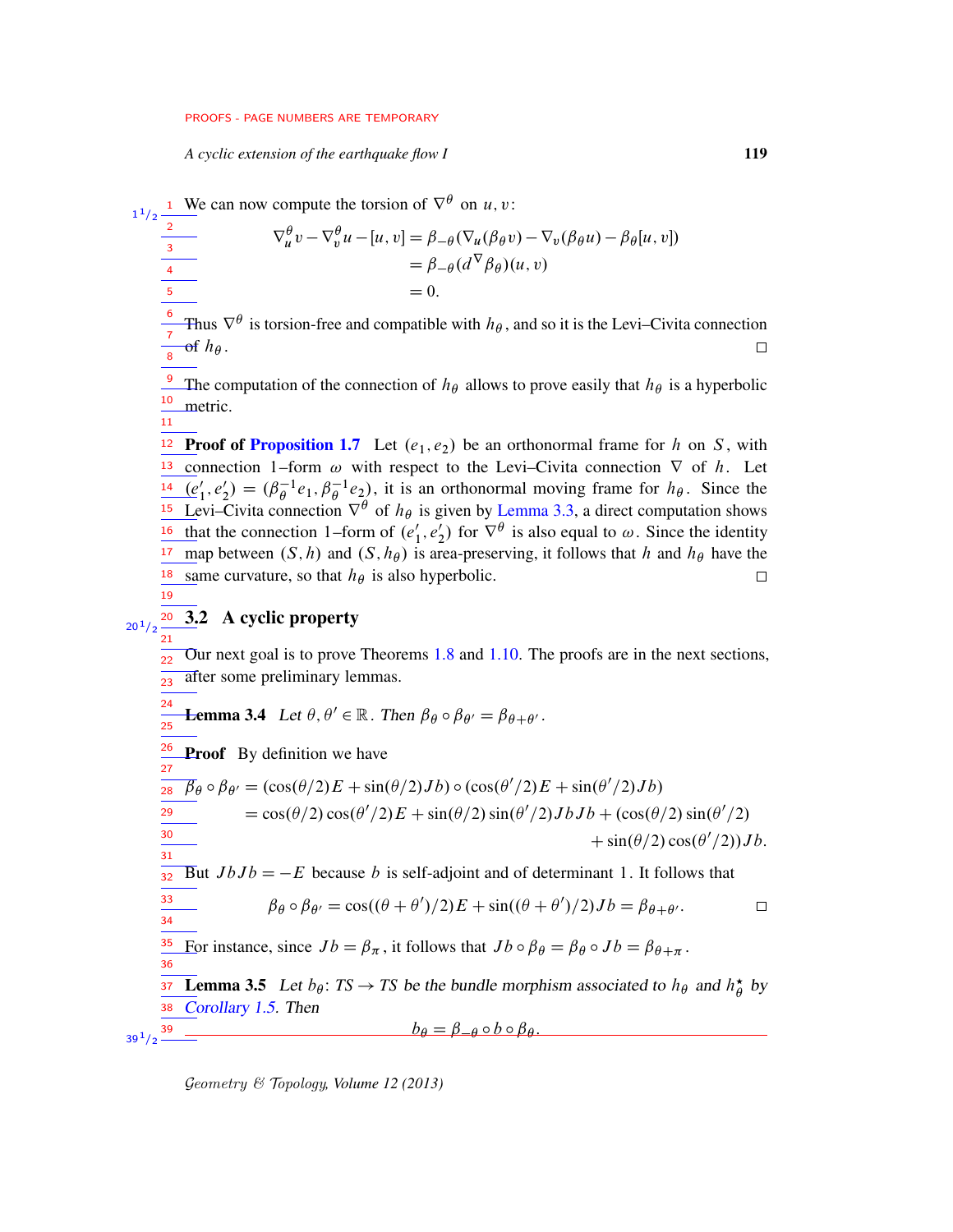*A cyclic extension of the earthquake flow I* 119

<span id="page-18-0"></span>1

<sup>1</sup> We can now compute the torsion of  $\nabla^{\theta}$  on *u*, *v*:

 $1/2$ 2  $\nabla_u^{\theta} v - \nabla_v^{\theta} u - [u, v] = \beta_{-\theta} (\nabla_u (\beta_{\theta} v) - \nabla_v (\beta_{\theta} u) - \beta_{\theta} [u, v])$ 3  $= \beta_{-\theta}(d^{\nabla} \beta_{\theta})(u, v)$ 4  $= 0.$ 5 6 Thus  $\nabla^{\theta}$  is torsion-free and compatible with  $h_{\theta}$ , and so it is the Levi–Civita connection 7  $\sigma f h_{\theta}$ .  $\Box$ 8 <sup>9</sup> The computation of the connection of  $h_{\theta}$  allows to prove easily that  $h_{\theta}$  is a hyperbolic 10 metric. 11 <sup>12</sup> Proof of [Proposition 1.7](#page-6-1) Let  $(e_1, e_2)$  be an orthonormal frame for h on S, with <sup>13</sup> connection 1–form  $\omega$  with respect to the Levi–Civita connection  $\nabla$  of h. Let  $\overline{(e)}$  $'_{1}, e'_{2}$  $Z_2' = (\beta_\theta^{-1} e_1, \beta_\theta^{-1} e_2)$ , it is an orthonormal moving frame for  $h_\theta$ . Since the 14 Levi–Civita connection  $\nabla^{\theta}$  of  $h_{\theta}$  is given by [Lemma 3.3,](#page-17-2) a direct computation shows 15 that the connection 1–form of  $(e_1)$  $, e'_2$  $\chi_2'$ ) for  $\nabla^{\theta}$  is also equal to  $\omega$ . Since the identity 16 map between  $(S, h)$  and  $(S, h_{\theta})$  is area-preserving, it follows that h and  $h_{\theta}$  have the 17 18 same curvature, so that  $h_{\theta}$  is also hyperbolic.  $\Box$ 19 3.2 A cyclic property 20  $20^{1}/2$ 21 Our next goal is to prove Theorems [1.8](#page-6-0) and [1.10.](#page-7-0) The proofs are in the next sections, 22 after some preliminary lemmas.  $23$ 24 **Lemma 3.4** Let  $\theta$ ,  $\theta' \in \mathbb{R}$ . Then  $\beta_{\theta} \circ \beta_{\theta'} = \beta_{\theta + \theta'}$ .  $\overline{25}$ 26 Proof By definition we have 27  $\overline{\beta}_{\theta} \circ \beta_{\theta'} = (\cos(\theta/2)E + \sin(\theta/2)Jb) \circ (\cos(\theta'/2)E + \sin(\theta'/2)Jb)$ 28  $=$ cos( $\theta/2$ ) cos( $\theta'/2$ )  $E$  + sin( $\theta/2$ ) sin( $\theta'/2$ ) J  $bJb$  + (cos( $\theta/2$ ) sin( $\theta'/2$ ) 29 30  $+\sin(\theta/2)\cos(\theta'/2))Jb.$ 31 But  $JbJb = -E$  because b is self-adjoint and of determinant 1. It follows that 32 33  $\beta_{\theta} \circ \beta_{\theta'} = \cos((\theta + \theta')/2)E + \sin((\theta + \theta')/2)Jb = \beta_{\theta + \theta'}$ .  $\Box$ 34 35 For instance, since  $Jb = \beta_{\pi}$ , it follows that  $Jb \circ \beta_{\theta} = \beta_{\theta} \circ Jb = \beta_{\theta + \pi}$ . 36 **Lemma 3.5** Let  $b_{\theta}$ : TS  $\rightarrow$  TS be the bundle morphism associated to  $h_{\theta}$  and  $h_{\theta}^{\star}$  $\frac{\star}{\theta}$  by 37 38 [Corollary 1.5.](#page-5-0) Then  $b_{\theta} = \beta_{-\theta} \circ b \circ \beta_{\theta}$ .  $39^{1}/2$   $-$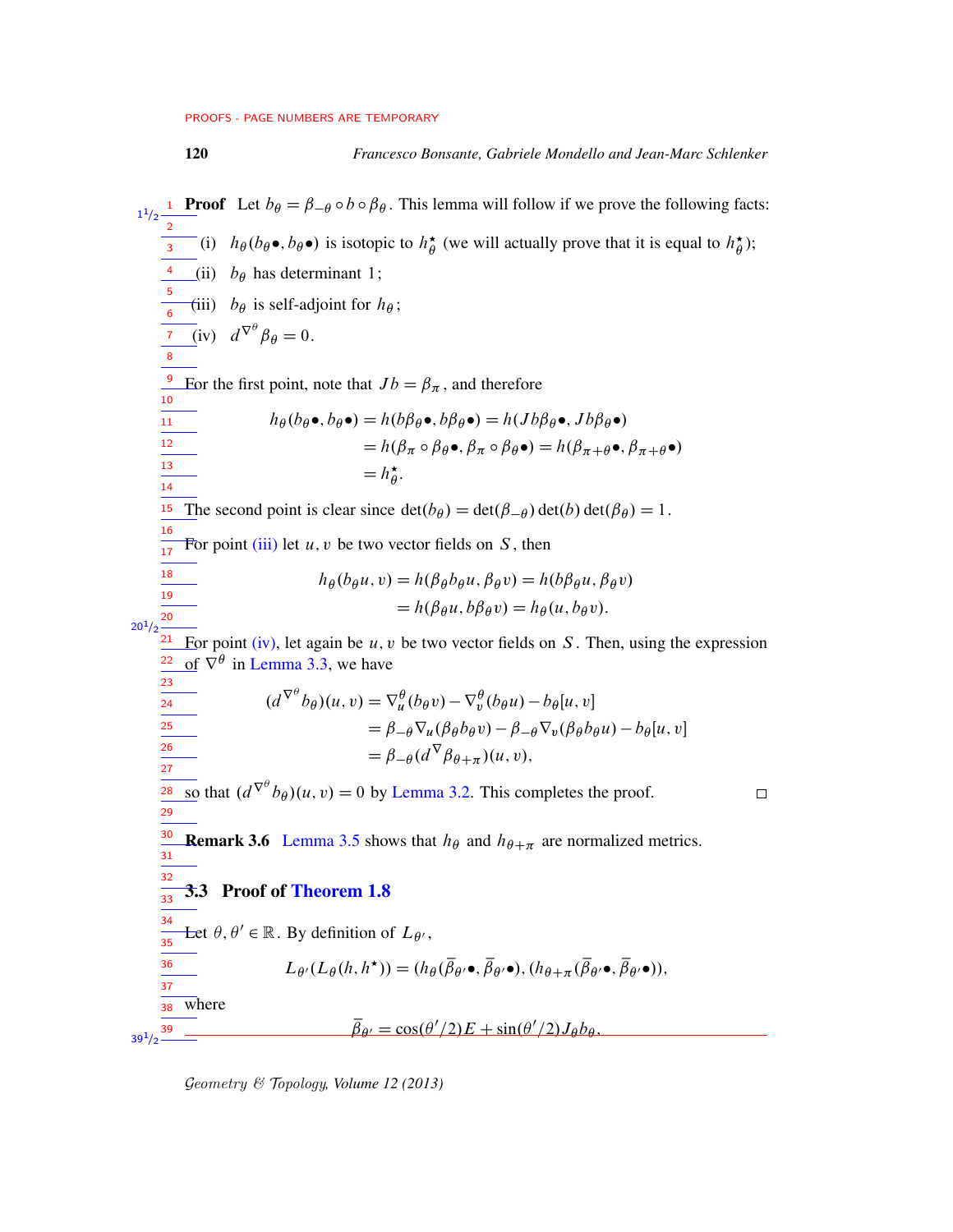## 120 *Francesco Bonsante, Gabriele Mondello and Jean-Marc Schlenker*

<span id="page-19-2"></span><span id="page-19-1"></span><span id="page-19-0"></span>**Proof** Let  $b_{\theta} = \beta_{-\theta} \circ b \circ \beta_{\theta}$ . This lemma will follow if we prove the following facts:  $1/2$ 1 2 (i)  $h_{\theta}(b_{\theta} \bullet, b_{\theta} \bullet)$  is isotopic to  $h_{\theta}^{\star}$  $\phi$  (we will actually prove that it is equal to  $h_{\theta}^{\star}$  $_{\theta}^{\star}$ ); 3 4 (ii)  $b_{\theta}$  has determinant 1; 5 (iii)  $b_{\theta}$  is self-adjoint for  $h_{\theta}$ ; 6 (iv)  $d^{\nabla^{\theta}} \beta_{\theta} = 0.$ 7 8 <sup>9</sup> Eor the first point, note that  $Jb = \beta_{\pi}$ , and therefore  $\frac{1}{10}$  $h_{\theta}(b_{\theta}\bullet, b_{\theta}\bullet) = h(b\beta_{\theta}\bullet, b\beta_{\theta}\bullet) = h(Jb\beta_{\theta}\bullet, Jb\beta_{\theta}\bullet)$ 11 12  $= h(\beta_{\pi} \circ \beta_{\theta} \bullet, \beta_{\pi} \circ \beta_{\theta} \bullet) = h(\beta_{\pi+\theta} \bullet, \beta_{\pi+\theta} \bullet)$ 13  $= h^{\star}_{\theta}$  $\overset{\star}{\theta}$ . 14 The second point is clear since  $\det(b_{\theta}) = \det(\beta_{-\theta}) \det(b) \det(\beta_{\theta}) = 1$ . 15 16 For point [\(iii\)](#page-19-1) let  $u, v$  be two vector fields on  $S$ , then  $\frac{1}{17}$ 18  $h_{\theta}(b_{\theta}u, v) = h(\beta_{\theta}b_{\theta}u, \beta_{\theta}v) = h(b\beta_{\theta}u, \beta_{\theta}v)$ 19  $= h(\beta_{\theta}u, b\beta_{\theta}v) = h_{\theta}(u, b_{\theta}v).$ 20  $20^{1}/2$ For point [\(iv\),](#page-19-2) let again be  $u, v$  be two vector fields on  $S$ . Then, using the expression 21 22 of  $\nabla^{\theta}$  in [Lemma 3.3,](#page-17-2) we have 23  $(d^{\nabla^{\theta}}b_{\theta})(u, v) = \nabla^{\theta}_{u}(b_{\theta}v) - \nabla^{\theta}_{v}(b_{\theta}u) - b_{\theta}[u, v]$ 24  $= \beta_{-\theta} \nabla_u (\beta_{\theta} b_{\theta} v) - \beta_{-\theta} \nabla_v (\beta_{\theta} b_{\theta} u) - b_{\theta} [u, v]$ 25 26  $= \beta_{-\theta} (d^{\nabla} \beta_{\theta + \pi}) (u, v),$  $\frac{1}{27}$ so that  $(d^{\nabla^{\theta}}b_{\theta})(u, v) = 0$  by [Lemma 3.2.](#page-17-3) This completes the proof. 28  $\Box$ 29 30 **Remark 3.6** [Lemma 3.5](#page-18-0) shows that  $h_{\theta}$  and  $h_{\theta + \pi}$  are normalized metrics. 31 32 3.3 Proof of [Theorem 1.8](#page-6-0)  $\frac{1}{33}$ 34 Let  $\theta$ ,  $\theta' \in \mathbb{R}$ . By definition of  $L_{\theta'}$ ,  $\frac{1}{35}$  $L_{\theta'}(L_{\theta}(h, h^{\star})) = (h_{\theta}(\overline{\beta}_{\theta'} \bullet, \overline{\beta}_{\theta'} \bullet), (h_{\theta + \pi}(\overline{\beta}_{\theta'} \bullet, \overline{\beta}_{\theta'} \bullet)),$ 36 37 where 38  $\overline{\beta}_{\theta'} = \cos(\theta'/2)E + \sin(\theta'/2)J_{\theta}b_{\theta},$ 39  $39^{1/2}$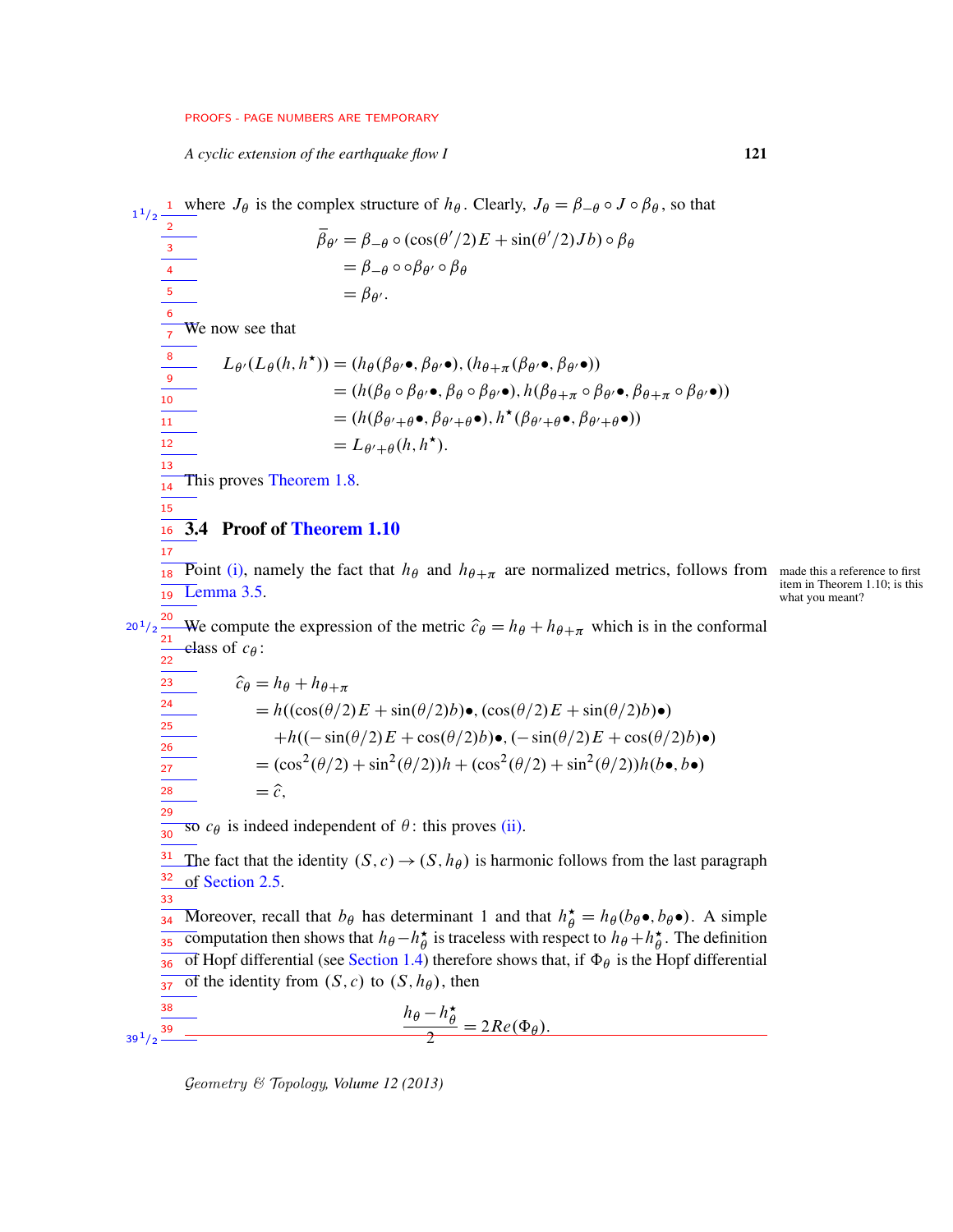*A cyclic extension of the earthquake flow I* 121

<span id="page-20-0"></span><sup>1</sup> where  $J_\theta$  is the complex structure of  $h_\theta$ . Clearly,  $J_\theta = \beta_{-\theta} \circ J \circ \beta_{\theta}$ , so that  $\overline{\beta}_{\theta'} = \beta_{-\theta} \circ (\cos(\theta'/2)E + \sin(\theta'/2)Jb) \circ \beta_{\theta}$  $= \beta_{-\theta} \circ \circ \beta_{\theta'} \circ \beta_{\theta}$  $=\beta_{\theta'}$ . We now see that  $L_{\theta'}(L_{\theta}(h, h^{\star})) = (h_{\theta}(\beta_{\theta'}\bullet, \beta_{\theta'}\bullet), (h_{\theta+\pi}(\beta_{\theta'}\bullet, \beta_{\theta'}\bullet))$  $= (h(\beta_\theta \circ \beta_{\theta'} \bullet, \beta_\theta \circ \beta_{\theta'} \bullet), h(\beta_{\theta + \pi} \circ \beta_{\theta'} \bullet, \beta_{\theta + \pi} \circ \beta_{\theta'} \bullet))$  $=(h(\beta_{\theta'+\theta}\bullet,\beta_{\theta'+\theta}\bullet),h^{\star}(\beta_{\theta'+\theta}\bullet,\beta_{\theta'+\theta}\bullet))$  $=L_{\theta'+\theta}(h, h^{\star}).$ This proves [Theorem 1.8.](#page-6-0) 3.4 Proof of [Theorem 1.10](#page-7-0) 16 **Point [\(i\),](#page-7-2) namely the fact that**  $h_{\theta}$  **and**  $h_{\theta+\pi}$  **are normalized metrics, follows from made this a reference to first item in Theorem 1.10; is this [Lemma 3.5](#page-18-0).** item in Theorem 1.10; is this what you meant? <sup>20</sup> We compute the expression of the metric  $\hat{c}_{\theta} = h_{\theta} + h_{\theta + \pi}$  which is in the conformal class of  $c_{\theta}$ :  $\hat{c}_{\theta} = h_{\theta} + h_{\theta + \pi}$  $= h((\cos(\theta/2)E + \sin(\theta/2)b)\bullet, (\cos(\theta/2)E + \sin(\theta/2)b)\bullet)$  $+h((-\sin(\theta/2)E + \cos(\theta/2)b)\bullet, (-\sin(\theta/2)E + \cos(\theta/2)b)\bullet)$  $=$   $(\cos^2(\theta/2) + \sin^2(\theta/2))h + (\cos^2(\theta/2) + \sin^2(\theta/2))h(b\bullet, b\bullet)$  $=\hat{c}$ . so  $c_{\theta}$  is indeed independent of  $\theta$ : this proves [\(ii\).](#page-7-3) The fact that the identity  $(S, c) \rightarrow (S, h_\theta)$  is harmonic follows from the last paragraph of [Section 2.5.](#page-16-0) Moreover, recall that  $b_{\theta}$  has determinant 1 and that  $h_{\theta}^{\star} = h_{\theta}(b_{\theta} \bullet, b_{\theta} \bullet)$ . A simple computation then shows that  $h_{\theta} - h_{\theta}^*$  $\phi$  is traceless with respect to  $h_{\theta} + h_{\theta}^*$  $\frac{1}{35}$  computation then shows that  $h_{\theta} - h_{\theta}^*$  is traceless with respect to  $h_{\theta} + h_{\theta}^*$ . The definition of Hopf differential (see [Section 1.4\)](#page-3-0) therefore shows that, if  $\Phi_{\theta}$  is the Hopf differential of the identity from  $(S, c)$  to  $(S, h_\theta)$ , then  $h_{\theta} - h_{\theta}^{\star}$  $\theta$  $\frac{\partial^2 n_{\theta}}{2} = 2Re(\Phi_{\theta}).$ 1  $1/2$ 2 3 4 5 6 7 8 9  $\frac{1}{10}$  $\frac{1}{11}$ 12 13 14 15 17  $19$  Lemma 3.5.  $20^{1}/2$ 21 <sup>22</sup> 23 24 25 26 27 28 29 30 31 32 33 36 37 38  $39^{1}/2$   $-$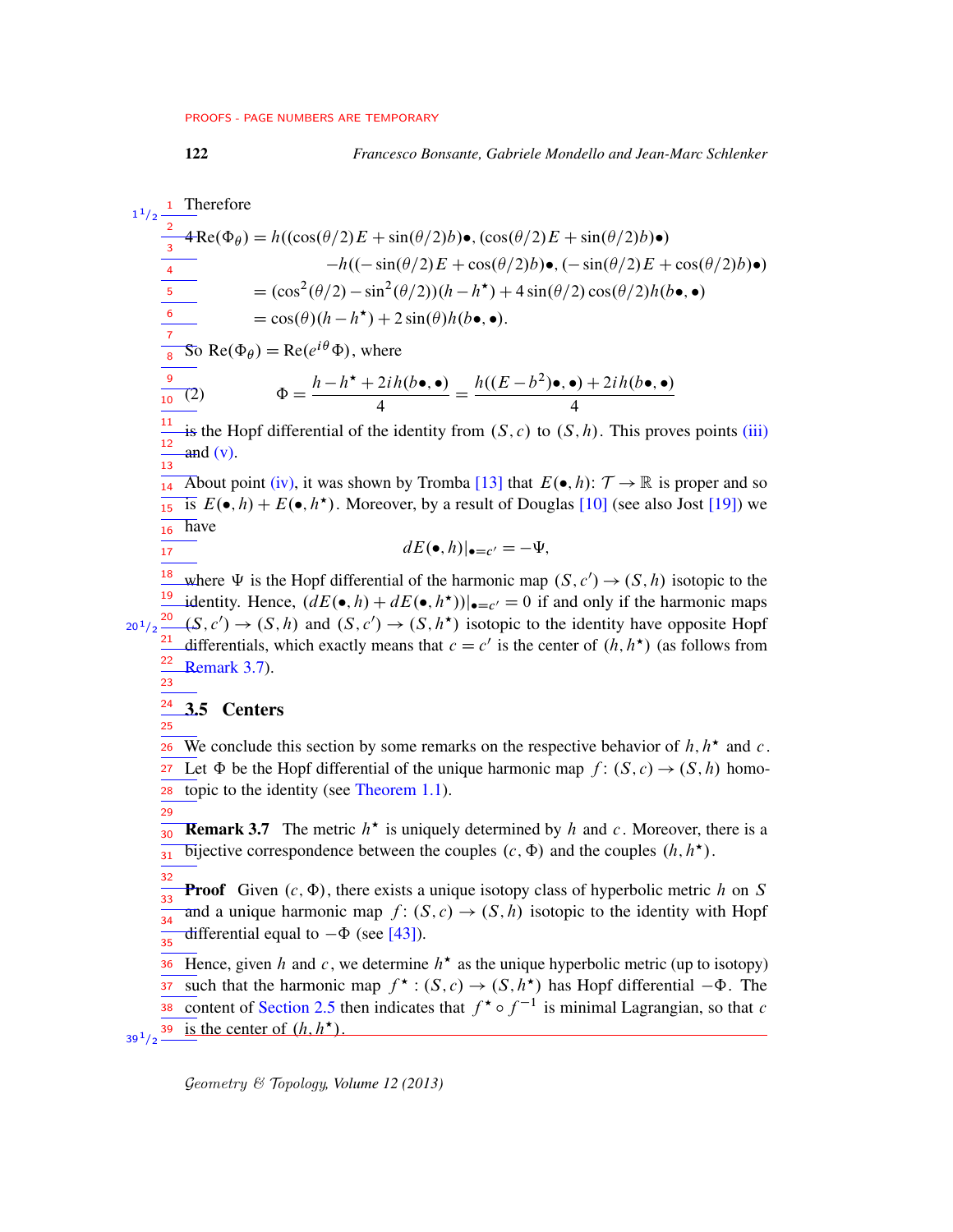1

4

1 Therefore  $4\text{Re}(\Phi_{\theta}) = h((\cos(\theta/2)E + \sin(\theta/2)b)\bullet, (\cos(\theta/2)E + \sin(\theta/2)b)\bullet)$  $-h((-\sin(\theta/2)E + \cos(\theta/2)b)\bullet, (-\sin(\theta/2)E + \cos(\theta/2)b)\bullet)$  $=$   $(\cos^2(\theta/2) - \sin^2(\theta/2))(h - h^*) + 4\sin(\theta/2)\cos(\theta/2)h(b\bullet, \bullet)$  $= cos(\theta)(h - h^*) + 2sin(\theta)h(b \bullet, \bullet).$ So Re( $\Phi_{\theta}$ ) = Re( $e^{i\theta}\Phi$ ), where (2)  $\Phi = \frac{h - h^* + 2ih(b \bullet, \bullet)}{4}$  $=\frac{h((E-b^2)\bullet, \bullet)+2ih(b\bullet, \bullet)}{h}$  $1/2$ 2 3 4 5 6 7 8 9  $\frac{1}{10}$ 

is the Hopf differential of the identity from  $(S, c)$  to  $(S, h)$ . This proves points [\(iii\)](#page-7-4)  $and (v).$  $and (v).$ 11 12  $\frac{1}{13}$ 

4

About point [\(iv\),](#page-7-6) it was shown by Tromba [\[13\]](#page-75-9) that  $E(\bullet, h): \mathcal{T} \to \mathbb{R}$  is proper and so is  $E(\bullet, h) + E(\bullet, h^{\star})$ . Moreover, by a result of Douglas [\[10\]](#page-75-10) (see also Jost [\[19\]](#page-75-11)) we  $\overline{16}$  have 14 15

$$
dE(\bullet, h)|_{\bullet = c'} = -\Psi,
$$

<sup>18</sup> where  $\Psi$  is the Hopf differential of the harmonic map  $(S, c') \rightarrow (S, h)$  isotopic to the <sup>19</sup> identity. Hence,  $(dE(\bullet, h) + dE(\bullet, h^*))|_{\bullet = c'} = 0$  if and only if the harmonic maps  $\frac{20}{2}(S, c') \rightarrow (S, h)$  and  $(S, c') \rightarrow (S, h^*)$  isotopic to the identity have opposite Hopf differentials, which exactly means that  $c = c'$  is the center of  $(h, h^*)$  (as follows from [Remark 3.7\)](#page-21-0).  $20^{1}/2$ 21 22 23

#### 3.5 Centers 24

17

25

<span id="page-21-0"></span>29

We conclude this section by some remarks on the respective behavior of  $h, h^*$  and  $c$ . Let  $\Phi$  be the Hopf differential of the unique harmonic map  $f: (S, c) \rightarrow (S, h)$  homotopic to the identity (see [Theorem 1.1\)](#page-3-1). 26 27 28

**Remark 3.7** The metric  $h^*$  is uniquely determined by h and c. Moreover, there is a bijective correspondence between the couples  $(c, \Phi)$  and the couples  $(h, h^{\star})$ . 30 31

**Proof** Given  $(c, \Phi)$ , there exists a unique isotopy class of hyperbolic metric h on S and a unique harmonic map  $f: (S, c) \rightarrow (S, h)$  isotopic to the identity with Hopf differential equal to  $-\Phi$  (see [\[43\]](#page-77-1)). 32 33 34 35

Hence, given h and c, we determine  $h^*$  as the unique hyperbolic metric (up to isotopy) such that the harmonic map  $f^{\star}$ :  $(S, c) \to (S, h^{\star})$  has Hopf differential  $-\Phi$ . The content of [Section 2.5](#page-16-0) then indicates that  $f^* \circ f^{-1}$  is minimal Lagrangian, so that c is the center of  $(h, h^{\star})$ . 36 37 38  $39^{1}/2$   $-$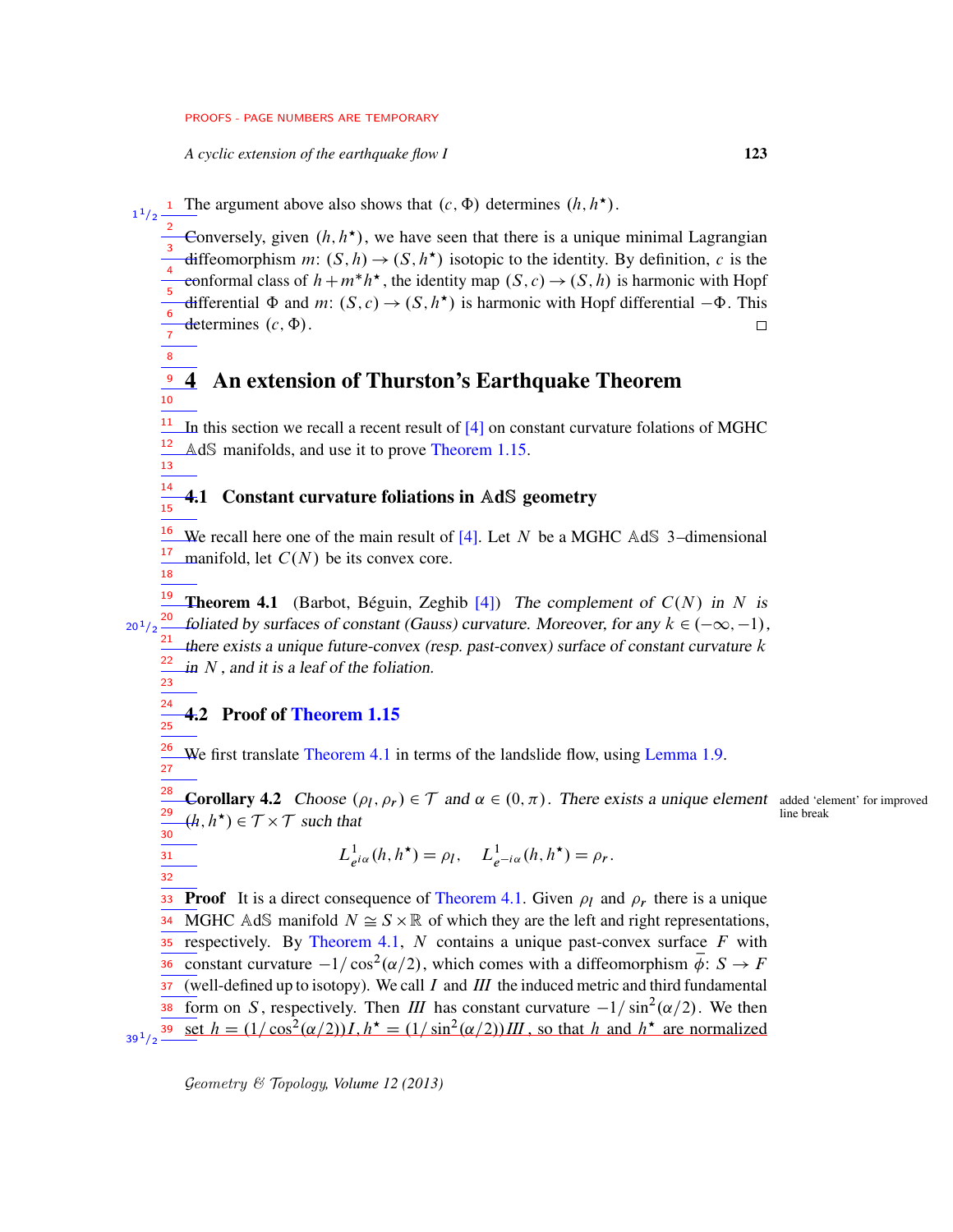*A cyclic extension of the earthquake flow I* 123

**1** The argument above also shows that  $(c, \Phi)$  determines  $(h, h^{\star})$ .  $1^{1}/2$ 

2 Conversely, given  $(h, h^*)$ , we have seen that there is a unique minimal Lagrangian 3 diffeomorphism m:  $(S, h) \rightarrow (S, h^*)$  isotopic to the identity. By definition, c is the 4 conformal class of  $h + m^* h^*$ , the identity map  $(S, c) \rightarrow (S, h)$  is harmonic with Hopf 5 differential  $\Phi$  and  $m: (S, c) \rightarrow (S, h^*)$  is harmonic with Hopf differential  $-\Phi$ . This 6 determines  $(c, \Phi)$ .  $\Box$  $\overline{7}$ 

<span id="page-22-1"></span>4 An extension of Thurston's Earthquake Theorem 8 9 10

In this section we recall a recent result of  $[4]$  on constant curvature folations of MGHC AdS manifolds, and use it to prove [Theorem 1.15.](#page-9-0) 11 12 13

#### 4.1 Constant curvature foliations in AdS geometry 14 15

<span id="page-22-2"></span>We recall here one of the main result of [\[4\]](#page-74-2). Let N be a MGHC AdS 3-dimensional manifold, let  $C(N)$  be its convex core. 16 17 18

**Theorem 4.1** (Barbot, Béguin, Zeghib [\[4\]](#page-74-2)) The complement of  $C(N)$  in N is <sup>20</sup> foliated by surfaces of constant (Gauss) curvature. Moreover, for any  $k \in (-\infty, -1)$ , there exists a unique future-convex (resp. past-convex) surface of constant curvature  $k$ in  $N$ , and it is a leaf of the foliation.  $20^{1}/2$ 21 22

## <span id="page-22-0"></span>4.2 Proof of [Theorem 1.15](#page-9-0)

23 24 25

31 32

<span id="page-22-3"></span>We first translate [Theorem 4.1](#page-22-2) in terms of the landslide flow, using [Lemma 1.9.](#page-7-1) 26 27

**Corollary 4.2** Choose  $(\rho_l, \rho_r) \in \mathcal{T}$  and  $\alpha \in (0, \pi)$ . There exists a unique element added 'element' for improved  $(h, h^{\star}) \in \mathcal{T} \times \mathcal{T}$  such that  $\qquad \qquad$  line break 28 29 30

$$
L^1_{e^{i\alpha}}(h, h^*) = \rho_l, \quad L^1_{e^{-i\alpha}}(h, h^*) = \rho_r.
$$

**33** Proof It is a direct consequence of [Theorem 4.1.](#page-22-2) Given  $\rho_l$  and  $\rho_r$  there is a unique 34 MGHC AdS manifold  $N \cong S \times \mathbb{R}$  of which they are the left and right representations,  $35$  respectively. By [Theorem 4.1,](#page-22-2) N contains a unique past-convex surface F with constant curvature  $-1/\cos^2(\alpha/2)$ , which comes with a diffeomorphism  $\overline{\phi}$ :  $S \to F$ (well-defined up to isotopy). We call  $I$  and  $III$  the induced metric and third fundamental Form on S, respectively. Then *III* has constant curvature  $-1/\sin^2(\alpha/2)$ . We then  $\frac{39 \text{ Set } h = (1/\cos^2(\alpha/2))I, h^* = (1/\sin^2(\alpha/2))III$ , so that h and  $h^*$  are normalized 37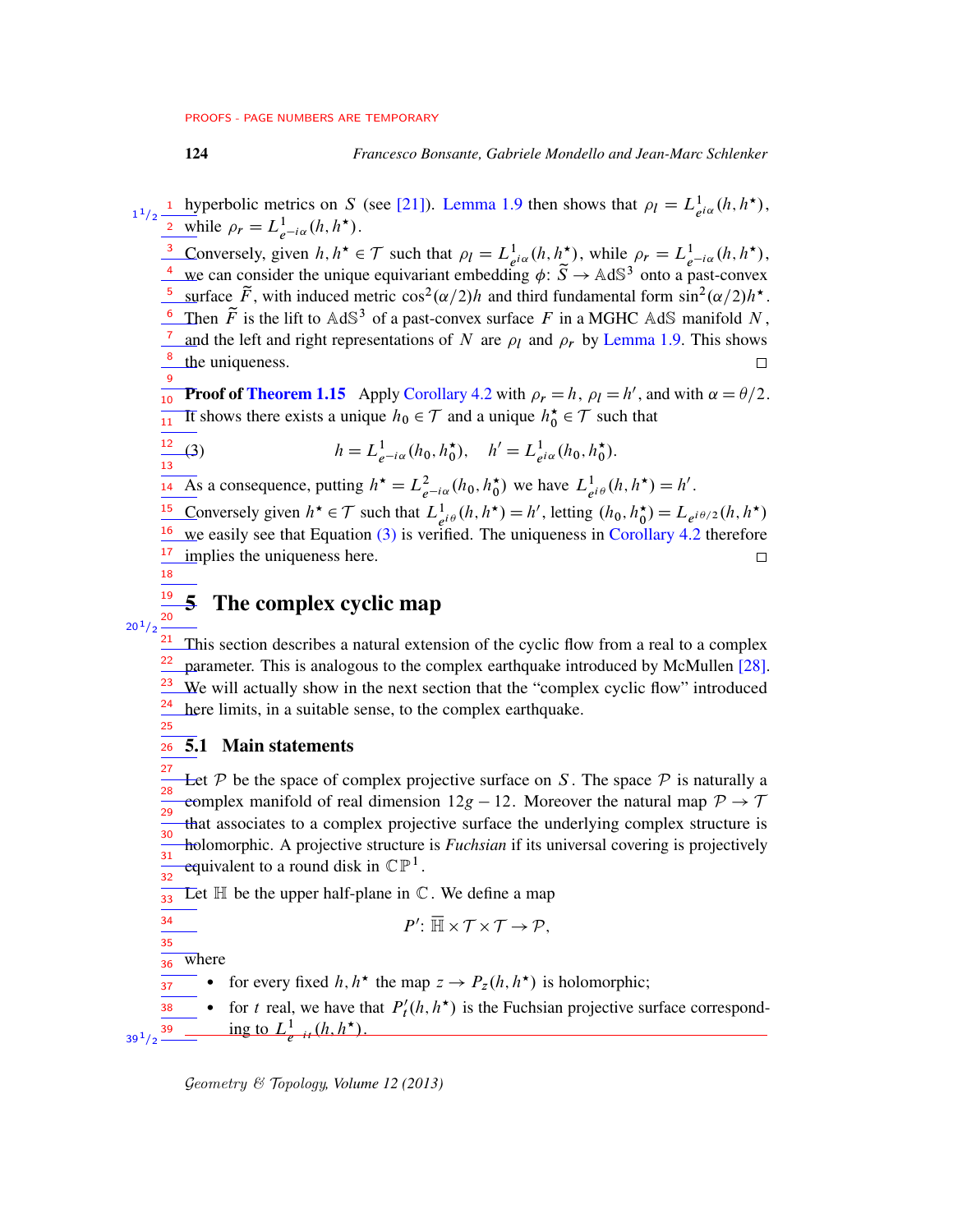## 124 *Francesco Bonsante, Gabriele Mondello and Jean-Marc Schlenker*

<sup>1</sup> hyperbolic metrics on S (see [\[21\]](#page-75-7)). [Lemma 1.9](#page-7-1) then shows that  $\rho_l = L_{e^{i\alpha}}^1(h, h^*)$ , <sup>2</sup> while  $\rho_r = L^1_{e^{-i\alpha}}(h, h^{\star}).$ 1  $1/2$ 

Conversely, given  $h, h^* \in \mathcal{T}$  such that  $\rho_l = L^1_{e^{i\alpha}}(h, h^*)$ , while  $\rho_r = L^1_{e^{-i\alpha}}(h, h^*)$ , 3 we can consider the unique equivariant embedding  $\phi: \tilde{S} \to \text{AdS}^3$  onto a past-convex 4 <sup>5</sup> surface  $\tilde{F}$ , with induced metric  $\cos^2(\alpha/2)h$  and third fundamental form  $\sin^2(\alpha/2)h^*$ . <sup>6</sup> Then  $\tilde{F}$  is the lift to AdS<sup>3</sup> of a past-convex surface F in a MGHC AdS manifold N, <sup>7</sup> and the left and right representations of N are  $\rho_l$  and  $\rho_r$  by [Lemma 1.9.](#page-7-1) This shows <sup>8</sup> the uniqueness.  $\Box$ 9

<span id="page-23-1"></span>**Proof of [Theorem 1.15](#page-9-0)** Apply [Corollary 4.2](#page-22-3) with  $\rho_r = h$ ,  $\rho_l = h'$ , and with  $\alpha = \theta/2$ . It shows there exists a unique  $h_0 \in \mathcal{T}$  and a unique  $h_0^* \in \mathcal{T}$  such that  $\frac{1}{11}$ 

$$
\frac{12}{13}(3) \qquad h = L^1_{e^{-i\alpha}}(h_0, h_0^{\star}), \quad h' = L^1_{e^{i\alpha}}(h_0, h_0^{\star}).
$$

As a consequence, putting  $h^* = L^2_{e^{-i\alpha}}(h_0, h_0^*)$  we have  $L^1_{e^{i\theta}}(h, h^*) = h'$ . 14

<sup>15</sup> Conversely given  $h^* \in \mathcal{T}$  such that  $L^1_{e^{i\theta}}(h, h^*) = h'$ , letting  $(h_0, h_0^*) = L_{e^{i\theta/2}}(h, h^*)$ 16 we easily see that Equation [\(3\)](#page-23-1) is verified. The uniqueness in [Corollary 4.2](#page-22-3) therefore  $\frac{17}{2}$  implies the uniqueness here.  $\Box$ 18

# <span id="page-23-0"></span>5 The complex cyclic map



19

 $\frac{21}{21}$  This section describes a natural extension of the cyclic flow from a real to a complex parameter. This is analogous to the complex earthquake introduced by McMullen [\[28\]](#page-76-0). We will actually show in the next section that the "complex cyclic flow" introduced here limits, in a suitable sense, to the complex earthquake. 22 23 24 25

#### 5.1 Main statements 26

Let  $P$  be the space of complex projective surface on S. The space  $P$  is naturally a complex manifold of real dimension  $12g - 12$ . Moreover the natural map  $P \rightarrow T$ that associates to a complex projective surface the underlying complex structure is holomorphic. A projective structure is *Fuchsian* if its universal covering is projectively equivalent to a round disk in  $\mathbb{CP}^1$ . 27 28 29 30 31 32

Let  $\mathbb H$  be the upper half-plane in  $\mathbb C$ . We define a map 33

$$
P' \colon \overline{\mathbb{H}} \times \mathcal{T} \times \mathcal{T} \to \mathcal{P},
$$

where 36

34 35

 $39^{\,1}/2$ 

• for every fixed  $h, h^*$  the map  $z \to P_z(h, h^*)$  is holomorphic; 37

• for t real, we have that  $P'_t$  $t(h, h^{\star})$  is the Fuchsian projective surface corresponding to  $L^1_{e^{-it}}(h, h^{\star}).$ 38 39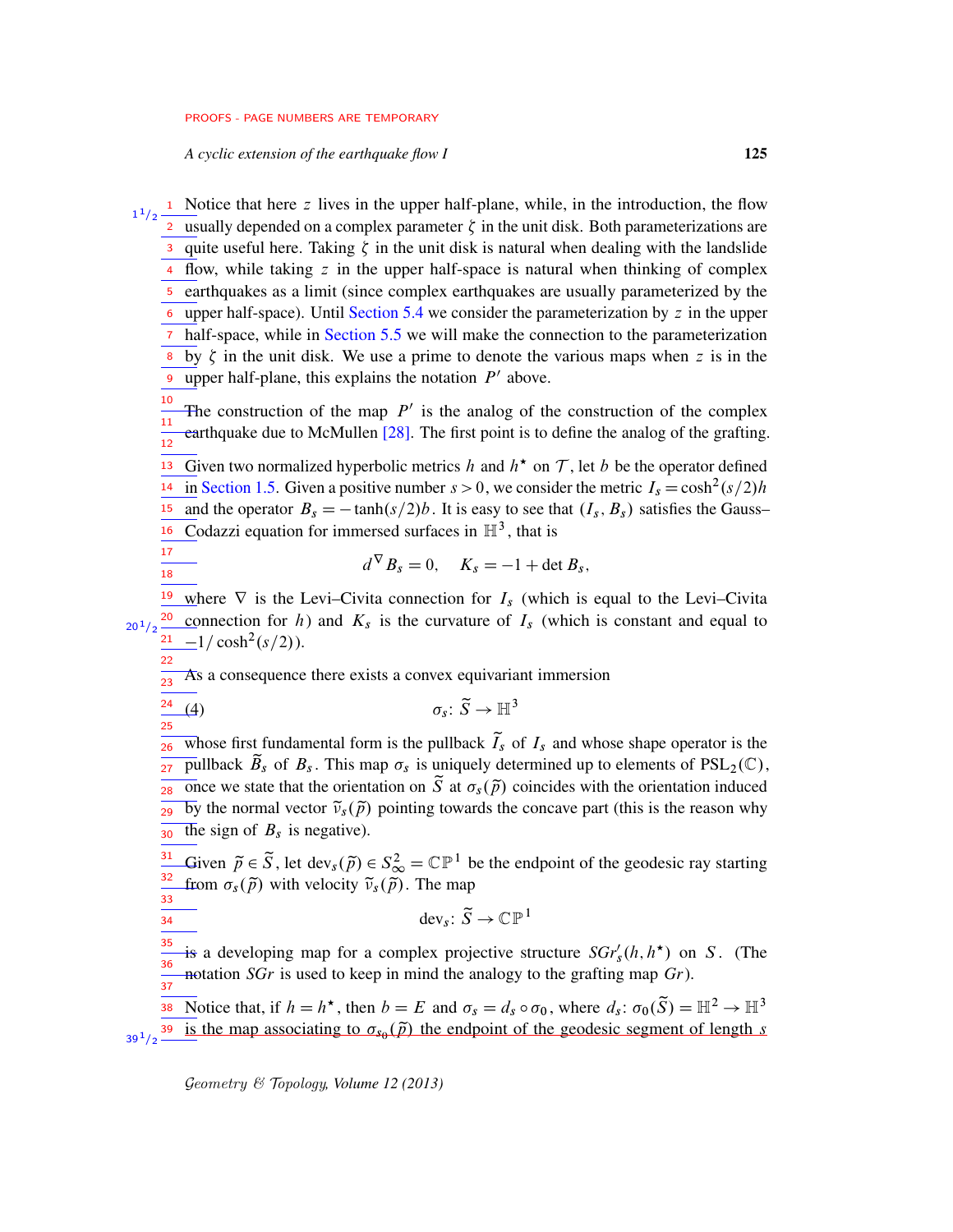*A cyclic extension of the earthquake flow I* 125

 $\frac{1}{2}$  Notice that here z lives in the upper half-plane, while, in the introduction, the flow 2 usually depended on a complex parameter  $\zeta$  in the unit disk. Both parameterizations are 3 quite useful here. Taking  $\zeta$  in the unit disk is natural when dealing with the landslide  $\frac{4}{10}$  flow, while taking z in the upper half-space is natural when thinking of complex 5 earthquakes as a limit (since complex earthquakes are usually parameterized by the  $\epsilon$  upper half-space). Until [Section 5.4](#page-33-0) we consider the parameterization by z in the upper <sup>7</sup> half-space, while in [Section 5.5](#page-34-0) we will make the connection to the parameterization by  $\zeta$  in the unit disk. We use a prime to denote the various maps when z is in the upper half-plane, this explains the notation  $P'$  above. The construction of the map  $P'$  is the analog of the construction of the complex earthquake due to McMullen [\[28\]](#page-76-0). The first point is to define the analog of the grafting. Given two normalized hyperbolic metrics h and  $h^*$  on T, let b be the operator defined in [Section 1.5.](#page-4-1) Given a positive number  $s > 0$ , we consider the metric  $I_s = \cosh^2(s/2)h$ and the operator  $B_s = -\tanh(s/2)b$ . It is easy to see that  $(I_s, B_s)$  satisfies the Gauss– Codazzi equation for immersed surfaces in  $\mathbb{H}^3$ , that is  $d^{\nabla} B_s = 0$ ,  $K_s = -1 + \det B_s$ , <sup>19</sup> where  $\nabla$  is the Levi–Civita connection for  $I_s$  (which is equal to the Levi–Civita 1  $1/2$ 8 9 10 11 12 13 14 15 16 17 18

<sup>20</sup> connection for h) and  $K_s$  is the curvature of  $I_s$  (which is constant and equal to  $-1/\cosh^2(s/2)$ ).  $20^{1}/2$ 21 22

As a consequence there exists a convex equivariant immersion 23

(4)  $\sigma_s \colon \widetilde{S} \to \mathbb{H}^3$ 24 25

whose first fundamental form is the pullback  $\tilde{I}_s$  of  $I_s$  and whose shape operator is the pullback  $\widetilde{B}_s$  of  $B_s$ . This map  $\sigma_s$  is uniquely determined up to elements of  $PSL_2(\mathbb{C})$ ,  $\frac{2}{28}$  once we state that the orientation on  $\tilde{S}$  at  $\sigma_s(\tilde{p})$  coincides with the orientation induced by the normal vector  $\tilde{\nu}_s(\tilde{p})$  pointing towards the concave part (this is the reason why The sign of  $B_s$  is negative). 26  $27<sup>2</sup>$ 29  $\overline{30}$ 

Given  $\tilde{p} \in \tilde{S}$ , let dev<sub>s</sub> $(\tilde{p}) \in S_{\infty}^2 = \mathbb{CP}^1$  be the endpoint of the geodesic ray starting from  $\sigma_s(\tilde{p})$  with velocity  $\tilde{\nu}_s(\tilde{p})$ . The map 31 32 33

<span id="page-24-0"></span>dev<sub>s</sub>:  $\widetilde{S} \to \mathbb{CP}^1$ 

is a developing map for a complex projective structure  $SGr'_{s}(h, h^{\star})$  on S. (The notation *SGr* is used to keep in mind the analogy to the grafting map *Gr*). 35 36  $\frac{1}{37}$ 

Notice that, if  $h = h^*$ , then  $b = E$  and  $\sigma_s = d_s \circ \sigma_0$ , where  $d_s: \sigma_0(\tilde{S}) = \mathbb{H}^2 \to \mathbb{H}^3$ is the map associating to  $\sigma_{s_0}(\tilde{p})$  the endpoint of the geodesic segment of length s 38  $39^{1}/2$   $-$ 

Geometry & Topology*, Volume 12 (2013)*

34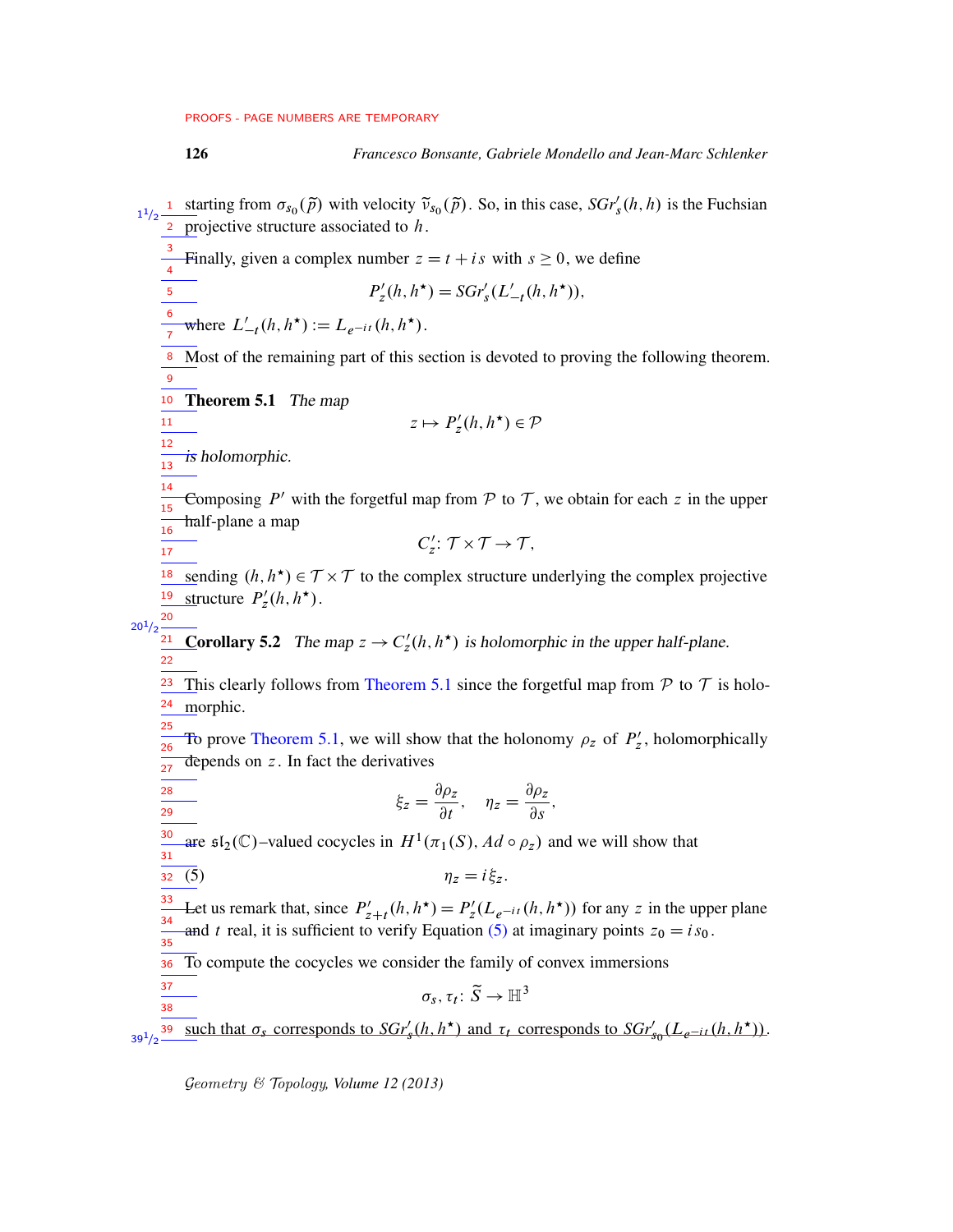<span id="page-25-1"></span>

126 *Francesco Bonsante, Gabriele Mondello and Jean-Marc Schlenker*

<span id="page-25-0"></span>starting from  $\sigma_{s_0}(\tilde{p})$  with velocity  $\tilde{v}_{s_0}(\tilde{p})$ . So, in this case,  $SGr'_s(h, h)$  is the Fuchsian projective structure associated to  $h$ . Finally, given a complex number  $z = t + is$  with  $s \ge 0$ , we define  $P'_z$  $S'_z(h, h^{\star}) = SGr'_s(L'_{-t}(h, h^{\star})),$ where  $L'_{-t}(h, h^*) := L_{e^{-it}}(h, h^*)$ . 8 Most of the remaining part of this section is devoted to proving the following theorem. <sup>10</sup> Theorem 5.1 The map  $z \mapsto P'_z$  $a'_z(h, h^{\star}) \in \mathcal{P}$ is holomorphic. Composing  $P'$  with the forgetful map from  $P$  to  $T$ , we obtain for each z in the upper half-plane a map  $C'_{\bar{z}}$  $Z'_{z}: \mathcal{T} \times \mathcal{T} \rightarrow \mathcal{T},$ <sup>18</sup> sending  $(h, h^*) \in T \times T$  to the complex structure underlying the complex projective structure  $P'_z$ <sup>19</sup> structure  $P'_z(h, h^{\star})$ . **Corollary 5.2** The map  $z \to C'_z$ <sup>21</sup> Corollary 5.2 The map  $z \to C'_z(h, h^*)$  is holomorphic in the upper half-plane. This clearly follows from [Theorem 5.1](#page-25-0) since the forgetful map from  $P$  to  $T$  is holomorphic. To prove [Theorem 5.1,](#page-25-0) we will show that the holonomy  $\rho_z$  of  $P'_z$  $z'$ , holomorphically depends on  $z$ . In fact the derivatives  $\xi_z = \frac{\partial \rho_z}{\partial z}$  $\frac{\partial \rho_z}{\partial t}$ ,  $\eta_z = \frac{\partial \rho_z}{\partial s}$  $\frac{\partial^2 f}{\partial s}$ , are  $\mathfrak{sl}_2(\mathbb{C})$ -valued cocycles in  $H^1(\pi_1(S), Ad \circ \rho_z)$  and we will show that (5)  $\eta_z = i \xi_z$ . Let us remark that, since  $P'_{z+t}(h, h^{\star}) = P'_{z}$  $\chi'_z(L_{e^{-it}}(h, h^*))$  for any z in the upper plane and t real, it is sufficient to verify Equation [\(5\)](#page-25-1) at imaginary points  $z_0 = is_0$ . To compute the cocycles we consider the family of convex immersions  $\sigma_s, \tau_t: \widetilde{S} \to \mathbb{H}^3$ such that  $\sigma_s$  corresponds to  $SGr'_s(h, h^*)$  and  $\tau_t$  corresponds to  $SGr'_{s_0}(L_{e^{-it}}(h, h^*)$ .  $1^{1/2}$  $\frac{1}{2}$ 3 4 5 6 7 9 11 12  $\frac{1}{13}$ 14 15 16 17 20  $20^{1}/2$ 22 23 24 25  $\overline{26}$  $\frac{1}{27}$ 28 29 30  $\frac{1}{31}$ 32 33 34 35 36 37 38 39  $39^{1/2}$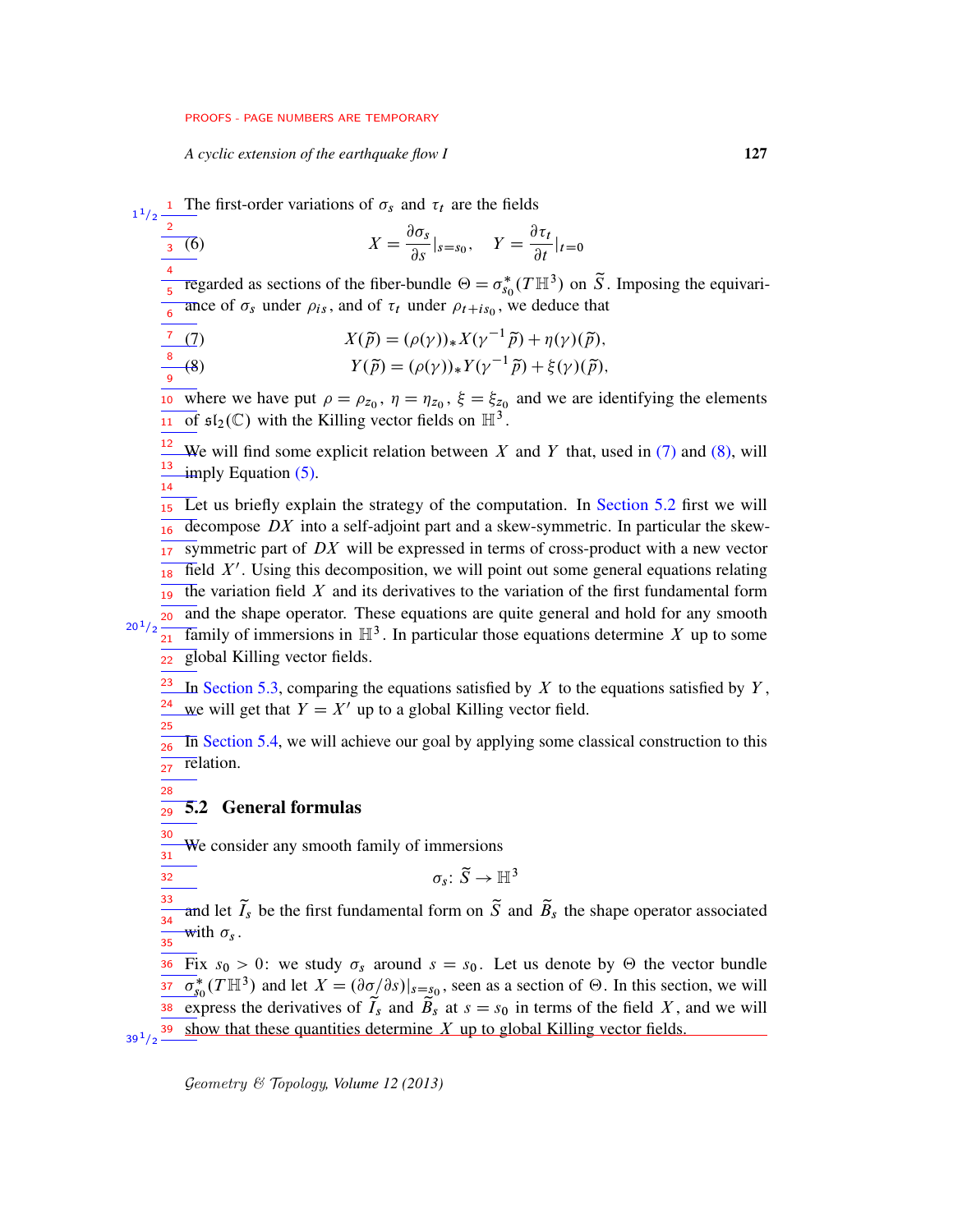<span id="page-26-2"></span>*A cyclic extension of the earthquake flow I* 127

 $\frac{1}{2}$  The first-order variations of  $\sigma_s$  and  $\tau_t$  are the fields

$$
\frac{\frac{2}{3}(6)}{x^{3}} = \frac{\partial \sigma_{s}}{\partial s}|_{s=s_{0}}, \quad Y = \frac{\partial \tau_{t}}{\partial t}|_{t=0}
$$

regarded as sections of the fiber-bundle  $\Theta = \sigma_{ss}^*$  $\int_{s_0}^*(T\mathbb{H}^3)$  on  $\tilde{S}$ . Imposing the equivariance of  $\sigma_s$  under  $\rho_{is}$ , and of  $\tau_t$  under  $\rho_{t+is_0}$ , we deduce that 4 5 6

$$
X(\tilde{p}) = (\rho(\gamma))_* X(\gamma^{-1} \tilde{p}) + \eta(\gamma) (\tilde{p}),
$$

<span id="page-26-0"></span>
$$
\frac{8}{9}(8) \hspace{1cm} Y(\tilde{p}) = (\rho(\gamma))_* Y(\gamma^{-1}\tilde{p}) + \xi(\gamma)(\tilde{p}),
$$

where we have put  $\rho = \rho_{z_0}$ ,  $\eta = \eta_{z_0}$ ,  $\xi = \xi_{z_0}$  and we are identifying the elements of  $\mathfrak{sl}_2(\mathbb{C})$  with the Killing vector fields on  $\mathbb{H}^3$ . 11

We will find some explicit relation between X and Y that, used in  $(7)$  and  $(8)$ , will imply Equation  $(5)$ . 12 13 14

Let us briefly explain the strategy of the computation. In [Section 5.2](#page-26-1) first we will decompose  $DX$  into a self-adjoint part and a skew-symmetric. In particular the skewsymmetric part of  $DX$  will be expressed in terms of cross-product with a new vector field  $X'$ . Using this decomposition, we will point out some general equations relating the variation field  $X$  and its derivatives to the variation of the first fundamental form and the shape operator. These equations are quite general and hold for any smooth Family of immersions in  $\mathbb{H}^3$ . In particular those equations determine X up to some global Killing vector fields. 15 16 17 18 19 20  $20^{1}/2$  $21<sup>2</sup>$ 22

In [Section 5.3,](#page-30-0) comparing the equations satisfied by X to the equations satisfied by  $Y$ , we will get that  $Y = X'$  up to a global Killing vector field. 23 24 25

In [Section 5.4,](#page-33-0) we will achieve our goal by applying some classical construction to this relation. 26 27

5.2 General formulas 29

<span id="page-26-1"></span>28

32

We consider any smooth family of immersions 30  $\overline{31}$ 

$$
\sigma_s\colon \widetilde{S}\to \mathbb{H}^3
$$

and let  $\tilde{I}_s$  be the first fundamental form on  $\tilde{S}$  and  $\tilde{B}_s$  the shape operator associated with  $\sigma_s$ . 33  $\frac{1}{34}$  $\overline{35}$ 

Fix  $s_0 > 0$ : we study  $\sigma_s$  around  $s = s_0$ . Let us denote by  $\Theta$  the vector bundle  $\overline{\sigma}_{\rm sc}^*$  $\frac{37}{50}$   $\sigma_{s_0}^*(T\mathbb{H}^3)$  and let  $X = (\partial \sigma/\partial s)|_{s=s_0}$ , seen as a section of  $\Theta$ . In this section, we will express the derivatives of  $\tilde{T}_s$  and  $\tilde{B}_s$  at  $s = s_0$  in terms of the field X, and we will show that these quantities determine  $X$  up to global Killing vector fields. 36  $39^{1}/2$   $-$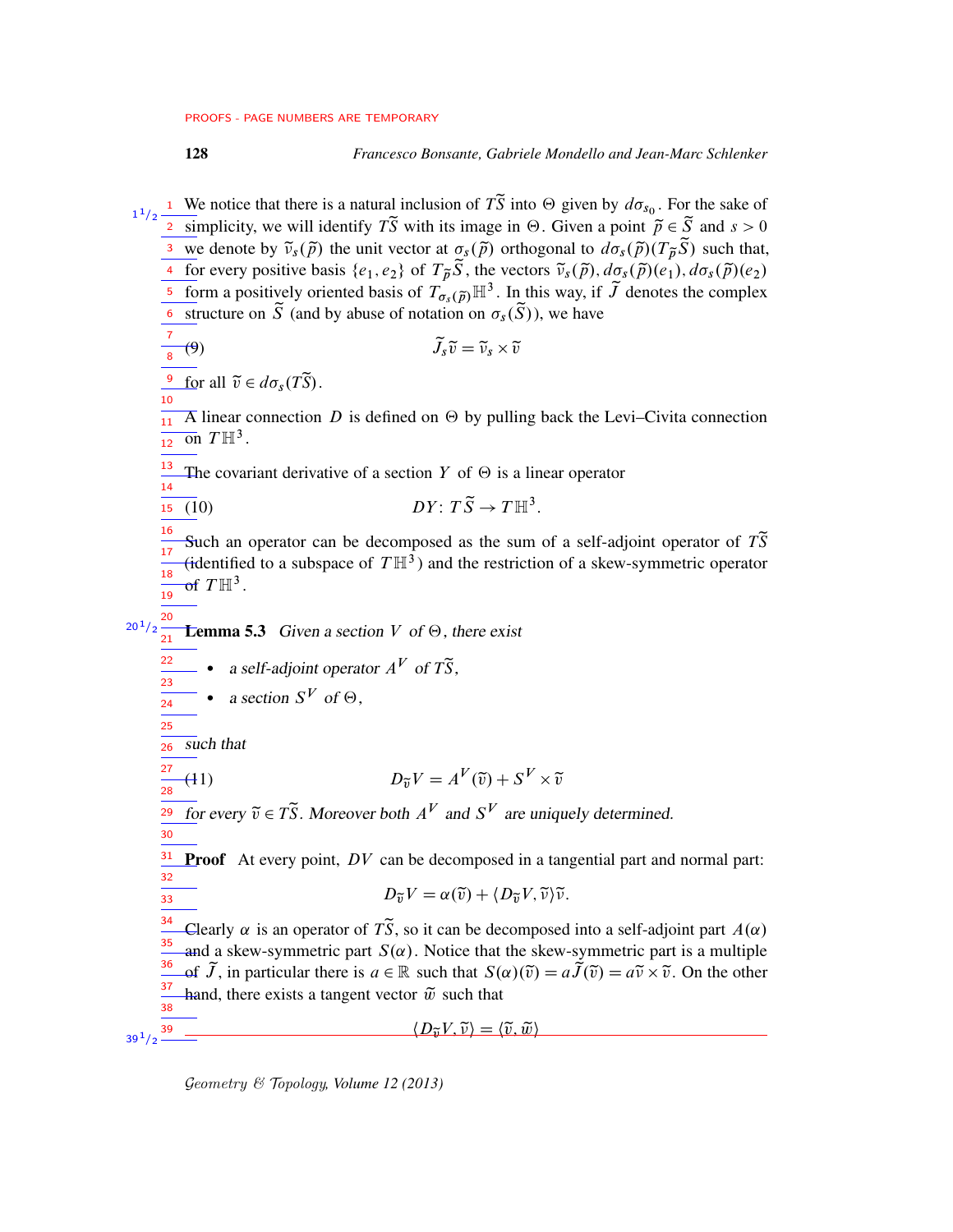128 *Francesco Bonsante, Gabriele Mondello and Jean-Marc Schlenker*

<span id="page-27-0"></span><sup>1</sup> We notice that there is a natural inclusion of  $T\tilde{S}$  into  $\Theta$  given by  $d\sigma_{s_0}$ . For the sake of <sup>2</sup> simplicity, we will identify  $T\tilde{S}$  with its image in  $\Theta$ . Given a point  $\tilde{p} \in \tilde{S}$  and  $s > 0$ <sup>3</sup> we denote by  $\tilde{\nu}_s(\tilde{p})$  the unit vector at  $\sigma_s(\tilde{p})$  orthogonal to  $d\sigma_s(\tilde{p})(T_{\tilde{p}}\tilde{S})$  such that, 4 for every positive basis  $\{e_1, e_2\}$  of  $T_{\tilde{p}} \tilde{S}$ , the vectors  $\tilde{v}_s(\tilde{p}), d\sigma_s(\tilde{p})(e_1), d\sigma_s(\tilde{p})(e_2)$ 5 form a positively oriented basis of  $T_{\sigma_s(\tilde{p})}^{\rho} \mathbb{H}^3$ . In this way, if  $\tilde{J}$  denotes the complex  $\overline{\delta}$  structure on  $\widetilde{S}$  (and by abuse of notation on  $\sigma_s(\widetilde{S})$ ), we have (9)  $\widetilde{J}_s \widetilde{v} = \widetilde{v}_s \times \widetilde{v}$  $\frac{9}{2}$  for all  $\tilde{v} \in d\sigma_s(T\tilde{S})$ .  $\overline{A}$  linear connection D is defined on  $\Theta$  by pulling back the Levi–Civita connection on  $T \mathbb{H}^3$ . The covariant derivative of a section Y of  $\Theta$  is a linear operator (10)  $DY: T\widetilde{S} \to T\mathbb{H}^3$ . Such an operator can be decomposed as the sum of a self-adjoint operator of  $T\tilde{S}$ (identified to a subspace of  $T\mathbb{H}^3$ ) and the restriction of a skew-symmetric operator of  $T\mathbb{H}^3$ . **Lemma 5.3** Given a section V of  $\Theta$ , there exist a self-adjoint operator  $A^V$  of  $T\tilde{S}$ , • a section  $S^V$  of  $\Theta$ , such that (11)  $D_{\widetilde{v}}V = A^V(\widetilde{v}) + S^V \times \widetilde{v}$ for every  $\tilde{v} \in T\tilde{S}$ . Moreover both  $A^V$  and  $S^V$  are uniquely determined. **Proof** At every point,  $DV$  can be decomposed in a tangential part and normal part:  $D_{\widetilde{\nu}}V = \alpha(\widetilde{\nu}) + \langle D_{\widetilde{\nu}}V, \widetilde{\nu}\rangle\widetilde{\nu}.$ Clearly  $\alpha$  is an operator of  $\tilde{T}S$ , so it can be decomposed into a self-adjoint part  $A(\alpha)$ and a skew-symmetric part  $S(\alpha)$ . Notice that the skew-symmetric part is a multiple of  $\widetilde{J}$ , in particular there is  $a \in \mathbb{R}$  such that  $S(\alpha)(\widetilde{v}) = a\widetilde{J}(\widetilde{v}) = a\widetilde{v} \times \widetilde{v}$ . On the other hand, there exists a tangent vector  $\tilde{w}$  such that  $\langle D_{\widetilde{\mathfrak{v}}} V, \widetilde{\mathfrak{v}} \rangle = \langle \widetilde{\mathfrak{v}}, \widetilde{\mathfrak{w}} \rangle$ 1  $1/2$ 7 8 10  $\frac{1}{11}$  $12<sup>12</sup>$ 13 14  $\overline{15}$ 16 17 18 19 20  $20^{1}/2$  $\frac{1}{21}$ 22 23 24 25 26  $27$ 28 29 30 31 32  $\overline{33}$ 34 35 36 37 38  $39^{1}/2$   $-$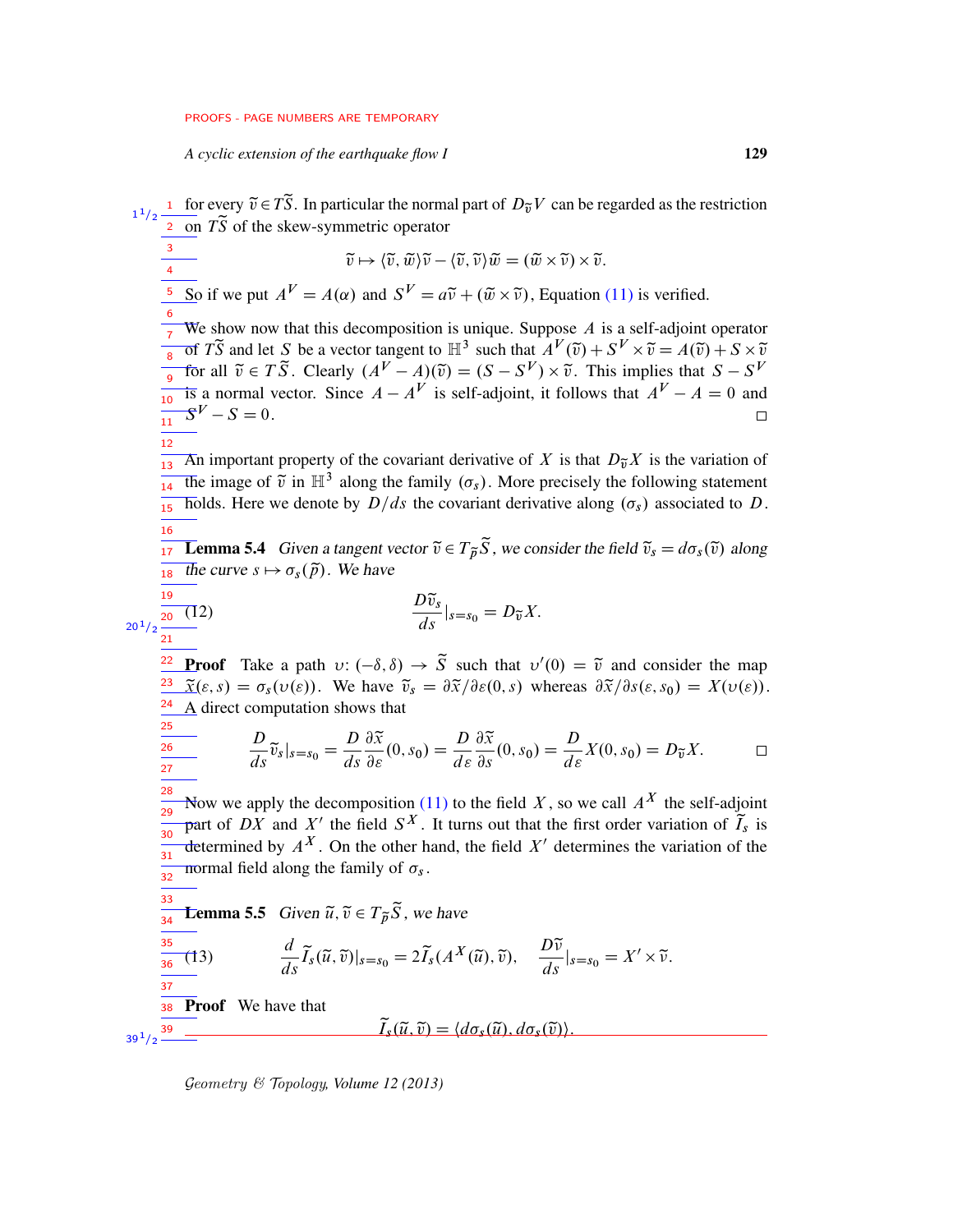*A cyclic extension of the earthquake flow I* 129

<span id="page-28-2"></span><span id="page-28-1"></span><span id="page-28-0"></span><sup>1</sup> for every  $\tilde{v} \in \tilde{T}S$ . In particular the normal part of  $D_{\tilde{v}}V$  can be regarded as the restriction  $1/2$ 1  $\frac{1}{2}$  on  $T\tilde{S}$  of the skew-symmetric operator 3  $\widetilde{v} \mapsto \langle \widetilde{v}, \widetilde{w} \rangle \widetilde{v} - \langle \widetilde{v}, \widetilde{v} \rangle \widetilde{w} = (\widetilde{w} \times \widetilde{v}) \times \widetilde{v}.$ 4 So if we put  $A^V = A(\alpha)$  and  $S^V = a\tilde{v} + (\tilde{w} \times \tilde{v})$ , Equation [\(11\)](#page-27-0) is verified. 5 6 We show now that this decomposition is unique. Suppose  $A$  is a self-adjoint operator 7 of *TS* and let *S* be a vector tangent to  $\mathbb{H}^3$  such that  $A^V(\tilde{v}) + S^V \times \tilde{v} = A(\tilde{v}) + S \times \tilde{v}$ 8 for all  $\tilde{v} \in T \tilde{S}$ . Clearly  $(A^V - A)(\tilde{v}) = (S - S^V) \times \tilde{v}$ . This implies that  $S - S^V$ 9 is a normal vector. Since  $A - A^V$  is self-adjoint, it follows that  $A^V - A = 0$  and  $\frac{1}{10}$  $S^V - S = 0.$  $\Box$  $\frac{1}{11}$ 12 An important property of the covariant derivative of X is that  $D_{\tilde{v}}X$  is the variation of  $\frac{1}{13}$ The image of  $\tilde{v}$  in  $\mathbb{H}^3$  along the family  $(\sigma_s)$ . More precisely the following statement 14 holds. Here we denote by  $D/ds$  the covariant derivative along  $(\sigma_s)$  associated to D.  $15$ 16 **Lemma 5.4** Given a tangent vector  $\tilde{v} \in T_{\tilde{p}}\tilde{S}$ , we consider the field  $\tilde{v}_s = d\sigma_s(\tilde{v})$  along 17 the curve  $s \mapsto \sigma_s(\tilde{p})$ . We have 18  $\frac{D\widetilde{v}_s}{ds}|_{s=s_0} = D_{\widetilde{v}}X.$ 19  $\frac{1}{20}$  (12)  $20^{1}/2$  $21$ **Proof** Take a path  $v: (-\delta, \delta) \to \tilde{S}$  such that  $v'(0) = \tilde{v}$  and consider the map 22  $\tilde{\chi}(\varepsilon, s) = \sigma_s(\nu(\varepsilon))$ . We have  $\tilde{v}_s = \partial \tilde{x}/\partial \varepsilon(0, s)$  whereas  $\partial \tilde{x}/\partial s(\varepsilon, s_0) = X(\nu(\varepsilon))$ . 23 24 A direct computation shows that 25  $\frac{\partial \widetilde{x}}{\partial \varepsilon}(0, s_0) = \frac{D}{d\varepsilon}$  $\partial \widetilde{x}$  $\frac{D}{ds}\tilde{v}_s|_{s=s_0} = \frac{D}{ds}$  $\frac{\partial \widetilde{x}}{\partial s}(0, s_0) = \frac{D}{d\varepsilon}$ 26  $\frac{D}{d\varepsilon}X(0,s_0)=D_{\widetilde{v}}X.$  $\Box$ ds  $d\varepsilon$ 27 28 Now we apply the decomposition [\(11\)](#page-27-0) to the field X, so we call  $A^X$  the self-adjoint 29 part of DX and X' the field  $S^X$ . It turns out that the first order variation of  $\tilde{T}_s$  is  $\overline{30}$ determined by  $A^X$ . On the other hand, the field  $X'$  determines the variation of the 31 normal field along the family of  $\sigma_s$ . 32 33 **Lemma 5.5** Given  $\tilde{u}, \tilde{v} \in T_{\tilde{p}}\tilde{S}$ , we have 34 35  $\frac{d}{ds}\widetilde{I}_s(\widetilde{u},\widetilde{v})|_{s=s_0}=2\widetilde{I}_s(A^X(\widetilde{u}),\widetilde{v}),\quad \frac{D\widetilde{v}}{ds}|_{s=s_0}=X'\times\widetilde{v}.$ (13) 36 37 38 Proof We have that  $\widetilde{I}_s(\widetilde{u},\widetilde{v}) = \langle d\sigma_s(\widetilde{u}), d\sigma_s(\widetilde{v})\rangle.$ 39  $39^{1/2}$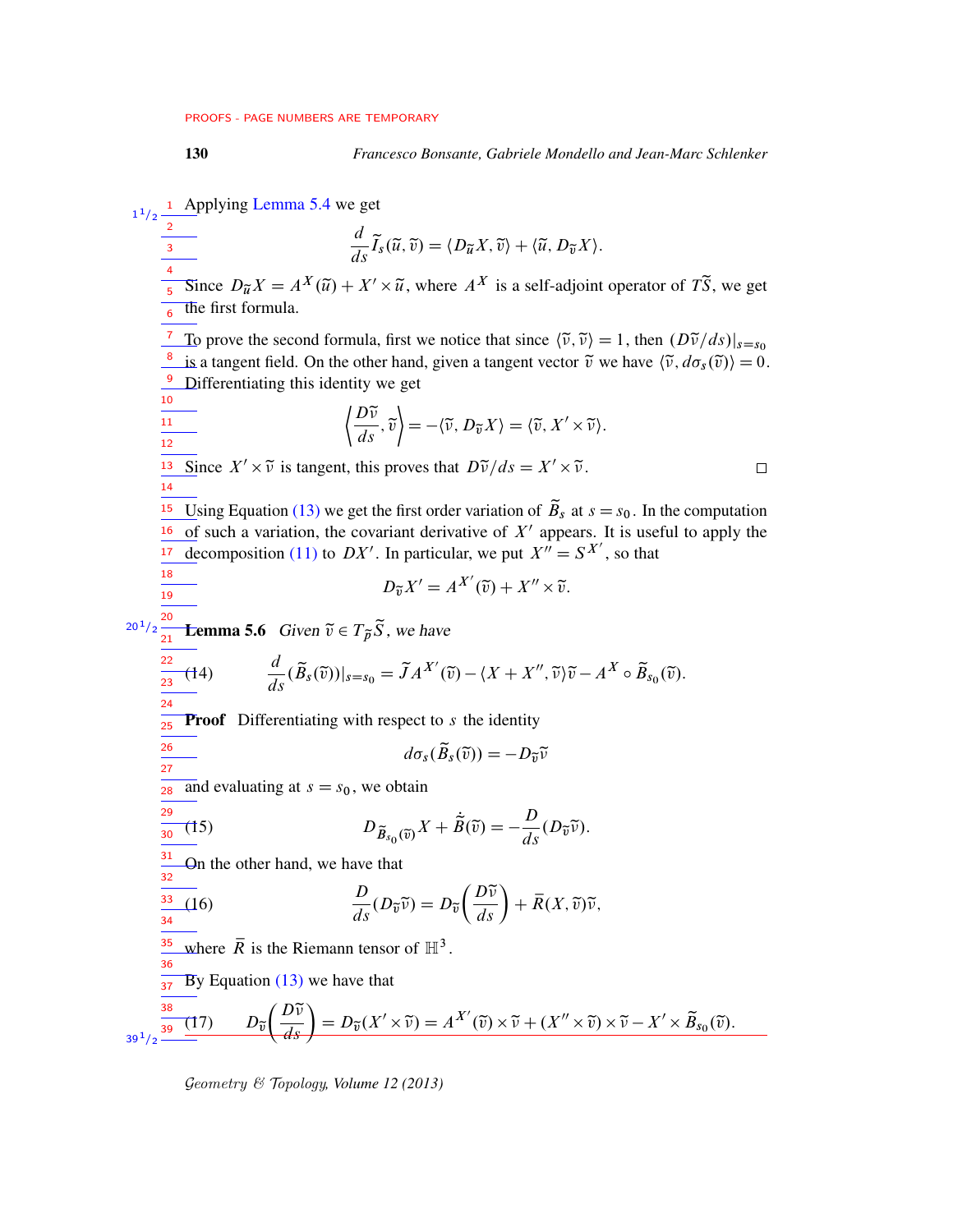130 *Francesco Bonsante, Gabriele Mondello and Jean-Marc Schlenker*

Applying [Lemma 5.4](#page-28-0) we get  $1^{1}/2$   $\frac{1}{2}$ 

<span id="page-29-4"></span><span id="page-29-3"></span>11/2 1  
\n11/2 2  
\n3 2  
\n4. 
$$
\vec{a} \cdot \vec{b} \cdot \vec{c}
$$
 (i)  $\vec{a} \cdot \vec{b} \cdot \vec{c}$  (ii)  $\vec{a} \cdot \vec{b} \cdot \vec{c}$   
\n5 Since  $D_{\vec{a}}X = A^X(\vec{a}) + X' \times \vec{u}$ , where  $A^X$  is a self-adjoint operator of  $T\vec{S}$ , we get  
\n6 the first formula.  
\n7 To prove the second formula, first we notice that since  $(\vec{v}, \vec{v}) = 1$ , then  $(D\vec{v}/ds)|_{s=s_0}$   
\n8 is a tangent field. On the other hand, given a tangent vector  $\vec{v}$  we have  $(\vec{v}, d\sigma_s(\vec{v})) = 0$ .  
\n9 Differentiating this identity we get  
\n $\begin{cases}\n\frac{D\vec{v}}{ds} \cdot \vec{v} = -(\vec{v}, D_{\vec{u}}X) = (\vec{v}, X' \times \vec{v}) \\
\frac{12}{ds} \cdot \vec{b} = -(\vec{v}, D_{\vec{u}}X) = (\vec{v}, X' \times \vec{v})\n\end{cases}$   
\n11  
\n12  
\n13 Since  $X' \times \vec{v}$  is tangent, this proves that  $D\vec{v}/ds = X' \times \vec{v}$ .  
\n14  
\n15 Using Equation (13) we get the first order variation of  $\vec{B}_s$  at  $s = s_0$ . In the computation  
\n16 of such a variation, the covariant derivative of  $X'$  appears. It is useful to apply the  
\n17 decomposition (11) to  $DX'$ . In particular, we put  $X'' = S^{X'}$ , so that  
\n18  
\n19  
\n10  
\n11  
\n13  
\n14  
\n15  
\n16  
\n17  
\n18  
\n19  
\n10  
\n11  
\n13  
\n14  
\n15  
\n16  
\n17  
\n18  
\n19  
\n10  
\n11  
\n13  
\n14  
\n15  
\n16  
\n17  
\n18  
\n19  
\n11  
\n13  
\n14  
\n15  
\n16  
\n17  
\n18  
\n19

<span id="page-29-2"></span><span id="page-29-1"></span><span id="page-29-0"></span>Geometry & Topology*, Volume 12 (2013)*

 $39^{1}/2$   $-$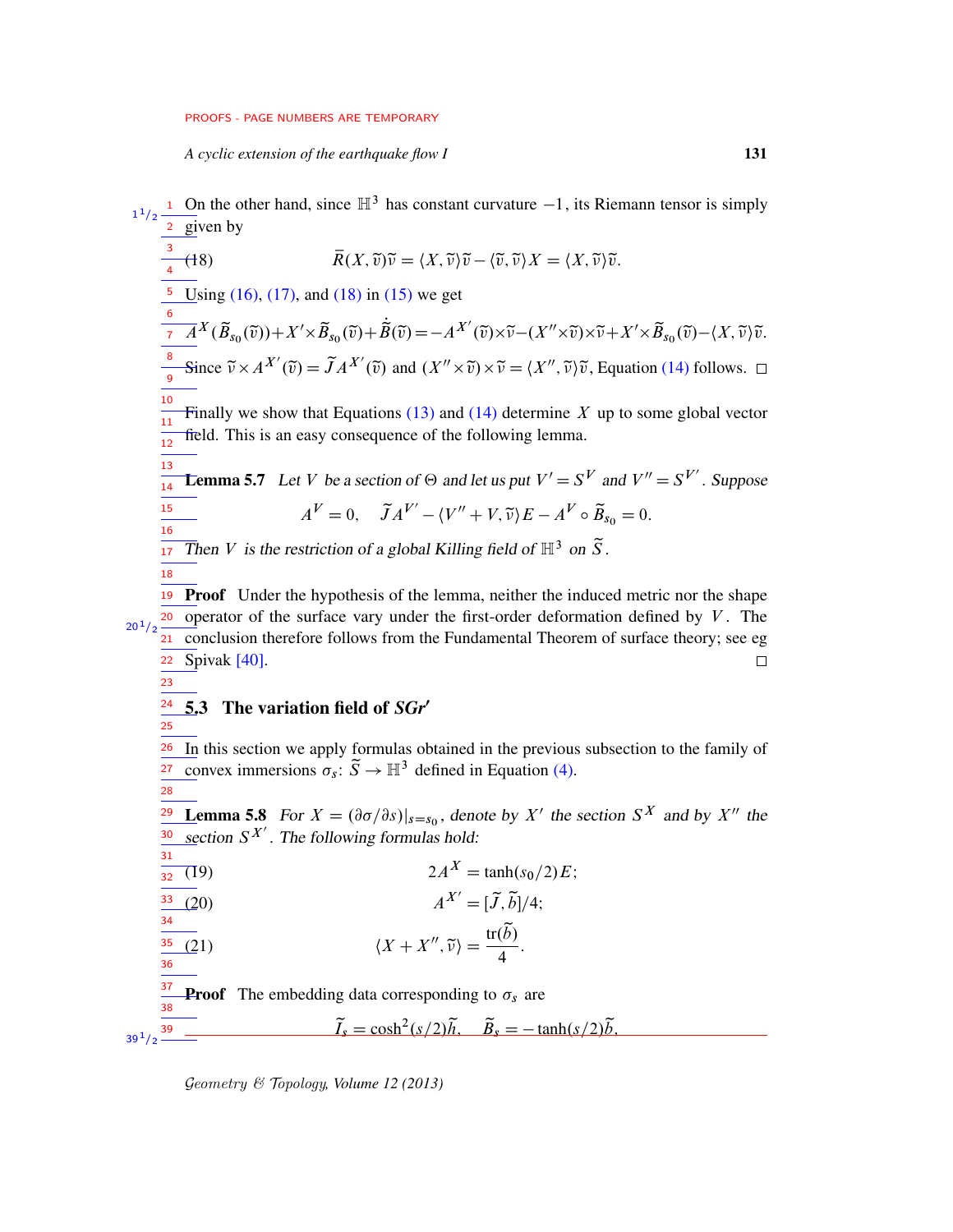<span id="page-30-1"></span>*A cyclic extension of the earthquake flow I* 131

1 On the other hand, since  $\mathbb{H}^3$  has constant curvature  $-1$ , its Riemann tensor is simply 2 given by 1  $1/2$ 

$$
\frac{3}{4}(18) \qquad \qquad \overline{R}(X,\widetilde{v})\widetilde{v} = \langle X,\widetilde{v}\rangle \widetilde{v} - \langle \widetilde{v},\widetilde{v}\rangle X = \langle X,\widetilde{v}\rangle \widetilde{v}.
$$

Using  $(16)$ ,  $(17)$ , and  $(18)$  in  $(15)$  we get 5

$$
\frac{\partial}{\partial t} \mathcal{A}^{X}(\widetilde{B}_{s_{0}}(\widetilde{v})) + X' \times \widetilde{B}_{s_{0}}(\widetilde{v}) + \widetilde{B}(\widetilde{v}) = -A^{X'}(\widetilde{v}) \times \widetilde{v} - (X'' \times \widetilde{v}) \times \widetilde{v} + X' \times \widetilde{B}_{s_{0}}(\widetilde{v}) - \langle X, \widetilde{v} \rangle \widetilde{v}.
$$
  
\n
$$
\frac{\partial}{\partial s} \text{Since } \widetilde{v} \times A^{X'}(\widetilde{v}) = \widetilde{J}A^{X'}(\widetilde{v}) \text{ and } (X'' \times \widetilde{v}) \times \widetilde{v} = \langle X'', \widetilde{v} \rangle \widetilde{v}, \text{Equation (14) follows. } \square
$$

Finally we show that Equations  $(13)$  and  $(14)$  determine X up to some global vector field. This is an easy consequence of the following lemma. 11 12

<span id="page-30-5"></span>**Lemma 5.7** Let V be a section of  $\Theta$  and let us put  $V' = S^V$  and  $V'' = S^{V'}$ . Suppose  $A^{V} = 0$ ,  $\widetilde{J}A^{V'} - \langle V'' + V, \widetilde{v} \rangle E - A^{V} \circ \widetilde{B}_{s_{0}} = 0$ . 13 14 15 16

Then V is the restriction of a global Killing field of  $\mathbb{H}^3$  on  $\widetilde{S}$ . 17 18

19 Proof Under the hypothesis of the lemma, neither the induced metric nor the shape operator of the surface vary under the first-order deformation defined by  $V$ . The 20  $20^{1}/2$ conclusion therefore follows from the Fundamental Theorem of surface theory; see eg 21 22 Spivak [\[40\]](#page-76-10).  $\Box$ 

<span id="page-30-0"></span>23

25

10

#### 5.3 The variation field of *SGr'* 24

- In this section we apply formulas obtained in the previous subsection to the family of convex immersions  $\sigma_s$ :  $\tilde{S} \to \mathbb{H}^3$  defined in Equation [\(4\).](#page-24-0) 26 27
- <span id="page-30-2"></span>28

37 38

**Lemma 5.8** For  $X = (\partial \sigma/\partial s)|_{s=s_0}$ , denote by X' the section S<sup>X</sup> and by X'' the section  $S^{X'}$ . The following formulas hold: 29 30 31

$$
\frac{1}{32} \text{ (19)} \qquad \qquad 2A^X = \tanh(s_0/2)E;
$$

<span id="page-30-4"></span>
$$
A^{X'} = [\tilde{J}, \tilde{b}]/4;
$$

<span id="page-30-3"></span> $\langle X + X'', \tilde{\nu} \rangle = \frac{\text{tr}(\tilde{b})}{4}$ (21)  $\langle X + X'', \tilde{\nu} \rangle = \frac{\mu(\tilde{\nu})}{4}.$ 34 35 36

**Proof** The embedding data corresponding to  $\sigma_s$  are

 $\widetilde{I}_s = \cosh^2(s/2)\widetilde{h}, \quad \widetilde{B}_s = -\tanh(s/2)\widetilde{b},$ 39  $39^{1/2}$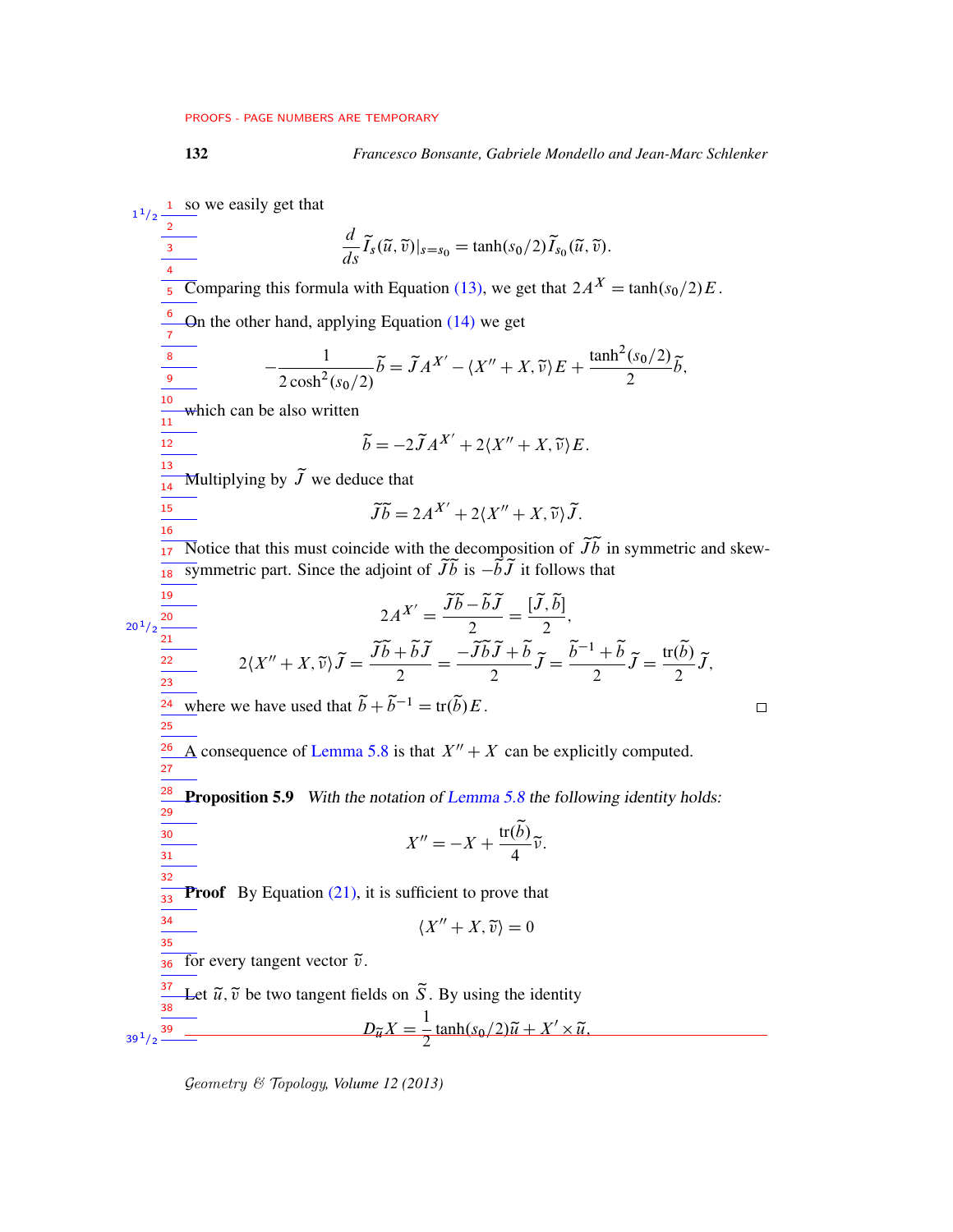132 *Francesco Bonsante, Gabriele Mondello and Jean-Marc Schlenker*

<span id="page-31-0"></span>1 so we easily get that  $1/2$ 1 2  $\frac{d}{ds}\widetilde{I}_s(\widetilde{u},\widetilde{v})|_{s=s_0} = \tanh(s_0/2)\widetilde{I}_{s_0}(\widetilde{u},\widetilde{v}).$ 3 4 Comparing this formula with Equation [\(13\),](#page-28-1) we get that  $2A^X = \tanh(s_0/2)E$ . 5 6 On the other hand, applying Equation [\(14\)](#page-29-3) we get 7  $\widetilde{b} = \widetilde{J}A^{X'} - \langle X'' + X, \widetilde{v} \rangle E + \frac{\tanh^2(s_0/2)}{2}$  $-\frac{1}{\sqrt{2}}$ 8  $rac{(s_0/2)}{2}\tilde{b},$  $2 \cosh^2(s_0/2)$ 9 10 which can be also written 11  $\frac{1}{12}$  $\widetilde{b} = -2\widetilde{J}A^{X'} + 2\langle X'' + X, \widetilde{v}\rangle E.$  $\frac{1}{13}$ Multiplying by  $\tilde{J}$  we deduce that 14  $\widetilde{\mathcal{J}}\widetilde{b} = 2A^{X'} + 2\langle X'' + X, \widetilde{\nu}\rangle \widetilde{\mathcal{J}}.$ 15 16 Notice that this must coincide with the decomposition of  $\widetilde{Jb}$  in symmetric and skew-17 symmetric part. Since the adjoint of  $\widetilde{Jb}$  is  $-\widetilde{bJ}$  it follows that 18 19  $2A^{X'} = \frac{\widetilde{J}\widetilde{b} - \widetilde{b}\widetilde{J}}{2}$  $=$  $\frac{[\widetilde{J}, \widetilde{b}]}{[\widetilde{J}, \widetilde{b}]}$  $\frac{1}{2}$ , 20  $20^{1}/2$ 2  $\frac{1}{21}$  $2\langle X''+X,\widetilde{v}\rangle \widetilde{J}=\frac{\widetilde{J}\widetilde{b}+\widetilde{b}\widetilde{J}}{2}$  $=\frac{-\widetilde{J}\widetilde{b}\widetilde{J}+\widetilde{b}}{2}$  $\frac{\widetilde{J}+\widetilde{b}}{2}\widetilde{J}=\frac{\widetilde{b}^{-1}+\widetilde{b}}{2}$  $\frac{1+\widetilde{b}}{2}\widetilde{J}=\frac{\text{tr}(\widetilde{b})}{2}$  $rac{(b)}{2}\tilde{J},$ 22 2 23  $\frac{24}{24}$  where we have used that  $\tilde{b} + \tilde{b}^{-1} = \text{tr}(\tilde{b})E$ .  $\Box$ 25  $\frac{26}{1}$ A consequence of [Lemma 5.8](#page-30-2) is that  $X'' + X$  can be explicitly computed. 27 28 **Proposition 5.9** With the notation of [Lemma 5.8](#page-30-2) the following identity holds: 29  $X'' = -X + \frac{\text{tr}(\tilde{b})}{4}$  $\frac{1}{30}$  $\frac{\left(\nu\right)}{4}\tilde{\nu}.$ 31 32 **Proof** By Equation  $(21)$ , it is sufficient to prove that  $\frac{1}{33}$ 34  $\langle X'' + X, \tilde{v} \rangle = 0$  $\frac{1}{35}$ —<br>36 for every tangent vector  $\tilde{v}$ . 37 Let  $\tilde{u}$ ,  $\tilde{v}$  be two tangent fields on  $\tilde{S}$ . By using the identity 38  $D_{\widetilde{u}}X=\frac{1}{2}$  $\frac{1}{2}$ tanh $(s_0/2)\tilde{u} + X' \times \tilde{u}$ , 39  $39^{\,1}/2$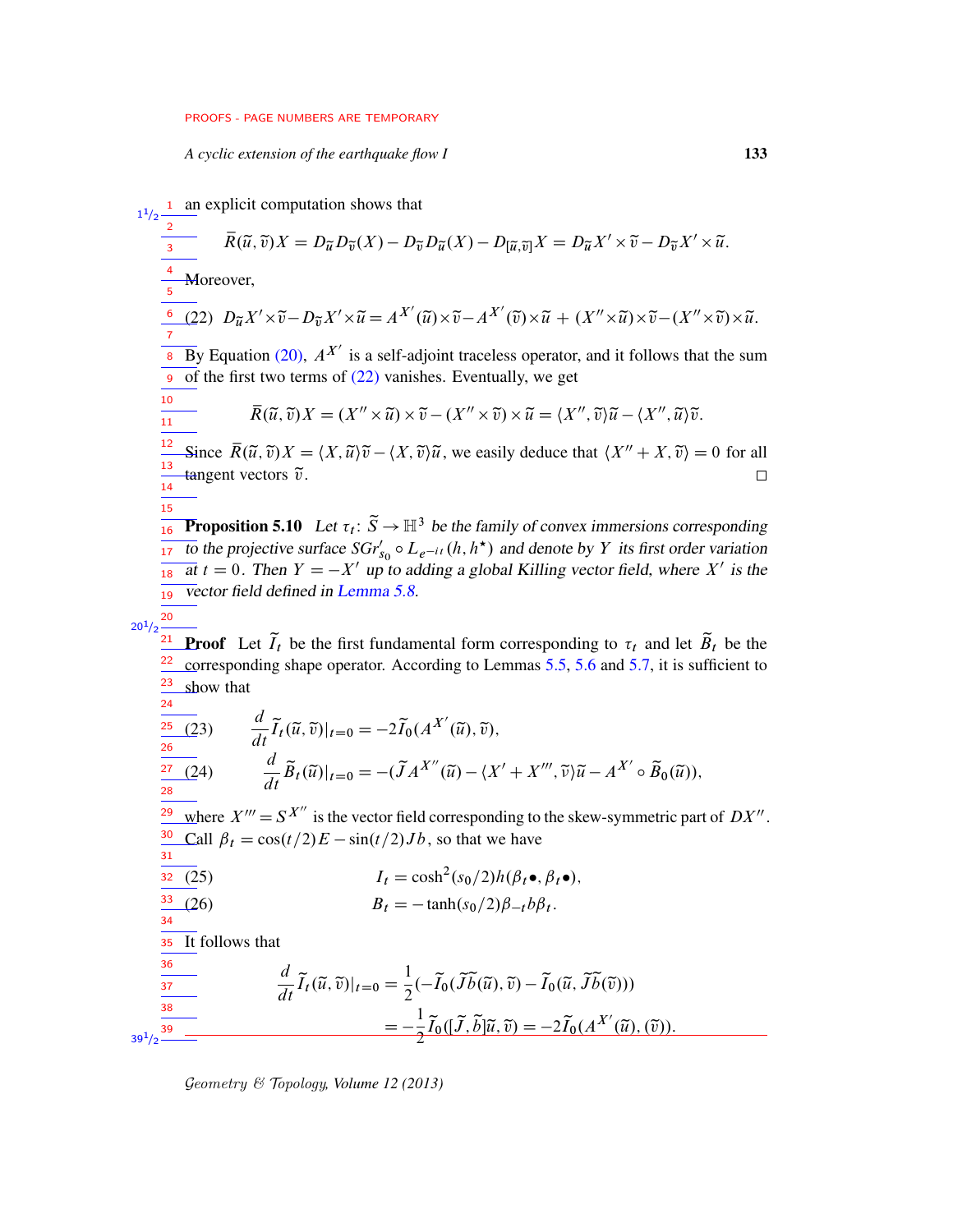<span id="page-32-0"></span>*A cyclic extension of the earthquake flow I* 133

<span id="page-32-3"></span><span id="page-32-2"></span><span id="page-32-1"></span><sup>1</sup> an explicit computation shows that  $1/2$ 1 2  $\overline{R}(\tilde{u}, \tilde{v})X = D_{\tilde{u}}D_{\tilde{v}}(X) - D_{\tilde{v}}D_{\tilde{u}}(X) - D_{\left[\tilde{u}, \tilde{v}\right]}X = D_{\tilde{u}}X' \times \tilde{v} - D_{\tilde{v}}X' \times \tilde{u}.$ 3 4 Moreover, 5 (22)  $D_{\widetilde{u}}X' \times \widetilde{v} - D_{\widetilde{v}}X' \times \widetilde{u} = A^{X'}(\widetilde{u}) \times \widetilde{v} - A^{X'}(\widetilde{v}) \times \widetilde{u} + (X'' \times \widetilde{u}) \times \widetilde{v} - (X'' \times \widetilde{v}) \times \widetilde{u}.$ 6 7 By Equation [\(20\),](#page-30-4)  $A^{X'}$  is a self-adjoint traceless operator, and it follows that the sum  $\overline{8}$ of the first two terms of  $(22)$  vanishes. Eventually, we get 9 10  $\overline{R}(\tilde{u}, \tilde{v})X = (X'' \times \tilde{u}) \times \tilde{v} - (X'' \times \tilde{v}) \times \tilde{u} = \langle X'', \tilde{v} \rangle \tilde{u} - \langle X'', \tilde{u} \rangle \tilde{v}.$  $\frac{1}{11}$ 12 Since  $\overline{R}(\tilde{u}, \tilde{v})X = \langle X, \tilde{u}\rangle \tilde{v} - \langle X, \tilde{v}\rangle \tilde{u}$ , we easily deduce that  $\langle X'' + X, \tilde{v}\rangle = 0$  for all 13 tangent vectors  $\tilde{v}$ .  $\Box$ 14 15 **Proposition 5.10** Let  $\tau_t: \tilde{S} \to \mathbb{H}^3$  be the family of convex immersions corresponding 16 to the projective surface  $SGr'_{s_0} \circ L_{e^{-it}}(h, h^*)$  and denote by Y its first order variation 17 at  $t = 0$ . Then  $Y = -X'$  up to adding a global Killing vector field, where X' is the 18 vector field defined in [Lemma 5.8.](#page-30-2) 19 20  $20^{1}/2$ **Proof** Let  $\tilde{I}_t$  be the first fundamental form corresponding to  $\tau_t$  and let  $\tilde{B}_t$  be the 22 corresponding shape operator. According to Lemmas [5.5,](#page-28-2) [5.6](#page-29-4) and [5.7,](#page-30-5) it is sufficient to 23 show that 24 (23)  $\frac{d}{dt}\widetilde{I}_t(\widetilde{u},\widetilde{v})|_{t=0} = -2\widetilde{I}_0(A^{X'}(\widetilde{u}),\widetilde{v}),$ 25 26  $\frac{d}{dt}\widetilde{B}_t(\widetilde{u})|_{t=0} = -(\widetilde{J}A^{X''}(\widetilde{u}) - \langle X' + X''', \widetilde{v}\rangle \widetilde{u} - A^{X'} \circ \widetilde{B}_0(\widetilde{u})),$ 27 28 where  $X''' = S^{X''}$  is the vector field corresponding to the skew-symmetric part of  $DX''$ . 29 Call  $\beta_t = \cos(t/2)E - \sin(t/2)Jb$ , so that we have 30 31 (25)  $I_t = \cosh^2(s_0/2)h(\beta_t \bullet, \beta_t \bullet),$  $32(25)$ 33 (26)  $B_t = -\tanh(s_0/2)\beta_{-t}b\beta_t.$ 34 35 It follows that 36  $\frac{d}{dt}\widetilde{I}_t(\widetilde{u},\widetilde{v})|_{t=0}=\frac{1}{2}$  $\frac{1}{2}(-\widetilde{I}_0(\widetilde{J}\widetilde{b}(\widetilde{u}),\widetilde{v})-\widetilde{I}_0(\widetilde{u},\widetilde{J}\widetilde{b}(\widetilde{v})))$ 37 38  $= -\frac{1}{2}$  $\frac{1}{2}\widetilde{I}_0([\widetilde{J},\widetilde{b}]\widetilde{u},\widetilde{v})=-2\widetilde{I}_0(A^{X'}(\widetilde{u}),(\widetilde{v})).$ 39  $39^{1/2}$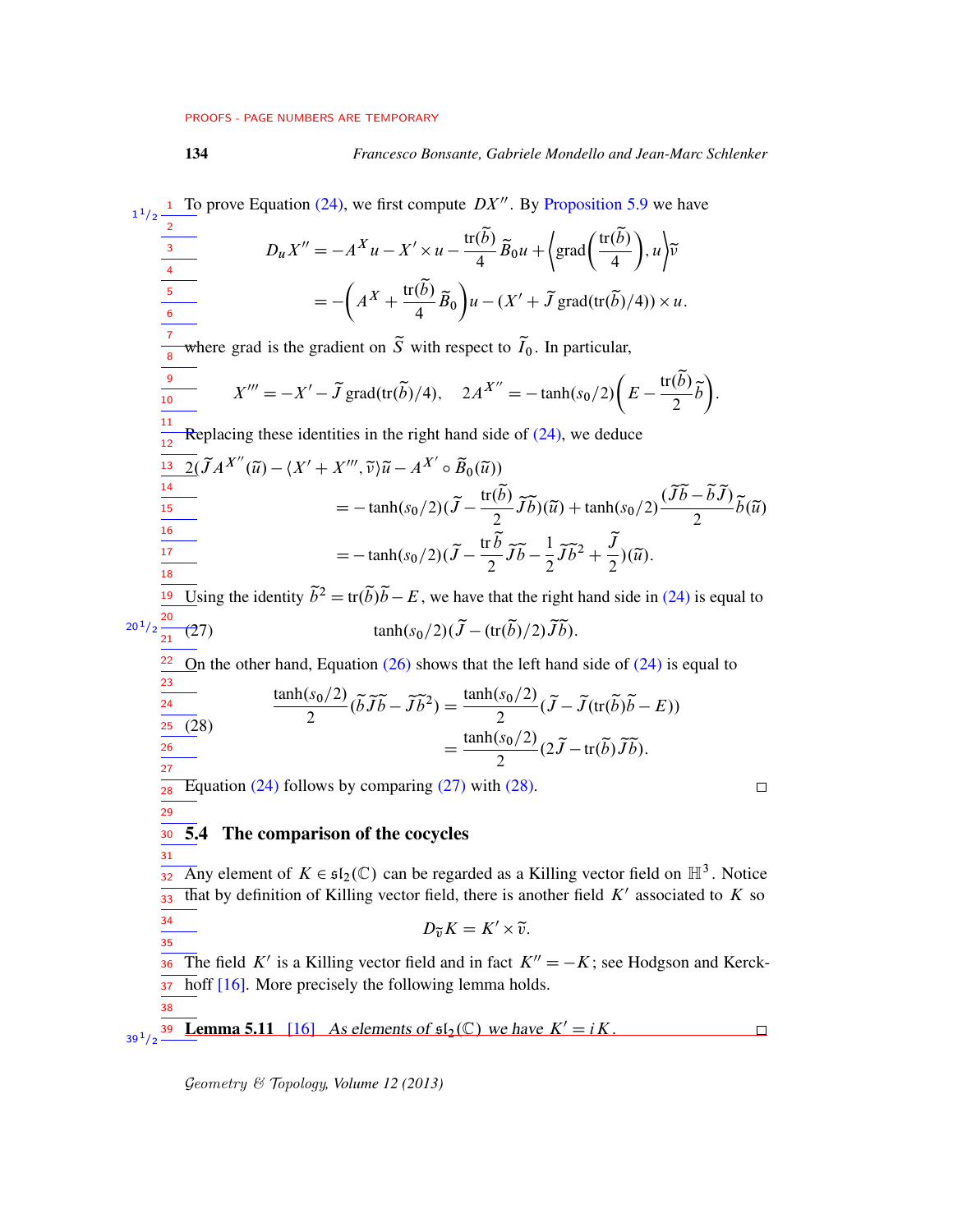<span id="page-33-1"></span>

## 134 *Francesco Bonsante, Gabriele Mondello and Jean-Marc Schlenker*

<span id="page-33-3"></span><span id="page-33-2"></span><span id="page-33-0"></span>1 To prove Equation [\(24\),](#page-32-1) we first compute  $DX''$ . By [Proposition 5.9](#page-31-0) we have  $1/2$ 1 2  $D_u X'' = -A^X u - X' \times u - \frac{\text{tr}(\tilde{b})}{4}$  $\left(\frac{\widetilde{b}}{4}\right)\widetilde{B}_0u + \left(\text{grad}\left(\frac{\text{tr}(\widetilde{b})}{4}\right)\right)$  $\bigg)$ ,  $u\bigg\}$  $\widetilde{v}$ 3 4 4  $=-\left(A^X+\frac{\text{tr}(\widetilde{b})}{4}\right)$  $u - (X' + \tilde{J} \text{grad}(\text{tr}(\tilde{b})/4)) \times u.$  $\frac{(b)}{4}\widetilde{B}_0$ 5 6 7 where grad is the gradient on  $\tilde{S}$  with respect to  $\tilde{I}_0$ . In particular, 8  $X''' = -X' - \tilde{J}$  grad(tr( $\tilde{b}$ )/4),  $2A^{X''} = -\tanh(s_0/2)\left(E - \frac{\text{tr}(\tilde{b})}{2}\right)$ 9  $\left(\frac{b}{2}\tilde{b}\right)$ . 10 11 Replacing these identities in the right hand side of  $(24)$ , we deduce 12  $\frac{13}{2} \left( \widetilde{J} A^{X''} (\widetilde{u}) - \langle X' + X''' , \widetilde{v} \rangle \widetilde{u} - A^{X'} \circ \widetilde{B}_0 (\widetilde{u}) \right)$ 14  $=-\tanh(s_0/2)(\widetilde{J}-\frac{\text{tr}(\widetilde{b})}{2})$  $\frac{(\widetilde{b})}{2}\widetilde{J}\widetilde{b}$  $)(\widetilde{u})$  + tanh $(s_0/2)\frac{(\widetilde{J}\widetilde{b}-\widetilde{b}\widetilde{J})}{2}$  $\frac{-bJ}{2}\tilde{b}(\tilde{u})$  $\frac{1}{15}$ 16  $=-\tanh(s_0/2)(\widetilde{J}-\frac{\mathrm{tr}\,\widetilde{b}}{2})$  $rac{1}{2}\widetilde{J}\widetilde{b}^2 + \frac{\widetilde{J}}{2}$  $rac{1}{2}$  $\widetilde{J}\widetilde{b} - \frac{1}{2}$ 17  $\frac{J}{2}$  $)(\tilde{u}).$ 18  $\overline{19}$  Using the identity  $\tilde{b}^2 = \text{tr}(\tilde{b})\tilde{b} - E$ , we have that the right hand side in [\(24\)](#page-32-1) is equal to  $20^{1}/2 \frac{20}{21}$ (27)  $\tanh(s_0/2)(\tilde{J}-(\text{tr}(\tilde{b})/2)\tilde{J}\tilde{b}).$  $\frac{22}{1}$ On the other hand, Equation  $(26)$  shows that the left hand side of  $(24)$  is equal to 23  $tanh(s_0/2)$  $\frac{(s_0/2)}{2}$  $(\tilde{b}\tilde{J}\tilde{b} - \tilde{J}\tilde{b}^2) = \frac{\tanh(s_0/2)}{2}$  $\frac{1}{24}$  $\frac{(s_0/2)}{2}(\widetilde{J}-\widetilde{J}(\text{tr}(\widetilde{b})\widetilde{b}-E))$ 25 (28)  $=\frac{\tanh(s_0/2)}{2}$  $\frac{(s_0/2)}{2}$  $(2\tilde{J}-tr(\tilde{b})\tilde{J}\tilde{b}).$ 26 27 Equation  $(24)$  follows by comparing  $(27)$  with  $(28)$ .  $\Box$ 28 29 5.4 The comparison of the cocycles 30 31 Any element of  $K \in \mathfrak{sl}_2(\mathbb{C})$  can be regarded as a Killing vector field on  $\mathbb{H}^3$ . Notice 32 that by definition of Killing vector field, there is another field  $K'$  associated to  $K$  so 33 34  $D_{\widetilde{v}}K = K' \times \widetilde{v}.$ 35 The field K' is a Killing vector field and in fact  $K'' = -K$ ; see Hodgson and Kerck-36 hoff [\[16\]](#page-75-12). More precisely the following lemma holds. 37 38 **Lemma 5.11** [\[16\]](#page-75-12) As elements of  $\mathfrak{sl}_2(\mathbb{C})$  we have  $K' = iK$ . 39  $\Box$  $39^{1/2}$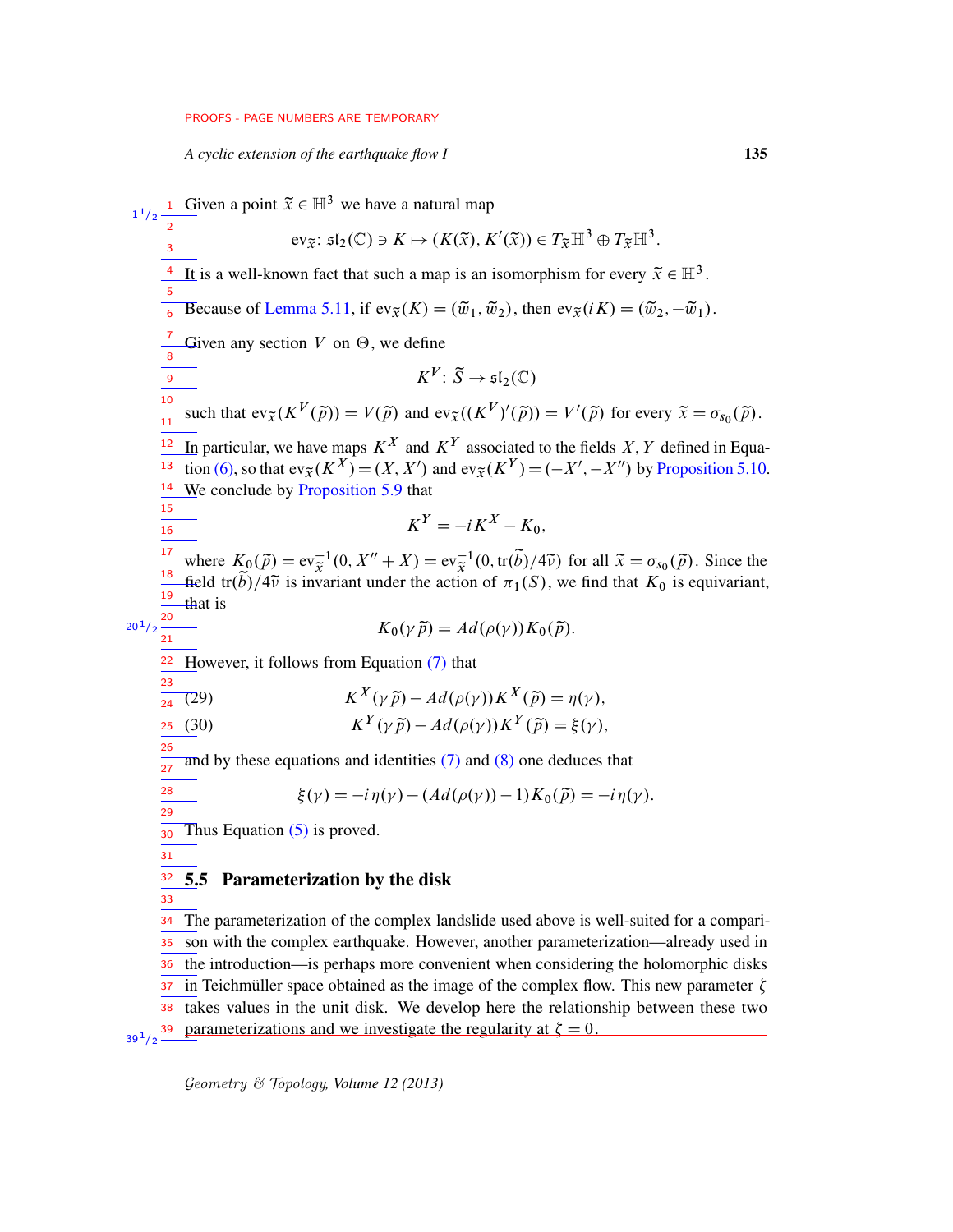*A cyclic extension of the earthquake flow I* 135

**1** Given a point  $\tilde{x} \in \mathbb{H}^3$  we have a natural map  $ev_{\widetilde{X}}: \mathfrak{sl}_2(\mathbb{C}) \ni K \mapsto (K(\widetilde{x}), K'(\widetilde{x})) \in T_{\widetilde{X}}\mathbb{H}^3 \oplus T_{\widetilde{X}}\mathbb{H}^3.$ <sup>4</sup> It is a well-known fact that such a map is an isomorphism for every  $\tilde{x} \in \mathbb{H}^3$ . Because of [Lemma 5.11,](#page-33-3) if  $ev_{\tilde{x}}(K) = (\tilde{w}_1, \tilde{w}_2)$ , then  $ev_{\tilde{x}}(iK) = (\tilde{w}_2, -\tilde{w}_1)$ . Given any section  $V$  on  $\Theta$ , we define  $K^V\colon \widetilde{S}\to \mathfrak{sl}_2(\mathbb{C})$ such that  $ev_{\tilde{X}}(K^V(\tilde{p})) = V(\tilde{p})$  and  $ev_{\tilde{X}}((K^V)'(\tilde{p})) = V'(\tilde{p})$  for every  $\tilde{x} = \sigma_{s_0}(\tilde{p})$ . In particular, we have maps  $K^X$  and  $K^Y$  associated to the fields X, Y defined in Equa-tion [\(6\),](#page-26-2) so that  $ev_{\tilde{X}}(K^X) = (X, X')$  and  $ev_{\tilde{X}}(K^Y) = (-X', -X'')$  by [Proposition 5.10.](#page-32-3)  $\frac{14}{10}$  We conclude by [Proposition 5.9](#page-31-0) that  $K^Y = -iK^X - K_0$ . where  $K_0(\tilde{p}) = \text{ev}_{\tilde{x}}^{-1}(0, X'' + X) = \text{ev}_{\tilde{x}}^{-1}(0, \text{tr}(\tilde{b})/4\tilde{v})$  for all  $\tilde{x} = \sigma_{s_0}(\tilde{p})$ . Since the field tr( $\widetilde{b}$ )/4 $\widetilde{v}$  is invariant under the action of  $\pi_1(S)$ , we find that  $K_0$  is equivariant, that is  $K_0(\nu \tilde{\nu}) = Ad(\rho(\nu)) K_0(\tilde{\nu}).$ However, it follows from Equation [\(7\)](#page-26-0) that (29)  $K^X(\gamma \tilde{p}) - Ad(\rho(\gamma))K^X(\tilde{p}) = \eta(\gamma),$ (30)  $K^Y(\gamma \tilde{p}) - Ad(\rho(\gamma))K^Y(\tilde{p}) = \xi(\gamma),$ and by these equations and identities  $(7)$  and  $(8)$  one deduces that  $\xi(\gamma) = -i\eta(\gamma) - (Ad(\rho(\gamma)) - 1)K_0(\tilde{p}) = -i\eta(\gamma).$ Thus Equation  $(5)$  is proved. 5.5 Parameterization by the disk The parameterization of the complex landslide used above is well-suited for a comparison with the complex earthquake. However, another parameterization—already used in the introduction—is perhaps more convenient when considering the holomorphic disks in Teichmüller space obtained as the image of the complex flow. This new parameter  $\zeta$ 1  $1/2$ 2 3 5 6 7 8 9 10 11 12 13 15 16 17 18 19 20  $20^{1}/2$ 21 22 23 24 25 26  $\frac{1}{27}$ 28 29 30 31 32 33 34 35 36 37

<span id="page-34-0"></span>takes values in the unit disk. We develop here the relationship between these two 38 parameterizations and we investigate the regularity at  $\zeta = 0$ .  $39^{1}/2$   $-$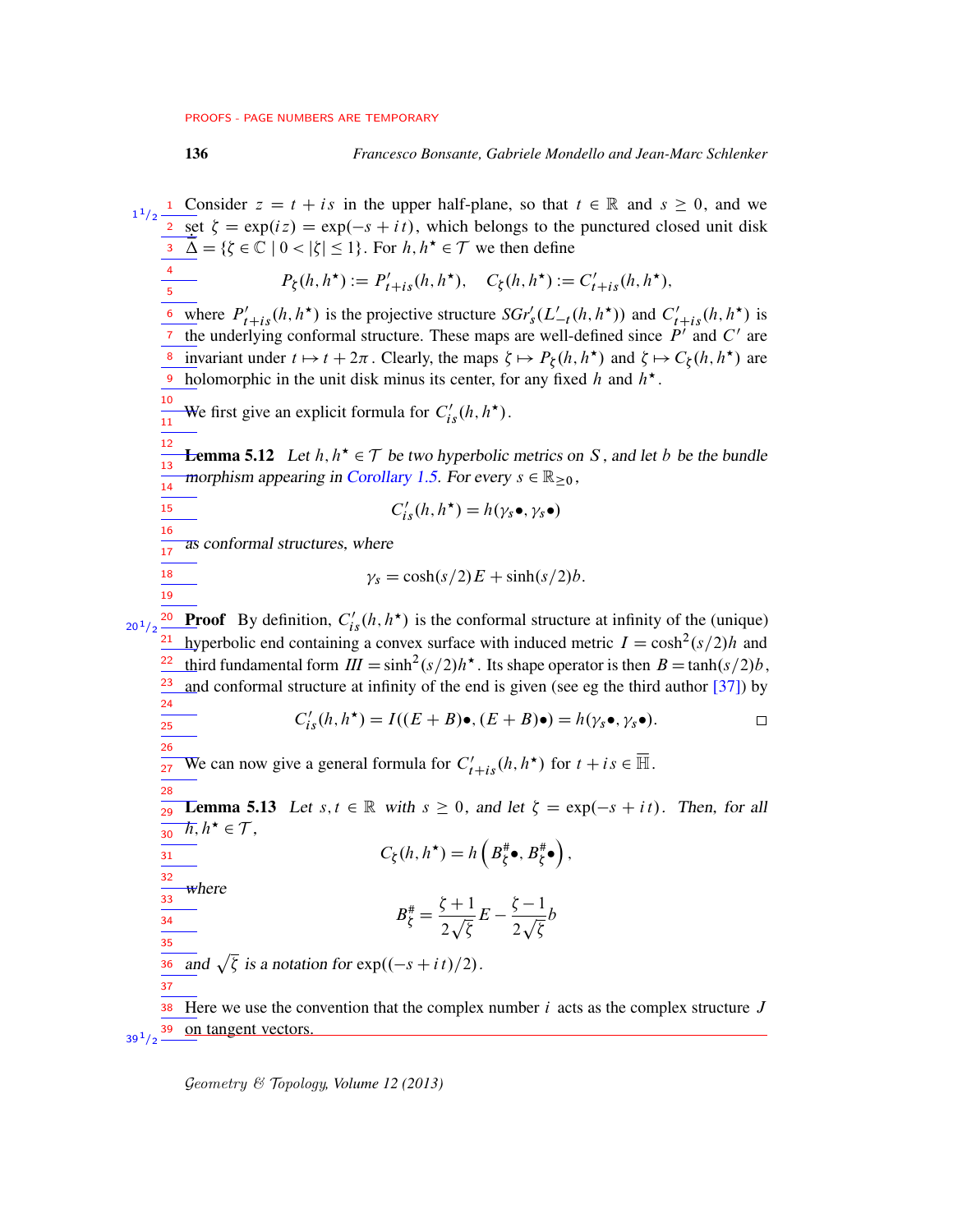1 Consider  $z = t + is$  in the upper half-plane, so that  $t \in \mathbb{R}$  and  $s \ge 0$ , and we  $1/2$ 1  $\frac{1}{2} \operatorname{set} \zeta = \exp(iz) = \exp(-s + it)$ , which belongs to the punctured closed unit disk  $\overline{\Delta} = \{\zeta \in \mathbb{C} \mid 0 < |\zeta| \leq 1\}.$  For  $h, h^* \in \mathcal{T}$  we then define 3 4  $P_{\xi}(h, h^{\star}) := P'_{t+is}(h, h^{\star}), \quad C_{\xi}(h, h^{\star})$  $) := C'_{t+is}(h, h^{\star}),$ 5 <u><sup>6</sup> w</u>here  $P'_{t+is}(h, h^*)$  is the projective structure  $SGr'_{s}(L'_{-t}(h, h^*))$  and  $C'_{t+is}(h, h^*)$  is <sup>7</sup> the underlying conformal structure. These maps are well-defined since  $P'$  and  $C'$  are <sup>8</sup> invariant under  $t \mapsto t + 2\pi$ . Clearly, the maps  $\xi \mapsto P_{\xi}(h, h^*)$  and  $\xi \mapsto C_{\xi}(h, h^*)$  are holomorphic in the unit disk minus its center, for any fixed h and  $h^*$ . 9 10 We first give an explicit formula for  $C'_{is}(h, h^{\star})$ .  $\frac{1}{11}$ 12 **Lemma 5.12** Let  $h, h^* \in \mathcal{T}$  be two hyperbolic metrics on S, and let b be the bundle 13 morphism appearing in [Corollary 1.5.](#page-5-0) For every  $s \in \mathbb{R}_{\geq 0}$ , 14  $C'_{is}(h, h^{\star}) = h(\gamma_s \bullet, \gamma_s \bullet)$ 15 16 as conformal structures, where 17 18  $\gamma_s = \cosh(s/2)E + \sinh(s/2)b$ . 19 **Proof** By definition,  $C'_{is}(h, h^*)$  is the conformal structure at infinity of the (unique) 20  $20^{1}/2$ hyperbolic end containing a convex surface with induced metric  $I = \cosh^2(\frac{s}{2})h$  and 21 third fundamental form  $III = \sinh^2(s/2)h^*$ . Its shape operator is then  $B = \tanh(s/2)b$ , 22 23 and conformal structure at infinity of the end is given (see eg the third author [\[37\]](#page-76-11)) by 24  $C'_{is}(h, h^*) = I((E+B)\bullet, (E+B)\bullet) = h(\gamma_s \bullet, \gamma_s \bullet).$  $\Box$ 25 26 We can now give a general formula for  $C'_{t+is}(h, h^*)$  for  $t + is \in \overline{\mathbb{H}}$ . 27 28 **Lemma 5.13** Let  $s, t \in \mathbb{R}$  with  $s \geq 0$ , and let  $\zeta = \exp(-s + it)$ . Then, for all 29  $\overline{h}, h^{\star} \in \mathcal{T},$ 30  $C_{\xi}(h, h^{\star}) = h\left(B_{\xi}^{*}\bullet, B_{\xi}^{*}\bullet\right),$ 31 32 where 33  $B_{\xi}^{\#} = \frac{\xi + 1}{2 \sqrt{\xi}}$  $E-\frac{\zeta-1}{\zeta}$ b 34  $2\sqrt{\zeta}$  $2\sqrt{\zeta}$ 35 and  $\sqrt{\zeta}$  is a notation for  $\exp((-s + it)/2)$ . 36 37 38 Here we use the convention that the complex number  $i$  acts as the complex structure  $J$ on tangent vectors. 39  $39^{1/2}$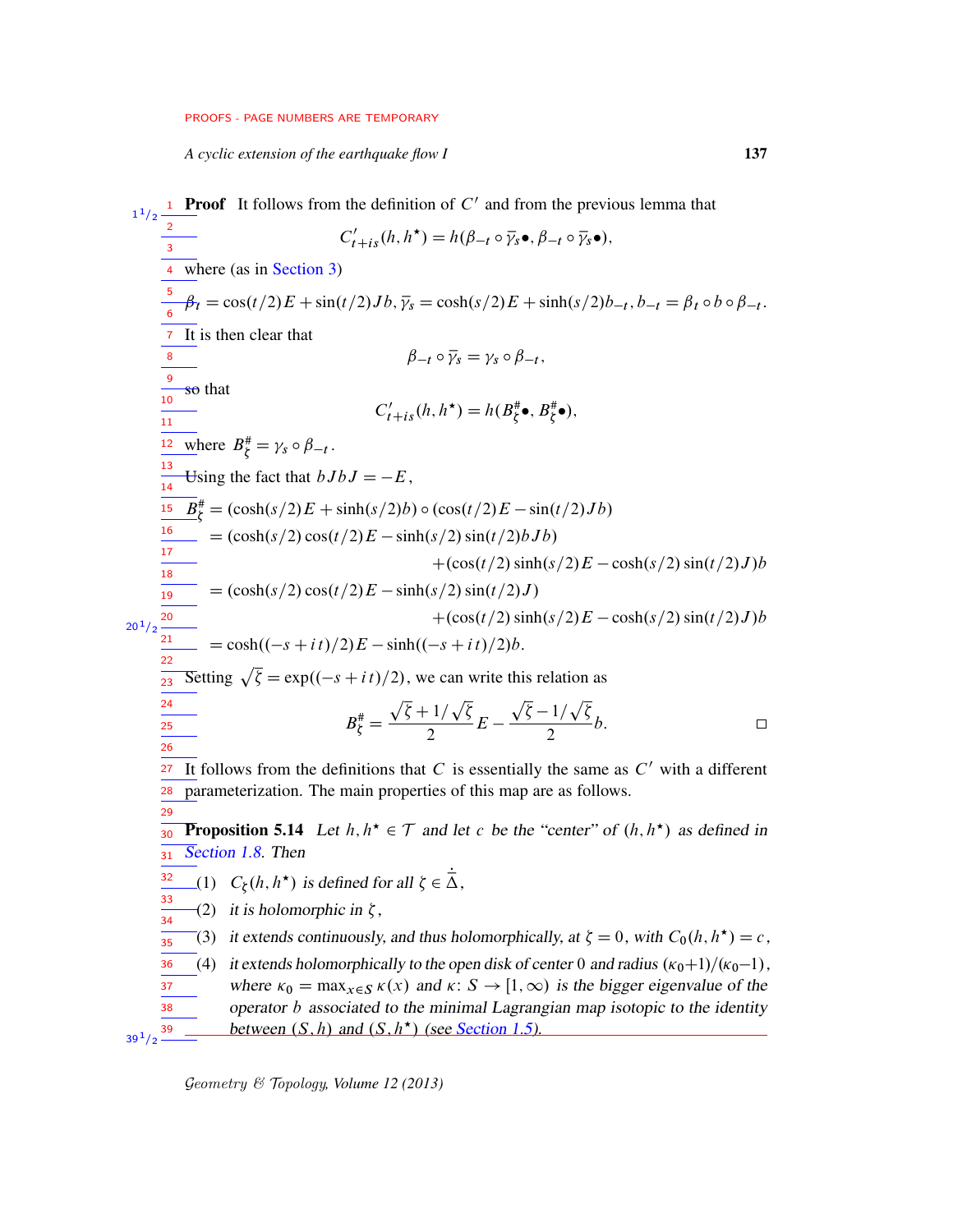*A cyclic extension of the earthquake flow I* 137

<span id="page-36-0"></span>**Proof** It follows from the definition of  $C'$  and from the previous lemma that  $1/2$ 1 2  $C'_{t+is}(h, h^{\star}) = h(\beta_{-t} \circ \overline{\gamma_s} \bullet, \beta_{-t} \circ \overline{\gamma_s} \bullet),$ 3 where (as in [Section 3\)](#page-17-0) 4 5  $\beta_t = \cos(t/2)E + \sin(t/2)Jb$ ,  $\bar{\gamma}_s = \cosh(s/2)E + \sinh(s/2)b_{-t}$ ,  $b_{-t} = \beta_t \circ b \circ \beta_{-t}$ . 6 7 It is then clear that  $\beta_{-t} \circ \overline{\gamma}_s = \gamma_s \circ \beta_{-t},$ 8 9 so that 10  $C'_{t+is}(h, h^*) = h(B_{\zeta}^*, B_{\zeta}^*, \bullet),$ 11  $\frac{12}{\omega}$  where  $B_{\xi}^{\#} = \gamma_s \circ \beta_{-t}$ .  $\frac{13}{14}$  Using the fact that  $bJbJ = -E$ , 14  $B_{\xi}^{#} = (\cosh(s/2)E + \sinh(s/2)b) \circ (\cos(t/2)E - \sin(t/2)Jb)$ 15 16  $= (\cosh(s/2) \cos(t/2)E - \sinh(s/2) \sin(t/2) bJb)$ 17  $+(\cos(t/2)\sinh(s/2)E-\cosh(s/2)\sin(t/2)J)b$ 18  $\int_0^{\pi} = (\cosh(s/2)\cos(t/2)E - \sinh(s/2)\sin(t/2)J)$  $\frac{1}{19}$  $+(\cos(t/2)\sinh(s/2)E-\cosh(s/2)\sin(t/2)J)b$ 20  $20^{1}/2$ 21  $= \cosh((-s + it)/2)E - \sinh((-s + it)/2)b.$ 22 Setting  $\sqrt{\zeta} = \exp((-s + it)/2)$ , we can write this relation as  $\frac{1}{23}$ 24  $B_{\zeta}^{\#} = \frac{\sqrt{\zeta} + 1/\sqrt{\zeta}}{2}$  $\frac{(1/\sqrt{\xi})}{2}E - \frac{\sqrt{\xi}-1/\sqrt{\xi}}{2}$  $\overline{25}$  $\frac{1}{2}b$ .  $\Box$ 26 It follows from the definitions that C is essentially the same as  $C'$  with a different 27 parameterization. The main properties of this map are as follows. 28 29 **Proposition 5.14** Let  $h, h^* \in \mathcal{T}$  and let c be the "center" of  $(h, h^*)$  as defined in 30 [Section 1.8.](#page-7-0) Then 31 (1)  $C_{\xi}(h, h^*)$  is defined for all  $\zeta \in \dot{\overline{\Delta}}$ , 32 33  $\zeta(2)$  it is holomorphic in  $\zeta$ , 34 (3) it extends continuously, and thus holomorphically, at  $\zeta = 0$ , with  $C_0(h, h^*) = c$ , 35 (4) it extends holomorphically to the open disk of center 0 and radius  $(\kappa_0+1)/(\kappa_0-1)$ , 36 37 where  $\kappa_0 = \max_{x \in S} \kappa(x)$  and  $\kappa: S \to [1, \infty)$  is the bigger eigenvalue of the 38 operator b associated to the minimal Lagrangian map isotopic to the identity between  $(S, h)$  and  $(S, h^*)$  (see [Section 1.5\)](#page-4-0). 39  $39^{1/2}$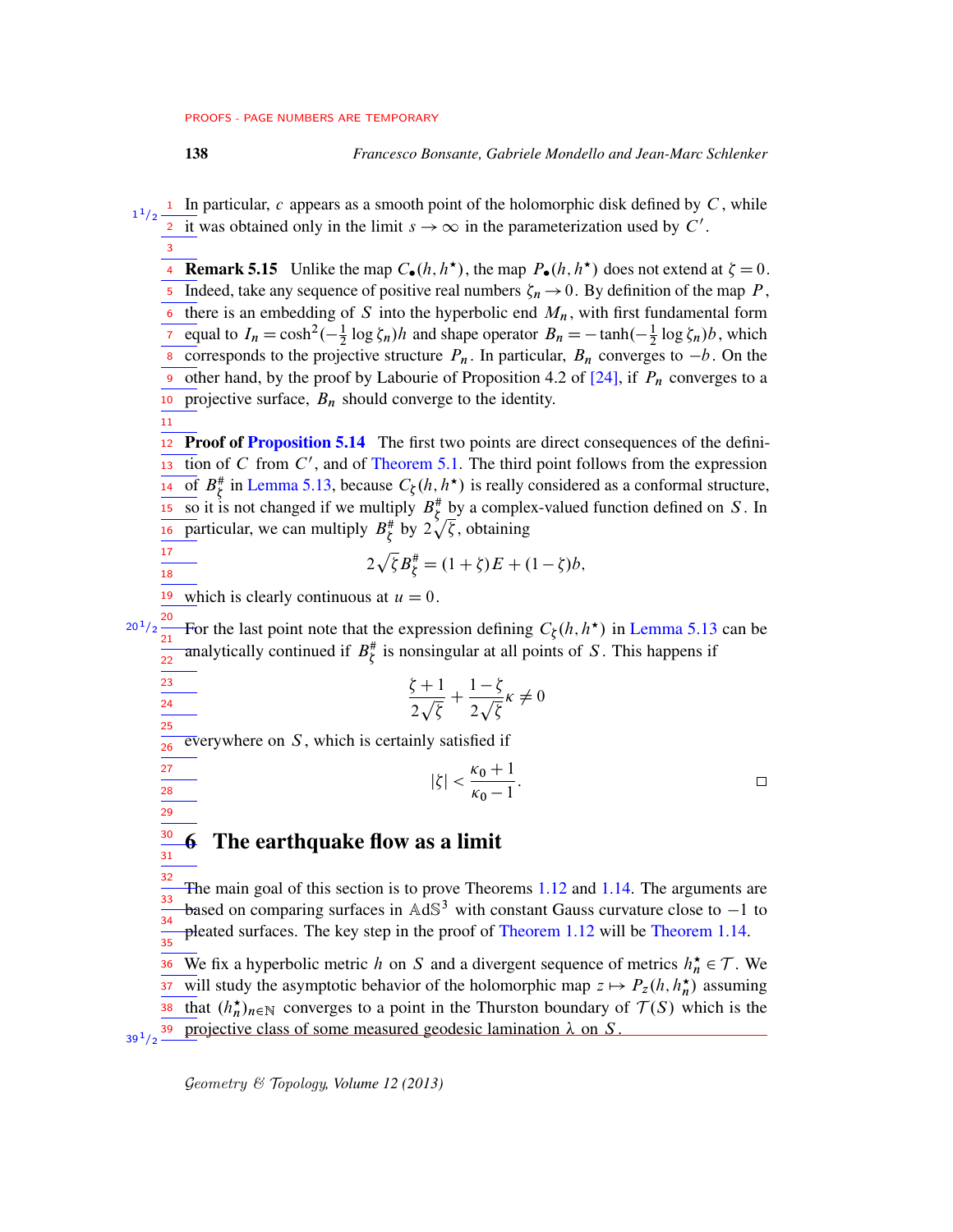$\mathbf I$  In particular, c appears as a smooth point of the holomorphic disk defined by C, while it was obtained only in the limit  $s \to \infty$  in the parameterization used by C'. 1  $1/2$ 2

**Remark 5.15** Unlike the map  $C_{\bullet}(h, h^*)$ , the map  $P_{\bullet}(h, h^*)$  does not extend at  $\zeta = 0$ .  $\overline{5}$  Indeed, take any sequence of positive real numbers  $\zeta_n \to 0$ . By definition of the map P, there is an embedding of S into the hyperbolic end  $M_n$ , with first fundamental form equal to  $I_n = \cosh^2(-\frac{1}{2})$  $\frac{1}{2} \log \zeta_n$ )*h* and shape operator  $B_n = -\tanh(-\frac{1}{2})$  $\frac{1}{2} \log \zeta_n$ )*b*, which corresponds to the projective structure  $P_n$ . In particular,  $B_n$  converges to  $-b$ . On the other hand, by the proof by Labourie of Proposition 4.2 of  $[24]$ , if  $P_n$  converges to a 10 projective surface,  $B_n$  should converge to the identity. 6 7 8 9

11

17 18

23  $\overline{24}$ 25

3

12 Proof of [Proposition 5.14](#page-36-0) The first two points are direct consequences of the defini- $\frac{1}{13}$  tion of C from C', and of [Theorem 5.1.](#page-25-0) The third point follows from the expression of  $B_{\zeta}^{\#}$  in [Lemma 5.13,](#page-35-0) because  $C_{\zeta}(h, h^{\star})$  is really considered as a conformal structure,  $\frac{\partial S}{\partial s}$  it is not changed if we multiply  $B_{\xi}^{*}$  by a complex-valued function defined on S. In particular, we can multiply  $B^{\#}_{\xi}$  by  $2\sqrt{\xi}$ , obtaining 14 15 16

$$
2\sqrt{\zeta}B_{\zeta}^{\#} = (1+\zeta)E + (1-\zeta)b,
$$

<sup>19</sup> which is clearly continuous at  $u = 0$ .

For the last point note that the expression defining  $C_{\xi}(h, h^{\star})$  in [Lemma 5.13](#page-35-0) can be analytically continued if  $B^{\#}_{\xi}$  is nonsingular at all points of S. This happens if 20  $20^{\,1}/2$ 21 22

$$
\frac{\zeta+1}{2\sqrt{\zeta}} + \frac{1-\zeta}{2\sqrt{\zeta}}\kappa \neq 0
$$

 $\overline{ev}$ everywhere on  $S$ , which is certainly satisfied if  $\frac{1}{26}$ 

$$
|\zeta| < \frac{\kappa_0 + 1}{\kappa_0 - 1}.
$$

<span id="page-37-0"></span>6 The earthquake flow as a limit

The main goal of this section is to prove Theorems [1.12](#page-8-0) and [1.14.](#page-9-0) The arguments are based on comparing surfaces in  $AdS<sup>3</sup>$  with constant Gauss curvature close to  $-1$  to pleated surfaces. The key step in the proof of [Theorem 1.12](#page-8-0) will be [Theorem 1.14.](#page-9-0) 32 33 34 35

We fix a hyperbolic metric h on S and a divergent sequence of metrics  $h_n^* \in \mathcal{T}$ . We will study the asymptotic behavior of the holomorphic map  $z \mapsto P_z(h, h_n^{\star})$  assuming 38 that  $(h_n^{\star})_{n \in \mathbb{N}}$  converges to a point in the Thurston boundary of  $\mathcal{T}(S)$  which is the projective class of some measured geodesic lamination  $\lambda$  on  $S$ . 36 37  $39^{1}/2$   $-$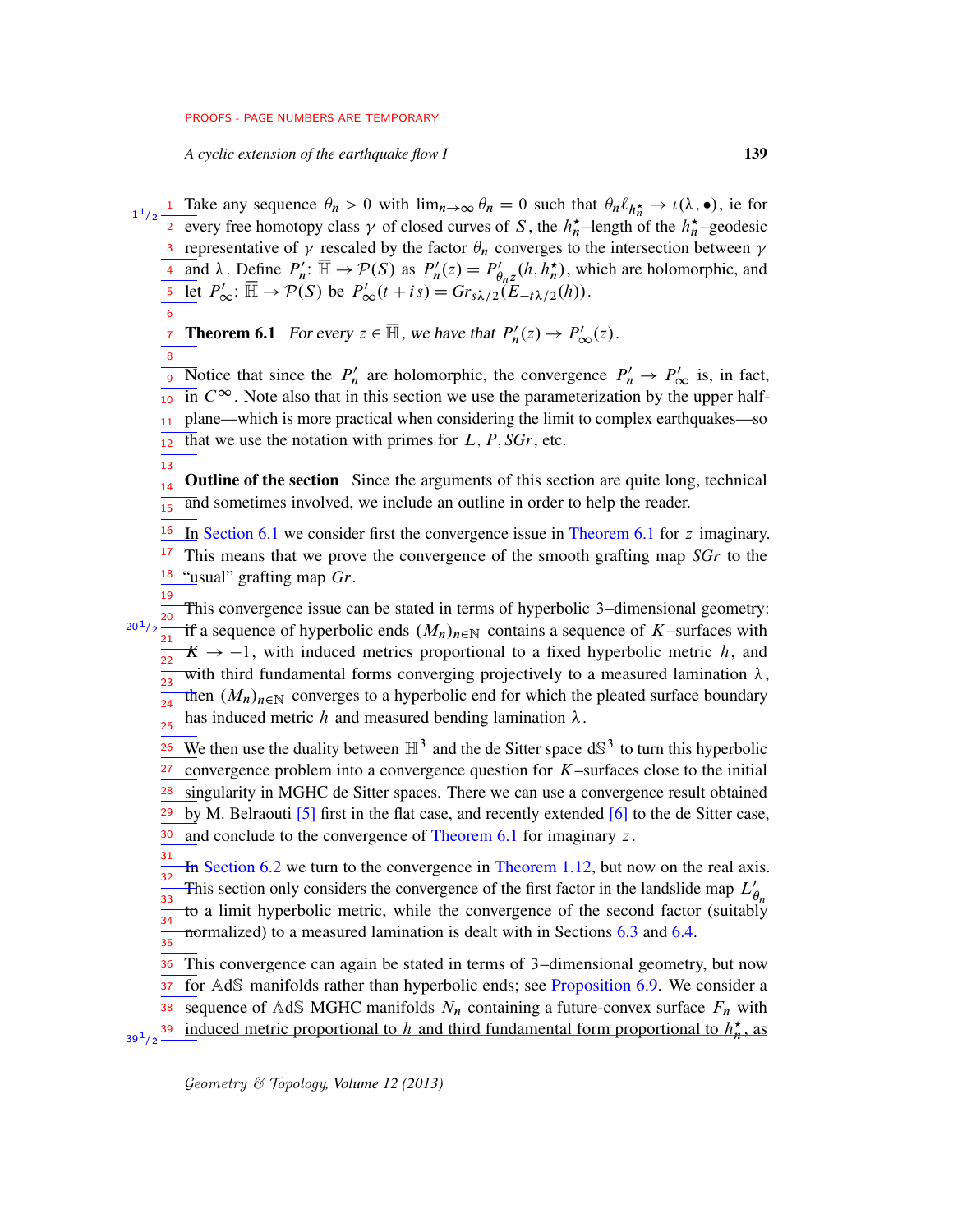*A cyclic extension of the earthquake flow I* 139

<span id="page-38-0"></span>6

8

13

Take any sequence  $\theta_n > 0$  with  $\lim_{n \to \infty} \theta_n = 0$  such that  $\theta_n \ell_{h_n^*} \to \iota(\lambda, \bullet)$ , ie for every free homotopy class  $\gamma$  of closed curves of S, the  $h_n^{\star}$ -length of the  $h_n^{\star}$ -geodesic representative of  $\gamma$  rescaled by the factor  $\theta_n$  converges to the intersection between  $\gamma$ and  $\lambda$ . Define  $P'_n$  $p'_n: \overline{\mathbb{H}} \to \mathcal{P}(S)$  as  $P'_n$  $P'_{n}(z) = P'_{\theta}$  $\eta'_{\theta_n z}(h, h_n^{\star})$ , which are holomorphic, and Let  $P'_{\infty}$ :  $\overline{\mathbb{H}} \to \mathcal{P}(S)$  be  $P'_{\infty}(t + is) = G r_{s\lambda/2}(E_{-t\lambda/2}(h)).$ 1 1  $1/2$ 2 3 4 5

**Theorem 6.1** For every  $z \in \overline{\mathbb{H}}$ , we have that  $P'_n$  $P'_n(z) \to P'_\infty(z)$ . 7

Notice that since the  $P'_n$ Solice that since the  $P'_n$  are holomorphic, the convergence  $P'_n \to P'_{\infty}$  is, in fact,  $\frac{1}{10}$  in  $C^{\infty}$ . Note also that in this section we use the parameterization by the upper halfplane—which is more practical when considering the limit to complex earthquakes—so that we use the notation with primes for  $L, P, SGr$ , etc. 11 12

Outline of the section Since the arguments of this section are quite long, technical and sometimes involved, we include an outline in order to help the reader. 14 15

In [Section 6.1](#page-40-0) we consider first the convergence issue in [Theorem 6.1](#page-38-0) for z imaginary. This means that we prove the convergence of the smooth grafting map *SGr* to the <sup>18</sup> "usual" grafting map *Gr*. 16 17

This convergence issue can be stated in terms of hyperbolic 3–dimensional geometry: if a sequence of hyperbolic ends  $(M_n)_{n\in\mathbb{N}}$  contains a sequence of K–surfaces with  $K \rightarrow -1$ , with induced metrics proportional to a fixed hyperbolic metric h, and with third fundamental forms converging projectively to a measured lamination  $\lambda$ , then  $(M_n)_{n\in\mathbb{N}}$  converges to a hyperbolic end for which the pleated surface boundary has induced metric h and measured bending lamination  $\lambda$ . 19  $20^{1}/2 \frac{20}{21}$ 22 23 24 25

We then use the duality between  $\mathbb{H}^3$  and the de Sitter space  $dS^3$  to turn this hyperbolic convergence problem into a convergence question for  $K$ –surfaces close to the initial singularity in MGHC de Sitter spaces. There we can use a convergence result obtained by M. Belraouti [\[5\]](#page-75-0) first in the flat case, and recently extended [\[6\]](#page-75-1) to the de Sitter case, and conclude to the convergence of [Theorem 6.1](#page-38-0) for imaginary z . 26 27 28 29 30

In [Section 6.2](#page-43-0) we turn to the convergence in [Theorem 1.12,](#page-8-0) but now on the real axis. This section only considers the convergence of the first factor in the landslide map  $L'_{\theta_n}$ to a limit hyperbolic metric, while the convergence of the second factor (suitably normalized) to a measured lamination is dealt with in Sections [6.3](#page-53-0) and [6.4.](#page-55-0) 31 32 33 34 35

This convergence can again be stated in terms of 3–dimensional geometry, but now for AdS manifolds rather than hyperbolic ends; see [Proposition 6.9.](#page-44-0) We consider a sequence of AdS MGHC manifolds  $N_n$  containing a future-convex surface  $F_n$  with induced metric proportional to h and third fundamental form proportional to  $h_n^{\star}$ , as 36 37 38  $39^{1}/2$   $-$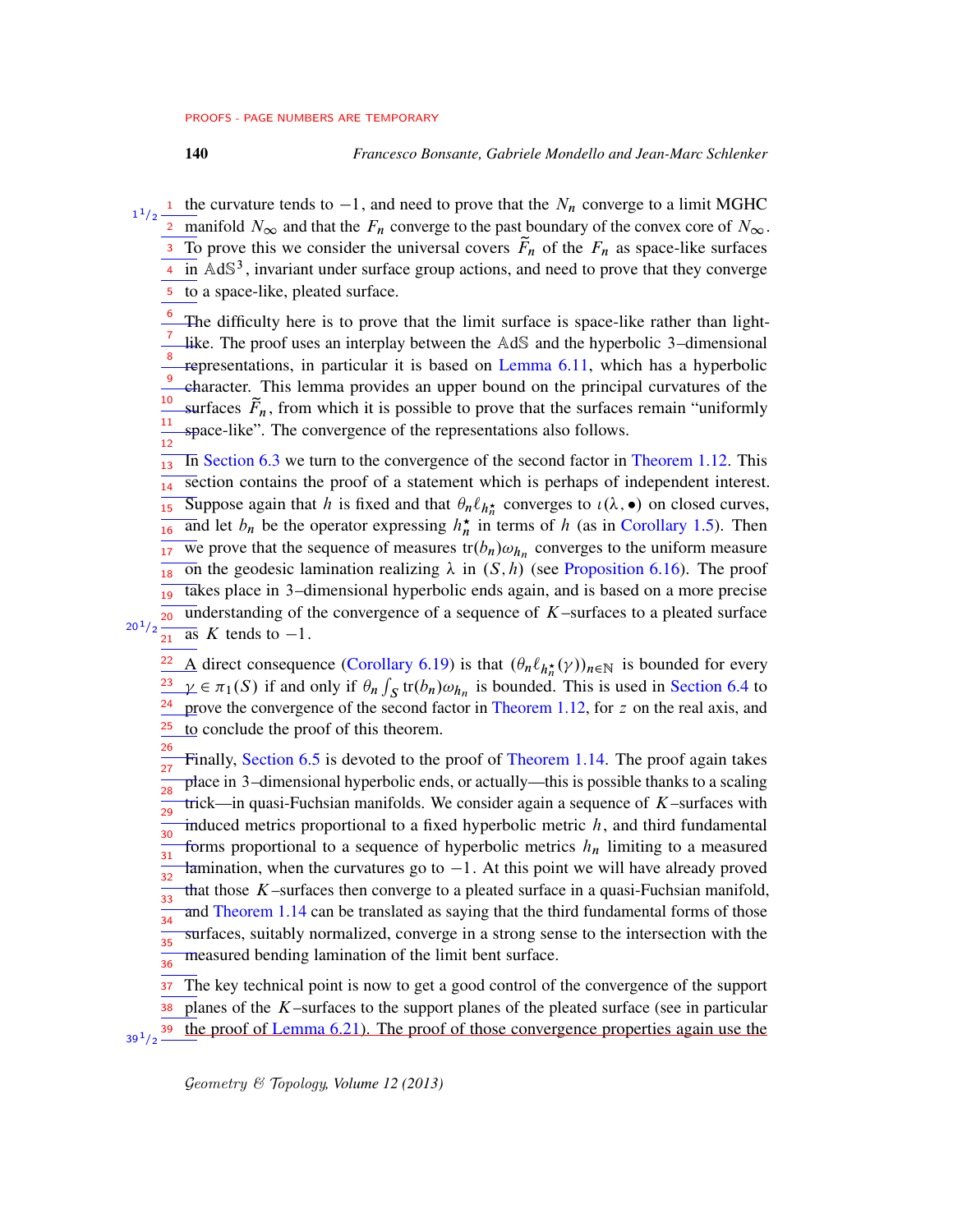- <sup>1</sup> the curvature tends to  $-1$ , and need to prove that the  $N_n$  converge to a limit MGHC 2 manifold  $N_{\infty}$  and that the  $F_n$  converge to the past boundary of the convex core of  $N_{\infty}$ .  $\overline{3}$  To prove this we consider the universal covers  $\tilde{F}_n$  of the  $F_n$  as space-like surfaces  $\frac{4}{1}$  in AdS<sup>3</sup>, invariant under surface group actions, and need to prove that they converge to a space-like, pleated surface. 1  $1/2$ 5
	- The difficulty here is to prove that the limit surface is space-like rather than lightlike. The proof uses an interplay between the AdS and the hyperbolic 3–dimensional representations, in particular it is based on [Lemma 6.11,](#page-44-1) which has a hyperbolic character. This lemma provides an upper bound on the principal curvatures of the surfaces  $\tilde{F}_n$ , from which it is possible to prove that the surfaces remain "uniformly" space-like". The convergence of the representations also follows. 6 7 8 9 10 11 12
	- In [Section 6.3](#page-53-0) we turn to the convergence of the second factor in [Theorem 1.12.](#page-8-0) This section contains the proof of a statement which is perhaps of independent interest. Suppose again that h is fixed and that  $\theta_n \ell_{h_n^*}$  converges to  $\iota(\lambda, \bullet)$  on closed curves, and let  $b_n$  be the operator expressing  $h_n^*$  in terms of h (as in [Corollary 1.5\)](#page-5-0). Then We prove that the sequence of measures  $tr(b_n)\omega_{h_n}$  converges to the uniform measure on the geodesic lamination realizing  $\lambda$  in  $(S, h)$  (see [Proposition 6.16\)](#page-53-1). The proof takes place in 3–dimensional hyperbolic ends again, and is based on a more precise understanding of the convergence of a sequence of  $K$ –surfaces to a pleated surface  $\overline{as}$  K tends to  $-1$ . 13 14 15 16 17 18 19 20

 $20^{1}/2$  $21$ 

26

- A direct consequence [\(Corollary 6.19\)](#page-55-1) is that  $(\theta_n \ell_{h_n^{\star}}(\gamma))_{n \in \mathbb{N}}$  is bounded for every  $\gamma \in \pi_1(S)$  if and only if  $\theta_n \int_S tr(b_n) \omega_{h_n}$  is bounded. This is used in [Section 6.4](#page-55-0) to prove the convergence of the second factor in [Theorem 1.12,](#page-8-0) for z on the real axis, and to conclude the proof of this theorem. 22 23 24 25
- Finally, [Section 6.5](#page-56-0) is devoted to the proof of [Theorem 1.14.](#page-9-0) The proof again takes place in 3–dimensional hyperbolic ends, or actually—this is possible thanks to a scaling trick—in quasi-Fuchsian manifolds. We consider again a sequence of  $K$ –surfaces with induced metrics proportional to a fixed hyperbolic metric  $h$ , and third fundamental forms proportional to a sequence of hyperbolic metrics  $h_n$  limiting to a measured famination, when the curvatures go to  $-1$ . At this point we will have already proved that those  $K$ -surfaces then converge to a pleated surface in a quasi-Fuchsian manifold, and [Theorem 1.14](#page-9-0) can be translated as saying that the third fundamental forms of those surfaces, suitably normalized, converge in a strong sense to the intersection with the measured bending lamination of the limit bent surface. 27 28 29 30 31 32 33 34 35 36
- The key technical point is now to get a good control of the convergence of the support planes of the K–surfaces to the support planes of the pleated surface (see in particular the proof of [Lemma 6.21\)](#page-57-0). The proof of those convergence properties again use the 37 38 39  $39^{1/2}$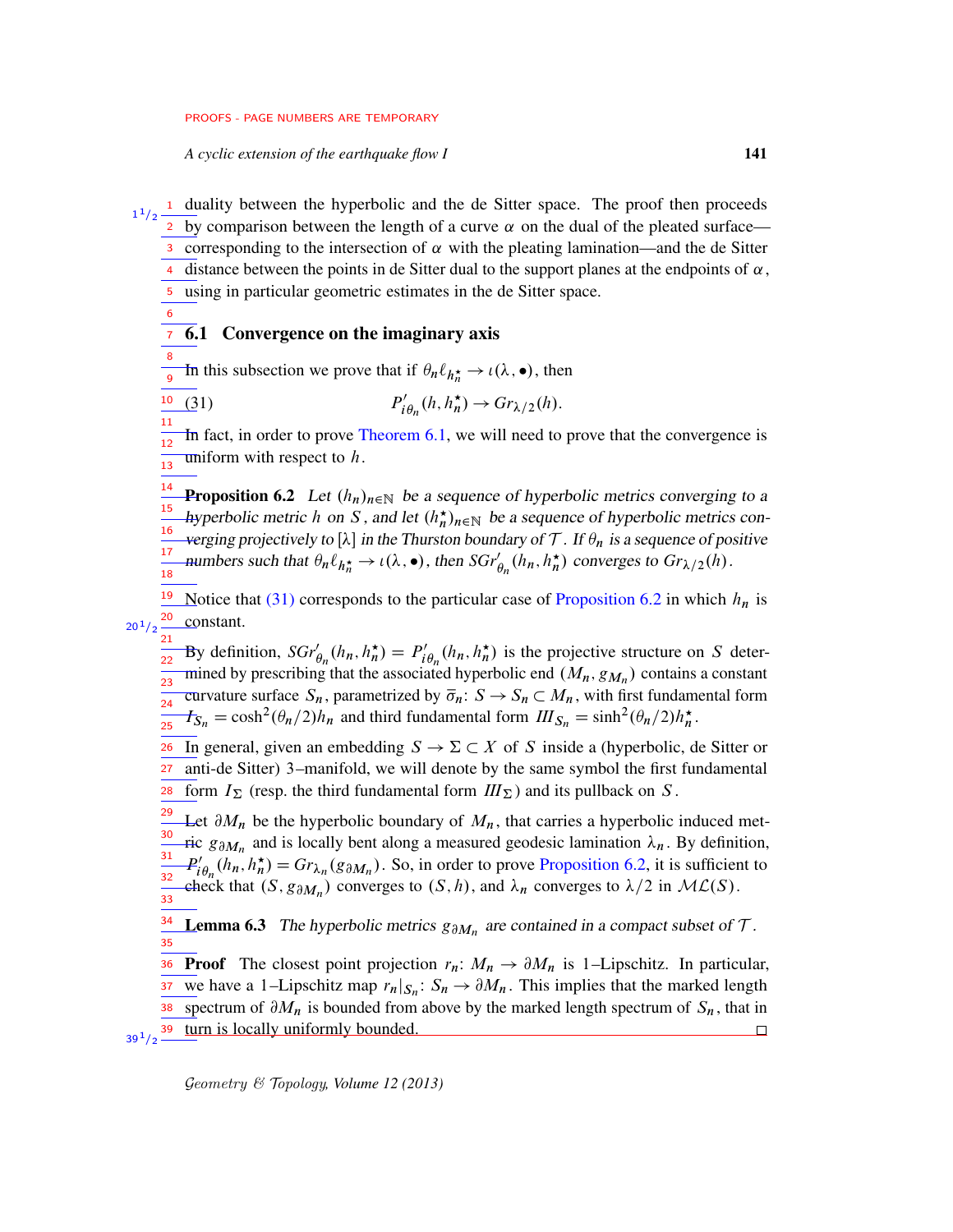*A cyclic extension of the earthquake flow I* 141

<sup>1</sup> duality between the hyperbolic and the de Sitter space. The proof then proceeds 2 by comparison between the length of a curve  $\alpha$  on the dual of the pleated surface— 3 corresponding to the intersection of  $\alpha$  with the pleating lamination—and the de Sitter distance between the points in de Sitter dual to the support planes at the endpoints of  $\alpha$ , using in particular geometric estimates in the de Sitter space. 1  $1/2$ 4 5

6.1 Convergence on the imaginary axis 7

<span id="page-40-1"></span><span id="page-40-0"></span>6

In this subsection we prove that if  $\theta_n \ell_{h_n^*} \to \iota(\lambda, \bullet)$ , then 8 9

 $(31)$ ,  $i \theta_n(h, h_n^{\star}) \rightarrow Gr_{\lambda/2}(h).$ 10

In fact, in order to prove Theorem  $6.1$ , we will need to prove that the convergence is uniform with respect to  $h$ . 11  $\frac{1}{12}$  $\frac{1}{13}$ 

<span id="page-40-2"></span>**Proposition 6.2** Let  $(h_n)_{n\in\mathbb{N}}$  be a sequence of hyperbolic metrics converging to a hyperbolic metric h on S, and let  $(h_n^{\star})_{n \in \mathbb{N}}$  be a sequence of hyperbolic metrics converging projectively to [ $\lambda$ ] in the Thurston boundary of T. If  $\theta_n$  is a sequence of positive numbers such that  $\theta_n \ell_{h_n^*} \to \iota(\lambda, \bullet)$ , then  $SGr'_{\theta_n}(h_n, h_n^*)$  converges to  $Gr_{\lambda/2}(h)$ . 14 15 16 17  $\frac{1}{18}$ 

Notice that [\(31\)](#page-40-1) corresponds to the particular case of [Proposition 6.2](#page-40-2) in which  $h_n$  is constant. 19 20  $20^{1}/2$ 

By definition,  $SGr'_{\theta_n}(h_n, h_n^{\star}) = P'_i$  $i'_{\theta_n}(h_n, h_n^{\star})$  is the projective structure on S determined by prescribing that the associated hyperbolic end  $(M_n, g_{M_n})$  contains a constant curvature surface  $S_n$ , parametrized by  $\overline{\sigma}_n: S \to S_n \subset M_n$ , with first fundamental form  $\mathcal{F}_{S_n} = \cosh^2(\theta_n/2)h_n$  and third fundamental form  $III_{S_n} = \sinh^2(\theta_n/2)h_n^*$ . 21 22 23 24 25

In general, given an embedding  $S \to \Sigma \subset X$  of S inside a (hyperbolic, de Sitter or anti-de Sitter) 3–manifold, we will denote by the same symbol the first fundamental form  $I_{\Sigma}$  (resp. the third fundamental form  $III_{\Sigma}$ ) and its pullback on S. 26 27 28

Let  $\partial M_n$  be the hyperbolic boundary of  $M_n$ , that carries a hyperbolic induced metric  $g_{\partial M_n}$  and is locally bent along a measured geodesic lamination  $\lambda_n$ . By definition,  $P_i'$  $i'_{i\theta_n}(h_n, h_n^*) = Gr_{\lambda_n}(g_{\partial M_n})$ . So, in order to prove [Proposition 6.2,](#page-40-2) it is sufficient to eheck that  $(S, g_{\partial M_n})$  converges to  $(S, h)$ , and  $\lambda_n$  converges to  $\lambda/2$  in  $\mathcal{ML}(S)$ . 29 30 31 32 33

<span id="page-40-3"></span>**Lemma 6.3** The hyperbolic metrics  $g_{\partial M_n}$  are contained in a compact subset of  $\mathcal{T}$ . 34 35

**Proof** The closest point projection  $r_n: M_n \to \partial M_n$  is 1–Lipschitz. In particular, we have a 1-Lipschitz map  $r_n|_{S_n}: S_n \to \partial M_n$ . This implies that the marked length spectrum of  $\partial M_n$  is bounded from above by the marked length spectrum of  $S_n$ , that in turn is locally uniformly bounded. 36 37 38  $39^{1}/2$   $-$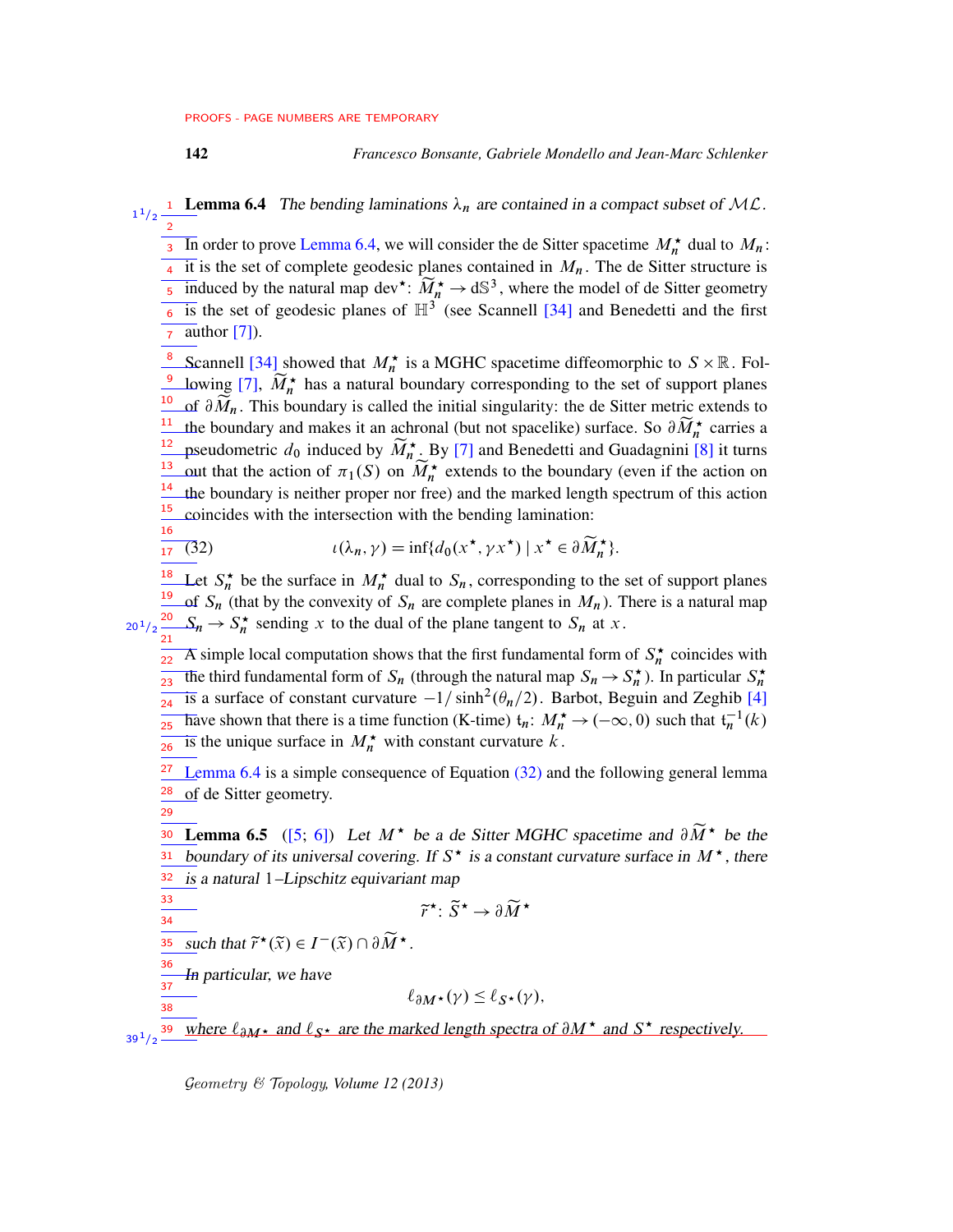<span id="page-41-0"></span>

142 *Francesco Bonsante, Gabriele Mondello and Jean-Marc Schlenker*

**1** Lemma 6.4 The bending laminations  $\lambda_n$  are contained in a compact subset of ML. 1  $1/2$ 2

 $\overline{3}$  In order to prove [Lemma 6.4,](#page-41-0) we will consider the de Sitter spacetime  $M_n^{\star}$  dual to  $M_n$ :  $\frac{1}{4}$  it is the set of complete geodesic planes contained in  $M_n$ . The de Sitter structure is 5 induced by the natural map dev<sup>\*</sup>:  $\widetilde{M}_1^* \to dS^3$ , where the model of de Sitter geometry  $\frac{1}{6}$  is the set of geodesic planes of  $\mathbb{H}^3$  (see Scannell [\[34\]](#page-76-1) and Benedetti and the first  $\frac{1}{7}$  author [\[7\]](#page-75-2)).

<sup>8</sup> Scannell [\[34\]](#page-76-1) showed that  $M_n^*$  is a MGHC spacetime diffeomorphic to  $S \times \mathbb{R}$ . Fol-<sup>9</sup> lowing [\[7\]](#page-75-2),  $\widetilde{M}_n^{\star}$  has a natural boundary corresponding to the set of support planes of  $\partial \widetilde{M}_n$ . This boundary is called the initial singularity: the de Sitter metric extends to <sup>11</sup> the boundary and makes it an achronal (but not spacelike) surface. So  $\partial \widetilde{M}_n^*$  carries a pseudometric  $d_0$  induced by  $\widetilde{M}_n^{\star}$ . By [\[7\]](#page-75-2) and Benedetti and Guadagnini [\[8\]](#page-75-3) it turns out that the action of  $\pi_1(S)$  on  $\widetilde{M}_n^*$  extends to the boundary (even if the action on  $\frac{14}{1}$  the boundary is neither proper nor free) and the marked length spectrum of this action coincides with the intersection with the bending lamination: 10 12 13 15 16

$$
\frac{17}{17} \quad (32) \quad t(\lambda_n, \gamma) = \inf \{ d_0(x^\star, \gamma x^\star) \mid x^\star \in \partial \widetilde{M}_n^\star \}.
$$

Let  $S_n^*$  be the surface in  $M_n^*$  dual to  $S_n$ , corresponding to the set of support planes of  $S_n$  (that by the convexity of  $S_n$  are complete planes in  $M_n$ ). There is a natural map  $S_n \to S_n^*$  sending x to the dual of the plane tangent to  $S_n$  at x. 18 19  $20^{1}/2 \frac{20}{21}$ 

 $\overline{P_{22}}$  A simple local computation shows that the first fundamental form of  $S_n^*$  coincides with The third fundamental form of  $S_n$  (through the natural map  $S_n \to S_n^*$ ). In particular  $S_n^*$  $\frac{1}{24}$  is a surface of constant curvature  $-1/\sinh^2(\theta_n/2)$ . Barbot, Beguin and Zeghib [\[4\]](#page-74-0)  $\frac{1}{25}$  have shown that there is a time function (K-time)  $t_n: M_n^* \to (-\infty, 0)$  such that  $t_n^{-1}(k)$ is the unique surface in  $M_n^*$  with constant curvature k. 23 26

[Lemma 6.4](#page-41-0) is a simple consequence of Equation [\(32\)](#page-41-1) and the following general lemma of de Sitter geometry. 27 28

**Lemma 6.5** ([\[5;](#page-75-0) [6\]](#page-75-1)) Let  $M^*$  be a de Sitter MGHC spacetime and  $\partial \widetilde{M}^*$  be the boundary of its universal covering. If  $S^*$  is a constant curvature surface in  $M^*$ , there is a natural 1–Lipschitz equivariant map 30 31 32

<span id="page-41-1"></span> $\widetilde{r}^{\star}$ :  $\widetilde{S}^{\star} \to \partial \widetilde{M}^{\star}$ 

$$
\overline{\mathbf{34}}
$$

<span id="page-41-2"></span>29

33

38

such that  $\widetilde{r}^{\star}(\widetilde{x}) \in I^{-}(\widetilde{x}) \cap \partial \widetilde{M}^{\star}$ . 35

In particular, we have 36 37

$$
\ell_{\partial M^\star}(\gamma) \leq \ell_{S^\star}(\gamma),
$$

where  $\ell_{\partial M^*}$  and  $\ell_{S^*}$  are the marked length spectra of  $\partial M^*$  and  $S^*$  respectively. 39  $39^{\,1}/2$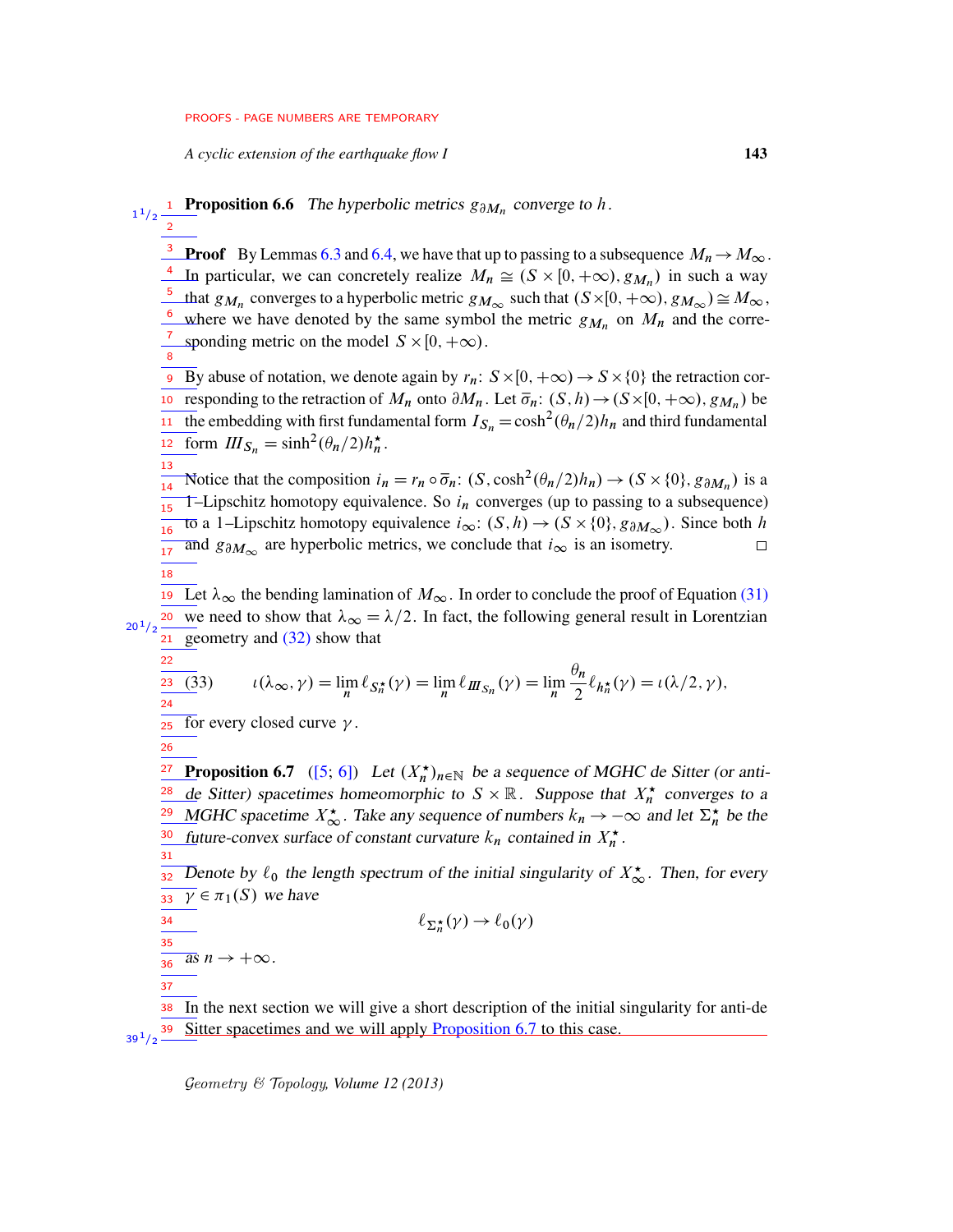*A cyclic extension of the earthquake flow I* 143

2

13

22 23 24

<span id="page-42-0"></span>26

31

34

37

**Proposition 6.6** The hyperbolic metrics  $g_{\partial M_n}$  converge to h.  $1^{1}/2$ 

**Proof** By Lemmas [6.3](#page-40-3) and [6.4,](#page-41-0) we have that up to passing to a subsequence  $M_n \to M_\infty$ . In particular, we can concretely realize  $M_n \cong (S \times [0, +\infty), g_{M_n})$  in such a way that  $g_{M_n}$  converges to a hyperbolic metric  $g_{M_\infty}$  such that  $(S\times[0, +\infty), g_{M_\infty})\cong M_\infty$ , where we have denoted by the same symbol the metric  $g_{M_n}$  on  $M_n$  and the corresponding metric on the model  $S \times [0, +\infty)$ . 3 4 5 6 7 8

By abuse of notation, we denote again by  $r_n: S \times [0, +\infty) \to S \times \{0\}$  the retraction cor-**To** responding to the retraction of  $M_n$  onto  $\partial M_n$ . Let  $\overline{\sigma}_n$ :  $(S, h) \rightarrow (S \times [0, +\infty), g_{M_n})$  be the embedding with first fundamental form  $I_{S_n}\!=\!\cosh^2(\theta_n/2)h_n$  and third fundamental form  $III_{S_n} = \sinh^2(\theta_n/2)h_n^*$ . 9 11 12

Notice that the composition  $i_n = r_n \circ \overline{\sigma}_n$ :  $(S, \cosh^2(\theta_n/2)h_n) \to (S \times \{0\}, g_{\partial M_n})$  is a 14 T-Lipschitz homotopy equivalence. So  $i_n$  converges (up to passing to a subsequence) 15 tō a 1–Lipschitz homotopy equivalence  $i_{\infty}$ :  $(S, h) \rightarrow (S \times \{0\}, g_{\partial M_{\infty}})$ . Since both h 16 and  $g_{\partial M_{\infty}}$  are hyperbolic metrics, we conclude that  $i_{\infty}$  is an isometry.  $\Box$ 17 18

19 Let  $\lambda_{\infty}$  the bending lamination of  $M_{\infty}$ . In order to conclude the proof of Equation [\(31\)](#page-40-1) we need to show that  $\lambda_{\infty} = \lambda/2$ . In fact, the following general result in Lorentzian geometry and [\(32\)](#page-41-1) show that  $20^{1}/2$ 21

(33) 
$$
\iota(\lambda_{\infty}, \gamma) = \lim_{n} \ell_{S_n^{\star}}(\gamma) = \lim_{n} \ell_{I\!I\!I_{S_n}}(\gamma) = \lim_{n} \frac{\theta_n}{2} \ell_{h_n^{\star}}(\gamma) = \iota(\lambda/2, \gamma),
$$

for every closed curve  $\gamma$ . 25

**Proposition 6.7** ([\[5;](#page-75-0) [6\]](#page-75-1)) Let  $(X_n^{\star})_{n \in \mathbb{N}}$  be a sequence of MGHC de Sitter (or anti-<u>de</u> Sitter) spacetimes homeomorphic to  $S \times \mathbb{R}$ . Suppose that  $X_n^*$  converges to a MGHC spacetime  $X_{\infty}^{\star}$ . Take any sequence of numbers  $k_n \to -\infty$  and let  $\Sigma_n^{\star}$  be the future-convex surface of constant curvature  $k_n$  contained in  $X_n^{\star}$ . 27 28 29 30

Denote by  $\ell_0$  the length spectrum of the initial singularity of  $X^*_{\infty}$ . Then, for every  $\overline{\gamma} \in \pi_1(S)$  we have 32 33

$$
\ell_{\Sigma_n^{\star}}(\gamma) \to \ell_0(\gamma)
$$

$$
\frac{35}{36} \text{ as } n \to +\infty.
$$

In the next section we will give a short description of the initial singularity for anti-de Sitter spacetimes and we will apply [Proposition 6.7](#page-42-0) to this case. 38 39  $39^{1/2}$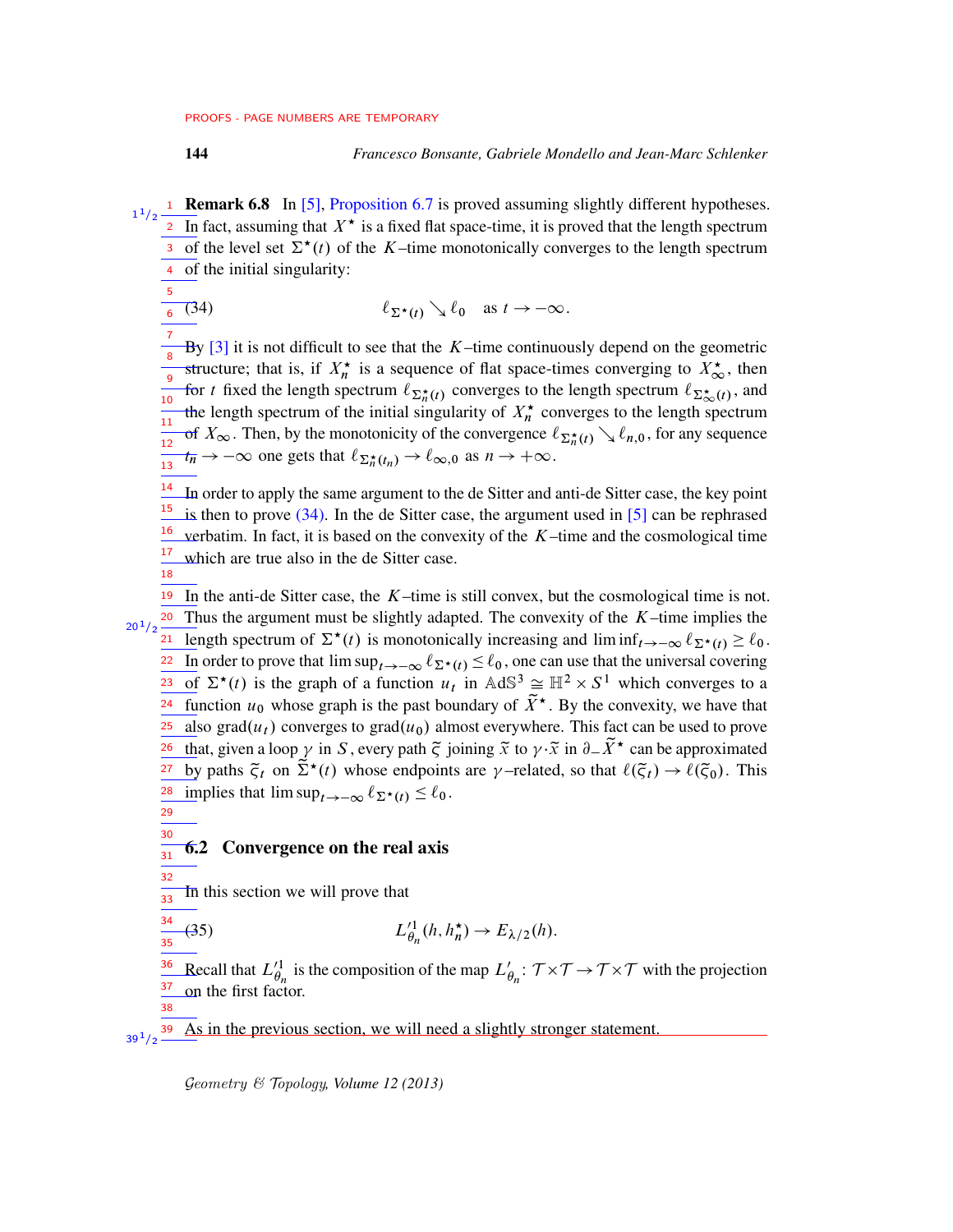<span id="page-43-1"></span>

- 1 Remark 6.8 In [\[5\]](#page-75-0), [Proposition 6.7](#page-42-0) is proved assuming slightly different hypotheses. In fact, assuming that  $X^*$  is a fixed flat space-time, it is proved that the length spectrum 3 of the level set  $\Sigma^*(t)$  of the K–time monotonically converges to the length spectrum of the initial singularity: 4 1  $1/2$ 2
	- (34)  $\ell_{\Sigma^*(t)} \searrow \ell_0 \text{ as } t \to -\infty.$ 5 6

By  $[3]$  it is not difficult to see that the K–time continuously depend on the geometric structure; that is, if  $X_n^*$  is a sequence of flat space-times converging to  $X_\infty^*$ , then for t fixed the length spectrum  $\ell_{\Sigma_n^{\star}(t)}$  converges to the length spectrum  $\ell_{\Sigma_{\infty}^{\star}(t)}$ , and the length spectrum of the initial singularity of  $X_n^{\star}$  converges to the length spectrum of  $X_\infty$ . Then, by the monotonicity of the convergence  $\ell_{\Sigma_n^{\star}(t)} \setminus \ell_{n,0}$ , for any sequence  $t_{\overline{n}} \to -\infty$  one gets that  $\ell_{\Sigma_n^{\star}(t_n)} \to \ell_{\infty,0}$  as  $n \to +\infty$ . 7 8 9  $\frac{1}{10}$  $\frac{1}{11}$  $\frac{1}{12}$  $\frac{1}{13}$ 

 $\frac{14}{1}$  In order to apply the same argument to the de Sitter and anti-de Sitter case, the key point  $\frac{15}{2}$  is then to prove [\(34\).](#page-43-1) In the de Sitter case, the argument used in [\[5\]](#page-75-0) can be rephrased verbatim. In fact, it is based on the convexity of the  $K$ –time and the cosmological time which are true also in the de Sitter case. 16 17

18

19 In the anti-de Sitter case, the  $K$ -time is still convex, but the cosmological time is not.  $20$  Thus the argument must be slightly adapted. The convexity of the  $K$ -time implies the **21** length spectrum of  $\Sigma^*(t)$  is monotonically increasing and lim inf $t \to -\infty$   $\ell_{\Sigma^*(t)} \geq \ell_0$ . In order to prove that  $\limsup_{t\to-\infty} \ell_{\Sigma^{\star}(t)} \leq \ell_0$ , one can use that the universal covering of  $\Sigma^*(t)$  is the graph of a function  $u_t$  in  $AdS^3 \cong \mathbb{H}^2 \times S^1$  which converges to a <sup>24</sup> function  $u_0$  whose graph is the past boundary of  $\tilde{X}^{\star}$ . By the convexity, we have that also grad $(u_t)$  converges to grad $(u_0)$  almost everywhere. This fact can be used to prove that, given a loop  $\gamma$  in S, every path  $\tilde{\zeta}$  joining  $\tilde{x}$  to  $\gamma \cdot \tilde{x}$  in  $\partial_{-} \tilde{X}^{\star}$  can be approximated by paths  $\tilde{\zeta}_t$  on  $\tilde{\Sigma}^*(t)$  whose endpoints are  $\gamma$ -related, so that  $\ell(\tilde{\zeta}_t) \to \ell(\tilde{\zeta}_0)$ . This implies that  $\limsup_{t \to -\infty} \ell_{\Sigma^{\star}(t)} \leq \ell_0$ .  $20^{1}/2$ 22 23 25 26 27 28

29 30 31

38

# <span id="page-43-0"></span>6.2 Convergence on the real axis

In this section we will prove that 32  $\frac{1}{33}$ 

$$
\frac{\overline{34}}{35}(35) \hspace{1cm} L_{\theta_n}^{\prime 1}(h,h_n^{\star}) \to E_{\lambda/2}(h).
$$

Recall that  $L'_{\theta_n}$  is the composition of the map  $L'_{\theta_n}$ :  $\tau \times \tau \to \tau \times \tau$  with the projection on the first factor. 36 37

As in the previous section, we will need a slightly stronger statement.  $39^{1}/2$   $-$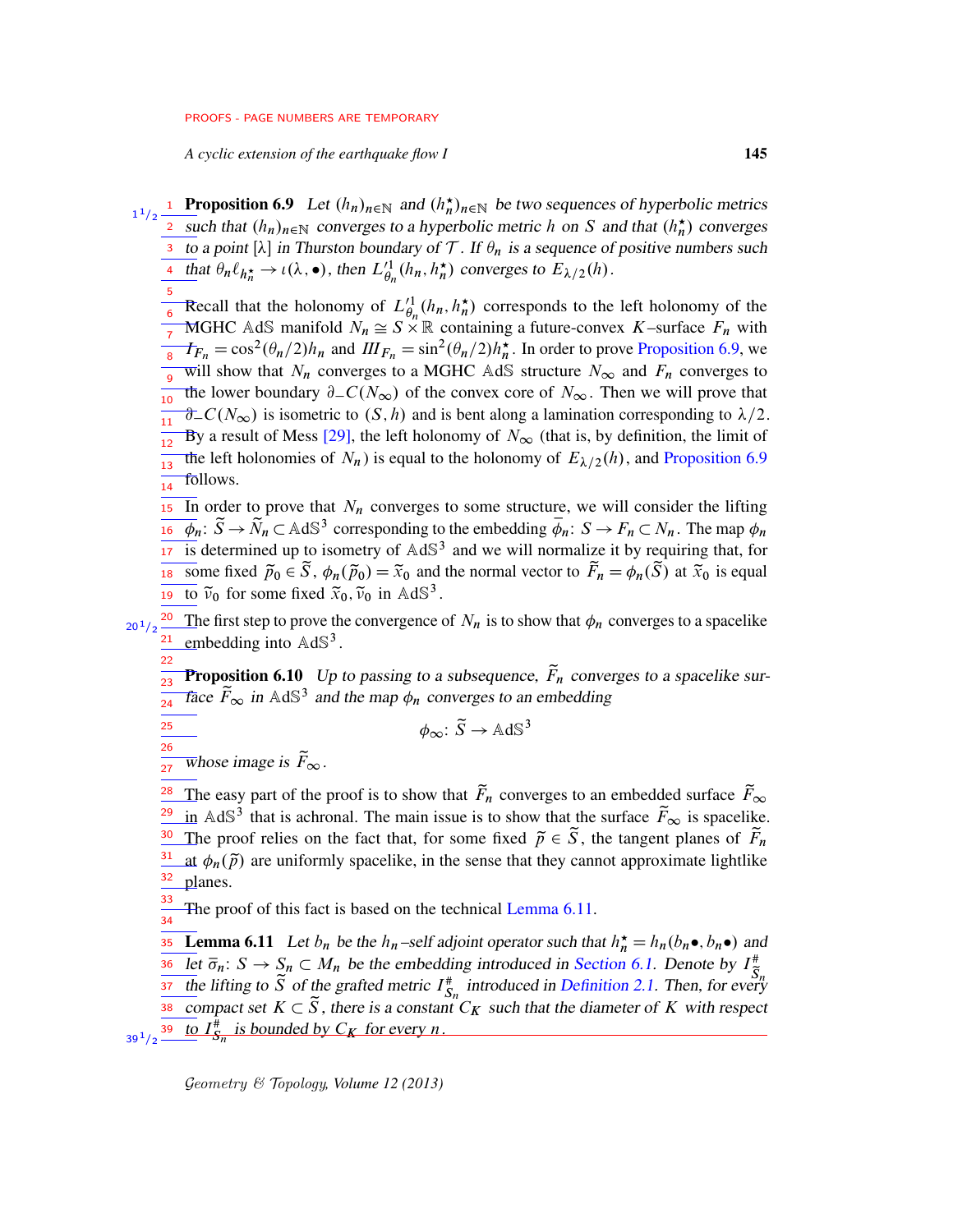<span id="page-44-0"></span>*A cyclic extension of the earthquake flow I* 145

- **1** Proposition 6.9 Let  $(h_n)_{n \in \mathbb{N}}$  and  $(h_n^{\star})_{n \in \mathbb{N}}$  be two sequences of hyperbolic metrics <sup>2</sup> such that  $(h_n)_{n \in \mathbb{N}}$  converges to a hyperbolic metric h on S and that  $(h_n^{\star})$  converges 3 to a point [ $\lambda$ ] in Thurston boundary of T. If  $\theta_n$  is a sequence of positive numbers such  $\frac{1}{2}$  that  $\theta_n \ell_{h_n^*} \to \iota(\lambda, \bullet)$ , then  $L_{\theta_n}^{\prime 1}(h_n, h_n^*)$  converges to  $E_{\lambda/2}(h)$ . 1  $1/2$ 
	- $\frac{5}{6}$  Recall that the holonomy of  $L_{\theta_n}^{\prime 1}(h_n, h_n^{\star})$  corresponds to the left holonomy of the MGHC AdS manifold  $N_n \cong S \times \mathbb{R}$  containing a future-convex K–surface  $F_n$  with <sup>7</sup> MOTE TRIS mannote  $N_n \equiv 3 \times \mathbb{R}$  containing a rattice convex  $N$  startice  $T_n$  with  $\frac{8}{\pi} T_{F_n} = \cos^2(\theta_n/2)h_n$  and  $I\!II_{F_n} = \sin^2(\theta_n/2)h_n^*$ . In order to prove [Proposition 6.9,](#page-44-0) we will show that  $N_n$  converges to a MGHC AdS structure  $N_{\infty}$  and  $F_n$  converges to the lower boundary  $\partial_{-}C(N_{\infty})$  of the convex core of  $N_{\infty}$ . Then we will prove that  $\partial$  C(N<sub>∞</sub>) is isometric to (S, h) and is bent along a lamination corresponding to  $\lambda/2$ . By a result of Mess [\[29\]](#page-76-2), the left holonomy of  $N_{\infty}$  (that is, by definition, the limit of The left holonomies of  $N_n$ ) is equal to the holonomy of  $E_{\lambda/2}(h)$ , and [Proposition 6.9](#page-44-0) follows. 6 8 10  $\frac{1}{11}$ 12 13 14
	- In order to prove that  $N_n$  converges to some structure, we will consider the lifting  $\overline{\phi}_n: \widetilde{S} \to \widetilde{N}_n \subset \text{AdS}^3$  corresponding to the embedding  $\overline{\phi}_n: S \to F_n \subset N_n$ . The map  $\phi_n$ is determined up to isometry of  $AdS<sup>3</sup>$  and we will normalize it by requiring that, for is some fixed  $\tilde{p}_0 \in \tilde{S}$ ,  $\phi_n(\tilde{p}_0) = \tilde{x}_0$  and the normal vector to  $\tilde{F}_n = \phi_n(\tilde{S})$  at  $\tilde{x}_0$  is equal 19 to  $\tilde{\nu}_0$  for some fixed  $\tilde{x}_0$ ,  $\tilde{\nu}_0$  in AdS<sup>3</sup>. 15 16 17
- <sup>20</sup> The first step to prove the convergence of  $N_n$  is to show that  $\phi_n$  converges to a spacelike  $\frac{21}{}$  embedding into AdS<sup>3</sup>.  $20^{1}/2$ 
	- **Proposition 6.10** Up to passing to a subsequence,  $\tilde{F}_n$  converges to a spacelike sur-Face  $\tilde{F}_{\infty}$  in AdS<sup>3</sup> and the map  $\phi_n$  converges to an embedding 22 23 24
		- $\phi_{\infty} : \widetilde{S} \to \mathbb{A} \mathrm{d} \mathbb{S}^3$
	- whose image is  $\widetilde{F}_{\infty}$ . 27

<span id="page-44-2"></span> $\overline{25}$ 26

The easy part of the proof is to show that  $\tilde{F}_n$  converges to an embedded surface  $\tilde{F}_{\infty}$ in AdS<sup>3</sup> that is achronal. The main issue is to show that the surface  $\widetilde{F}_{\infty}$  is spacelike. The proof relies on the fact that, for some fixed  $\tilde{p} \in \tilde{S}$ , the tangent planes of  $\tilde{F}_n$ at  $\phi_n(\tilde{p})$  are uniformly spacelike, in the sense that they cannot approximate lightlike planes. 28 29 30 31 32

<span id="page-44-1"></span>The proof of this fact is based on the technical [Lemma 6.11.](#page-44-1) 33 34

**Example 10.11** Let  $b_n$  be the  $h_n$ -self adjoint operator such that  $h_n^* = h_n(b_n \bullet, b_n \bullet)$  and Let  $\overline{\sigma}_n: S \to S_n \subset M_n$  be the embedding introduced in [Section 6.1.](#page-40-0) Denote by  $I_{\overline{S}_n}^*$ the lifting to  $\tilde{S}$  of the grafted metric  $I_{S_n}^{\#}$  introduced in [Definition 2.1.](#page-13-0) Then, for every compact set  $K \subset \tilde{S}$ , there is a constant  $C_K$  such that the diameter of K with respect  $t_{39}^{39}$  to  $I_{S_n}^{\#}$  is bounded by  $C_K$  for every n. 36 37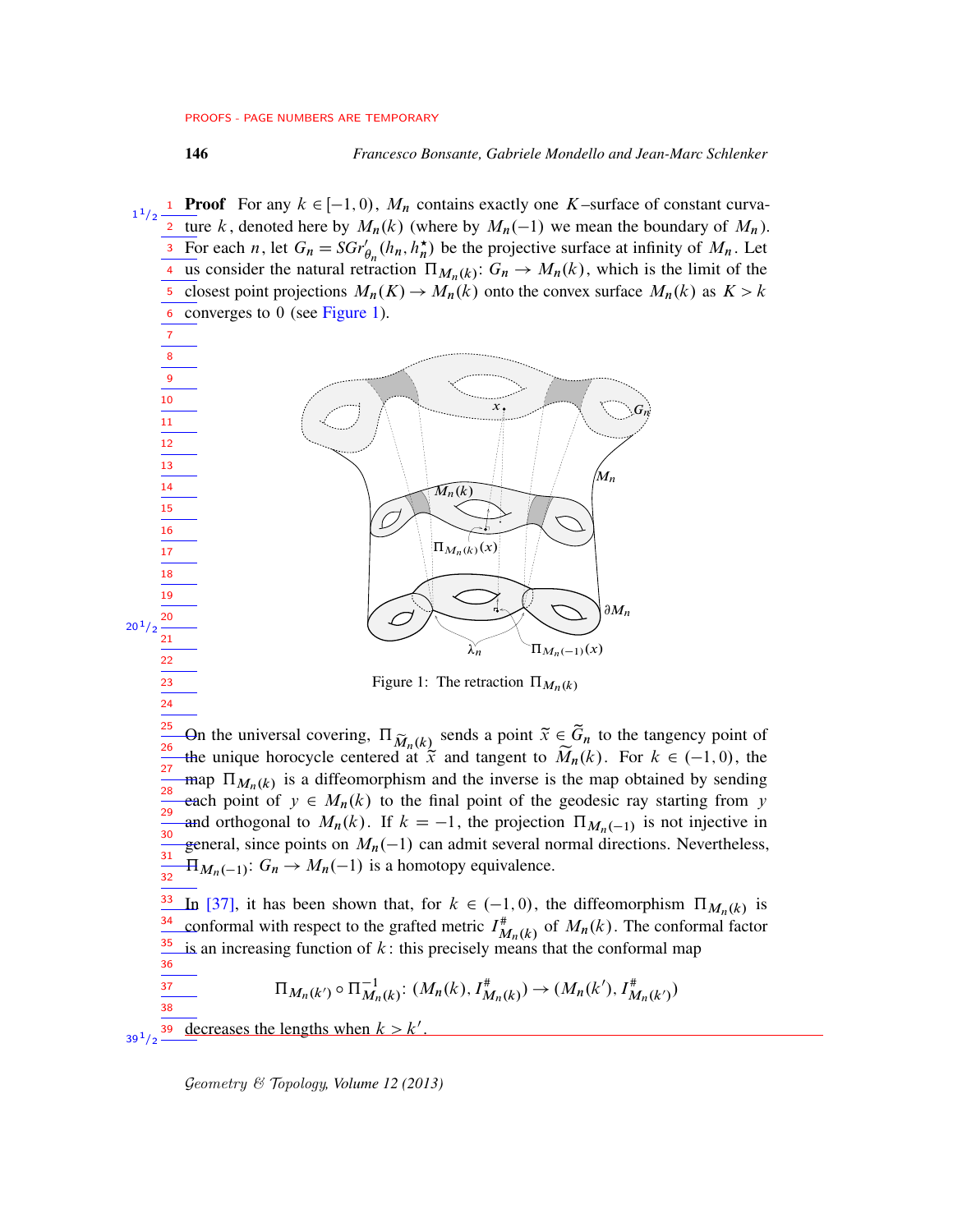**Proof** For any  $k \in [-1, 0)$ ,  $M_n$  contains exactly one K–surface of constant curva-<sup>2</sup> ture k, denoted here by  $M_n(k)$  (where by  $M_n(-1)$  we mean the boundary of  $M_n$ ). For each *n*, let  $G_n = SGr'_{\theta_n}(h_n, h_n^{\star})$  be the projective surface at infinity of  $M_n$ . Let <sup>4</sup> us consider the natural retraction  $\Pi_{M_n(k)}$ :  $G_n \to M_n(k)$ , which is the limit of the <sup>5</sup> closest point projections  $M_n(K) \to M_n(k)$  onto the convex surface  $M_n(k)$  as  $K > k$  $6$  converges to 0 (see [Figure 1\)](#page-45-0). 1  $1/2$ 3

<span id="page-45-0"></span>

Figure 1: The retraction  $\Pi_{M_n(k)}$ 

On the universal covering,  $\Pi_{\widetilde{M}_n(k)}$  sends a point  $\widetilde{x} \in \widetilde{G}_n$  to the tangency point of the unique horocycle centered at  $\tilde{x}$  and tangent to  $\tilde{M}_n(k)$ . For  $k \in (-1,0)$ , the map  $\Pi_{M_n(k)}$  is a diffeomorphism and the inverse is the map obtained by sending each point of  $y \in M_n(k)$  to the final point of the geodesic ray starting from y and orthogonal to  $M_n(k)$ . If  $k = -1$ , the projection  $\Pi_{M_n(-1)}$  is not injective in general, since points on  $M_n(-1)$  can admit several normal directions. Nevertheless,  $H_{M_n(-1)}$ :  $G_n \to M_n(-1)$  is a homotopy equivalence. 25 26 27 28 29 30 31 32

In [\[37\]](#page-76-3), it has been shown that, for  $k \in (-1,0)$ , the diffeomorphism  $\Pi_{M_n(k)}$  is conformal with respect to the grafted metric  $I^*_{M_n(k)}$  of  $M_n(k)$ . The conformal factor is an increasing function of  $k$ : this precisely means that the conformal map 33 34 35 36

$$
\Pi_{M_n(k')} \circ \Pi_{M_n(k)}^{-1} : (M_n(k), I_{M_n(k)}^*) \to (M_n(k'), I_{M_n(k')}^*)
$$

decreases the lengths when  $k > k'$ . 39  $39^{1/2}$ 

37 38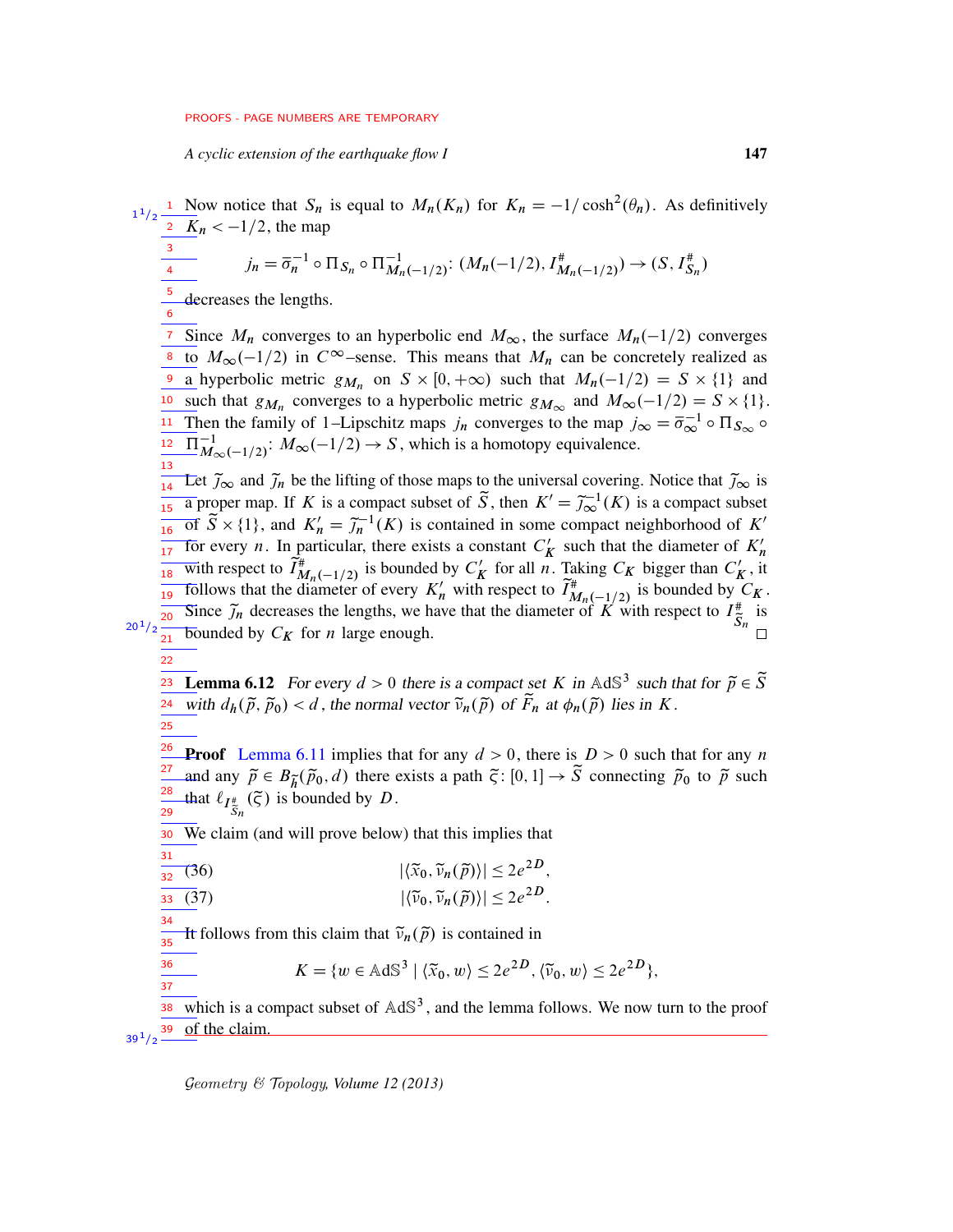*A cyclic extension of the earthquake flow I* 147

<span id="page-46-0"></span><sup>1</sup> Now notice that  $S_n$  is equal to  $M_n(K_n)$  for  $K_n = -1/\cosh^2(\theta_n)$ . As definitively  $\overline{K}_n < -1/2$ , the map  $j_n = \overline{\sigma}_n^{-1} \circ \Pi_{S_n} \circ \Pi_{M_n(-1/2)}^{-1} : (M_n(-1/2), I_{M_n(-1/2)}^*) \to (S, I_{S_n}^*)$ decreases the lengths. <sup>7</sup> Since  $M_n$  converges to an hyperbolic end  $M_\infty$ , the surface  $M_n(-1/2)$  converges <sup>8</sup> to  $M_{\infty}(-1/2)$  in  $C^{\infty}$ -sense. This means that  $M_n$  can be concretely realized as <sup>9</sup> a hyperbolic metric  $g_{M_n}$  on  $S \times [0, +\infty)$  such that  $M_n(-1/2) = S \times \{1\}$  and <sup>10</sup> such that  $g_{M_n}$  converges to a hyperbolic metric  $g_{M_\infty}$  and  $M_\infty(-1/2) = S \times \{1\}.$ <sup>11</sup> Then the family of 1–Lipschitz maps  $j_n$  converges to the map  $j_\infty = \overline{\sigma}_\infty^{-1} \circ \Pi_{S_\infty} \circ$  $\Pi_{M_{\infty}(-1/2)}^{-1}$ :  $M_{\infty}(-1/2) \rightarrow S$ , which is a homotopy equivalence.  $\frac{1}{14}$  Let  $\tilde{\jmath}_{\infty}$  and  $\tilde{\jmath}_n$  be the lifting of those maps to the universal covering. Notice that  $\tilde{\jmath}_{\infty}$  is  $\frac{14}{15}$  a proper map. If K is a compact subset of  $\widetilde{S}$ , then  $K' = \widetilde{J}_{\infty}^{-1}(K)$  is a compact subset  $\frac{15}{16}$  of  $\widetilde{S} \times \{1\}$ , and  $K'_n = \widetilde{J}_n^{-1}(K)$  is contained in some compact neighborhood of K' For every *n*. In particular, there exists a constant  $C'$  $\frac{1}{17}$  for every *n*. In particular, there exists a constant  $C'_K$  such that the diameter of  $K'_n$ with respect to  $\overrightarrow{I}_{M_n(-1/2)}^*$  is bounded by  $C'_R$  $K'_{\mathbf{K}}$  for all n. Taking  $C_{\mathbf{K}}$  bigger than  $C'_{\mathbf{K}}$  $\frac{1}{18}$  with respect to  $I_{M_n(-1/2)}^*$  is bounded by  $C'_K$  for all *n*. Taking  $C_K$  bigger than  $C'_K$ , it follows that the diameter of every  $K'_n$  with respect to  $\tilde{I}_{M_n(-1/2)}^*$  is bounded by  $C_K$ . Since  $\tilde{j}_n$  decreases the lengths, we have that the diameter of  $\tilde{K}$  with respect to  $I_{\tilde{S}_n}^{\#}$  is  $\frac{1}{21}$  bounded by  $C_K$  for *n* large enough. **Lemma 6.12** For every  $d > 0$  there is a compact set K in AdS<sup>3</sup> such that for  $\tilde{p} \in \tilde{S}$  $\frac{24}{24}$  with  $d_h(\tilde{p}, \tilde{p}_0) < d$ , the normal vector  $\tilde{v}_n(\tilde{p})$  of  $\tilde{F}_n$  at  $\phi_n(\tilde{p})$  lies in K. **Proof** [Lemma 6.11](#page-44-1) implies that for any  $d > 0$ , there is  $D > 0$  such that for any n and any  $\tilde{p} \in B_{\tilde{h}}(\tilde{p}_0, d)$  there exists a path  $\tilde{\varsigma}: [0, 1] \to \tilde{S}$  connecting  $\tilde{p}_0$  to  $\tilde{p}$  such that  $\ell_{I_{\widetilde{S}_n}^*}(\widetilde{\zeta})$  is bounded by  $D$ . We claim (and will prove below) that this implies that (36)  $|\langle \widetilde{x}_0, \widetilde{v}_n(\widetilde{p}) \rangle| \leq 2e^{2D}$ , (37)  $|\langle \widetilde{\nu}_0, \widetilde{\nu}_n(\widetilde{p}) \rangle| \leq 2e^{2D}$ . It follows from this claim that  $\tilde{\nu}_n(\tilde{p})$  is contained in  $K = \{w \in \text{AdS}^3 \mid \langle \tilde{x}_0, w \rangle \leq 2e^{2D}, \langle \tilde{v}_0, w \rangle \leq 2e^{2D}\},\$ which is a compact subset of  $AdS<sup>3</sup>$ , and the lemma follows. We now turn to the proof of the claim. 1  $1/2$ 3 4 5 6 12 13  $20^{\,1}/2$ 22 23 25 26 27 28 29 30 31 32 33 34 35 36 37 38 39  $39^{1/2}$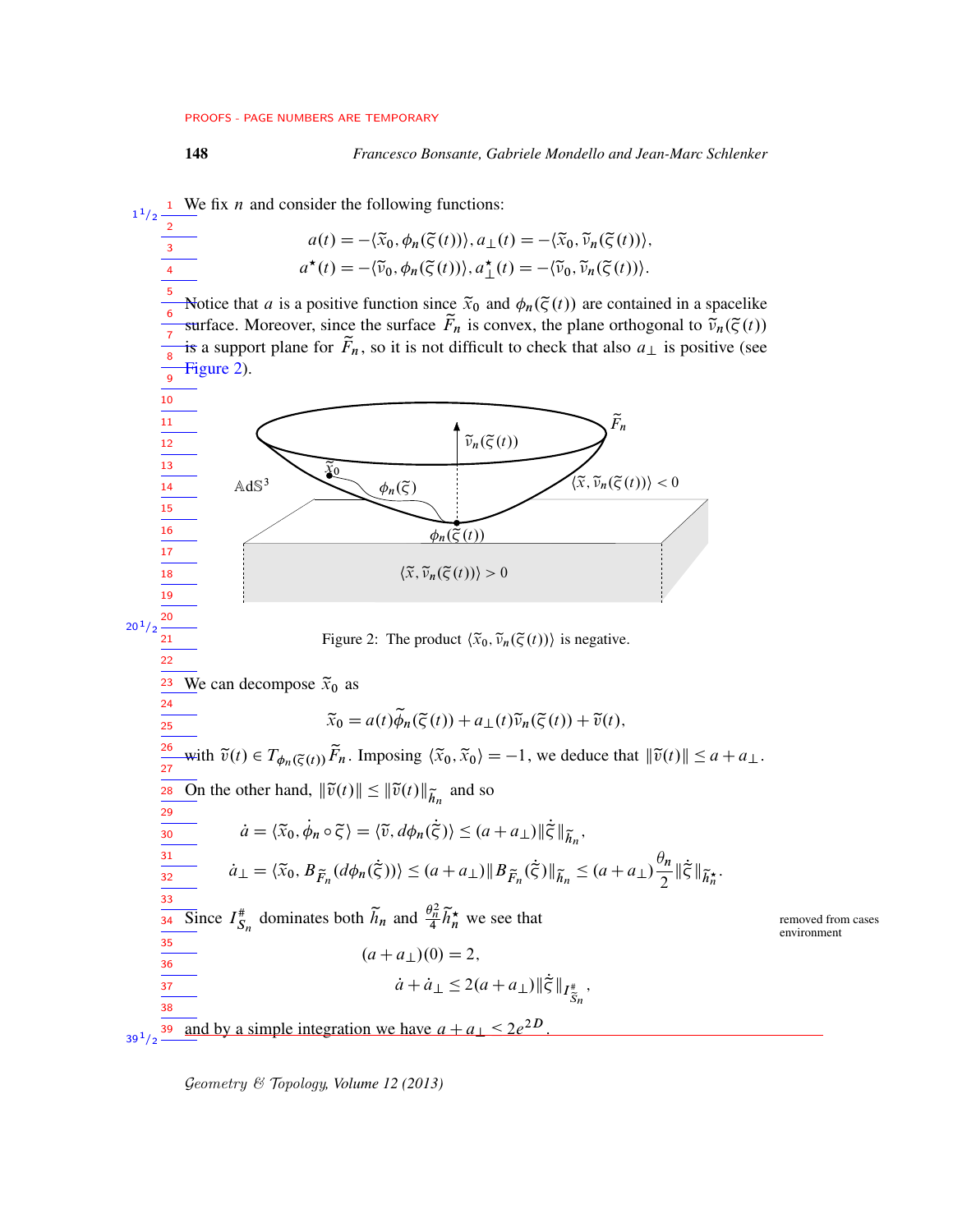<span id="page-47-0"></span><sup>1</sup> We fix *n* and consider the following functions:  $a(t) = -\langle \widetilde{x}_0, \phi_n(\widetilde{\zeta}(t)) \rangle, a_1(t) = -\langle \widetilde{x}_0, \widetilde{v}_n(\widetilde{\zeta}(t)) \rangle,$  $a^{\star}(t) = -\langle \widetilde{v}_0, \phi_n(\widetilde{\varsigma}(t)) \rangle, a^{\star}_{\perp}(t) = -\langle \widetilde{v}_0, \widetilde{v}_n(\widetilde{\varsigma}(t)) \rangle.$ Notice that a is a positive function since  $\tilde{x}_0$  and  $\phi_n(\tilde{\zeta}(t))$  are contained in a spacelike surface. Moreover, since the surface  $\tilde{F}_n$  is convex, the plane orthogonal to  $\tilde{v}_n(\tilde{\zeta}(t))$ is a support plane for  $\tilde{F}_n$ , so it is not difficult to check that also  $a_{\perp}$  is positive (see [Figure 2\)](#page-47-0).  $AdS<sup>3</sup>$  $\overline{\widetilde{\chi}_0}$  $\phi_n(\widetilde{\varsigma})$  $\widetilde{\nu}_n(\widetilde{\varsigma}(t))$  $\phi_n(\tilde{\varsigma}(t))$  $\langle \widetilde{x}, \widetilde{\nu}_n(\widetilde{\varsigma}(t))\rangle < 0$  $\widetilde{F}_n$  $\langle \widetilde{x}, \widetilde{\nu}_n(\widetilde{\varsigma}(t)) \rangle > 0$ Figure 2: The product  $\langle \tilde{x}_0, \tilde{v}_n(\tilde{\zeta}(t)) \rangle$  is negative. We can decompose  $\tilde{x}_0$  as  $\widetilde{x}_0 = a(t)\widetilde{\phi}_n(\widetilde{\varsigma}(t)) + a_{\perp}(t)\widetilde{\nu}_n(\widetilde{\varsigma}(t)) + \widetilde{\nu}(t),$ with  $\tilde{v}(t) \in T_{\phi_n(\tilde{\zeta}(t))} \tilde{F}_n$ . Imposing  $\langle \tilde{x}_0, \tilde{x}_0 \rangle = -1$ , we deduce that  $\|\tilde{v}(t)\| \le a + a_{\perp}$ .  $\overline{\text{On}}$  the other hand,  $\|\tilde{v}(t)\| \le \|\tilde{v}(t)\|_{\tilde{h}_n}$  and so  $\dot{a} = \langle \tilde{x}_0, \dot{\phi}_n \circ \tilde{\zeta} \rangle = \langle \tilde{v}, d\phi_n(\dot{\tilde{\zeta}}) \rangle \leq (a + a_\perp) \|\dot{\tilde{\zeta}}\|_{\tilde{h}_n},$  $\dot{a}_{\perp} = \langle \tilde{x}_0, B_{\tilde{F}_n}(d\phi_n(\dot{\tilde{\zeta}})) \rangle \leq (a + a_{\perp}) \|B_{\tilde{F}_n}(\dot{\tilde{\zeta}})\|_{\tilde{h}_n} \leq (a + a_{\perp}) \frac{\theta_n}{2}$  $\frac{\partial n}{2}$   $\|\dot{\tilde{\zeta}}\|_{\widetilde{h}_n^{\star}}$ . Since  $I_{S_n}^{\#}$  dominates both  $\tilde{h}_n$  and  $\frac{\theta_n^2}{4} \tilde{h}_n^{\star}$  we see that removed from cases environment  $(a + a<sub>1</sub>)(0) = 2,$  $\dot{a} + \dot{a}_{\perp} \leq 2(a + a_{\perp}) \|\dot{\tilde{\zeta}}\|_{I^*_{\widetilde{S}_n}},$ and by a simple integration we have  $a + a_{\perp} \le 2e^{2D}$ 1  $1/2$ 2 3 4 5 6 7 8 9 10 11 12 13 14 15 16 17 18 19 20  $20^{1}/2$  $21$ 22 23 24  $\frac{1}{25}$ 26 27 28 29 30 31 32 33 34 35 36 37 38 39  $39^{1/2}$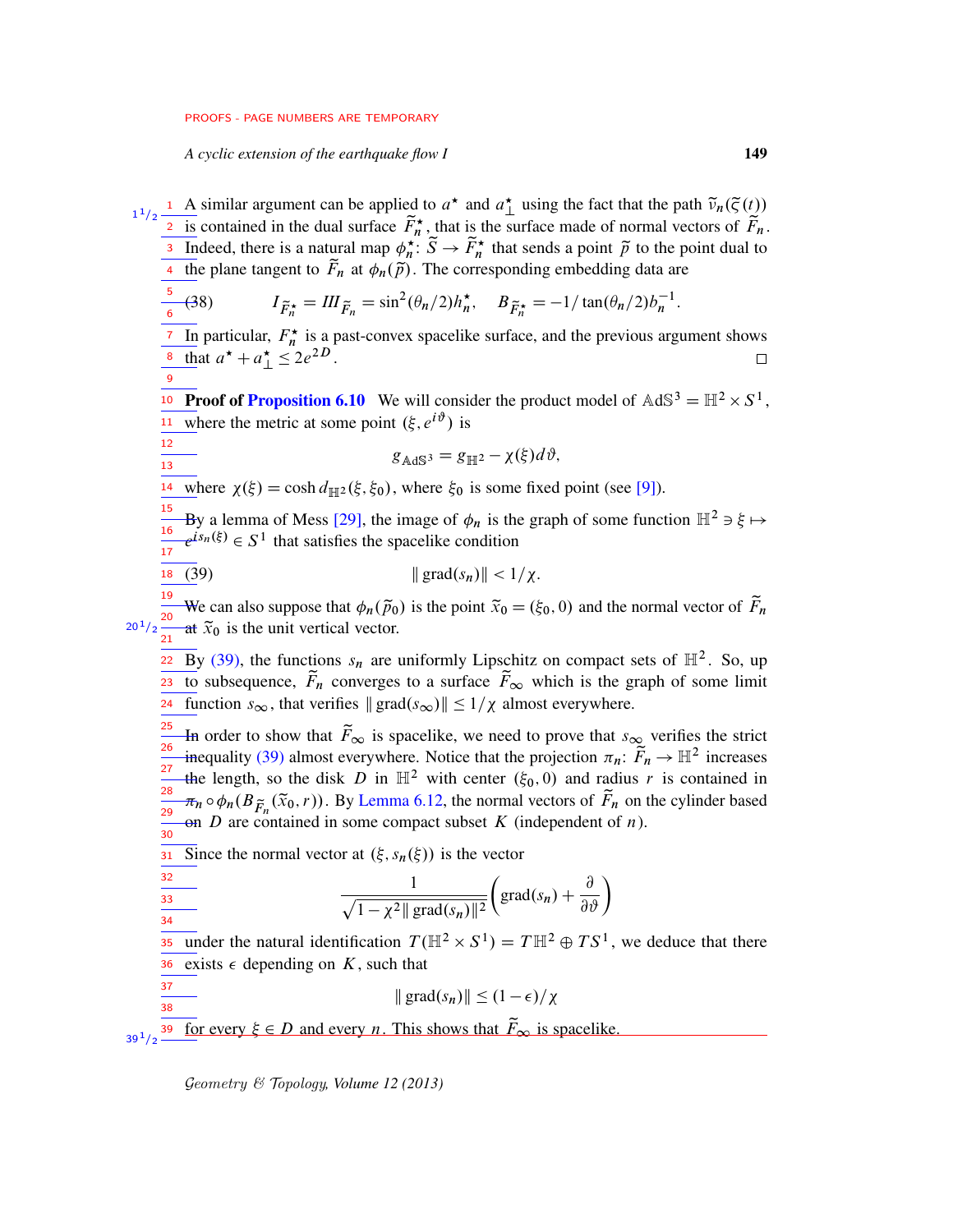*A cyclic extension of the earthquake flow I* 149

5 6

9

12 13

37 38

<sup>1</sup> A similar argument can be applied to  $a^*$  and  $a^*$  using the fact that the path  $\tilde{v}_n(\tilde{\zeta}(t))$ <u>2 is</u> contained in the dual surface  $\tilde{F}_n^*$ , that is the surface made of normal vectors of  $\tilde{F}_n$ . Indeed, there is a natural map  $\phi_n^{\pi}$ :  $\widetilde{S} \to \widetilde{F}_n^*$  that sends a point  $\widetilde{p}$  to the point dual to <sup>3</sup> Indeed, there is a natural map  $\phi_n^*$ :  $S \to F_n^*$  that sends a point p to the p<br><sup>4</sup> the plane tangent to  $\tilde{F}_n$  at  $\phi_n(\tilde{p})$ . The corresponding embedding data are 1  $1/2$ 4

(38) 
$$
I_{\tilde{F}_n^*} = III_{\tilde{F}_n} = \sin^2(\theta_n/2)h_n^*, \quad B_{\tilde{F}_n^*} = -1/\tan(\theta_n/2)b_n^{-1}.
$$

<sup>7</sup> In particular,  $F_n^*$  is a past-convex spacelike surface, and the previous argument shows <sup>8</sup> that  $a^* + a^* \leq 2e^{2D}$ .  $\Box$ 

<sup>10</sup> Proof of [Proposition 6.10](#page-44-2) We will consider the product model of  $AdS^3 = H^2 \times S^1$ , where the metric at some point  $(\xi, e^{i\vartheta})$  is 11

<span id="page-48-1"></span><span id="page-48-0"></span>
$$
g_{\text{AdS}^3} = g_{\mathbb{H}^2} - \chi(\xi) d\vartheta,
$$

<sup>14</sup> where  $\chi(\xi) = \cosh d_{\mathbb{H}^2}(\xi, \xi_0)$ , where  $\xi_0$  is some fixed point (see [\[9\]](#page-75-4)).

By a lemma of Mess [\[29\]](#page-76-2), the image of  $\phi_n$  is the graph of some function  $\mathbb{H}^2 \ni \xi \mapsto$  $e^{is_n(\xi)} \in S^1$  that satisfies the spacelike condition 15 16 17

$$
\|\operatorname{grad}(s_n)\| < 1/\chi.
$$

We can also suppose that  $\phi_n(\tilde{p}_0)$  is the point  $\tilde{x}_0 = (\xi_0, 0)$  and the normal vector of  $\tilde{F}_n$ at  $\tilde{x}_0$  is the unit vertical vector. 19  $20^{1}/2 \frac{20}{21}$ 

 $\overline{22}$  By [\(39\),](#page-48-0) the functions  $s_n$  are uniformly Lipschitz on compact sets of  $\mathbb{H}^2$ . So, up to subsequence,  $F_n$  converges to a surface  $F_{\infty}$  which is the graph of some limit **Function**  $s_{\infty}$ , that verifies  $\| \text{grad}(s_{\infty}) \| \leq 1/\chi$  almost everywhere.

In order to show that  $\tilde{F}_{\infty}$  is spacelike, we need to prove that  $s_{\infty}$  verifies the strict inequality [\(39\)](#page-48-0) almost everywhere. Notice that the projection  $\pi_n : \widetilde{F}_n \to \mathbb{H}^2$  increases the length, so the disk D in  $\mathbb{H}^2$  with center  $(\xi_0, 0)$  and radius r is contained in  $\pi_n \circ \phi_n(B_{\widetilde{F}_n}(\widetilde{x}_0,r))$ . By [Lemma 6.12,](#page-46-0) the normal vectors of  $\widetilde{F}_n$  on the cylinder based on D are contained in some compact subset K (independent of  $n$ ). 25 26 27 28 29  $\frac{1}{30}$ 

31 Since the normal vector at  $(\xi, s_n(\xi))$  is the vector

$$
\frac{\frac{32}{33}}{\frac{1}{34}} \qquad \qquad \frac{1}{\sqrt{1-\chi^2||\operatorname{grad}(s_n)||^2}} \left(\operatorname{grad}(s_n) + \frac{\partial}{\partial \vartheta}\right)
$$

35 under the natural identification  $T(\mathbb{H}^2 \times S^1) = T \mathbb{H}^2 \oplus TS^1$ , we deduce that there exists  $\epsilon$  depending on K, such that 36

 $\| \text{grad}(s_n) \| \leq (1 - \epsilon)/\chi$ 

for every  $\xi \in D$  and every *n*. This shows that  $\widetilde{F}_{\infty}$  is spacelike. 39  $39^{\,1}/2$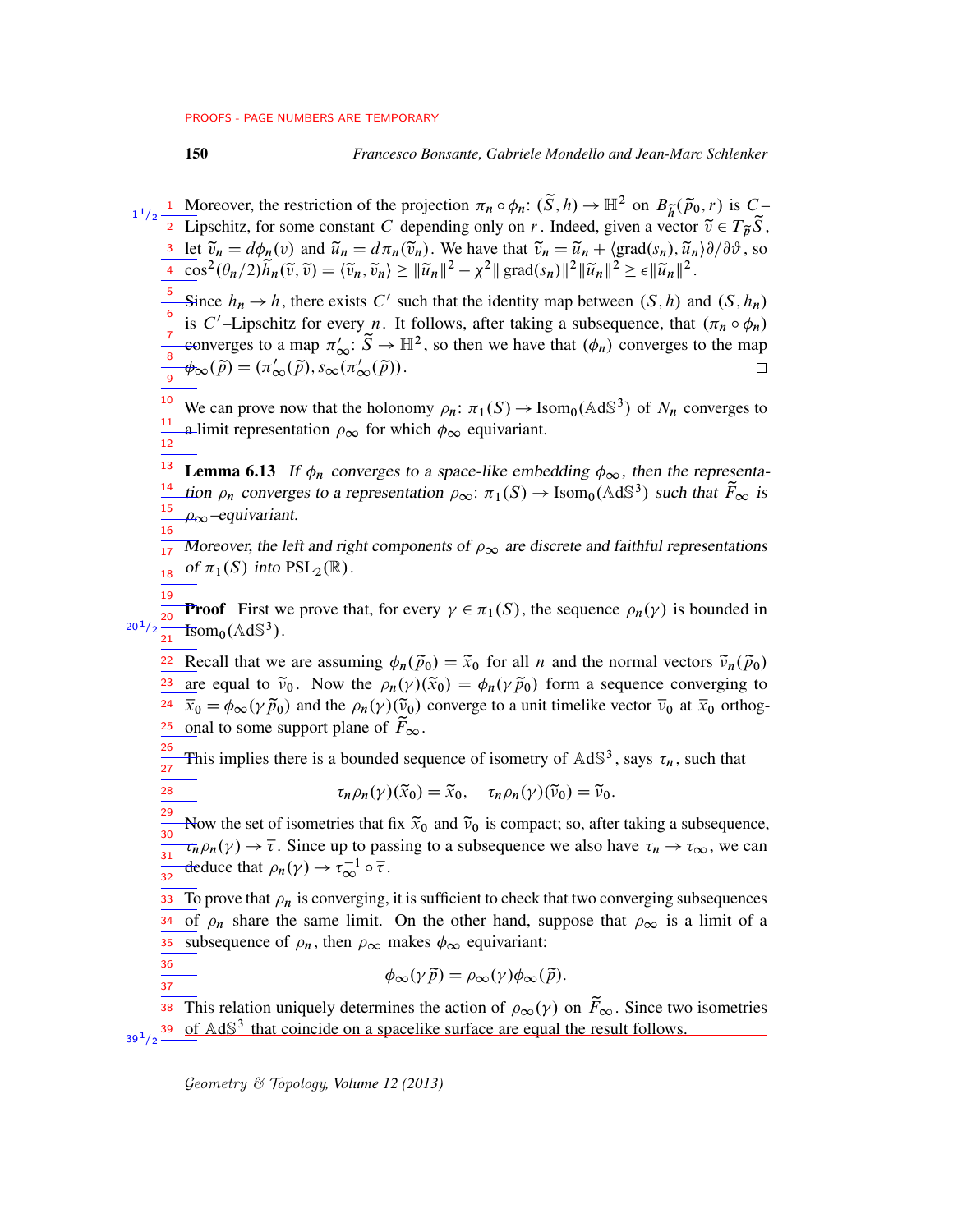28

36 37 150 *Francesco Bonsante, Gabriele Mondello and Jean-Marc Schlenker*

**1** Moreover, the restriction of the projection  $\pi_n \circ \phi_n$ :  $(\tilde{S}, h) \to \mathbb{H}^2$  on  $B_{\tilde{h}}(\tilde{p}_0, r)$  is  $C_{\tilde{h}}$ **Lipschitz, for some constant C** depending only on r. Indeed, given a vector  $\tilde{v} \in T_{\tilde{p}} \tilde{S}$ , <sup>3</sup> let  $\tilde{v}_n = d\phi_n(v)$  and  $\tilde{u}_n = d\pi_n(\tilde{v}_n)$ . We have that  $\tilde{v}_n = \tilde{u}_n + \langle \text{grad}(s_n), \tilde{u}_n \rangle \partial/\partial \tilde{v}$ , so  $\frac{a}{4} \cos^2(\theta_n/2) \widetilde{h}_n(\widetilde{v}, \widetilde{v}) = \langle \widetilde{v}_n, \widetilde{v}_n \rangle \geq ||\widetilde{u}_n||^2 - \chi^2 ||\operatorname{grad}(s_n)||^2 ||\widetilde{u}_n||^2 \geq \epsilon ||\widetilde{u}_n||^2.$ 1  $1/2$ 

5 Since  $h_n \to h$ , there exists C' such that the identity map between  $(S, h)$  and  $(S, h_n)$ 6 is C'-Lipschitz for every *n*. It follows, after taking a subsequence, that  $(\pi_n \circ \phi_n)$ eonverges to a map  $\pi'_{\infty}$ :  $\widetilde{S} \to \mathbb{H}^2$ , so then we have that  $(\phi_n)$  converges to the map 7 8  $\phi_{\infty}(\tilde{p}) = (\pi'_{\infty}(\tilde{p}), s_{\infty}(\pi'_{\infty}(\tilde{p})).$  $\Box$ 9

We can prove now that the holonomy  $\rho_n: \pi_1(S) \to \text{Isom}_0(\text{AdS}^3)$  of  $N_n$  converges to a limit representation  $\rho_{\infty}$  for which  $\phi_{\infty}$  equivariant. 10 11 12

<span id="page-49-0"></span><sup>13</sup> Lemma 6.13 If  $\phi_n$  converges to a space-like embedding  $\phi_\infty$ , then the representa-<sup>14</sup> tion  $\rho_n$  converges to a representation  $\rho_{\infty}$ :  $\pi_1(S) \to \text{Isom}_0(\text{AdS}^3)$  such that  $\tilde{F}_{\infty}$  is  $\rho_{\infty}$ –equivariant. 15 16

Moreover, the left and right components of  $\rho_{\infty}$  are discrete and faithful representations  $\overline{ot} \pi_1(S)$  into  $PSL_2(\mathbb{R})$ . 17 18

**Proof** First we prove that, for every  $\gamma \in \pi_1(S)$ , the sequence  $\rho_n(\gamma)$  is bounded in  $\text{Isom}_0(\text{AdS}^3)$ . 19  $\overline{20}$  $20^{1}/2$  $\frac{1}{21}$ 

<sup>22</sup> Recall that we are assuming  $\phi_n(\tilde{p}_0) = \tilde{x}_0$  for all *n* and the normal vectors  $\tilde{v}_n(\tilde{p}_0)$ are equal to  $\tilde{\nu}_0$ . Now the  $\rho_n(\gamma)(\tilde{x}_0) = \phi_n(\gamma \tilde{p}_0)$  form a sequence converging to  $\bar{x}_0 = \phi_\infty(\gamma \tilde{p}_0)$  and the  $\rho_n(\gamma)(\tilde{v}_0)$  converge to a unit timelike vector  $\bar{v}_0$  at  $\bar{x}_0$  orthogonal to some support plane of  $\tilde{F}_{\infty}$ . 23 24 25

This implies there is a bounded sequence of isometry of  $AdS<sup>3</sup>$ , says  $\tau_n$ , such that 26 27

 $\tau_n \rho_n(\gamma)(\widetilde{x}_0) = \widetilde{x}_0, \quad \tau_n \rho_n(\gamma)(\widetilde{v}_0) = \widetilde{v}_0.$ 

Now the set of isometries that fix  $\tilde{x}_0$  and  $\tilde{v}_0$  is compact; so, after taking a subsequence,  $\tau_n \rho_n(\gamma) \to \overline{\tau}$ . Since up to passing to a subsequence we also have  $\tau_n \to \tau_\infty$ , we can deduce that  $\rho_n(\gamma) \to \tau_\infty^{-1} \circ \overline{\tau}$ . 29 30 31 32

To prove that  $\rho_n$  is converging, it is sufficient to check that two converging subsequences of  $\rho_n$  share the same limit. On the other hand, suppose that  $\rho_\infty$  is a limit of a subsequence of  $\rho_n$ , then  $\rho_\infty$  makes  $\phi_\infty$  equivariant: 33 34 35

$$
\phi_{\infty}(\gamma \widetilde{p}) = \rho_{\infty}(\gamma) \phi_{\infty}(\widetilde{p}).
$$

This relation uniquely determines the action of  $\rho_{\infty}(\gamma)$  on  $\tilde{F}_{\infty}$ . Since two isometries of  $AdS<sup>3</sup>$  that coincide on a spacelike surface are equal the result follows. 38 39  $39^{1/2}$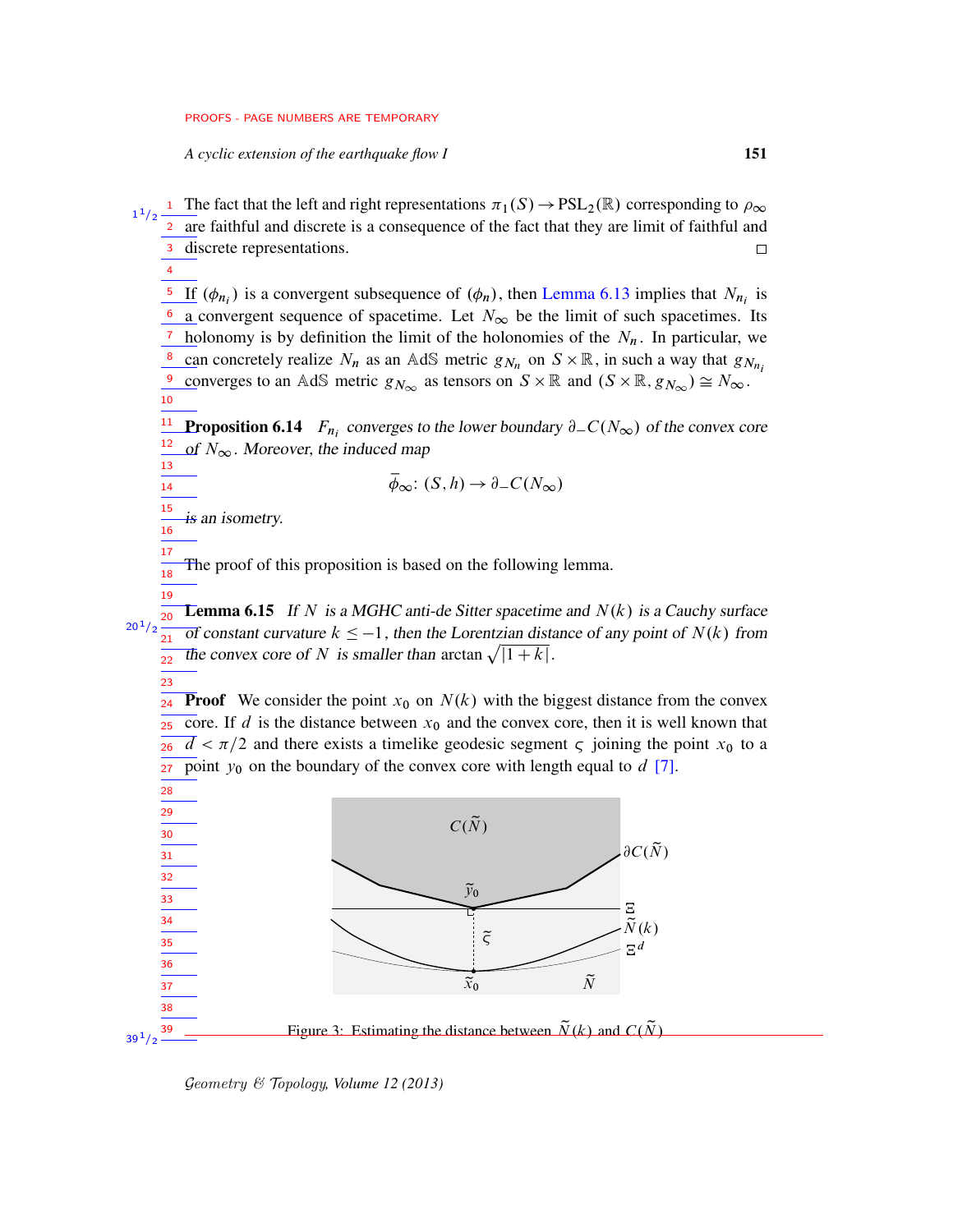*A cyclic extension of the earthquake flow I* 151

<sup>1</sup> The fact that the left and right representations  $\pi_1(S) \to PSL_2(\mathbb{R})$  corresponding to  $\rho_{\infty}$  $1/2$ 1 are faithful and discrete is a consequence of the fact that they are limit of faithful and 2 discrete representations. 3  $\Box$ 

4

14

17 18 19

23

<sup>5</sup> If  $(\phi_{n_i})$  is a convergent subsequence of  $(\phi_n)$ , then [Lemma 6.13](#page-49-0) implies that  $N_{n_i}$  is  $\frac{6}{2}$  a convergent sequence of spacetime. Let  $N_{\infty}$  be the limit of such spacetimes. Its holonomy is by definition the limit of the holonomies of the  $N_n$ . In particular, we can concretely realize  $N_n$  as an AdS metric  $g_{N_n}$  on  $S \times \mathbb{R}$ , in such a way that  $g_{N_{n_i}}$ converges to an AdS metric  $g_{N_{\infty}}$  as tensors on  $S \times \mathbb{R}$  and  $(S \times \mathbb{R}, g_{N_{\infty}}) \cong N_{\infty}$ . 7 8 9 10

<span id="page-50-1"></span>**Proposition 6.14**  $F_{n_i}$  converges to the lower boundary  $\partial_C(N_\infty)$  of the convex core of  $N_{\infty}$ . Moreover, the induced map 11 12 13

$$
\overline{\phi}_{\infty}: (S, h) \to \partial_{-}C(N_{\infty})
$$

is an isometry. 15 16

<span id="page-50-2"></span>The proof of this proposition is based on the following lemma.

**Lemma 6.15** If N is a MGHC anti-de Sitter spacetime and  $N(k)$  is a Cauchy surface  $\overline{ot}$  constant curvature  $k \leq -1$ , then the Lorentzian distance of any point of  $N(k)$  from The convex core of N is smaller than arctan  $\sqrt{|1+k|}$ . 20  $20^{1}/2$  $21$ 22

**Proof** We consider the point  $x_0$  on  $N(k)$  with the biggest distance from the convex core. If d is the distance between  $x_0$  and the convex core, then it is well known that  $\overline{d} < \pi/2$  and there exists a timelike geodesic segment  $\varsigma$  joining the point  $x_0$  to a point  $y_0$  on the boundary of the convex core with length equal to  $d$  [\[7\]](#page-75-2). 24 25 26 27

<span id="page-50-0"></span>

Geometry & Topology*, Volume 12 (2013)*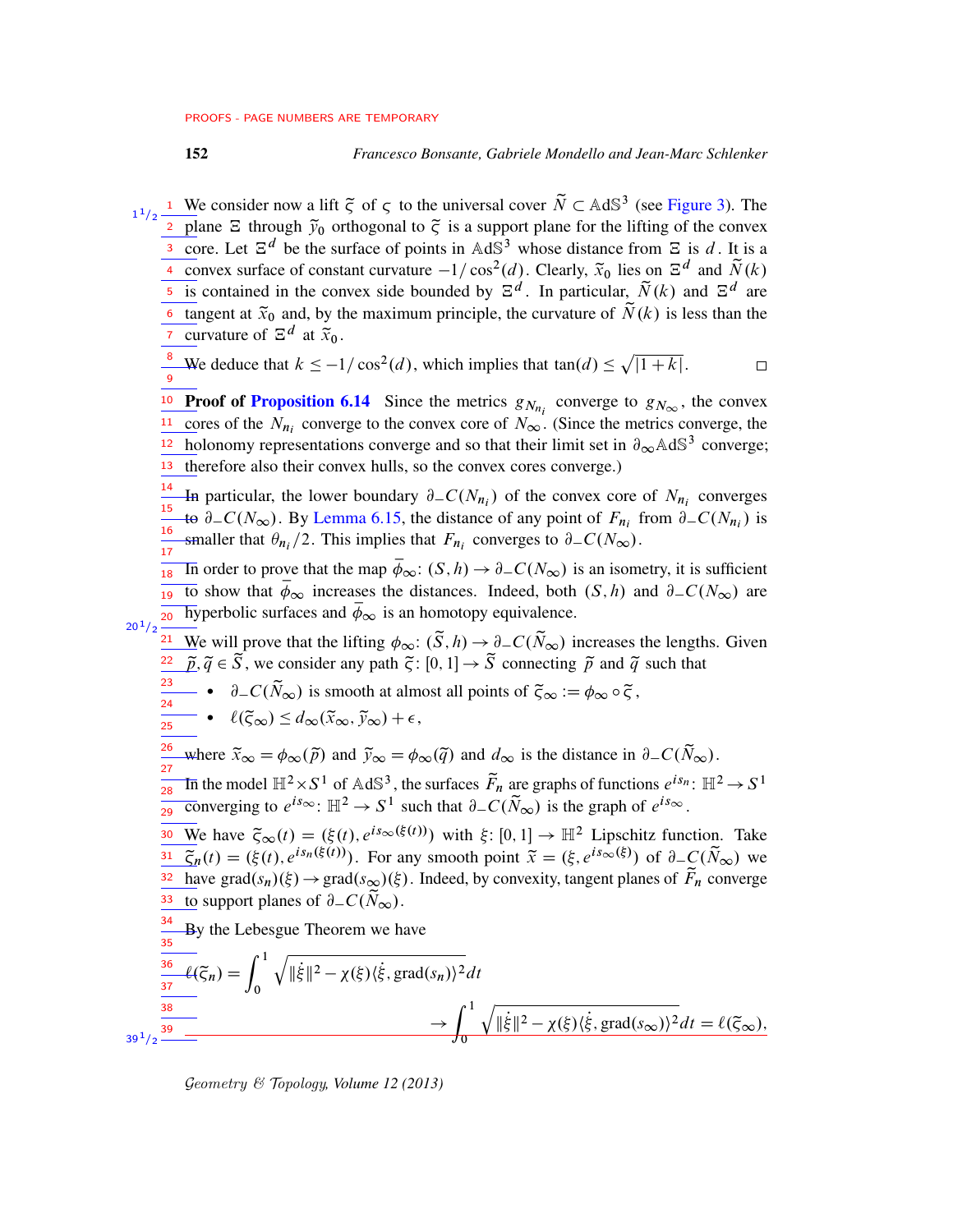### 152 *Francesco Bonsante, Gabriele Mondello and Jean-Marc Schlenker*

<sup>1</sup> We consider now a lift  $\tilde{\zeta}$  of  $\zeta$  to the universal cover  $\tilde{N} \subset AdS^3$  (see [Figure 3\)](#page-50-0). The  $1/2$ 1 <sup>2</sup> plane  $\Xi$  through  $\tilde{y}_0$  orthogonal to  $\tilde{\zeta}$  is a support plane for the lifting of the convex <sup>3</sup> core. Let  $\mathbb{E}^d$  be the surface of points in AdS<sup>3</sup> whose distance from  $\mathbb{E}$  is d. It is a 4 convex surface of constant curvature  $-1/\cos^2(d)$ . Clearly,  $\tilde{x}_0$  lies on  $\Xi^d$  and  $\tilde{N}(k)$ <sup>5</sup> is contained in the convex side bounded by  $\mathbb{E}^d$ . In particular,  $\tilde{N}(k)$  and  $\mathbb{E}^d$  are 6 tangent at  $\tilde{x}_0$  and, by the maximum principle, the curvature of  $\tilde{N}(k)$  is less than the <sup>7</sup> curvature of  $\Xi^d$  at  $\tilde{x}_0$ . <sup>8</sup> We deduce that  $k \le -1/\cos^2(d)$ , which implies that tan $(d) \le \sqrt{1+k}$ .  $\Box$ 9 <sup>10</sup> Proof of [Proposition 6.14](#page-50-1) Since the metrics  $g_{N_{n_i}}$  converge to  $g_{N_{\infty}}$ , the convex cores of the  $N_{n_i}$  converge to the convex core of  $N_{\infty}$ . (Since the metrics converge, the 11 holonomy representations converge and so that their limit set in  $\partial_{\infty}$  AdS<sup>3</sup> converge; 12 13 therefore also their convex hulls, so the convex cores converge.) 14 In particular, the lower boundary  $\partial_C(N_{n_i})$  of the convex core of  $N_{n_i}$  converges 15 to  $\partial_C(N_\infty)$ . By [Lemma 6.15,](#page-50-2) the distance of any point of  $F_{n_i}$  from  $\partial_C(N_{n_i})$  is 16 smaller that  $\theta_{n_i}/2$ . This implies that  $F_{n_i}$  converges to  $\partial_C(N_\infty)$ . 17  $\frac{1}{18}$  In order to prove that the map  $\bar{\phi}_{\infty}$ :  $(S, h) \to \partial_{-}C(N_{\infty})$  is an isometry, it is sufficient to show that  $\overline{\phi}_{\infty}$  increases the distances. Indeed, both  $(S, h)$  and  $\partial_{-}C(N_{\infty})$  are hyperbolic surfaces and  $\overline{\phi}_{\infty}$  is an homotopy equivalence.  $20^{1}/2$ We will prove that the lifting  $\phi_{\infty}$ :  $(\tilde{S}, h) \to \partial_- C(\tilde{N}_{\infty})$  increases the lengths. Given 21  $\overline{\tilde{p}}, \tilde{q} \in \tilde{S}$ , we consider any path  $\tilde{\zeta} : [0, 1] \rightarrow \tilde{S}$  connecting  $\tilde{p}$  and  $\tilde{q}$  such that 22 23  $\bullet \quad \partial_{-}C(\tilde{N}_{\infty})$  is smooth at almost all points of  $\tilde{\zeta}_{\infty}:=\phi_{\infty}\circ \tilde{\zeta}$ , 24  $\bullet$   $\ell(\tilde{\zeta}_{\infty}) \leq d_{\infty}(\tilde{x}_{\infty}, \tilde{y}_{\infty}) + \epsilon,$ 25 where  $\tilde{x}_{\infty} = \phi_{\infty}(\tilde{p})$  and  $\tilde{y}_{\infty} = \phi_{\infty}(\tilde{q})$  and  $d_{\infty}$  is the distance in  $\partial_{-}C(\tilde{N}_{\infty})$ . 26 27 In the model  $\mathbb{H}^2 \times S^1$  of AdS<sup>3</sup>, the surfaces  $\widetilde{F}_n$  are graphs of functions  $e^{is_n}$ :  $\mathbb{H}^2 \to S^1$  $\overline{28}$ Converging to  $e^{is\infty}$ :  $\mathbb{H}^2 \to S^1$  such that  $\partial_{-}C(\widetilde{N}_{\infty})$  is the graph of  $e^{is\infty}$ .  $29$ We have  $\tilde{\zeta}_{\infty}(t) = (\xi(t), e^{is_{\infty}(\xi(t))})$  with  $\xi: [0, 1] \to \mathbb{H}^2$  Lipschitz function. Take 30  $\overline{\tilde{\zeta}}_n(t) = (\xi(t), e^{is_n(\xi(t))})$ . For any smooth point  $\overline{\tilde{x}} = (\xi, e^{is_\infty(\xi)})$  of  $\partial_C(\widetilde{N}_\infty)$  we 31  $\frac{32 \text{ have } \text{grad}(s_n)(\xi) \to \text{grad}(s_\infty)(\xi)$ . Indeed, by convexity, tangent planes of  $\widetilde{F}_n$  converge  $\frac{33}{33}$  to support planes of  $\partial_{-}C(\widetilde{N}_{\infty})$ . 34 By the Lebesgue Theorem we have 35  $\overline{\ell(\widetilde{\varsigma}_n)} = \int^1$  $\sqrt{\|\dot{\xi}\|^2 - \chi(\xi)(\dot{\xi}, \text{grad}(s_n))^2} dt$ 36 37 0  $\rightarrow$   $\int_1^1$ 38  $\sqrt{\|\dot{\xi}\|^2 - \chi(\xi)(\dot{\xi}, \text{grad}(s_{\infty}))^2} dt = \ell(\xi_{\infty}),$ 39  $39^{\,1}/2$  $\overline{0}$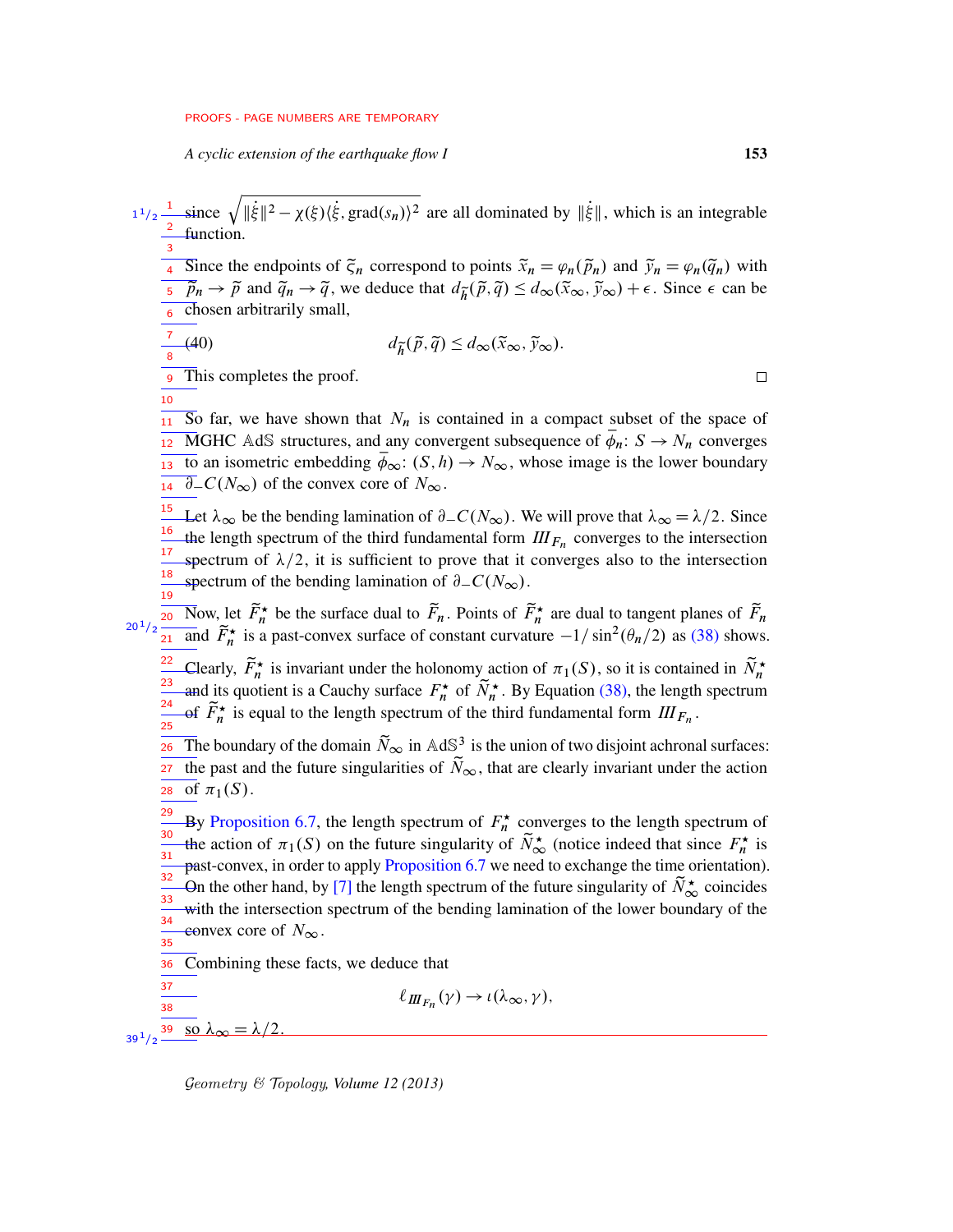*A cyclic extension of the earthquake flow I* 153

since  $\sqrt{\|\dot{\xi}\|^2 - \chi(\xi)(\dot{\xi}, \text{grad}(s_n))^2}$  are all dominated by  $\|\dot{\xi}\|$ , which is an integrable function.  $1^{1}/2$   $\frac{1}{2}$ 3

<sup>4</sup> Since the endpoints of  $\tilde{\zeta}_n$  correspond to points  $\tilde{x}_n = \varphi_n(\tilde{p}_n)$  and  $\tilde{y}_n = \varphi_n(\tilde{q}_n)$  with  $\overline{p}_n \to \tilde{p}$  and  $\tilde{q}_n \to \tilde{q}$ , we deduce that  $d_{\tilde{h}}(\tilde{p}, \tilde{q}) \leq d_{\infty}(\tilde{x}_{\infty}, \tilde{y}_{\infty}) + \epsilon$ . Since  $\epsilon$  can be <sup>6</sup> chosen arbitrarily small,

$$
\frac{7}{8}(40) \qquad \qquad d_{\widetilde{h}}(\widetilde{p}, \widetilde{q}) \le d_{\infty}(\widetilde{x}_{\infty}, \widetilde{y}_{\infty}).
$$

This completes the proof. 9

10

 $\overline{11}$  So far, we have shown that  $N_n$  is contained in a compact subset of the space of  $\frac{1}{12}$  MGHC AdS structures, and any convergent subsequence of  $\overline{\phi}_n$ :  $S \rightarrow N_n$  converges to an isometric embedding  $\overline{\phi}_{\infty}$ :  $(S, h) \rightarrow N_{\infty}$ , whose image is the lower boundary  $\partial_{-}C(N_{\infty})$  of the convex core of  $N_{\infty}$ .

<sup>15</sup> Let  $\lambda_{\infty}$  be the bending lamination of  $\partial_{-}C(N_{\infty})$ . We will prove that  $\lambda_{\infty} = \lambda/2$ . Since the length spectrum of the third fundamental form  $III_{F_n}$  converges to the intersection spectrum of  $\lambda/2$ , it is sufficient to prove that it converges also to the intersection spectrum of the bending lamination of  $\partial_{-}C(N_{\infty}).$ 16 17 18 19

Now, let  $\widetilde{F}_n^{\star}$  be the surface dual to  $\widetilde{F}_n$ . Points of  $\widetilde{F}_n^{\star}$  are dual to tangent planes of  $\widetilde{F}_n$ and  $\tilde{F}_n^*$  is a past-convex surface of constant curvature  $-1/\sin^2(\theta_n/2)$  as [\(38\)](#page-48-1) shows. Clearly,  $\widetilde{F}_n^{\star}$  is invariant under the holonomy action of  $\pi_1(S)$ , so it is contained in  $\widetilde{N}_n^{\star}$ and its quotient is a Cauchy surface  $F_n^{\star}$  of  $N_n^{\star}$ . By Equation [\(38\),](#page-48-1) the length spectrum of  $\tilde{F}_n^{\star}$  is equal to the length spectrum of the third fundamental form  $III_{F_n}$ . 20  $20^{\,1}/2$ 21 22 23 24 25

The boundary of the domain  $\tilde{N}_{\infty}$  in AdS<sup>3</sup> is the union of two disjoint achronal surfaces: the past and the future singularities of  $\tilde{N}_{\infty}$ , that are clearly invariant under the action 28 of  $\pi_1(S)$ . 26 27

By [Proposition 6.7,](#page-42-0) the length spectrum of  $F_n^*$  converges to the length spectrum of the action of  $\pi_1(S)$  on the future singularity of  $\tilde{N}_{\infty}^{\star}$  (notice indeed that since  $F_n^{\star}$  is past-convex, in order to apply [Proposition 6.7](#page-42-0) we need to exchange the time orientation). On the other hand, by [\[7\]](#page-75-2) the length spectrum of the future singularity of  $N^*_{\infty}$  coincides with the intersection spectrum of the bending lamination of the lower boundary of the convex core of  $N_{\infty}$ . 29 30 31 32 33 34 35

 $\ell_{I\!I\!I_{F_n}}(\gamma) \to \iota(\lambda_{\infty}, \gamma),$ 

Combining these facts, we deduce that 36

so  $\lambda_{\infty} =$ 38 39  $39^{\,1}/2$ 

37

Geometry & Topology*, Volume 12 (2013)*

 $\Box$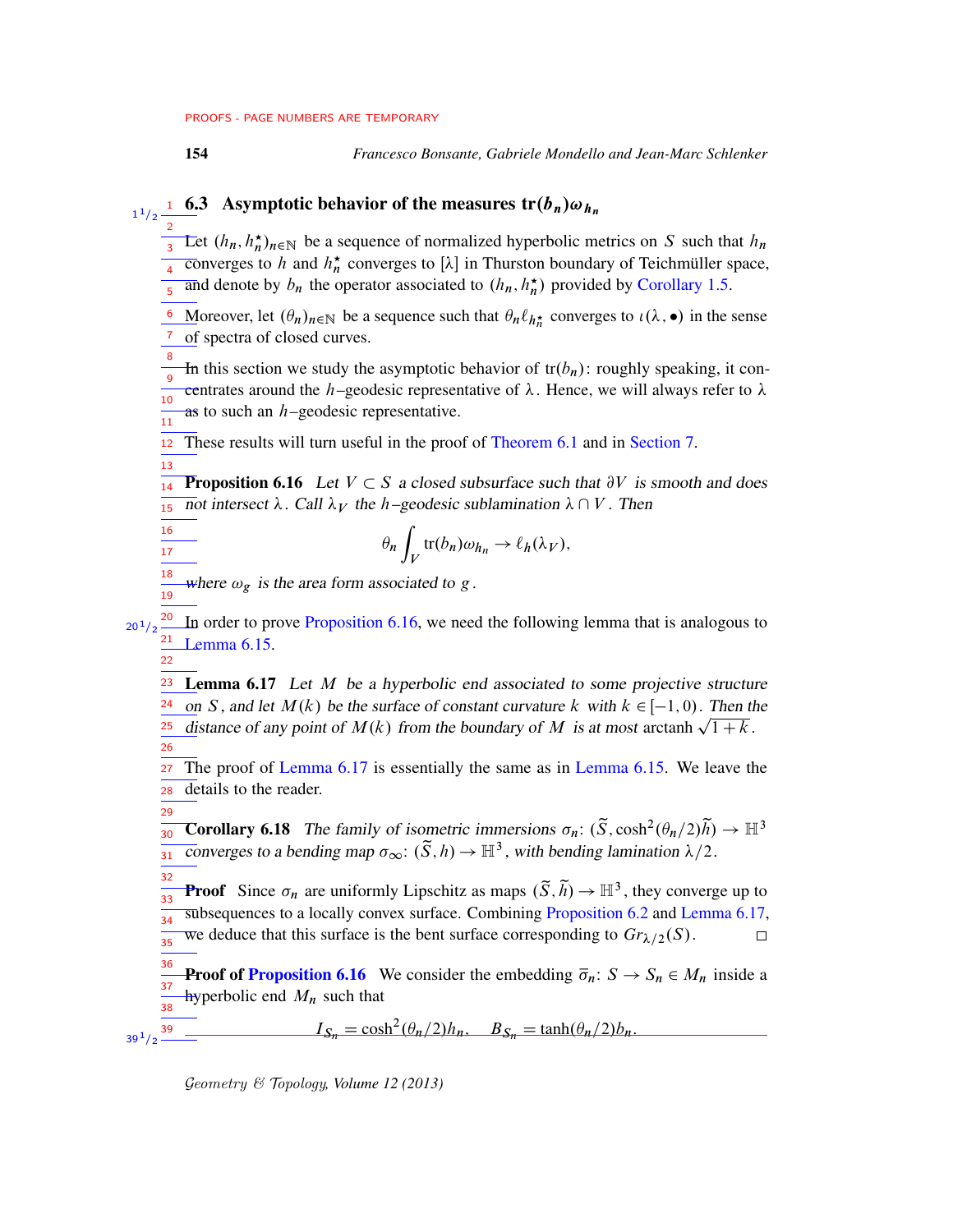<span id="page-53-1"></span>13

16 17

<span id="page-53-2"></span>22

 $39^{1}/2$   $-$ 

154 *Francesco Bonsante, Gabriele Mondello and Jean-Marc Schlenker*

# $\frac{1}{1/2}$   $\frac{1}{1/2}$  6.3 Asymptotic behavior of the measures  $tr(b_n)\omega_{h_n}$

<span id="page-53-0"></span> $\frac{2}{3}$  Let  $(h_n, h_n^*)_{n \in \mathbb{N}}$  be a sequence of normalized hyperbolic metrics on S such that  $h_n$  $\frac{1}{4}$  converges to h and  $h_n^*$  converges to [ $\lambda$ ] in Thurston boundary of Teichmüller space, and denote by  $b_n$  the operator associated to  $(h_n, h_n^{\star})$  provided by [Corollary 1.5.](#page-5-0) 3 5

**6** Moreover, let  $(\theta_n)_{n \in \mathbb{N}}$  be a sequence such that  $\theta_n \ell_{h_n^*}$  converges to  $\iota(\lambda, \bullet)$  in the sense <sup>7</sup> of spectra of closed curves.

In this section we study the asymptotic behavior of  $tr(b_n)$ : roughly speaking, it concentrates around the h–geodesic representative of  $\lambda$ . Hence, we will always refer to  $\lambda$ as to such an  $h$ –geodesic representative. 8 9 10  $\frac{1}{11}$ 

These results will turn useful in the proof of [Theorem 6.1](#page-38-0) and in [Section 7.](#page-61-0) 12

**Proposition 6.16** Let  $V \subset S$  a closed subsurface such that  $\partial V$  is smooth and does not intersect  $\lambda$ . Call  $\lambda_V$  the h–geodesic sublamination  $\lambda \cap V$ . Then 14 15

$$
\theta_n \int_V \text{tr}(b_n) \omega_{h_n} \to \ell_h(\lambda_V),
$$

where  $\omega_g$  is the area form associated to g. 18 19

In order to prove [Proposition 6.16,](#page-53-1) we need the following lemma that is analogous to [Lemma 6.15.](#page-50-2) 20  $20^{1}/2$ 21

**Lemma 6.17** Let  $M$  be a hyperbolic end associated to some projective structure on S, and let  $M(k)$  be the surface of constant curvature k with  $k \in [-1, 0)$ . Then the <u>on</u> *S*, and let *M*(*k*) be the surface of constant curvature *k* with  $k \in [-1, 0)$ . Then the distance of any point of *M*(*k*) from the boundary of *M* is at most arctanh  $\sqrt{1+k}$ . 23 24 25 26

The proof of [Lemma 6.17](#page-53-2) is essentially the same as in [Lemma 6.15.](#page-50-2) We leave the details to the reader. 27 28

<span id="page-53-3"></span>**Corollary 6.18** The family of isometric immersions  $\sigma_n: (\tilde{S}, \cosh^2(\theta_n/2)\tilde{h}) \to \mathbb{H}^3$ converges to a bending map  $\sigma_{\infty} : (\tilde{S}, h) \to \mathbb{H}^3$ , with bending lamination  $\lambda/2$ . 29 30 31

32 **Proof** Since  $\sigma_n$  are uniformly Lipschitz as maps  $(\tilde{S}, \tilde{h}) \to \mathbb{H}^3$ , they converge up to 33 subsequences to a locally convex surface. Combining [Proposition 6.2](#page-40-2) and [Lemma 6.17,](#page-53-2) 34 we deduce that this surface is the bent surface corresponding to  $Gr_{\lambda/2}(S)$ .  $\Box$ 35

**Proof of [Proposition 6.16](#page-53-1)** We consider the embedding  $\overline{\sigma}_n$ :  $S \rightarrow S_n \in M_n$  inside a hyperbolic end  $M_n$  such that 36 37 38

 $I_{S_n} = \cosh^2(\theta_n/2)h_n$ ,  $B_{S_n} = \tanh(\theta_n/2)h_n$ .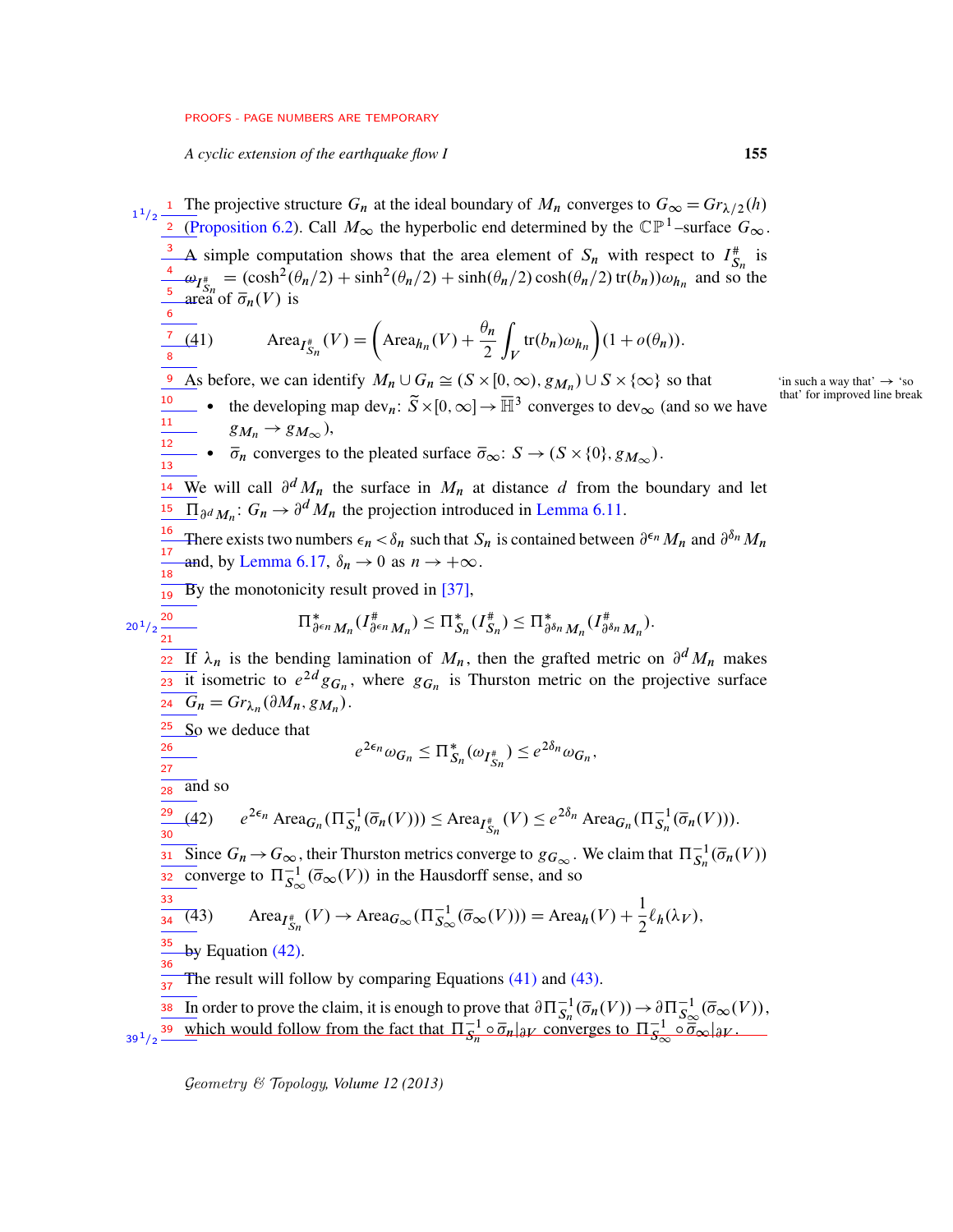<span id="page-54-1"></span>*A cyclic extension of the earthquake flow I* 155

<span id="page-54-0"></span>The projective structure  $G_n$  at the ideal boundary of  $M_n$  converges to  $G_{\infty} = Gr_{\lambda/2}(h)$ [\(Proposition 6.2\)](#page-40-2). Call  $M_{\infty}$  the hyperbolic end determined by the  $\mathbb{CP}^1$ -surface  $G_{\infty}$ . A simple computation shows that the area element of  $S_n$  with respect to  $I_{S_n}^{\#}$  is  $\omega_{I_{\text{S}_n}^*} = (\cosh^2(\theta_n/2) + \sinh^2(\theta_n/2) + \sinh(\theta_n/2) \cosh(\theta_n/2) \text{ tr}(b_n)) \omega_{h_n}$  and so the area of  $\overline{\sigma}_n(V)$  is (41)  $\operatorname{Area}_{I_{S_n}^*}(V) = \left(\operatorname{Area}_{h_n}(V) + \frac{\theta_n}{2}\right)$ 2  $\overline{a}$  $\int_V \text{tr}(b_n)\omega_{h_n}\bigg)(1+o(\theta_n)).$ <sup>9</sup> As before, we can identify  $M_n \cup G_n \cong (S \times [0, \infty), g_{M_n}) \cup S \times$ <sup>10</sup> • the developing map dev<sub>n</sub>:  $\widetilde{S} \times [0, \infty] \to \overline{\mathbb{H}}^3$  converges to dev<sub> $\infty$ </sub> (and so we have  $g_{M_n} \rightarrow g_{M_{\infty}}$ ),  $\overline{\sigma}_n$  converges to the pleated surface  $\overline{\sigma}_{\infty}$ :  $S \to (S \times \{0\}, g_{M_{\infty}})$ . <sup>14</sup> We will call  $\partial^d M_n$  the surface in  $M_n$  at distance d from the boundary and let <sup>15</sup>  $\Pi_{\partial^d M_n}$ :  $G_n \to \partial^d M_n$  the projection introduced in [Lemma 6.11.](#page-44-1) <sup>16</sup> There exists two numbers  $\epsilon_n < \delta_n$  such that  $S_n$  is contained between  $\partial^{\epsilon_n} M_n$  and  $\partial^{\delta_n} M_n$ and, by [Lemma 6.17,](#page-53-2)  $\delta_n \to 0$  as  $n \to +\infty$ .  $\frac{1}{19}$  By the monotonicity result proved in [\[37\]](#page-76-3),  $\Pi_{\partial^{\epsilon_n} M_n}^* (I_{\partial^{\epsilon_n} M_n}^{\#}) \leq \Pi_{S_n}^* (I_{S_n}^{\#}) \leq \Pi_{\partial^{\delta_n} M_n}^* (I_{\partial^{\epsilon_n} M_n}^{\#})$  $\frac{\pi}{\partial^{\delta_n} M_n}$ ). If  $\lambda_n$  is the bending lamination of  $M_n$ , then the grafted metric on  $\partial^d M_n$  makes  $\overline{a_3}$  it isometric to  $e^{2d}g_{G_n}$ , where  $g_{G_n}$  is Thurston metric on the projective surface  $\overline{G}_n = Gr_{\lambda_n}(\partial M_n, g_{M_n}).$  $\frac{25}{25}$  So we deduce that  $e^{2\epsilon_n}\omega_{G_n} \leq \Pi^*_{S_n}(\omega_{I_{S_n}^*}) \leq e^{2\delta_n}\omega_{G_n},$ and so (42)  $e^{2\epsilon_n} \operatorname{Area}_{G_n}(\Pi_{S_n}^{-1}(\overline{\sigma}_n(V))) \leq \operatorname{Area}_{I_{S_n}^*}(V) \leq e^{2\delta_n} \operatorname{Area}_{G_n}(\Pi_{S_n}^{-1}(\overline{\sigma}_n(V))).$  $\frac{31}{100}$  Since  $G_n \to G_\infty$ , their Thurston metrics converge to  $g_{G_\infty}$ . We claim that  $\Pi_{S_n}^{-1}(\overline{\sigma}_n(V))$  $\frac{1}{32}$  converge to  $\Pi_{S_{\infty}}^{-1}(\overline{\sigma}_{\infty}(V))$  in the Hausdorff sense, and so (43) Area $_{I_{S_n}^*}(V) \to \text{Area}_{G_{\infty}}(\Pi_{S_{\infty}}^{-1}(\overline{\sigma}_{\infty}(V))) = \text{Area}_h(V) + \frac{1}{2}$  $\frac{1}{2} \ell_h(\lambda_V),$ by Equation [\(42\).](#page-54-0) The result will follow by comparing Equations [\(41\)](#page-54-1) and [\(43\).](#page-54-2) In order to prove the claim, it is enough to prove that  $\partial \Pi_{S_n}^{-1}(\overline{\sigma}_n(V)) \to \partial \Pi_{S_\infty}^{-1}(\overline{\sigma}_\infty(V)),$ which would follow from the fact that  $\Pi_{S_n}^{-1} \circ \overline{\sigma}_n |_{\partial V}$  converges to  $\Pi_{S_\infty}^{-1} \circ \overline{\sigma}_\infty |_{\partial V}$ .  $1^{1}/2$   $\frac{1}{2}$ 3 4 5 6 7 8 11 13 17  $\overline{18}$ 20  $20^{1}/2$  $21$ 22 26 27 28 29 30 33 34 35 36  $\frac{1}{37}$ 38 39  $39^{1/2}$ 

<span id="page-54-2"></span>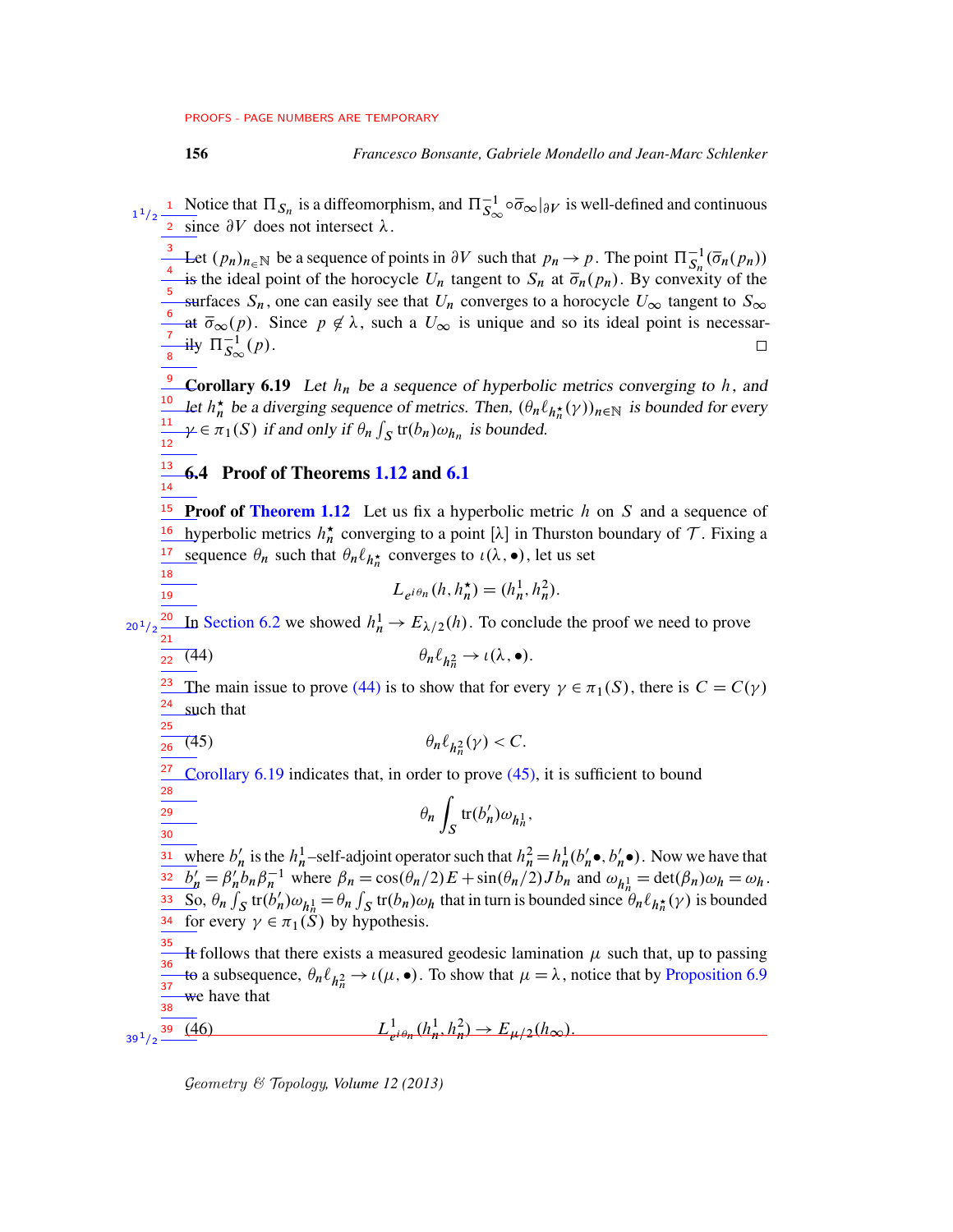18 19

28 29 30

Notice that  $\Pi_{S_n}$  is a diffeomorphism, and  $\Pi_{S_\infty}^{-1} \circ \overline{\sigma}_\infty|_{\partial V}$  is well-defined and continuous since  $\partial V$  does not intersect  $\lambda$ .  $1^{1}/2$   $\frac{1}{2}$ 

3 Let  $(p_n)_{n \in \mathbb{N}}$  be a sequence of points in  $\partial V$  such that  $p_n \to p$ . The point  $\Pi_{S_n}^{-1}(\overline{\sigma}_n(p_n))$ 4 is the ideal point of the horocycle  $U_n$  tangent to  $S_n$  at  $\overline{\sigma}_n(p_n)$ . By convexity of the 5 surfaces  $S_n$ , one can easily see that  $U_n$  converges to a horocycle  $U_\infty$  tangent to  $S_\infty$ 6 at  $\bar{\sigma}_{\infty}(p)$ . Since  $p \notin \lambda$ , such a  $U_{\infty}$  is unique and so its ideal point is necessar-7 ily  $\Pi_{S_{\infty}}^{-1}(p)$ .  $\Box$ 8

<span id="page-55-1"></span>**Corollary 6.19** Let  $h_n$  be a sequence of hyperbolic metrics converging to h, and let  $h_n^*$  be a diverging sequence of metrics. Then,  $(\theta_n \ell_{h_n^*}(\gamma))_{n \in \mathbb{N}}$  is bounded for every  $\gamma \in \pi_1(S)$  if and only if  $\theta_n \int_S \text{tr}(b_n) \omega_{h_n}$  is bounded. 10 11 12

#### <span id="page-55-0"></span>6.4 Proof of Theorems [1.12](#page-8-0) and [6.1](#page-38-0) 13 14

<sup>15</sup> Proof of [Theorem 1.12](#page-8-0) Let us fix a hyperbolic metric  $h$  on S and a sequence of <sup>16</sup> hyperbolic metrics  $h_n^*$  converging to a point [ $\lambda$ ] in Thurston boundary of T. Fixing a <sup>17</sup> sequence  $\theta_n$  such that  $\theta_n \ell_{h_n^*}$  converges to  $\iota(\lambda, \bullet)$ , let us set

$$
L_{e^{i\theta_n}}(h, h_n^{\star}) = (h_n^1, h_n^2).
$$

 $\frac{20 \text{ J}_2}{21}$  In [Section 6.2](#page-43-0) we showed  $h_n^1 \to E_{\lambda/2}(h)$ . To conclude the proof we need to prove

$$
\frac{1}{22} \quad (44) \qquad \theta_n \ell_{h_n^2} \to \iota(\lambda, \bullet).
$$

<span id="page-55-3"></span>The main issue to prove [\(44\)](#page-55-2) is to show that for every  $\gamma \in \pi_1(S)$ , there is  $C = C(\gamma)$ such that 23 24 25

$$
\frac{1}{26} \quad (45) \qquad \theta_n \ell_{h_n^2}(\gamma) < C.
$$

[Corollary 6.19](#page-55-1) indicates that, in order to prove [\(45\),](#page-55-3) it is sufficient to bound 27

<span id="page-55-2"></span>
$$
\theta_n \int_S \text{tr}(b'_n) \omega_{h_n^1},
$$

where  $b'_h$ heta is the  $h_n^1$ -self-adjoint operator such that  $h_n^2 = h_n^1(b)$  $'_{n}$   $\bullet$ ,  $b'_{n}$ 31 where  $b'_n$  is the  $h_n^1$ -self-adjoint operator such that  $h_n^2 = h_n^1(b'_n \bullet, b'_n \bullet)$ . Now we have that  $\overline{b'_n} = \beta'_n$  $\frac{\partial^2 b'_n}{\partial h} = \beta'_n b_n \beta_n^{-1}$  where  $\beta_n = \cos(\theta_n/2) E + \sin(\theta_n/2) J b_n$  and  $\omega_{h_n} = \det(\beta_n) \omega_h = \omega_h$ .  $\overline{\text{So}}, \theta_n \int_S \text{tr}(b_n)$ 33 So,  $\theta_n \int_S \text{tr}(b'_n) \omega_{h_n^1} = \theta_n \int_S \text{tr}(b_n) \omega_h$  that in turn is bounded since  $\theta_n \ell_{h_n^*}(\gamma)$  is bounded <sup>34</sup> for every  $\gamma \in \pi_1(S)$  by hypothesis.

<span id="page-55-4"></span>It follows that there exists a measured geodesic lamination  $\mu$  such that, up to passing to a subsequence,  $\theta_n \ell_{h_n^2} \to \iota(\mu, \bullet)$ . To show that  $\mu = \lambda$ , notice that by [Proposition 6.9](#page-44-0) we have that 35 36 37 38

 $(46)$ 1  $\frac{1}{e^{i\theta_n}}(h_n^1, h_n^2) \to E_{\mu/2}(h_\infty).$  $39^{1}/2$   $-$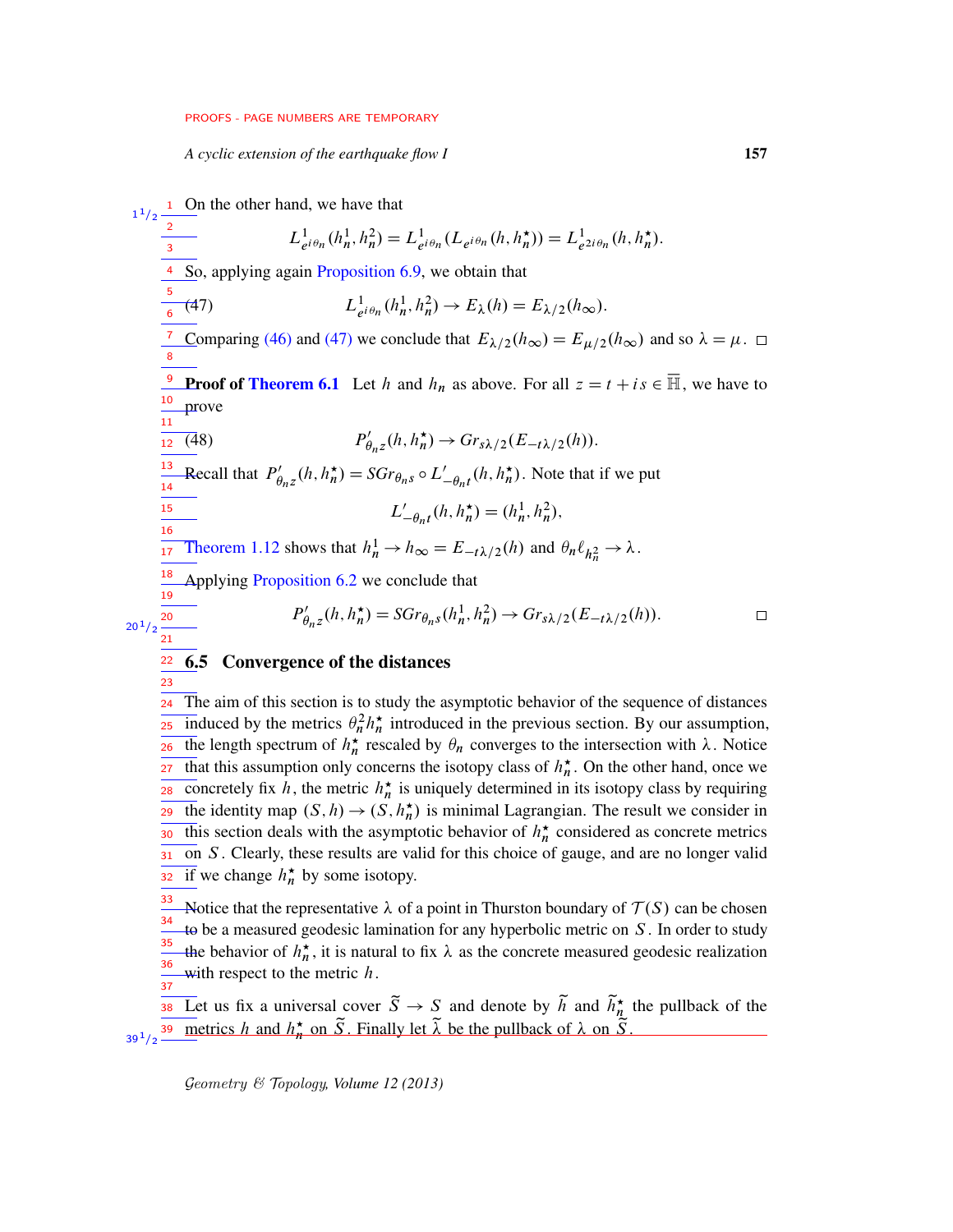<span id="page-56-1"></span>*A cyclic extension of the earthquake flow I* 157

On the other hand, we have that 1  $1/2$ 1 2  $L^1_{\rho}$  $\frac{1}{e^{i\theta_n}}(h_n^1, h_n^2) = L_e^1$  $\frac{1}{e^{i\theta_n}}(L_{e^{i\theta_n}}(h, h_n^{\star})) = L_e^1$  $^1_{e^{2i\theta_n}}(h, h_n^{\star}).$ 3 So, applying again [Proposition 6.9,](#page-44-0) we obtain that 4 5 1  $e^{i\theta_n}(h_n^1, h_n^2) \to E_{\lambda}(h) = E_{\lambda/2}(h_{\infty}).$  $(47)$ 6 Comparing [\(46\)](#page-55-4) and [\(47\)](#page-56-1) we conclude that  $E_{\lambda/2}(h_{\infty})=E_{\mu/2}(h_{\infty})$  and so  $\lambda=\mu$ .  $\Box$ 7 8 **Proof of [Theorem 6.1](#page-38-0)** Let h and  $h_n$  as above. For all  $z = t + is \in \overline{\mathbb{H}}$ , we have to 10 prove 11  $\overline{1}$  $\phi'_{\theta_1 z}(h, h_n^{\star}) \rightarrow Gr_{s\lambda/2}(E_{-t\lambda/2}(h)).$  $\frac{1}{12}(48)$   $P$ 13 Recall that  $P'_\n\theta$  $B'_{\theta_n z}(h, h_n^{\star}) = SGr_{\theta_n s} \circ L'_{-\theta_n t}(h, h_n^{\star})$ . Note that if we put 14 15  $L'$  $n'_{-\theta_n t}(h, h_n^{\star}) = (h_n^1, h_n^2),$ 16 [Theorem 1.12](#page-8-0) shows that  $h_n^1 \to h_\infty = E_{-t\lambda/2}(h)$  and  $\theta_n \ell_{h_n^2} \to \lambda$ . 17 18 Applying [Proposition 6.2](#page-40-2) we conclude that 19  $P'_\theta$  $y'_{\theta_{n}z}(h, h_n^{\star}) = SGr_{\theta_{n}S}(h_n^1, h_n^2) \to Gr_{s\lambda/2}(E_{-t\lambda/2}(h)).$  $\Box$ 20  $20^{1}/2$ 21 22 6.5 Convergence of the distances 23

<span id="page-56-0"></span>The aim of this section is to study the asymptotic behavior of the sequence of distances induced by the metrics  $\theta_n^2 h_n^*$  introduced in the previous section. By our assumption, The length spectrum of  $h_n^*$  rescaled by  $\theta_n$  converges to the intersection with  $\lambda$ . Notice that this assumption only concerns the isotopy class of  $h_n^*$ . On the other hand, once we concretely fix h, the metric  $h_n^*$  is uniquely determined in its isotopy class by requiring The identity map  $(S, h) \to (S, h_n^{\star})$  is minimal Lagrangian. The result we consider in this section deals with the asymptotic behavior of  $h_n^{\star}$  considered as concrete metrics on S . Clearly, these results are valid for this choice of gauge, and are no longer valid  $\frac{1}{32}$  if we change  $h_n^*$  by some isotopy. 24 25 26 27 28 29 30 31

Notice that the representative  $\lambda$  of a point in Thurston boundary of  $\mathcal{T}(S)$  can be chosen to be a measured geodesic lamination for any hyperbolic metric on  $S$ . In order to study the behavior of  $h_n^*$ , it is natural to fix  $\lambda$  as the concrete measured geodesic realization with respect to the metric  $h$ . 33 34 35 36  $\frac{1}{37}$ 

<span id="page-56-2"></span>Let us fix a universal cover  $\tilde{S} \to S$  and denote by  $\tilde{h}$  and  $\tilde{h}_n^{\star}$  the pullback of the 38 Let us fix a universal cover  $S \to S$  and denote by h and  $h_n^*$ <br>39 metrics h and  $h_n^*$  on  $\tilde{S}$ . Finally let  $\tilde{\lambda}$  be the pullback of  $\lambda$  on  $\tilde{S}$ . 39  $39^{\,1}/2$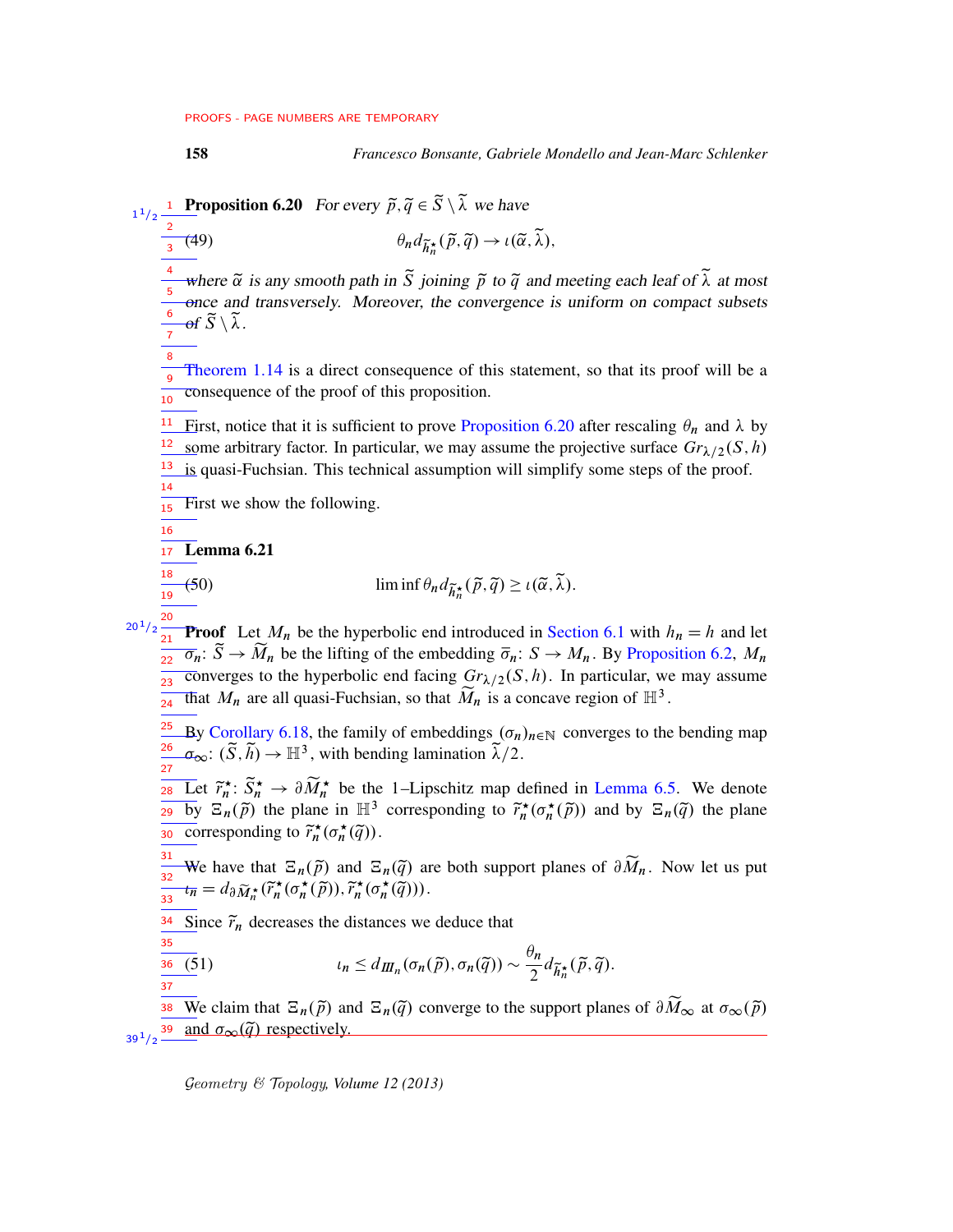158 *Francesco Bonsante, Gabriele Mondello and Jean-Marc Schlenker*

**Proposition 6.20** For every  $\tilde{p}, \tilde{q} \in \tilde{S} \setminus \tilde{\lambda}$  we have 1  $1/2$ 

(49)  $\theta_n d_{\widetilde{h}_n^*}(\widetilde{p}, \widetilde{q}) \to \iota(\widetilde{\alpha}, \widetilde{\lambda}),$ 2 3

where  $\tilde{\alpha}$  is any smooth path in  $\tilde{S}$  joining  $\tilde{p}$  to  $\tilde{q}$  and meeting each leaf of  $\tilde{\lambda}$  at most once and transversely. Moreover, the convergence is uniform on compact subsets of  $\tilde{S} \setminus \lambda$ . 4 5 6 7

[Theorem 1.14](#page-9-0) is a direct consequence of this statement, so that its proof will be a consequence of the proof of this proposition. 8 9 10

First, notice that it is sufficient to prove [Proposition 6.20](#page-56-2) after rescaling  $\theta_n$  and  $\lambda$  by some arbitrary factor. In particular, we may assume the projective surface  $Gr_{\lambda/2}(S, h)$ is quasi-Fuchsian. This technical assumption will simplify some steps of the proof. 11 12 13

First we show the following. 15

<span id="page-57-0"></span>16

14

Lemma 6.21 17

18  $\frac{1}{19}$ 

27

(50) 
$$
\liminf \theta_n d_{\widetilde{h}_n^{\star}}(\widetilde{p}, \widetilde{q}) \geq \iota(\widetilde{\alpha}, \widetilde{\lambda}).
$$

**Proof** Let  $M_n$  be the hyperbolic end introduced in [Section 6.1](#page-40-0) with  $h_n = h$  and let  $rac{21}{22}$ ,  $\overline{\sigma}_n$ :  $\widetilde{S} \to \widetilde{M}_n$  be the lifting of the embedding  $\overline{\sigma}_n$ :  $S \to M_n$ . By [Proposition 6.2,](#page-40-2)  $M_n$ converges to the hyperbolic end facing  $Gr_{\lambda/2}(S, h)$ . In particular, we may assume that  $M_n$  are all quasi-Fuchsian, so that  $\widetilde{M}_n$  is a concave region of  $\mathbb{H}^3$ .  $20^{\,1}/2$ 21  $\frac{1}{23}$ 24

By [Corollary 6.18,](#page-53-3) the family of embeddings  $(\sigma_n)_{n\in\mathbb{N}}$  converges to the bending map  $\sigma_{\infty}$ :  $(\widetilde{S}, \widetilde{h}) \to \mathbb{H}^3$ , with bending lamination  $\widetilde{\lambda}/2$ . 25 26

**EXECUTE:**  $\widetilde{r}_n^{\star}$ :  $\widetilde{S}_n^{\star} \to \partial \widetilde{M}_n^{\star}$  be the 1-Lipschitz map defined in [Lemma 6.5.](#page-41-2) We denote by  $\Xi_n(\tilde{p})$  the plane in  $\mathbb{H}^3$  corresponding to  $\tilde{r}_n^*(\sigma_n^*(\tilde{p}))$  and by  $\Xi_n(\tilde{q})$  the plane so corresponding to  $\tilde{r}_n^{\star}(\sigma_n^{\star}(\tilde{q}))$ .

We have that  $\Xi_n(\tilde{p})$  and  $\Xi_n(\tilde{q})$  are both support planes of  $\partial \widetilde{M}_n$ . Now let us put  $t_{\overline{n}} = d_{\partial} \widetilde{M}_{n}^{\star}(\widetilde{r}_{n}^{\star}(\sigma_{n}^{\star}(\widetilde{p})), \widetilde{r}_{n}^{\star}(\sigma_{n}^{\star}(\widetilde{q}))).$ 31 32  $\frac{1}{33}$ 

<span id="page-57-1"></span> $\tilde{q}$ ).

 $\frac{34}{2}$  Since  $\tilde{r}_n$  decreases the distances we deduce that

$$
\frac{35}{37} \qquad \qquad \iota_n \leq d_{I\!I\!I_n}(\sigma_n(\widetilde{p}), \sigma_n(\widetilde{q})) \sim \frac{\theta_n}{2} d_{\widetilde{h}_n^{\star}}(\widetilde{p},
$$

We claim that  $\Xi_n(\tilde{p})$  and  $\Xi_n(\tilde{q})$  converge to the support planes of  $\partial \widetilde{M}_{\infty}$  at  $\sigma_{\infty}(\tilde{p})$ and  $\sigma_{\infty}(\tilde{q})$  respectively. 38 39  $39^{1/2}$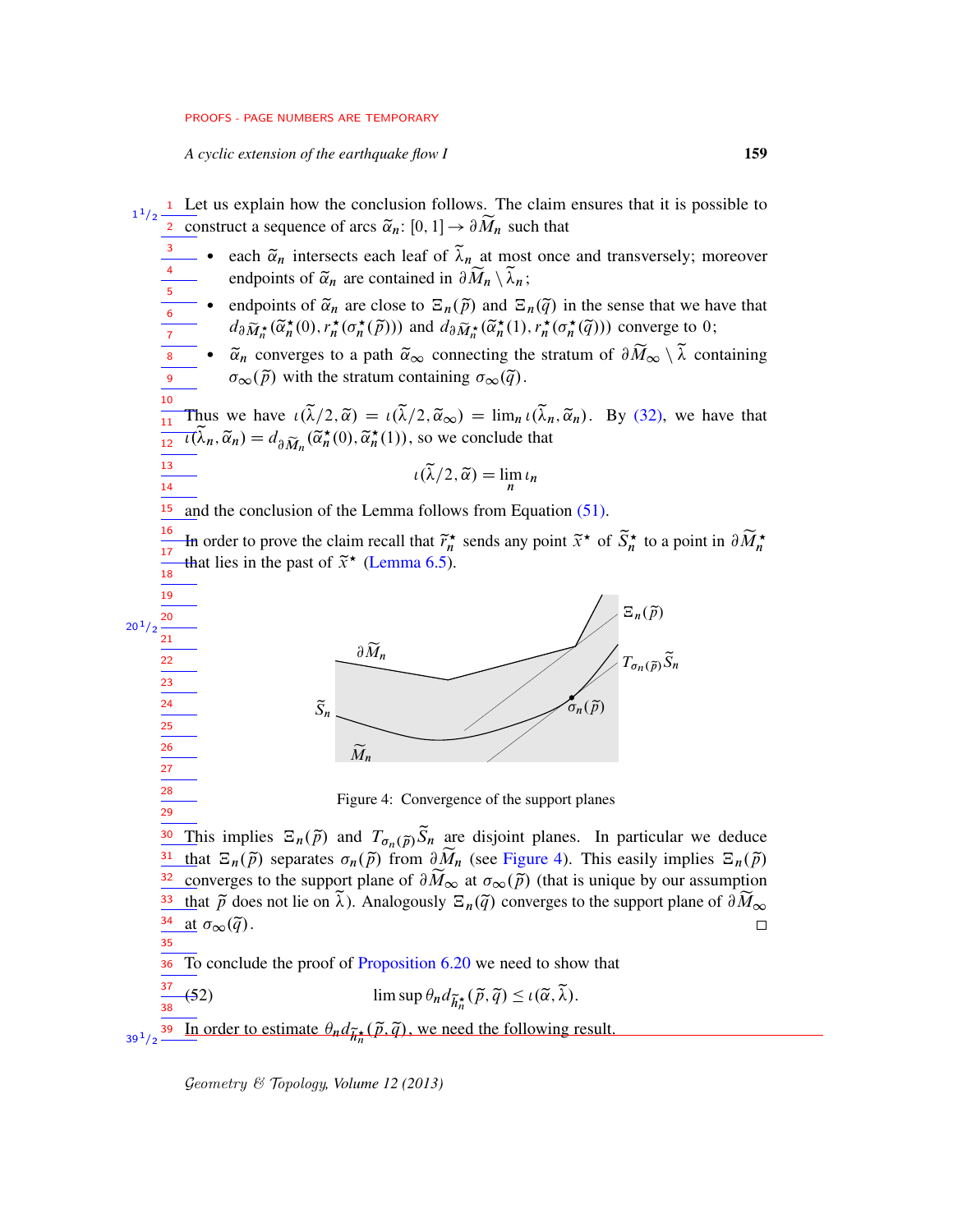*A cyclic extension of the earthquake flow I* 159

13 14

> 37 38

<sup>1</sup> Let us explain how the conclusion follows. The claim ensures that it is possible to **2** construct a sequence of arcs  $\tilde{\alpha}_n$ :  $[0, 1] \rightarrow \partial \widetilde{M}_n$  such that 1  $1/2$ 

- each  $\tilde{\alpha}_n$  intersects each leaf of  $\tilde{\lambda}_n$  at most once and transversely; moreover endpoints of  $\tilde{\alpha}_n$  are contained in  $\partial \widetilde{M}_n \setminus \tilde{\lambda}_n$ ;
- endpoints of  $\tilde{\alpha}_n$  are close to  $\Xi_n(\tilde{p})$  and  $\Xi_n(\tilde{q})$  in the sense that we have that  $d_{\partial \widetilde{M}_{n}^{\star}}(\widetilde{\alpha}_{n}^{\star}(0), r_{n}^{\star}(\sigma_{n}^{\star}(\widetilde{p})))$  and  $d_{\partial \widetilde{M}_{n}^{\star}}(\widetilde{\alpha}_{n}^{\star}(1), r_{n}^{\star}(\sigma_{n}^{\star}(\widetilde{q})))$  converge to 0;
- $\tilde{\alpha}_n$  converges to a path  $\tilde{\alpha}_{\infty}$  connecting the stratum of  $\partial \widetilde{M}_{\infty} \setminus \tilde{\lambda}$  containing  $\sigma_{\infty}(\tilde{\rho})$  with the stratum containing  $\sigma_{\infty}(\tilde{q})$ .

Thus we have  $\iota(\tilde{\lambda}/2, \tilde{\alpha}) = \iota(\tilde{\lambda}/2, \tilde{\alpha}_{\infty}) = \lim_{n \to \infty} \iota(\tilde{\lambda}_n, \tilde{\alpha}_n)$ . By [\(32\),](#page-41-1) we have that  $\overline{u}(\widetilde{\lambda}_n, \widetilde{\alpha}_n) = d_{\partial \widetilde{M}_n}(\widetilde{\alpha}_n^{\star}(0), \widetilde{\alpha}_n^{\star}(1)),$  so we conclude that  $\frac{1}{11}$ 12

$$
\iota(\widetilde{\lambda}/2, \widetilde{\alpha}) = \lim_{n} \iota_n
$$

and the conclusion of the Lemma follows from Equation [\(51\).](#page-57-1) 15

<span id="page-58-0"></span>In order to prove the claim recall that  $\tilde{r}_n^*$  sends any point  $\tilde{x}^*$  of  $\tilde{S}_n^*$  to a point in  $\partial \widetilde{M}_n^*$ that lies in the past of  $\tilde{x}^{\star}$  [\(Lemma 6.5\)](#page-41-2). 16 17 18



<span id="page-58-2"></span>Figure 4: Convergence of the support planes

This implies  $\Xi_n(\tilde{p})$  and  $T_{\sigma_n(\tilde{p})}\tilde{S}_n$  are disjoint planes. In particular we deduce that  $\Xi_n(\tilde{p})$  separates  $\sigma_n(\tilde{p})$  from  $\partial \widetilde{M}_n$  (see [Figure 4\)](#page-58-0). This easily implies  $\Xi_n(\tilde{p})$ converges to the support plane of  $\partial \widetilde{M}_{\infty}$  at  $\sigma_{\infty}(\widetilde{p})$  (that is unique by our assumption that  $\tilde{p}$  does not lie on  $\tilde{\lambda}$ ). Analogously  $\Xi_n(\tilde{q})$  converges to the support plane of  $\partial \widetilde{M}_{\infty}$ <br>at  $\sigma_{\infty}(\tilde{q})$ . at  $\sigma_{\infty}(\tilde{q})$ . 30 31 32 33 34 35

To conclude the proof of [Proposition 6.20](#page-56-2) we need to show that 36

(52) 
$$
\limsup \theta_n d_{\widetilde{h}_n^{\star}}(\widetilde{p}, \widetilde{q}) \leq \iota(\widetilde{\alpha}, \widetilde{\lambda}).
$$

<span id="page-58-1"></span>In order to estimate  $\theta_n d_{\widetilde{h}_n^*}(\widetilde{p}, \widetilde{q})$ , we need the following result. 39  $39^{\,1}/2$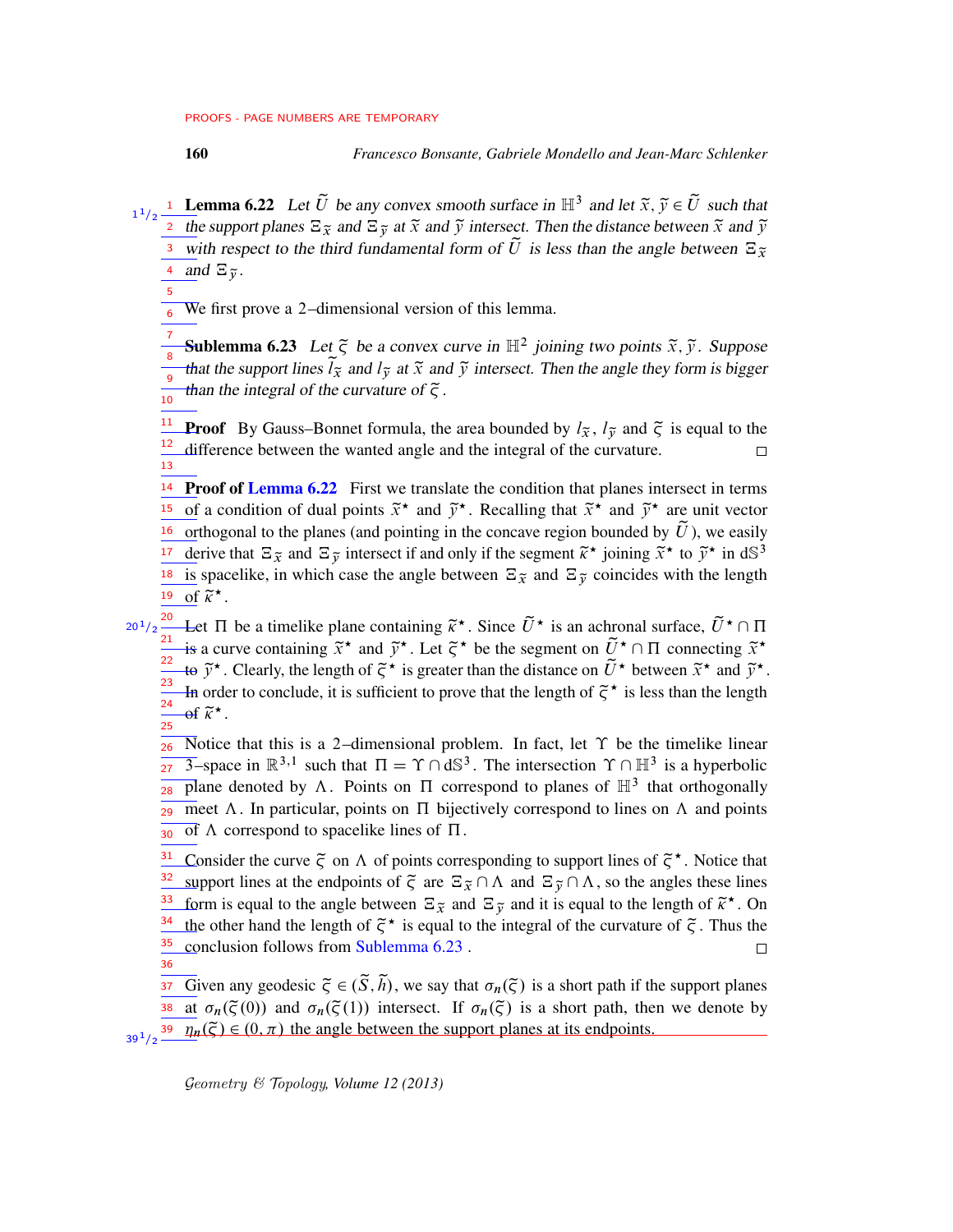5

**Lemma 6.22** Let  $\tilde{U}$  be any convex smooth surface in  $\mathbb{H}^3$  and let  $\tilde{x}, \tilde{y} \in \tilde{U}$  such that <sup>2</sup> the support planes  $\Xi_{\tilde{x}}$  and  $\Xi_{\tilde{y}}$  at  $\tilde{x}$  and  $\tilde{y}$  intersect. Then the distance between  $\tilde{x}$  and  $\tilde{y}$  $\frac{3}{3}$  with respect to the third fundamental form of  $\tilde{U}$  is less than the angle between  $\Xi_{\tilde{x}}$ 4 and  $\Xi_{\widetilde{y}}$ . 1  $1/2$ 

<span id="page-59-0"></span>We first prove a 2–dimensional version of this lemma. 6

**Sublemma 6.23** Let  $\tilde{\zeta}$  be a convex curve in  $\mathbb{H}^2$  joining two points  $\tilde{x}, \tilde{y}$ . Suppose that the support lines  $\tilde{l}_{\tilde{x}}$  and  $l_{\tilde{y}}$  at  $\tilde{x}$  and  $\tilde{y}$  intersect. Then the angle they form is bigger than the integral of the curvature of  $\tilde{\zeta}$ . 7 8 9 10

**Proof** By Gauss–Bonnet formula, the area bounded by  $l_{\tilde{x}}$ ,  $l_{\tilde{y}}$  and  $\tilde{\zeta}$  is equal to the difference between the wanted angle and the integral of the curvature. 11 12 13

<sup>14</sup> Proof of Lemma  $6.22$  First we translate the condition that planes intersect in terms <sup>15</sup> of a condition of dual points  $\tilde{x}^*$  and  $\tilde{y}^*$ . Recalling that  $\tilde{x}^*$  and  $\tilde{y}^*$  are unit vector <sup>16</sup> orthogonal to the planes (and pointing in the concave region bounded by  $\tilde{U}$ ), we easily derive that  $\Xi_{\tilde{x}}$  and  $\Xi_{\tilde{y}}$  intersect if and only if the segment  $\tilde{\kappa}^*$  joining  $\tilde{x}^*$  to  $\tilde{y}^*$  in dS<sup>3</sup> <sup>18</sup> is spacelike, in which case the angle between  $\Xi_{\tilde{x}}$  and  $\Xi_{\tilde{y}}$  coincides with the length <sup>19</sup> of  $\widetilde{k}^{\star}$ . 17

<sup>20</sup> Let  $\Pi$  be a timelike plane containing  $\tilde{k}^*$ . Since  $\tilde{U}^*$  is an achronal surface,  $\tilde{U}^* \cap \Pi$ is a curve containing  $\tilde{x}^*$  and  $\tilde{y}^*$ . Let  $\tilde{\zeta}^*$  be the segment on  $\tilde{U}^* \cap \Pi$  connecting  $\tilde{x}^*$ to  $\tilde{y}^*$ . Clearly, the length of  $\tilde{\zeta}^*$  is greater than the distance on  $\tilde{U}^*$  between  $\tilde{x}^*$  and  $\tilde{y}^*$ . In order to conclude, it is sufficient to prove that the length of  $\tilde{\zeta}^*$  is less than the length of  $\widetilde{\kappa}^{\star}$ .  $20^{1}/2$ 21 22 23 24  $\overline{25}$ 

Notice that this is a 2-dimensional problem. In fact, let  $\Upsilon$  be the timelike linear  $\overline{3}$ -space in  $\mathbb{R}^{3,1}$  such that  $\Pi = \Upsilon \cap d\mathbb{S}^3$ . The intersection  $\Upsilon \cap \mathbb{H}^3$  is a hyperbolic plane denoted by  $\Lambda$ . Points on  $\Pi$  correspond to planes of  $\mathbb{H}^3$  that orthogonally meet  $\Lambda$ . In particular, points on  $\Pi$  bijectively correspond to lines on  $\Lambda$  and points of  $\Lambda$  correspond to spacelike lines of  $\Pi$ . 26  $27<sub>2</sub>$ 28 29 30

Consider the curve  $\tilde{\zeta}$  on  $\Lambda$  of points corresponding to support lines of  $\tilde{\zeta}^*$ . Notice that 31 32 support lines at the endpoints of  $\tilde{\zeta}$  are  $\Xi_{\tilde{x}} \cap \Lambda$  and  $\Xi_{\tilde{y}} \cap \Lambda$ , so the angles these lines form is equal to the angle between  $\Xi_{\tilde{x}}$  and  $\Xi_{\tilde{y}}$  and it is equal to the length of  $\tilde{\kappa}^*$ . On 33 the other hand the length of  $\tilde{\zeta}^*$  is equal to the integral of the curvature of  $\tilde{\zeta}$ . Thus the 34 35 conclusion follows from [Sublemma 6.23](#page-59-0) .  $\Box$ 36

 $\overline{S_3^2}$  Given any geodesic  $\tilde{\zeta} \in (\tilde{S}, \tilde{h})$ , we say that  $\sigma_n(\tilde{\zeta})$  is a short path if the support planes  $\overline{\mathfrak{so}}$  at  $\sigma_n(\tilde{\zeta}(0))$  and  $\sigma_n(\tilde{\zeta}(1))$  intersect. If  $\sigma_n(\tilde{\zeta})$  is a short path, then we denote by

 $\frac{39}{2} \cdot \frac{\pi}{4}$   $\left(\frac{2}{5}\right) \in (0, \pi)$  the angle between the support planes at its endpoints.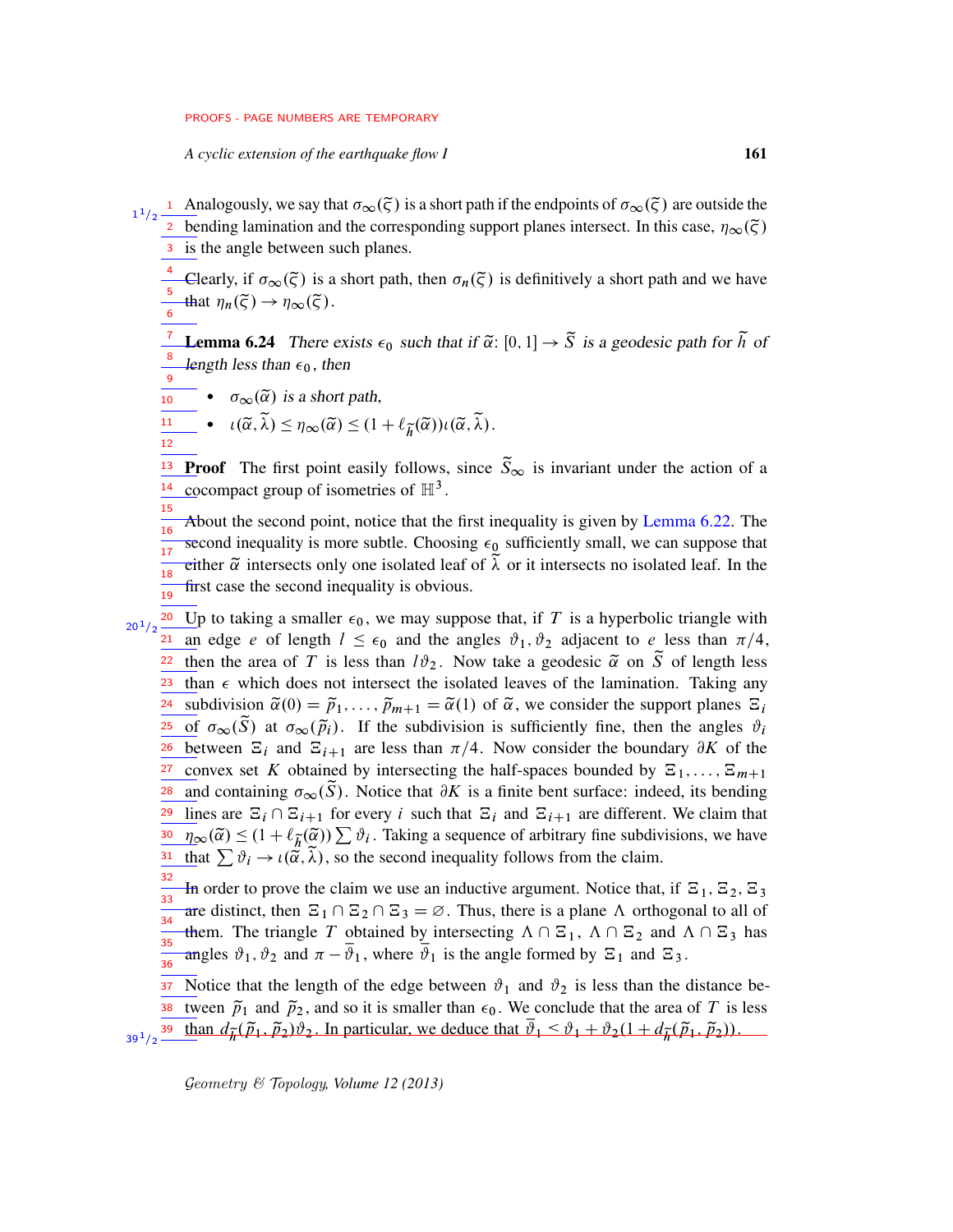*A cyclic extension of the earthquake flow I* 161

Analogously, we say that  $\sigma_\infty(\tilde{\zeta})$  is a short path if the endpoints of  $\sigma_\infty(\tilde{\zeta})$  are outside the **bending lamination and the corresponding support planes intersect. In this case,**  $\eta_{\infty}(\tilde{\zeta})$ 3 is the angle between such planes. 1  $1/2$ 

-Clearly, if  $\sigma_{\infty}(\tilde{\zeta})$  is a short path, then  $\sigma_n(\tilde{\zeta})$  is definitively a short path and we have that  $\eta_n(\tilde{\zeta}) \to \eta_\infty(\tilde{\zeta})$ . 4 5 6

<span id="page-60-0"></span>**Lemma 6.24** There exists  $\epsilon_0$  such that if  $\tilde{\alpha}$ :  $[0, 1] \rightarrow \tilde{S}$  is a geodesic path for  $\tilde{h}$  of length less than  $\epsilon_0$ , then 7 8 9

•  $\sigma_{\infty}(\tilde{\alpha})$  is a short path,

10

15

$$
\overline{\underline{\mathfrak{n} \mathfrak{n}}}\bullet \iota(\widetilde{\alpha},\widetilde{\lambda}) \leq \eta_{\infty}(\widetilde{\alpha}) \leq (1+\ell_{\widetilde{h}}(\widetilde{\alpha}))\iota(\widetilde{\alpha},\widetilde{\lambda}).
$$

**Proof** The first point easily follows, since  $\tilde{S}_{\infty}$  is invariant under the action of a cocompact group of isometries of  $\mathbb{H}^3$ . 13 14

About the second point, notice that the first inequality is given by [Lemma 6.22.](#page-58-1) The second inequality is more subtle. Choosing  $\epsilon_0$  sufficiently small, we can suppose that either  $\tilde{\alpha}$  intersects only one isolated leaf of  $\tilde{\lambda}$  or it intersects no isolated leaf. In the first case the second inequality is obvious. 16 17 18 19

Up to taking a smaller  $\epsilon_0$ , we may suppose that, if T is a hyperbolic triangle with an edge e of length  $l \leq \epsilon_0$  and the angles  $\vartheta_1$ ,  $\vartheta_2$  adjacent to e less than  $\pi/4$ , then the area of T is less than  $l\vartheta_2$ . Now take a geodesic  $\tilde{\alpha}$  on  $\tilde{S}$  of length less than  $\epsilon$  which does not intersect the isolated leaves of the lamination. Taking any subdivision  $\tilde{\alpha}(0) = \tilde{p}_1, \ldots, \tilde{p}_{m+1} = \tilde{\alpha}(1)$  of  $\tilde{\alpha}$ , we consider the support planes  $\Xi_i$ of  $\sigma_{\infty}(\tilde{S})$  at  $\sigma_{\infty}(\tilde{p}_i)$ . If the subdivision is sufficiently fine, then the angles  $\vartheta_i$ <sup>26</sup> between  $\Xi_i$  and  $\Xi_{i+1}$  are less than  $\pi/4$ . Now consider the boundary  $\partial K$  of the convex set K obtained by intersecting the half-spaces bounded by  $\Xi_1, \ldots, \Xi_{m+1}$ and containing  $\sigma_{\infty}(\tilde{S})$ . Notice that  $\partial K$  is a finite bent surface: indeed, its bending lines are  $\Xi_i \cap \Xi_{i+1}$  for every i such that  $\Xi_i$  and  $\Xi_{i+1}$  are different. We claim that  $\eta_{\infty}(\tilde{\alpha}) \leq (1 + \ell_{\tilde{h}}(\tilde{\alpha})) \sum \vartheta_i$ . Taking a sequence of arbitrary fine subdivisions, we have that  $\sum \vartheta_i \to \iota(\tilde{\alpha}, \tilde{\lambda})$ , so the second inequality follows from the claim. 20  $20^{1}/2$ 21 22 23 24 25 27 28 29 30 31

In order to prove the claim we use an inductive argument. Notice that, if  $\Xi_1$ ,  $\Xi_2$ ,  $\Xi_3$ are distinct, then  $\Xi_1 \cap \Xi_2 \cap \Xi_3 = \emptyset$ . Thus, there is a plane  $\Lambda$  orthogonal to all of them. The triangle T obtained by intersecting  $\Lambda \cap \Xi_1$ ,  $\Lambda \cap \Xi_2$  and  $\Lambda \cap \Xi_3$  has angles  $\vartheta_1$ ,  $\vartheta_2$  and  $\pi - \overline{\vartheta_1}$ , where  $\overline{\vartheta_1}$  is the angle formed by  $\Xi_1$  and  $\Xi_3$ . 32  $\overline{\overline{\phantom{a}}33}$ 34 35  $\frac{1}{36}$ 

Notice that the length of the edge between  $\vartheta_1$  and  $\vartheta_2$  is less than the distance be-Where  $\tilde{p}_1$  and  $\tilde{p}_2$ , and so it is smaller than  $\epsilon_0$ . We conclude that the area of T is less  $t_3$   $\frac{1}{39}$   $t_{12}$   $\frac{1}{39}$   $\frac{1}{4}$   $\frac{1}{6}$   $\frac{1}{2}$   $\frac{1}{2}$   $\frac{1}{2}$   $\frac{1}{2}$   $\frac{1}{2}$   $\frac{1}{2}$   $\frac{1}{2}$   $\frac{1}{2}$   $\frac{1}{2}$   $\frac{1}{2}$   $\frac{1}{2}$   $\frac{1}{2}$   $\frac{1}{2}$   $\frac{1}{2}$   $\frac{1}{2}$   $\frac{1}{2}$   $\frac{1$ 37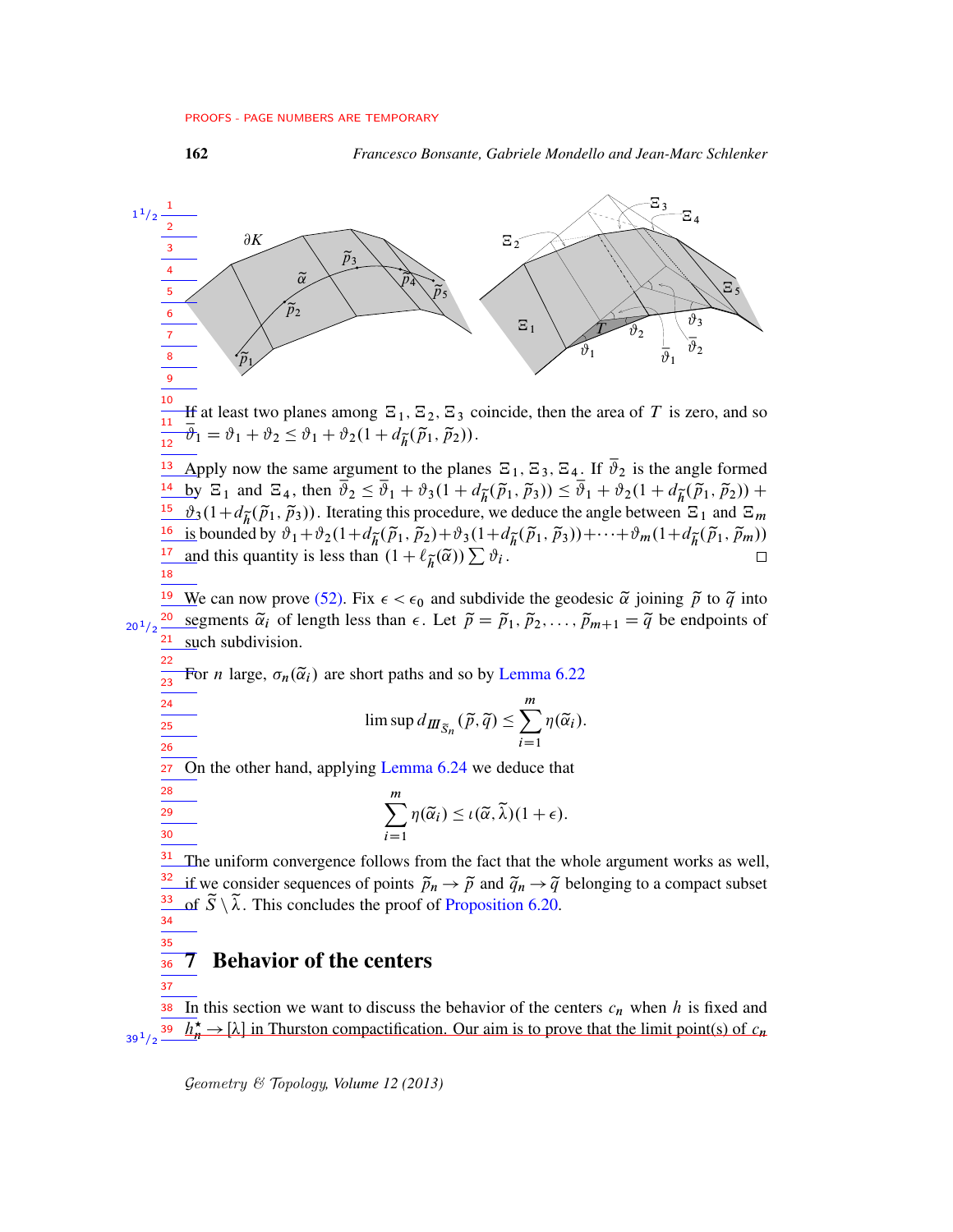162 *Francesco Bonsante, Gabriele Mondello and Jean-Marc Schlenker*



<span id="page-61-0"></span>In this section we want to discuss the behavior of the centers  $c_n$  when h is fixed and  $\overline{h_n^*} \to [\lambda]$  in Thurston compactification. Our aim is to prove that the limit point(s) of  $c_n$ 38 39  $39<sup>1</sup>/2$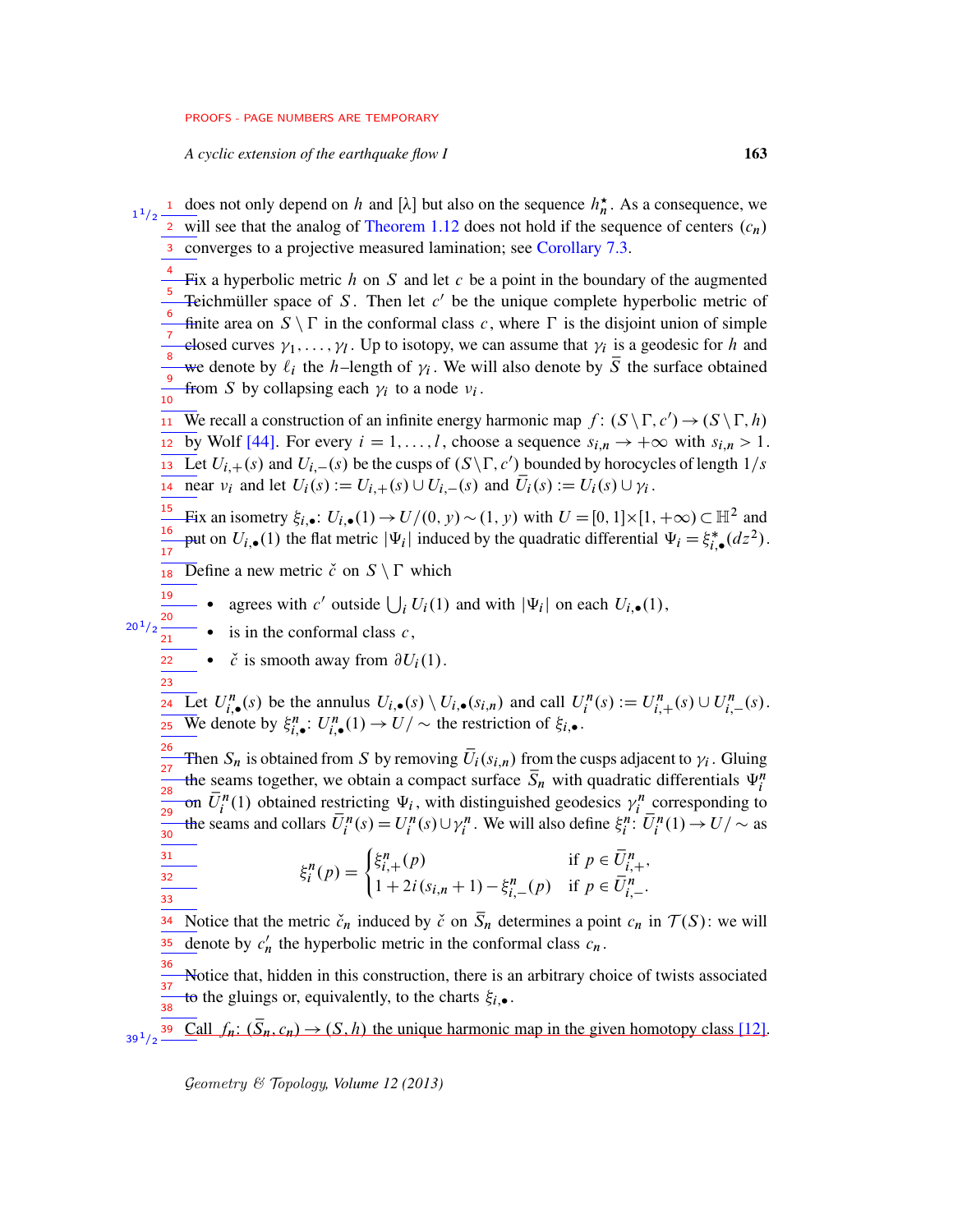*A cyclic extension of the earthquake flow I* 163

<sup>1</sup> does not only depend on h and [ $\lambda$ ] but also on the sequence  $h_n^*$ . As a consequence, we <sup>2</sup> will see that the analog of [Theorem 1.12](#page-8-0) does not hold if the sequence of centers  $(c_n)$ 3 converges to a projective measured lamination; see [Corollary 7.3.](#page-63-0) 1  $1/2$ 

Fix a hyperbolic metric  $h$  on  $S$  and let  $c$  be a point in the boundary of the augmented Teichmüller space of S. Then let  $c'$  be the unique complete hyperbolic metric of finite area on  $S \setminus \Gamma$  in the conformal class c, where  $\Gamma$  is the disjoint union of simple elosed curves  $\gamma_1, \ldots, \gamma_l$ . Up to isotopy, we can assume that  $\gamma_i$  is a geodesic for h and we denote by  $\ell_i$  the h–length of  $\gamma_i$ . We will also denote by  $\overline{S}$  the surface obtained from S by collapsing each  $\gamma_i$  to a node  $\nu_i$ . 4 5 6 7 8 9 10

**IT** We recall a construction of an infinite energy harmonic map  $f: (S \setminus \Gamma, c') \to (S \setminus \Gamma, h)$  $\overline{12 \text{ by Wolf [44]}}$  $\overline{12 \text{ by Wolf [44]}}$  $\overline{12 \text{ by Wolf [44]}}$ . For every  $i = 1, \ldots, l$ , choose a sequence  $s_{i,n} \to +\infty$  with  $s_{i,n} > 1$ .  $\overline{L}$  Let  $U_{i,+}(s)$  and  $U_{i,-}(s)$  be the cusps of  $(S \setminus \Gamma, c')$  bounded by horocycles of length  $1/s$ near  $v_i$  and let  $U_i(s) := U_{i,+}(s) \cup U_{i,-}(s)$  and  $\overline{U}_i(s) := U_i(s) \cup \gamma_i$ .

Fix an isometry  $\xi_{i,\bullet}$ :  $U_{i,\bullet}(1) \to U/(0, y) \sim (1, y)$  with  $U = [0, 1] \times [1, +\infty) \subset \mathbb{H}^2$  and put on  $U_{i,\bullet}(1)$  the flat metric  $|\Psi_i|$  induced by the quadratic differential  $\Psi_i = \xi_{i,\bullet}^*(dz^2)$ . 15 16 17

**18** Define a new metric  $\check{c}$  on  $S \setminus \Gamma$  which

- agrees with c' outside  $\bigcup_i U_i(1)$  and with  $|\Psi_i|$  on each  $U_i$ , (1), 19
- $\bullet$  is in the conformal class  $c$ , 20 21

 $20^{1}/2$ 

22 23

31 32 33  $\bullet$   $\check{c}$  is smooth away from  $\partial U_i(1)$ .

Let  $U_{i,\bullet}^n(s)$  be the annulus  $U_{i,\bullet}(s) \setminus U_{i,\bullet}(s_{i,n})$  and call  $U_i^n(s) := U_{i,+}^n(s) \cup U_{i,-}^n(s)$ . We denote by  $\xi_{i,\bullet}^n: U_{i,\bullet}^n(1) \to U/\sim$  the restriction of  $\xi_{i,\bullet}$ . 24 25

Then  $S_n$  is obtained from S by removing  $\overline{U}_i(s_{i,n})$  from the cusps adjacent to  $\gamma_i$ . Gluing the seams together, we obtain a compact surface  $\overline{S}_n$  with quadratic differentials  $\Psi_i^n$ on  $\overline{U}_i^n(1)$  obtained restricting  $\Psi_i$ , with distinguished geodesics  $\gamma_i^n$  corresponding to the seams and collars  $\overline{U}_i^n(s) = U_i^n(s) \cup \gamma_i^n$ . We will also define  $\xi_i^n: \overline{U}_i^n(1) \to U/\sim$  as 26  $\frac{1}{27}$ 28 29 30

$$
\xi_i^n(p) = \begin{cases} \xi_{i,+}^n(p) & \text{if } p \in \overline{U}_{i,+}^n, \\ 1 + 2i(s_{i,n} + 1) - \xi_{i,-}^n(p) & \text{if } p \in \overline{U}_{i,-}^n. \end{cases}
$$

Notice that the metric  $\check{c}_n$  induced by  $\check{c}$  on  $\overline{S}_n$  determines a point  $c_n$  in  $\mathcal{T}(S)$ : we will denote by  $c'_n$  $n'$  the hyperbolic metric in the conformal class  $c_n$ . 34 35

Notice that, hidden in this construction, there is an arbitrary choice of twists associated to the gluings or, equivalently, to the charts  $\xi_{i, \bullet}$ . 36 37 .<br>38

Call  $f_n: (\bar{S}_n, c_n) \to (S, h)$  the unique harmonic map in the given homotopy class [\[12\]](#page-75-5).  $39^{1}/2$   $-$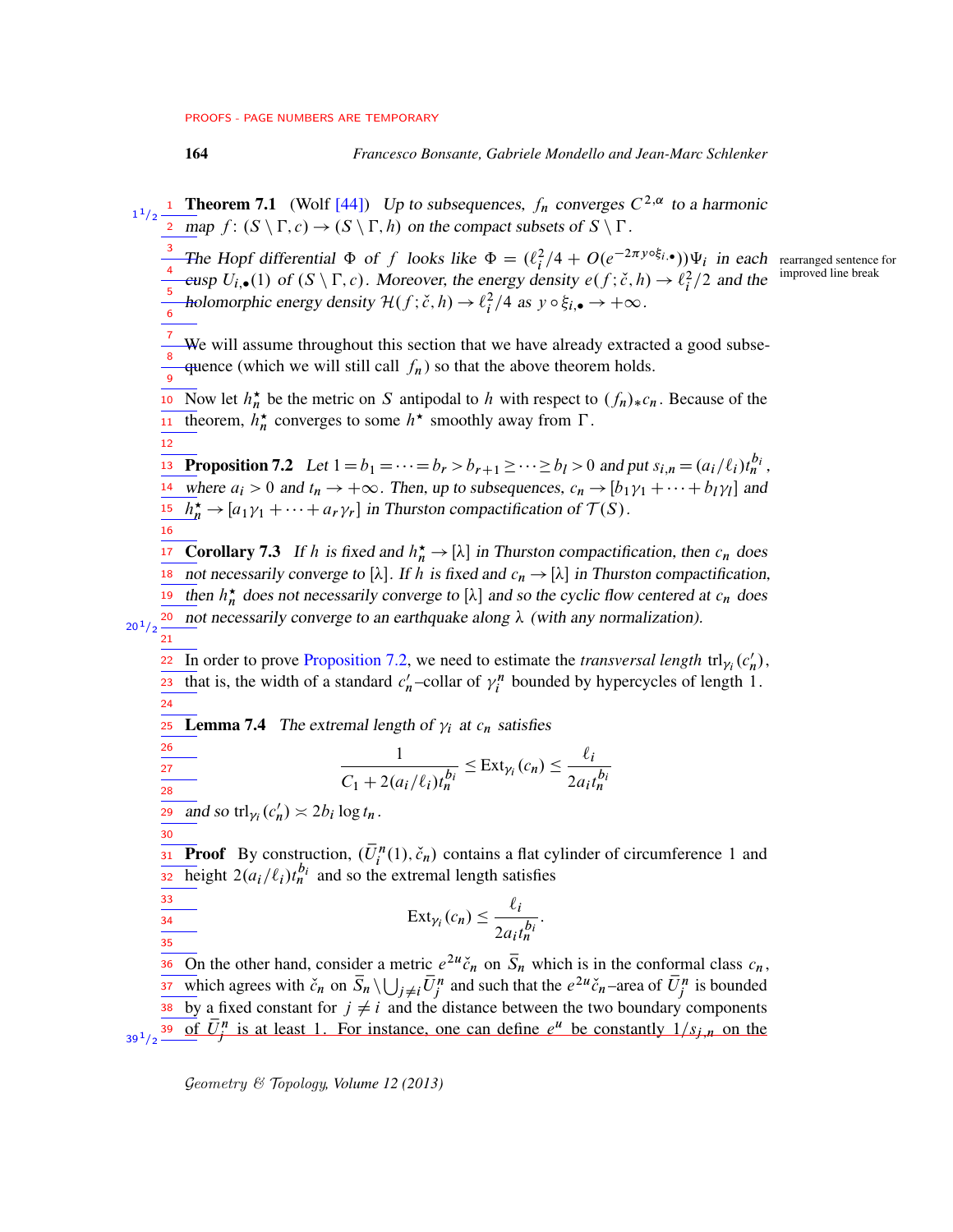7

<span id="page-63-1"></span>12

<span id="page-63-0"></span>16

164 *Francesco Bonsante, Gabriele Mondello and Jean-Marc Schlenker*

 $T^{1/2}$  **Theorem 7.1** (Wolf [\[44\]](#page-77-0)) Up to subsequences,  $f_n$  converges  $C^{2,\alpha}$  to a harmonic  $\overline{a}$  map  $f: (S \setminus \Gamma, c) \to (S \setminus \Gamma, h)$  on the compact subsets of  $S \setminus \Gamma$ .

<sup>3</sup> The Hopf differential  $\Phi$  of f looks like  $\Phi = (\ell_i^2/4 + O(e^{-2\pi y \circ \xi_i}) ) \Psi_i$  in each rearranged sentence for improved line break eusp  $U_{i,\bullet}(1)$  of  $(S \setminus \Gamma, c)$ . Moreover, the energy density  $e(f; \check{c}, h) \to \ell_i^2/2$  and the holomorphic energy density  $\mathcal{H}(f; \check{c}, h) \to \ell_i^2/4$  as  $y \circ \xi_{i, \bullet} \to +\infty$ . 4 5 6

We will assume throughout this section that we have already extracted a good subse-

quence (which we will still call  $f_n$ ) so that the above theorem holds. 8 9

<sup>10</sup> Now let  $h_n^*$  be the metric on S antipodal to h with respect to  $(f_n)_*c_n$ . Because of the theorem,  $h_n^*$  converges to some  $h^*$  smoothly away from  $\Gamma$ . 11

**Example 13** Proposition 7.2 Let  $1 = b_1 = \cdots = b_r > b_{r+1} \ge \cdots \ge b_l > 0$  and put  $s_{i,n} = (a_i/\ell_i)t_n^{b_i}$ , where  $a_i > 0$  and  $t_n \to +\infty$ . Then, up to subsequences,  $c_n \to [b_1\gamma_1 + \cdots + b_l\gamma_l]$  and  $\frac{15}{n}$   $h_n^{\star} \rightarrow [a_1 \gamma_1 + \cdots + a_r \gamma_r]$  in Thurston compactification of  $\mathcal{T}(S)$ . 14

**Example 17** Corollary 7.3 If h is fixed and  $h_n^* \to [\lambda]$  in Thurston compactification, then  $c_n$  does not necessarily converge to [ $\lambda$ ]. If h is fixed and  $c_n \to [\lambda]$  in Thurston compactification, <sup>19</sup> then  $h_n^*$  does not necessarily converge to [ $\lambda$ ] and so the cyclic flow centered at  $c_n$  does 20 not necessarily converge to an earthquake along  $\lambda$  (with any normalization).  $20^{1/2}$ 

In order to prove [Proposition 7.2,](#page-63-1) we need to estimate the *transversal length*  $trl_{\gamma_i}(c'_n)$  $\frac{22}{\pi}$  In order to prove Proposition 7.2, we need to estimate the *transversal length* trl<sub> $\gamma_i$ </sub> ( $c'_n$ ), that is, the width of a standard  $c'$  $n'$ -collar of  $\gamma_i^n$  bounded by hypercycles of length 1. 21 23

**Lemma 7.4** The extremal length of  $\gamma_i$  at  $c_n$  satisfies 25

$$
\frac{1}{C_1 + 2(a_i/\ell_i)t_n^{b_i}} \leq \text{Ext}_{\gamma_i}(c_n) \leq \frac{\ell_i}{2a_it_n^{b_i}}
$$

and so trl<sub> $\gamma_i$ </sub> $(c'_n)$  $\frac{1}{29}$  and so trl<sub> $\gamma_i$ </sub> $(c'_n) \asymp 2b_i \log t_n$ .

30

33  $\frac{34}{1}$  $\overline{35}$ 

<span id="page-63-2"></span>24

26 27 28

**Proof** By construction,  $(\overline{U}_i^n(1), \check{c}_n)$  contains a flat cylinder of circumference 1 and height  $2(a_i/\ell_i)t_n^{b_i}$  and so the extremal length satisfies 31 32

$$
ext{Ext}_{\gamma_i}(c_n) \leq \frac{\ell_i}{2a_i t_n^{b_i}}.
$$

On the other hand, consider a metric  $e^{2u}\tilde{c}_n$  on  $\overline{S}_n$  which is in the conformal class  $c_n$ , which agrees with  $\check{c}_n$  on  $\overline{S}_n \setminus \bigcup_{j \neq i} \overline{U}_j^n$  and such that the  $e^{2u}\check{c}_n$ -area of  $\overline{U}_j^n$  is bounded  $\overline{\text{38}}$  by a fixed constant for  $j \neq i$  and the distance between the two boundary components  $\frac{1}{39^{1/2}}$   $\frac{1}{39}$  of  $\overrightarrow{U}$  is at least 1. For instance, one can define  $e^{u}$  be constantly  $1/s_{j,n}$  on the 36 37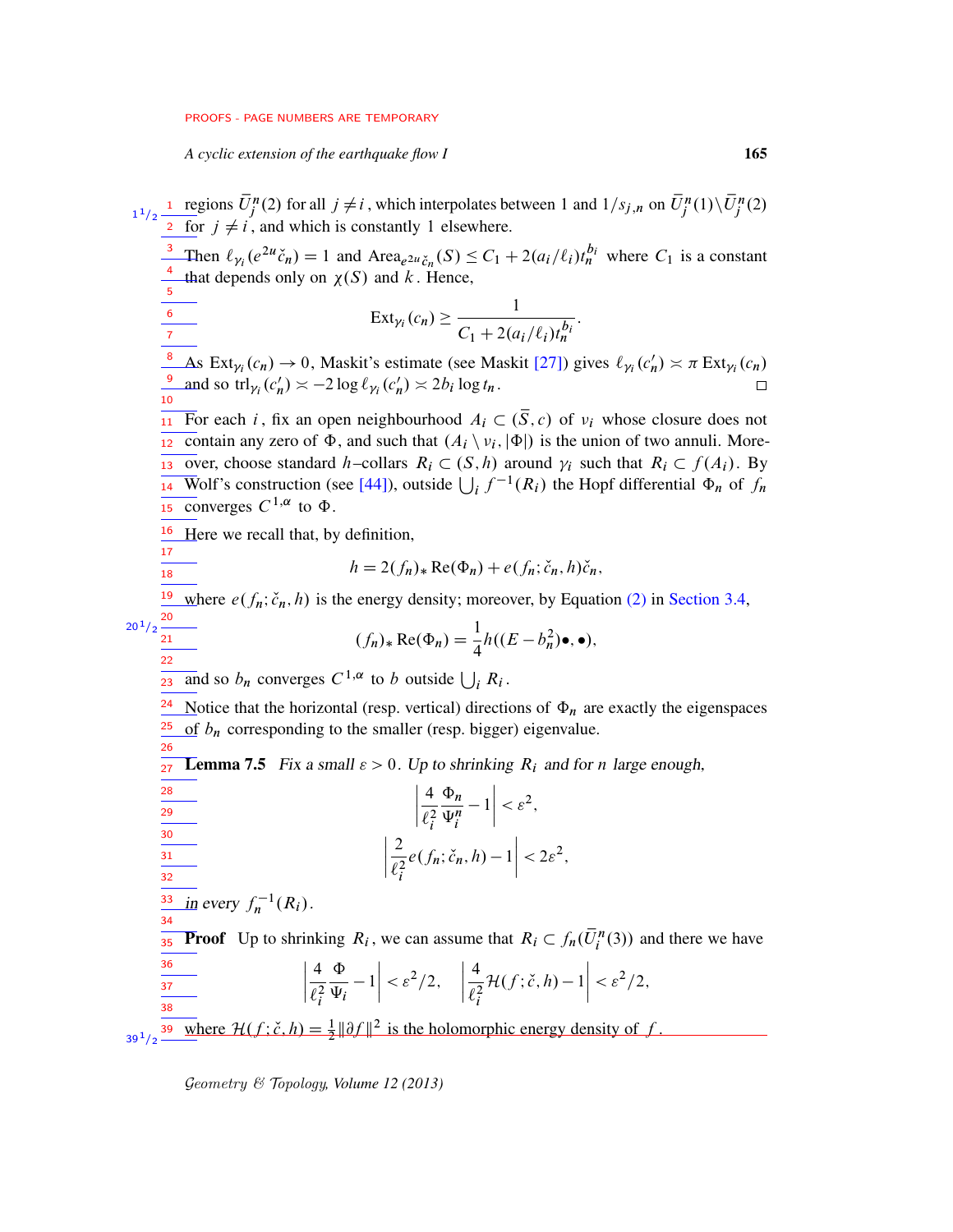*A cyclic extension of the earthquake flow I* 165

<span id="page-64-0"></span>regions  $\bar{U}_j^n(2)$  for all  $j \neq i$ , which interpolates between 1 and  $1/s_{j,n}$  on  $\bar{U}_j^n(1) \setminus \bar{U}_j^n(2)$ for  $j \neq i$ , and which is constantly 1 elsewhere. <sup>3</sup> Then  $\ell_{\gamma_i}(e^{2u}\check{c}_n) = 1$  and Area $_{e^{2u}\check{c}_n}(S) \leq C_1 + 2(a_i/\ell_i)t_n^{b_i}$  where  $C_1$  is a constant that depends only on  $\chi(S)$  and k. Hence,  $\text{Ext}_{\gamma_i}(c_n) \geq \frac{1}{\sigma_{i-1} \sigma_i}$  $C_1 + 2(a_i/\ell_i)t_n^{b_i}$ : As Ext<sub> $\gamma_i(c_n) \to 0$ , Maskit's estimate (see Maskit [\[27\]](#page-76-4)) gives  $\ell_{\gamma_i}(c'_n)$ </sub>  $\rightarrow$  0, Maskit's estimate (see Maskit [27]) gives  $\ell_{\gamma_i}(c'_n) \asymp \pi \operatorname{Ext}_{\gamma_i}(c_n)$ <sup>9</sup> and so trl<sub> $\gamma_i$ </sub> ( $c'_n$ )  $\asymp$  -2 log  $\ell_{\gamma_i}$  ( $c'_n$ )  $\asymp$  2*b<sub>i</sub>* log  $t_n$ .  $\frac{1}{11}$  For each *i*, fix an open neighbourhood  $A_i \subset (\bar{S}, c)$  of  $v_i$  whose closure does not contain any zero of  $\Phi$ , and such that  $(A_i \setminus \nu_i, |\Phi|)$  is the union of two annuli. Morewhere  $\overline{R_i}$  over, choose standard h–collars  $R_i \subset (S, h)$  around  $\gamma_i$  such that  $R_i \subset f(A_i)$ . By Wolf's construction (see [\[44\]](#page-77-0)), outside  $\bigcup_i f^{-1}(R_i)$  the Hopf differential  $\Phi_n$  of  $f_n$  $\overline{\phantom{a}15}$  converges  $C^{1,\alpha}$  to  $\Phi$ .  $\frac{16}{16}$  Here we recall that, by definition,  $h = 2(f_n)_* \text{Re}(\Phi_n) + e(f_n; \check{c}_n, h)\check{c}_n,$ <sup>19</sup> where  $e(f_n; \check{c}_n, h)$  is the energy density; moreover, by Equation [\(2\)](#page-21-0) in [Section 3.4,](#page-20-0)  $(f_n)_* \text{Re}(\Phi_n) = \frac{1}{4}$  $\frac{1}{4}h((E-b_n^2)\bullet, \bullet),$ and so  $b_n$  converges  $C^{1,\alpha}$  to b outside  $\bigcup_i R_i$ . <sup>24</sup> Notice that the horizontal (resp. vertical) directions of  $\Phi_n$  are exactly the eigenspaces of  $b_n$  corresponding to the smaller (resp. bigger) eigenvalue. **Lemma 7.5** Fix a small  $\varepsilon > 0$ . Up to shrinking  $R_i$  and for n large enough, ˇ ˇ ˇ ˇ 4  $\ell_i^2$  $\Phi_n$  $\overline{\Psi_i^n}$  $\left| -1 \right|$  $\langle \varepsilon^2,$  $\begin{array}{c} \begin{array}{c} \begin{array}{c} \begin{array}{c} \end{array} \\ \begin{array}{c} \end{array} \\ \begin{array}{c} \end{array} \\ \begin{array}{c} \end{array} \end{array} \end{array} \end{array}$ 2  $\ell_i^2$  $e(f_n; \check{c}_n, h) - 1\Big|$  $\langle 2\varepsilon^2,$  $\frac{33}{\pi}$  in every  $f_n^{-1}(R_i)$ . **Proof** Up to shrinking  $R_i$ , we can assume that  $R_i \subset f_n(\overline{U}_i^n(3))$  and there we have  $\begin{array}{c}\n\hline\n\vdots \\
\hline\n\vdots \\
\hline\n\end{array}$ 4  $\ell_i^2$  $\Phi$  $\Psi_i$  $\left| -1 \right|$  $\langle \varepsilon^2/2,$ ˇ ˇ ˇ ˇ 4  $\ell_i^2$  $\mathcal{H}(f; \check{c}, h) - 1$  $\langle \varepsilon^2/2,$ **39** where  $\mathcal{H}(f; \check{c}, h) = \frac{1}{2} ||\partial f||^2$  is the holomorphic energy density of f.  $1^{1}/2$   $\frac{1}{2}$ 4 5 6 7 8 10 14 17 18  $20^{1}/2 \frac{20}{21}$ 22 23 25 26 27 28 29 30 31 32 34 35 36 37 38  $39^{\,1}/2$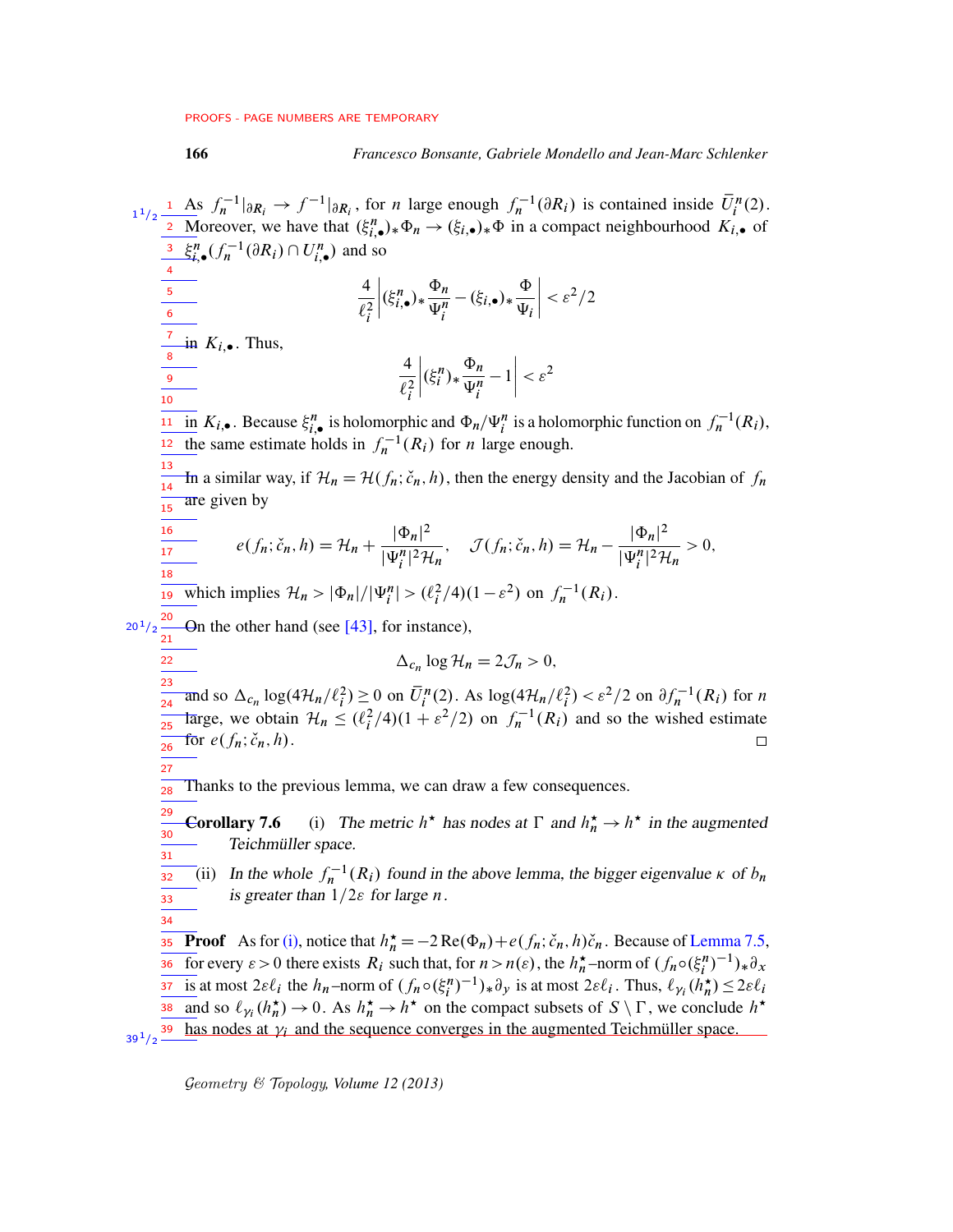### 166 *Francesco Bonsante, Gabriele Mondello and Jean-Marc Schlenker*

<span id="page-65-2"></span><span id="page-65-1"></span><span id="page-65-0"></span>As  $f_n^{-1}|_{\partial R_i} \to f^{-1}|_{\partial R_i}$ , for *n* large enough  $f_n^{-1}(\partial R_i)$  is contained inside  $\overline{U}_i^n(2)$ .  $1^{1}/2$   $\frac{1}{2}$ Moreover, we have that  $(\xi_{i,\bullet}^n)_*\Phi_n \to (\xi_{i,\bullet})_*\Phi$  in a compact neighbourhood  $K_{i,\bullet}$  of  $\xi_{i,\bullet}^n(f_n^{-1}(\partial R_i) \cap U_{i,\bullet}^n)$  and so 3 4 ˇ ˇ ˇ ˇ ˇ ˇ ˇ ˇ 4  $(\xi_{i,\bullet}^n)_*\frac{\Phi_n}{\Psi_n}$  $-(\xi_{i,\bullet})_{\ast}\frac{\Phi}{\Psi}$  $\langle \varepsilon^2/2$ 5  $\overline{\Psi_i^n}$  $\ell_i^2$  $\Psi_i$ 6 7 in  $K_{i,\bullet}$ . Thus, 8 4 ˇ ˇ ˇ ˇ  $(\xi_i^n)_* \frac{\Phi_n}{\Psi_n}$  $\left| -1 \right|$  $\langle \varepsilon^2$ 9  $\overline{\Psi_i^n}$  $\ell_i^2$ 10  $\overline{\mathop{\rm in}\nolimits} K_{i,\bullet}$ . Because  $\xi_{i,\bullet}^n$  is holomorphic and  $\Phi_n/\Psi_i^n$  is a holomorphic function on  $f_n^{-1}(R_i)$ ,  $\frac{12 \text{ the same estimate holds in } f_n^{-1}(R_i) \text{ for } n \text{ large enough.}}{12 \text{ the same estimate holds in } f_n^{-1}(R_i) \text{ for } n \text{ large enough.}}$ 13 In a similar way, if  $\mathcal{H}_n = \mathcal{H}(f_n; \check{c}_n, h)$ , then the energy density and the Jacobian of  $f_n$ 14 are given by  $\overline{15}$ 16  $e(f_n; \check{c}_n, h) = \mathcal{H}_n + \frac{|\Phi_n|^2}{|\Psi_n|^2}$  $\mathcal{J}(f_n; \check{c}_n, h) = \mathcal{H}_n - \frac{|\Phi_n|^2}{|\Psi_n|^2}$  $\frac{1-n_1}{|\Psi_i^n|^2\mathcal{H}_n}>0,$  $\frac{1}{17}$  $\overline{|\Psi_i^n|^2\mathcal{H}_n}$ 18 <sup>19</sup> which implies  $\mathcal{H}_n > |\Phi_n|/|\Psi_i^n| > (\ell_i^2/4)(1-\varepsilon^2)$  on  $f_n^{-1}(R_i)$ .  $20^{1}/2 \frac{20}{21}$  $\Box$  On the other hand (see [\[43\]](#page-77-1), for instance), 22  $\Delta_{c_n} \log \mathcal{H}_n = 2\mathcal{J}_n > 0,$ 23 and so  $\Delta_{c_n} \log(4\mathcal{H}_n/\ell_i^2) \ge 0$  on  $\overline{U}_i^n(2)$ . As  $\log(4\mathcal{H}_n/\ell_i^2) < \varepsilon^2/2$  on  $\partial f_n^{-1}(R_i)$  for n 24 large, we obtain  $\mathcal{H}_n \leq (\ell_i^2/4)(1+\varepsilon^2/2)$  on  $f_n^{-1}(R_i)$  and so the wished estimate 25 for  $e(f_n; \check{c}_n, h)$ .  $\Box$ 26 27 Thanks to the previous lemma, we can draw a few consequences. 28 29 **Corollary 7.6** (i) The metric  $h^*$  has nodes at  $\Gamma$  and  $h_n^* \to h^*$  in the augmented 30 Teichmüller space. 31 (ii) In the whole  $f_n^{-1}(R_i)$  found in the above lemma, the bigger eigenvalue  $\kappa$  of  $b_n$ 32 is greater than  $1/2\varepsilon$  for large n. 33 34 **Proof** As for [\(i\),](#page-65-0) notice that  $h_n^* = -2 \text{Re}(\Phi_n) + e(f_n; \tilde{c}_n, h)\tilde{c}_n$ . Because of [Lemma 7.5,](#page-64-0) 35 For every  $\varepsilon > 0$  there exists  $R_i$  such that, for  $n > n(\varepsilon)$ , the  $h_n^*$ -norm of  $(f_n \circ (\xi_i^n)^{-1})_* \partial_x$ 36 is at most  $2\varepsilon \ell_i$  the  $h_n$ -norm of  $(f_n \circ (\xi_i^n)^{-1})_* \partial_y$  is at most  $2\varepsilon \ell_i$ . Thus,  $\ell_{\gamma_i}(h_n^{\star}) \leq 2\varepsilon \ell_i$ 37 and so  $\ell_{\gamma_i}(h_n^{\star}) \to 0$ . As  $h_n^{\star} \to h^{\star}$  on the compact subsets of  $S \setminus \Gamma$ , we conclude  $h^{\star}$ 38  $\frac{39 \cdot 1}{2}$  has nodes at  $\gamma_i$  and the sequence converges in the augmented Teichmüller space.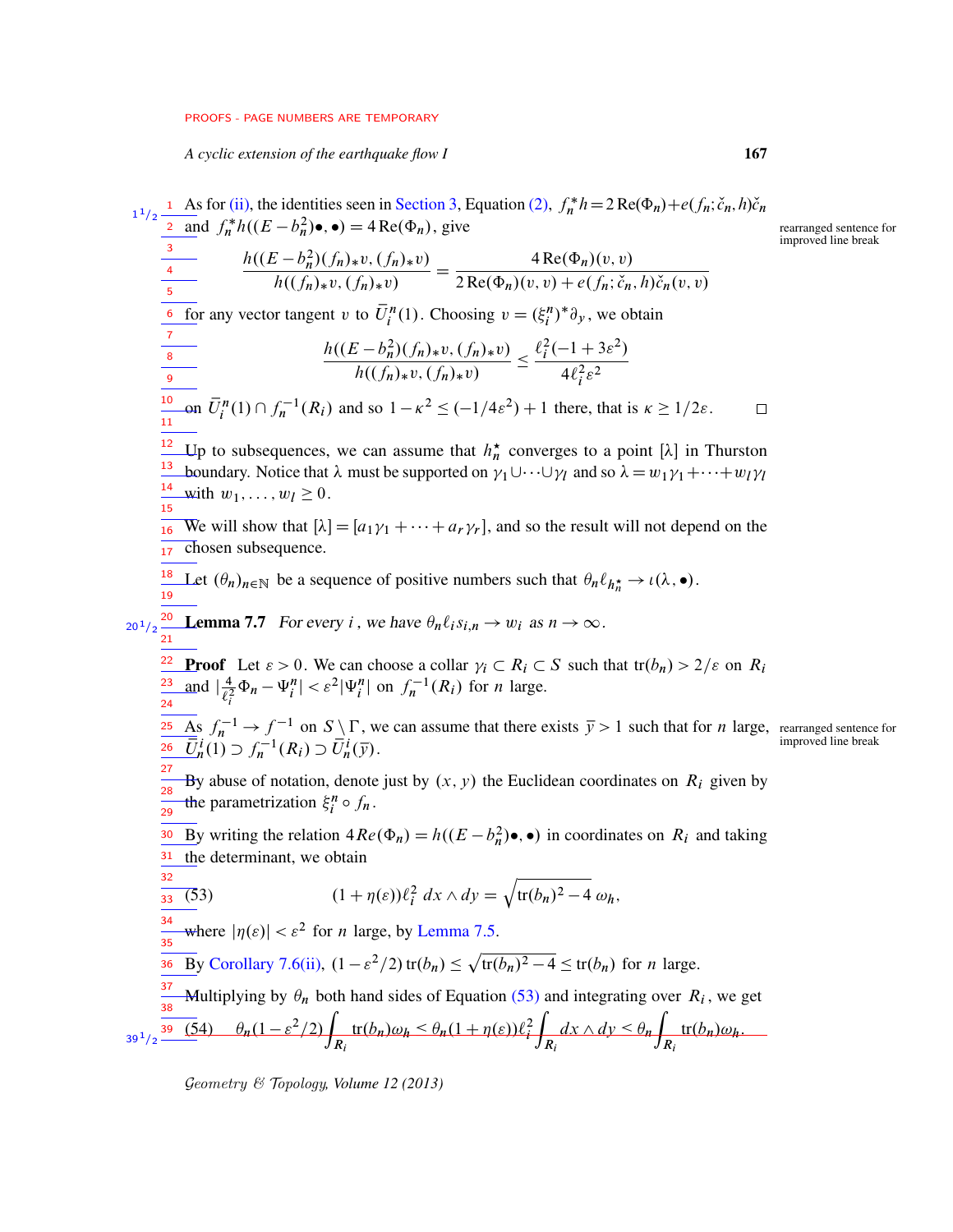*A cyclic extension of the earthquake flow I* 167

<span id="page-66-2"></span><span id="page-66-0"></span>As for [\(ii\),](#page-65-1) the identities seen in [Section 3,](#page-17-0) Equation [\(2\),](#page-21-0)  $f_n^* h = 2 \text{Re}(\Phi_n) + e(f_n; \tilde{c}_n, h) \tilde{c}_n$  $1^{1}/2$   $\frac{1}{2}$ and  $f_n^*h((E-b_n^2)\bullet,\bullet) = 4 \operatorname{Re}(\Phi_n)$ , give rearranged sentence for improved line break 3  $\frac{h((E - b_n^2)(f_n)_*v, (f_n)_*v)}{h((f_n)_*v, (f_n)_*v)} = \frac{4 \operatorname{Re}(\Phi_n)(v, v)}{2 \operatorname{Re}(\Phi_n)(v, v) + e(f_n; \check{c}_n)}$ 4  $2\text{Re}(\Phi_n)(v, v) + e(f_n; \check{c}_n, h)\check{c}_n(v, v)$ 5 for any vector tangent v to  $\overline{U}_i^n(1)$ . Choosing  $v = (\xi_i^n)^* \partial_y$ , we obtain 6 7  $\frac{h((E-b_n^2)(f_n)_*v,(f_n)_*v)}{h((f_n)_*v,(f_n)_*v)} \leq \frac{\ell_i^2(-1+3\varepsilon^2)}{4\ell_i^2\varepsilon^2}$ 8  $4\ell_i^2 \varepsilon^2$ 9 on  $\overline{U}_i^n(1) \cap f_n^{-1}(R_i)$  and so  $1 - \kappa^2 \le (-1/4\epsilon^2) + 1$  there, that is  $\kappa \ge 1/2\epsilon$ . 10  $\Box$ 11 <sup>12</sup> Up to subsequences, we can assume that  $h_n^*$  converges to a point [ $\lambda$ ] in Thurston <sup>13</sup> boundary. Notice that  $\lambda$  must be supported on  $\gamma_1 \cup \cdots \cup \gamma_l$  and so  $\lambda = w_1 \gamma_1 + \cdots + w_l \gamma_l$  $\frac{14}{2}$  with  $w_1, \ldots, w_l \geq 0$ . 15  $\overline{a_1 \cdot b_2}$  We will show that  $[\lambda] = [a_1 \gamma_1 + \cdots + a_r \gamma_r]$ , and so the result will not depend on the chosen subsequence. 17 Let  $(\theta_n)_{n \in \mathbb{N}}$  be a sequence of positive numbers such that  $\theta_n \ell_{h_n^*} \to \iota(\lambda, \bullet)$ . 18 19  $_{20<sup>1</sup>/2}$  **Lemma 7.7** For every *i*, we have  $\theta_n \ell_i s_{i,n} \to w_i$  as  $n \to \infty$ . 21 **Proof** Let  $\varepsilon > 0$ . We can choose a collar  $\gamma_i \subset R_i \subset S$  such that  $tr(b_n) > 2/\varepsilon$  on  $R_i$ 22  $\frac{4}{\ell_i^2} \Phi_n - \Psi_i^n \leq \varepsilon^2 |\Psi_i^n|$  on  $f_n^{-1}(R_i)$  for *n* large. and  $\frac{4}{\ell^2}$ 23 24 As  $f_n^{-1} \to f^{-1}$  on  $S \setminus \Gamma$ , we can assume that there exists  $\bar{y} > 1$  such that for *n* large, rearranged sentence for 25  $\overline{\overline{U}}_n^i(1) \supset f_n^{-1}(R_i) \supset \overline{U}_n^i(\overline{y}).$ 26 27 By abuse of notation, denote just by  $(x, y)$  the Euclidean coordinates on  $R_i$  given by  $\overline{28}$ the parametrization  $\xi_i^n \circ f_n$ . 29 <sup>30</sup> By writing the relation  $4Re(\Phi_n) = h((E - b_n^2) \bullet, \bullet)$  in coordinates on  $R_i$  and taking  $31$  the determinant, we obtain 32 (53)  $(1 + \eta(\varepsilon))\ell_i^2 dx \wedge dy = \sqrt{\text{tr}(b_n)^2 - 4} \omega_h,$  $33(53)$ 34 where  $|\eta(\varepsilon)| < \varepsilon^2$  for *n* large, by [Lemma 7.5.](#page-64-0) 35 By [Corollary 7.6](#page-65-2)[\(ii\),](#page-65-1)  $(1 - \varepsilon^2/2)$  tr $(b_n) \le \sqrt{\text{tr}(b_n)^2 - 4} \le \text{tr}(b_n)$  for *n* large. 36 37 Multiplying by  $\theta_n$  both hand sides of Equation [\(53\)](#page-66-0) and integrating over  $R_i$ , we get 38  $\overline{(54)}$   $\theta_n(1-\varepsilon^2/2)$  $\overline{a}$  $dx \wedge dy \leq \theta_n$  $tr(b_n)\omega_h \leq \theta_n(1 + \eta(\varepsilon))\ell_i^2$  $tr(b_n)\omega_h.$  $39^{1}/2$   $R_i$  $R_i$  $R_i$ 

<span id="page-66-1"></span>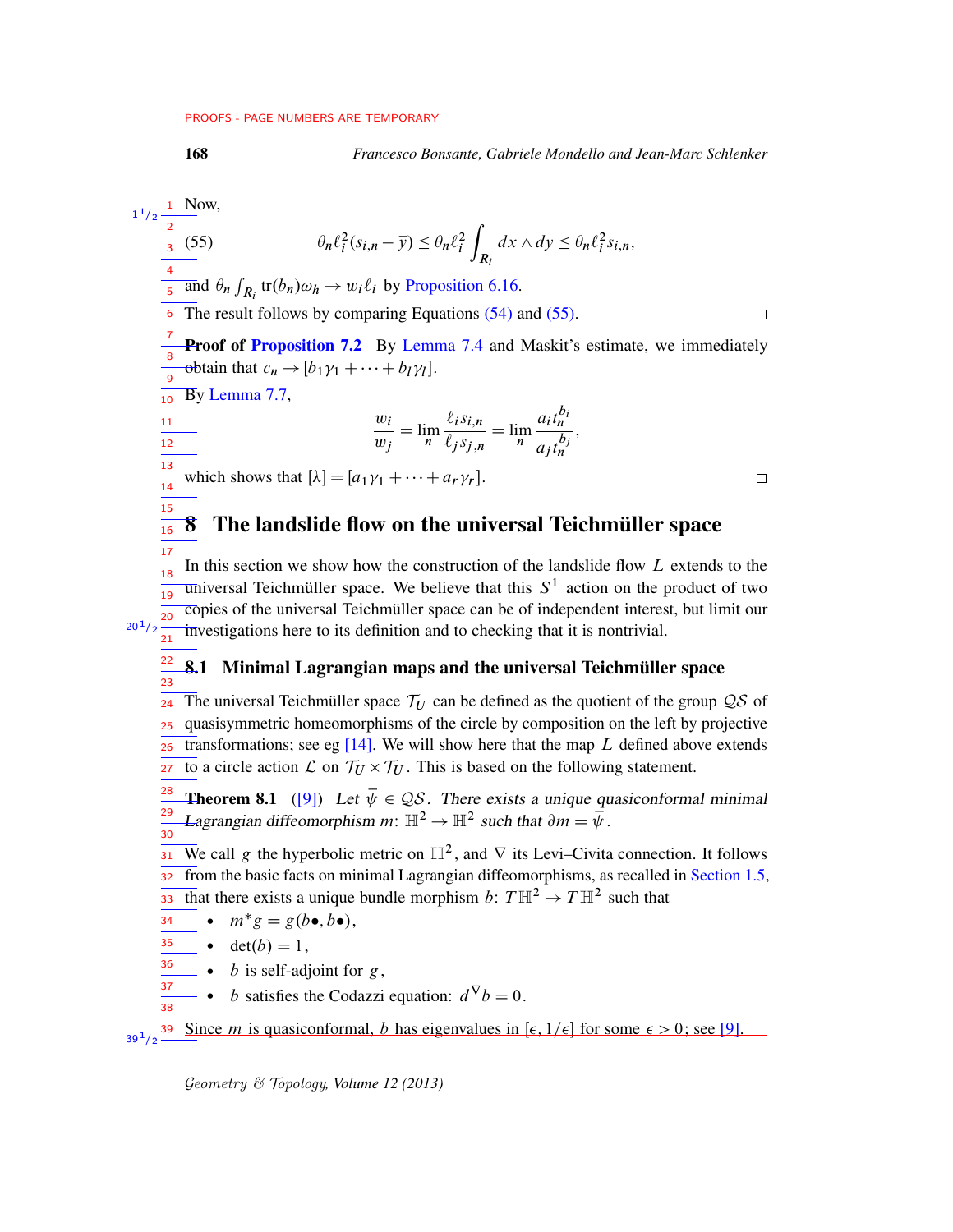<span id="page-67-0"></span>

168 *Francesco Bonsante, Gabriele Mondello and Jean-Marc Schlenker*

<span id="page-67-1"></span>Now,  $1^{1}/2$   $\frac{1}{2}$ Z (55)  $\theta_n \ell_i^2 (s_{i,n} - \overline{y}) \leq \theta_n \ell_i^2$  $dx \wedge dy \leq \theta_n \ell_i^2 s_{i,n},$ 3  $R_i$ 4 and  $\theta_n \int_{R_i}$  tr $(b_n)\omega_h \to w_i \ell_i$  by [Proposition 6.16.](#page-53-1) 5 The result follows by comparing Equations [\(54\)](#page-66-1) and [\(55\).](#page-67-0) 6  $\Box$ 7 Proof of [Proposition 7.2](#page-63-1) By [Lemma 7.4](#page-63-2) and Maskit's estimate, we immediately 8 obtain that  $c_n \rightarrow [b_1 \gamma_1 + \cdots + b_l \gamma_l].$ 9 By [Lemma 7.7,](#page-66-2)  $\overline{10}$  $a_i t_n^{b_i}$  $\frac{1}{11}$  $w_i$  $\ell_i s_{i,n}$  $=\lim_{n}$  $=\lim_{n}$ ;  $\frac{1}{12}$  $w_j$  $\ell_j s_{j,n}$  $a_j t_n^{b_j}$ 13 which shows that  $[\lambda] = [a_1 \gamma_1 + \cdots + a_r \gamma_r].$  $\Box$ 14 15 8 The landslide flow on the universal Teichmüller space 16 17 In this section we show how the construction of the landslide flow  $L$  extends to the 18  $\overline{\text{universal}}$  Teichmüller space. We believe that this  $S^1$  action on the product of two 19 copies of the universal Teichmüller space can be of independent interest, but limit our 20  $20^{1/2}$ investigations here to its definition and to checking that it is nontrivial. 21 22 8.1 Minimal Lagrangian maps and the universal Teichmüller space 23 The universal Teichmüller space  $\mathcal{T}_U$  can be defined as the quotient of the group  $\mathcal{QS}$  of 24 quasisymmetric homeomorphisms of the circle by composition on the left by projective 25 transformations; see eg  $[14]$ . We will show here that the map  $L$  defined above extends 26 to a circle action  $\mathcal L$  on  $\mathcal T_U \times \mathcal T_U$ . This is based on the following statement. 27 **Theorem 8.1** ([\[9\]](#page-75-4)) Let  $\overline{\psi} \in \mathcal{QS}$ . There exists a unique quasiconformal minimal 28 Lagrangian diffeomorphism  $m: \mathbb{H}^2 \to \mathbb{H}^2$  such that  $\partial m = \psi$ . 29 30 We call g the hyperbolic metric on  $\mathbb{H}^2$ , and  $\nabla$  its Levi–Civita connection. It follows 31 from the basic facts on minimal Lagrangian diffeomorphisms, as recalled in [Section 1.5,](#page-4-0) 32 that there exists a unique bundle morphism  $b: T \mathbb{H}^2 \to T \mathbb{H}^2$  such that 33 •  $m^*g = g(b \bullet, b \bullet),$ 34 35  $\bullet$  det $(b) = 1$ ,

 $\bullet$  *b* is self-adjoint for *g*, 36 37

38

• *b* satisfies the Codazzi equation:  $d^{\nabla}b = 0$ .

Since *m* is quasiconformal, *b* has eigenvalues in [ $\epsilon$ ,  $1/\epsilon$ ] for some  $\epsilon > 0$ ; see [\[9\]](#page-75-4).  $39^{1}/2$   $-$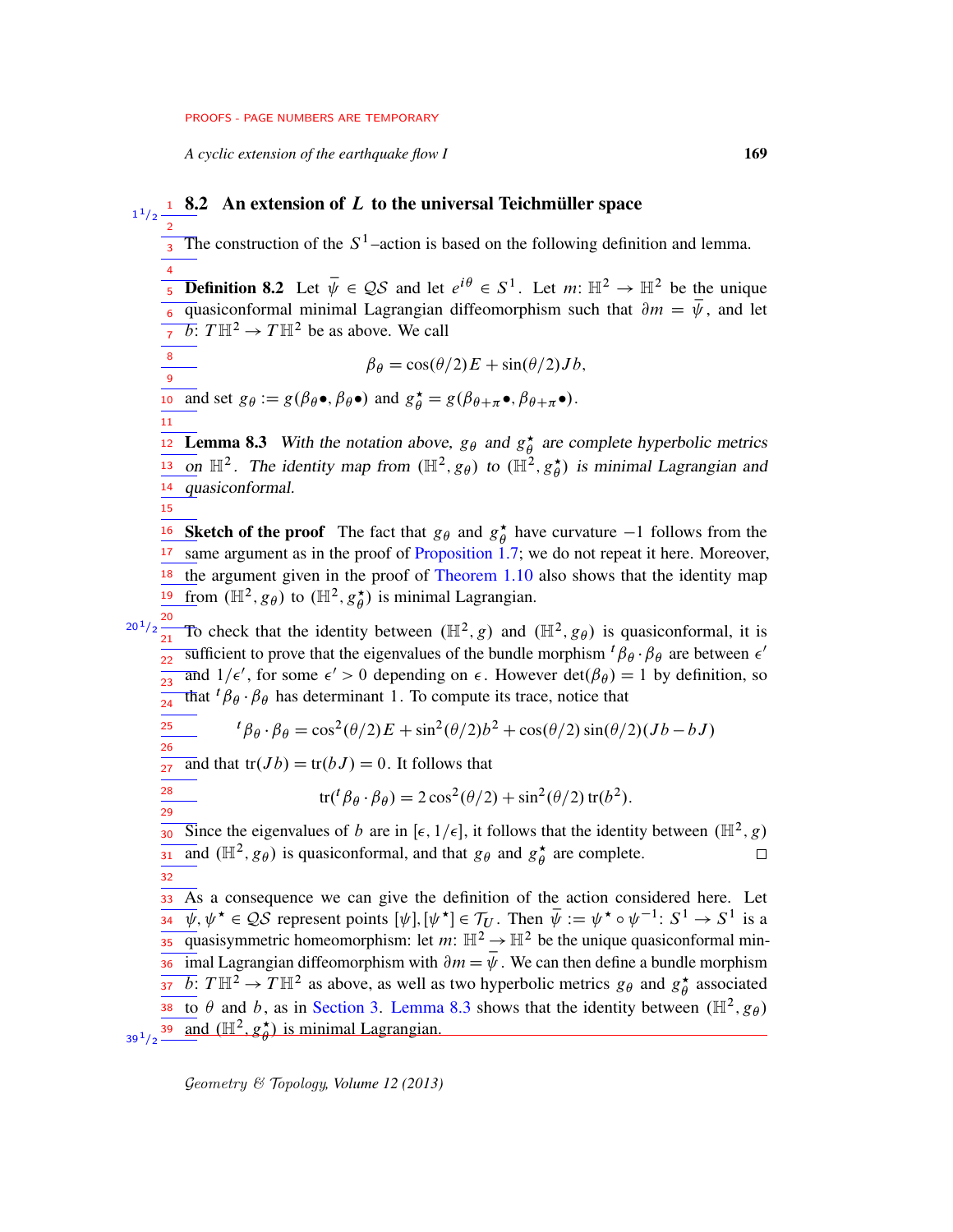*A cyclic extension of the earthquake flow I* 169

<span id="page-68-0"></span> $\frac{1}{1/2}$   $\frac{1}{1/2}$  **8.2** An extension of L to the universal Teichmüller space 2 The construction of the  $S^1$ -action is based on the following definition and lemma. 3 4 **Definition 8.2** Let  $\bar{\psi} \in \mathcal{QS}$  and let  $e^{i\theta} \in S^1$ . Let  $m: \mathbb{H}^2 \to \mathbb{H}^2$  be the unique 5 quasiconformal minimal Lagrangian diffeomorphism such that  $\partial m = \overline{\psi}$ , and let  $\frac{6}{17}$  duasicomorman miniman Lagrangian<br> $\frac{1}{17}$  b:  $T \mathbb{H}^2 \rightarrow T \mathbb{H}^2$  be as above. We call 7 8  $\beta_{\theta} = \cos(\theta/2)E + \sin(\theta/2)Jb,$  $\overline{9}$ **and set**  $g_{\theta} := g(\beta_{\theta} \bullet, \beta_{\theta} \bullet)$  **and**  $g_{\theta}^{\star} = g(\beta_{\theta + \pi} \bullet, \beta_{\theta + \pi} \bullet)$ **.** 11 **Lemma 8.3** With the notation above,  $g_{\theta}$  and  $g_{\theta}^*$ **12 Lemma 8.3** With the notation above,  $g_{\theta}$  and  $g_{\theta}^{\star}$  are complete hyperbolic metrics on  $\mathbb{H}^2$ . The identity map from  $(\mathbb{H}^2, g_{\theta})$  to  $(\mathbb{H}^2, g_{\theta}^* )$  $\frac{13}{\mu}$  on  $\mathbb{H}^2$ . The identity map from  $(\mathbb{H}^2, g_{\theta})$  to  $(\mathbb{H}^2, g_{\theta}^*)$  is minimal Lagrangian and 14 quasiconformal. 15 **16** Sketch of the proof The fact that  $g_{\theta}$  and  $g_{\theta}^*$  have curvature  $-1$  follows from the **Sketch of the proof** The fact that  $g_{\theta}$  and  $g_{\theta}^*$ same argument as in the proof of [Proposition 1.7;](#page-6-0) we do not repeat it here. Moreover, 17  $18$  the argument given in the proof of [Theorem 1.10](#page-7-1) also shows that the identity map from  $(\mathbb{H}^2, g_\theta)$  to  $(\mathbb{H}^2, g_\theta^{\star})$  $\frac{19}{\text{ from }} (\mathbb{H}^2, g_\theta)$  to  $(\mathbb{H}^2, g_\theta^{\star})$  is minimal Lagrangian.  $e^{20^1/2}$  To check that the identity between  $(\mathbb{H}^2, g)$  and  $(\mathbb{H}^2, g_{\theta})$  is quasiconformal, it is sufficient to prove that the eigenvalues of the bundle morphism  ${}^t\beta_\theta$  ·  $\beta_\theta$  are between  $\epsilon'$ 22 and  $1/\epsilon'$ , for some  $\epsilon' > 0$  depending on  $\epsilon$ . However  $\det(\beta_\theta) = 1$  by definition, so  $\frac{1}{23}$ That  ${}^{t} \beta_{\theta} \cdot \beta_{\theta}$  has determinant 1. To compute its trace, notice that 24 25  ${}^{t} \beta_{\theta} \cdot \beta_{\theta} = \cos^{2}(\theta/2)E + \sin^{2}(\theta/2)b^{2} + \cos(\theta/2)\sin(\theta/2)(Jb - bJ)$ 26 and that  $tr(Jb) = tr(bJ) = 0$ . It follows that 27 28 tr( ${}^{t} \beta_{\theta} \cdot \beta_{\theta}$ ) = 2 cos<sup>2</sup>( $\theta$ /2) + sin<sup>2</sup>( $\theta$ /2) tr( $b$ <sup>2</sup>). 29 Since the eigenvalues of b are in [ $\epsilon$ , 1/ $\epsilon$ ], it follows that the identity between ( $\mathbb{H}^2$ , g) 30 and  $(\mathbb{H}^2, g_\theta)$  is quasiconformal, and that  $g_\theta$  and  $g_\theta^*$  $\phi$  are complete.  $\Box$ 31 32 33 As a consequence we can give the definition of the action considered here. Let  $\overline{\psi}$ ,  $\psi^* \in \mathcal{QS}$  represent points  $[\psi], [\psi^*] \in \mathcal{T}_U$ . Then  $\overline{\psi} := \psi^* \circ \psi^{-1} : S^1 \to S^1$  is a 34  $\frac{1}{35}$  quasisymmetric homeomorphism: let m:  $\mathbb{H}^2 \to \mathbb{H}^2$  be the unique quasiconformal minimal Lagrangian diffeomorphism with  $\partial m = \overline{\psi}$ . We can then define a bundle morphism 36  $\overline{b}$ :  $T\mathbb{H}^2 \to T\mathbb{H}^2$  as above, as well as two hyperbolic metrics  $g_{\theta}$  and  $g_{\theta}^*$ 37  $\phi$  associated to  $\theta$  and b, as in [Section 3.](#page-17-0) [Lemma 8.3](#page-68-0) shows that the identity between  $(\mathbb{H}^2, g_{\theta})$ 38 and  $(\mathbb{H}^2, g^{\star}_{\theta})$  $\frac{\star}{\theta}$ ) is minimal Lagrangian.  $39^{1}/2$   $-$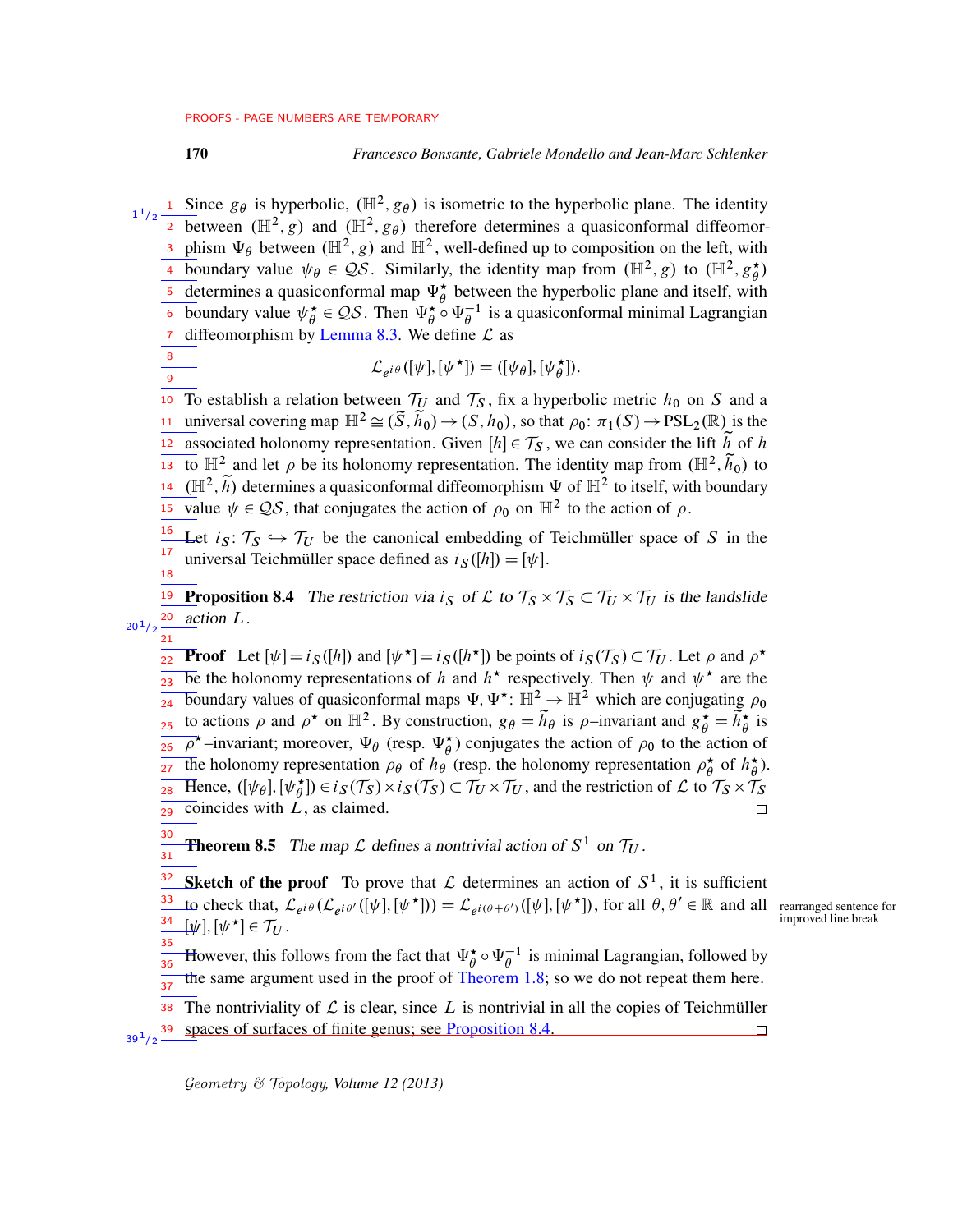<sup>1</sup> Since  $g_{\theta}$  is hyperbolic,  $(\mathbb{H}^2, g_{\theta})$  is isometric to the hyperbolic plane. The identity 2 between  $(\mathbb{H}^2, g)$  and  $(\mathbb{H}^2, g_\theta)$  therefore determines a quasiconformal diffeomor-3 phism  $\Psi_{\theta}$  between ( $\mathbb{H}^2$ , g) and  $\mathbb{H}^2$ , well-defined up to composition on the left, with boundary value  $\psi_{\theta} \in \mathcal{QS}$ . Similarly, the identity map from  $(\mathbb{H}^2, g)$  to  $(\mathbb{H}^2, g^*_{\theta})$ 4 boundary value  $\psi_{\theta} \in \mathcal{QS}$ . Similarly, the identity map from  $(\mathbb{H}^2, g)$  to  $(\mathbb{H}^2, g_{\theta}^{\star})$ 5 determines a quasiconformal map  $\Psi_{\theta}^*$  between the hyperbolic plane and itself, with boundary value  $\psi^{\star}_{\theta}$ **6** boundary value  $\psi_{\theta}^{\star} \in \mathcal{QS}$ . Then  $\Psi_{\theta}^{\star} \circ \Psi_{\theta}^{-1}$  is a quasiconformal minimal Lagrangian *diffeomorphism by [Lemma 8.3.](#page-68-0)* We define  $\mathcal{L}$  as 1  $1/2$ 

8 9

 $21$ 

$$
\mathcal{L}_{e^{i\theta}}([\psi],[\psi^{\star}]) = ([\psi_{\theta}], [\psi_{\theta}^{\star}]).
$$

10 To establish a relation between  $\mathcal{T}_U$  and  $\mathcal{T}_S$ , fix a hyperbolic metric  $h_0$  on S and a universal covering map  $\mathbb{H}^2 \cong (\tilde{S}, \tilde{h}_0) \to (S, h_0)$ , so that  $\rho_0: \pi_1(S) \to \text{PSL}_2(\mathbb{R})$  is the associated holonomy representation. Given  $[h] \in \mathcal{T}_S$ , we can consider the lift h of h <sup>13</sup> to  $\mathbb{H}^2$  and let  $\rho$  be its holonomy representation. The identity map from  $(\mathbb{H}^2, \tilde{h}_0)$  to  $\overline{(\mathbb{H}^2, \tilde{h})}$  determines a quasiconformal diffeomorphism  $\Psi$  of  $\mathbb{H}^2$  to itself, with boundary value  $\psi \in \mathcal{QS}$ , that conjugates the action of  $\rho_0$  on  $\mathbb{H}^2$  to the action of  $\rho$ . 11 12 14 15

<span id="page-69-0"></span>Let  $i_S: \mathcal{T}_S \hookrightarrow \mathcal{T}_U$  be the canonical embedding of Teichmüller space of S in the universal Teichmüller space defined as  $i_S([h]) = [\psi]$ . 16 17 18

**19** Proposition 8.4 The restriction via  $i_S$  of L to  $\mathcal{T}_S \times \mathcal{T}_S \subset \mathcal{T}_U \times \mathcal{T}_U$  is the landslide action L. 20  $20^{1}/2$ 

**Proof** Let  $[\psi] = i_S([h])$  and  $[\psi^*] = i_S([h^*])$  be points of  $i_S(\mathcal{T}_S) \subset \mathcal{T}_U$ . Let  $\rho$  and  $\rho^*$ be the holonomy representations of h and  $h^*$  respectively. Then  $\psi$  and  $\psi^*$  are the boundary values of quasiconformal maps  $\Psi$ ,  $\Psi^*$ :  $\mathbb{H}^2 \to \mathbb{H}^2$  which are conjugating  $\rho_0$ to actions  $\rho$  and  $\rho^*$  on  $\mathbb{H}^2$ . By construction,  $g_\theta = \tilde{h}_\theta$  is  $\rho$ -invariant and  $g_\phi^* = \tilde{h}_\phi^*$  is  $\overline{\rho}^*$ -invariant; moreover,  $\Psi_{\theta}$  (resp.  $\Psi_{\theta}^*$ ) conjugates the action of  $\rho_0$  to the action of The holonomy representation  $\rho_{\theta}$  of  $h_{\theta}$  (resp. the holonomy representation  $\rho_{\theta}^{\star}$  $\frac{\star}{\theta}$  of  $h_{\theta}^{\star}$  $\overset{\star}{\theta}$ ). Hence,  $([\psi_{\theta}], [\psi_{\theta}^{\star}]) \in i_S(\mathcal{T}_S) \times i_S(\mathcal{T}_S) \subset \mathcal{T}_U \times \mathcal{T}_U$ , and the restriction of  $\mathcal{L}$  to  $\mathcal{T}_S \times \mathcal{T}_S$  $\overline{\text{coincides}}$  with  $L$ , as claimed. 22  $23$  $24$ 25 26 27 28 29

**Theorem 8.5** The map  $\mathcal L$  defines a nontrivial action of  $S^1$  on  $\mathcal T_U$ . 30 31

**Sketch of the proof** To prove that  $\mathcal L$  determines an action of  $S^1$ , it is sufficient to check that,  $\mathcal{L}_{e^{i\theta}}(\mathcal{L}_{e^{i\theta'}}([\psi],[\psi^{\star}])) = \mathcal{L}_{e^{i(\theta+\theta')}}([\psi],[\psi^{\star}])$ , for all  $\theta, \theta' \in \mathbb{R}$  and all rearranged sentence for  $[\psi], [\psi^{\star}] \in \mathcal{T}_U$ . 32 33 34 35

However, this follows from the fact that  $\Psi_{\theta}^{\star} \circ \Psi_{\theta}^{-1}$  is minimal Lagrangian, followed by the same argument used in the proof of [Theorem 1.8;](#page-6-1) so we do not repeat them here. 36  $\frac{1}{37}$ 

The nontriviality of  $\mathcal L$  is clear, since  $L$  is nontrivial in all the copies of Teichmüller spaces of surfaces of finite genus; see [Proposition 8.4.](#page-69-0) 38 39  $39^{1/2}$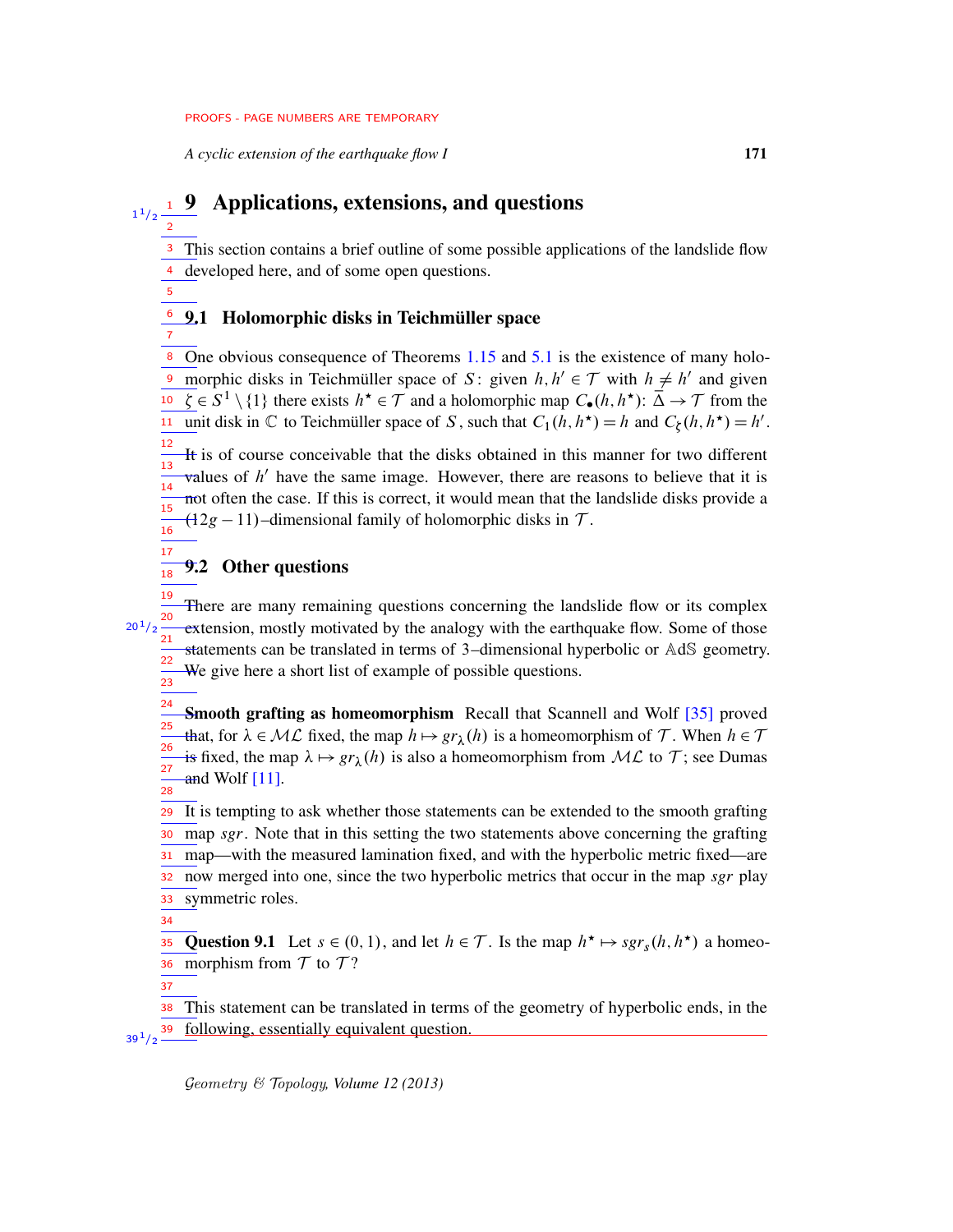*A cyclic extension of the earthquake flow I* 171

# $\frac{1}{1^{1/2}}$   $\frac{1}{2}$  Applications, extensions, and questions 2

<sup>3</sup> This section contains a brief outline of some possible applications of the landslide flow <sup>4</sup> developed here, and of some open questions.

# <sup>6</sup> 9.1 Holomorphic disks in Teichmüller space

One obvious consequence of Theorems [1.15](#page-9-1) and [5.1](#page-25-0) is the existence of many holomorphic disks in Teichmüller space of S: given  $h, h' \in \mathcal{T}$  with  $h \neq h'$  and given  $\overline{\zeta} \in S^1 \setminus \{1\}$  there exists  $h^* \in \overline{\mathcal{T}}$  and a holomorphic map  $C_{\bullet}(h, h^*)$ :  $\overline{\Delta} \to \overline{\mathcal{T}}$  from the unit disk in  $\mathbb C$  to Teichmüller space of S, such that  $C_1(h, h^*) = h$  and  $C_{\xi}(h, h^*) = h'$ . 8 9 11

It is of course conceivable that the disks obtained in this manner for two different values of  $h'$  have the same image. However, there are reasons to believe that it is not often the case. If this is correct, it would mean that the landslide disks provide a  $(12g - 11)$ –dimensional family of holomorphic disks in T. 12 13 14 15 16

## 9.2 Other questions

There are many remaining questions concerning the landslide flow or its complex extension, mostly motivated by the analogy with the earthquake flow. Some of those statements can be translated in terms of 3–dimensional hyperbolic or AdS geometry. We give here a short list of example of possible questions. 19 20  $\overline{21}$ 22 23

Smooth grafting as homeomorphism Recall that Scannell and Wolf [\[35\]](#page-76-5) proved that, for  $\lambda \in \mathcal{ML}$  fixed, the map  $h \mapsto gr_{\lambda}(h)$  is a homeomorphism of T. When  $h \in \mathcal{T}$ is fixed, the map  $\lambda \mapsto gr_{\lambda}(h)$  is also a homeomorphism from  $ML$  to T; see Dumas and Wolf  $[11]$ . 24 25 26 27 28

<sup>29</sup> It is tempting to ask whether those statements can be extended to the smooth grafting map *sgr*. Note that in this setting the two statements above concerning the grafting map—with the measured lamination fixed, and with the hyperbolic metric fixed—are now merged into one, since the two hyperbolic metrics that occur in the map *sgr* play symmetric roles. 30 31 32 33

34

5

7

17 18

 $20^{1}/2$ 

Question 9.1 Let  $s \in (0, 1)$ , and let  $h \in \mathcal{T}$ . Is the map  $h^* \mapsto \text{sgr}_s(h, h^*)$  a homeomorphism from  $\mathcal T$  to  $\mathcal T$ ? 35 36

37

This statement can be translated in terms of the geometry of hyperbolic ends, in the following, essentially equivalent question. 38 39  $39^{1/2}$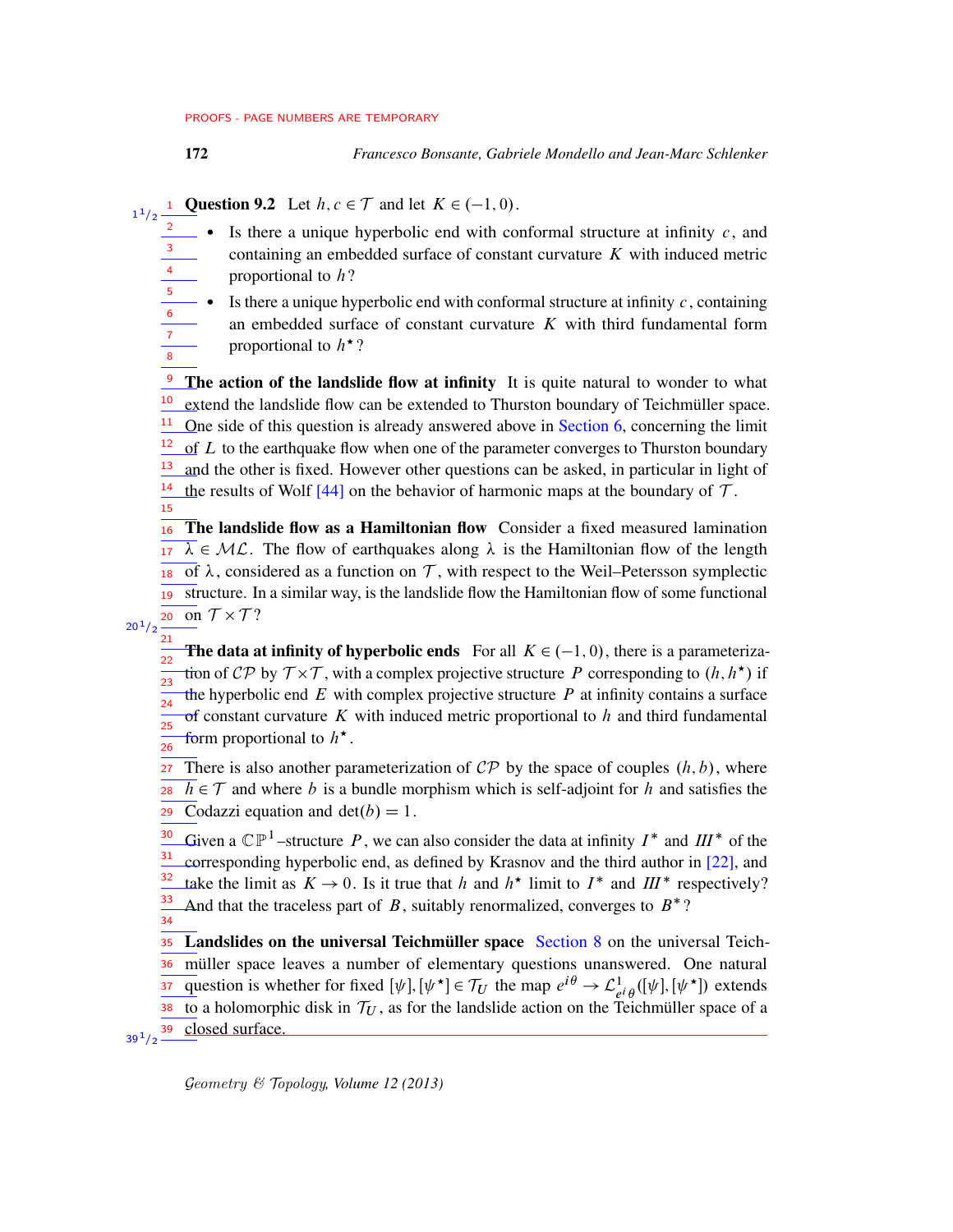2

6 7 8 172 *Francesco Bonsante, Gabriele Mondello and Jean-Marc Schlenker*

**Question 9.2** Let  $h, c \in \mathcal{T}$  and let  $K \in (-1, 0)$ . 1  $1/2$ 

- Is there a unique hyperbolic end with conformal structure at infinity  $c$ , and containing an embedded surface of constant curvature  $K$  with induced metric proportional to  $h$ ? 3 4 5
	- Is there a unique hyperbolic end with conformal structure at infinity  $c$ , containing an embedded surface of constant curvature  $K$  with third fundamental form proportional to  $h^*$ ?

 $\frac{9}{2}$  The action of the landslide flow at infinity It is quite natural to wonder to what extend the landslide flow can be extended to Thurston boundary of Teichmüller space.  $\frac{11}{1}$  One side of this question is already answered above in [Section 6,](#page-37-0) concerning the limit  $\sigma$  L to the earthquake flow when one of the parameter converges to Thurston boundary and the other is fixed. However other questions can be asked, in particular in light of <sup>14</sup> the results of Wolf [\[44\]](#page-77-0) on the behavior of harmonic maps at the boundary of  $\mathcal{T}$ . 10 12 13 15

The landslide flow as a Hamiltonian flow Consider a fixed measured lamination  $\lambda \in \mathcal{ML}$ . The flow of earthquakes along  $\lambda$  is the Hamiltonian flow of the length 18 of  $\lambda$ , considered as a function on T, with respect to the Weil–Petersson symplectic structure. In a similar way, is the landslide flow the Hamiltonian flow of some functional 19 on  $\mathcal{T} \times \mathcal{T}$ ? 16 17 20

 $20^{1}/2$ 21

The data at infinity of hyperbolic ends For all  $K \in (-1, 0)$ , there is a parameterization of CP by  $T \times T$ , with a complex projective structure P corresponding to  $(h, h^*)$  if the hyperbolic end  $E$  with complex projective structure  $P$  at infinity contains a surface  $\sigma$ f constant curvature K with induced metric proportional to h and third fundamental form proportional to  $h^*$ . ว่า 23 24 25 26

There is also another parameterization of  $\mathcal{CP}$  by the space of couples  $(h, b)$ , where  $h \in \mathcal{T}$  and where b is a bundle morphism which is self-adjoint for h and satisfies the  $\overline{c}$  Codazzi equation and det $(b) = 1$ . 27 28

Given a  $\mathbb{CP}^1$ -structure P, we can also consider the data at infinity  $I^*$  and  $III^*$  of the corresponding hyperbolic end, as defined by Krasnov and the third author in [\[22\]](#page-75-8), and take the limit as  $K \to 0$ . Is it true that h and  $h^*$  limit to  $I^*$  and  $III^*$  respectively? And that the traceless part of  $B$ , suitably renormalized, converges to  $B^*$ ? 30 31 32 33

34

35 Landslides on the universal Teichmüller space [Section 8](#page-67-1) on the universal Teichmüller space leaves a number of elementary questions unanswered. One natural question is whether for fixed  $[\psi], [\psi^{\star}] \in \mathcal{T}_U$  the map  $e^{i\theta} \to \mathcal{L}^1$  $\frac{1}{e^i \theta}([\psi], [\psi^{\star}])$  extends to a holomorphic disk in  $\mathcal{T}_U$ , as for the landslide action on the Teichmüller space of a closed surface. 36 37 38  $39^{1}/2$   $-$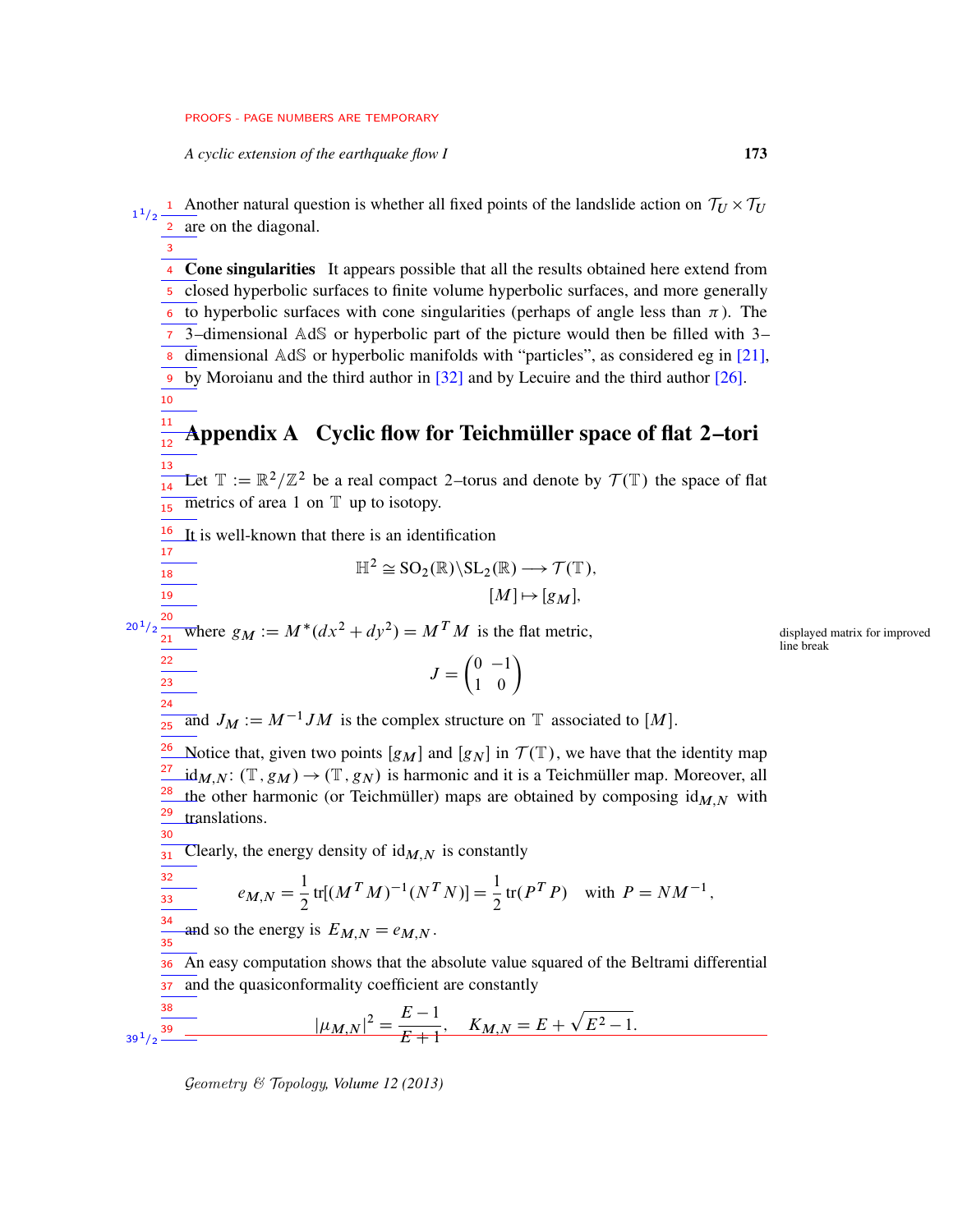*A cyclic extension of the earthquake flow I* 173

3

18 19

32  $\overline{33}$ 

<sup>1</sup> Another natural question is whether all fixed points of the landslide action on  $\tau_U \times \tau_U$ are on the diagonal. 1  $1/2$ 2

4 Cone singularities It appears possible that all the results obtained here extend from 5 closed hyperbolic surfaces to finite volume hyperbolic surfaces, and more generally 6 to hyperbolic surfaces with cone singularities (perhaps of angle less than  $\pi$ ). The 3–dimensional AdS or hyperbolic part of the picture would then be filled with 3– 7 8 dimensional AdS or hyperbolic manifolds with "particles", as considered eg in [\[21\]](#page-75-0), by Moroianu and the third author in [\[32\]](#page-76-0) and by Lecuire and the third author [\[26\]](#page-76-1). 9 10

#### Appendix A Cyclic flow for Teichmüller space of flat 2–tori 11 12 13

Let  $\mathbb{T} := \mathbb{R}^2/\mathbb{Z}^2$  be a real compact 2–torus and denote by  $\mathcal{T}(\mathbb{T})$  the space of flat metrics of area 1 on  $T$  up to isotopy. 14 15

It is well-known that there is an identification 16 17

$$
\mathbb{H}^2 \cong \mathrm{SO}_2(\mathbb{R}) \backslash \mathrm{SL}_2(\mathbb{R}) \longrightarrow \mathcal{T}(\mathbb{T}),
$$

$$
[M] \mapsto [g_M],
$$

 $J = \begin{pmatrix} 0 & -1 \\ 1 & 0 \end{pmatrix}$ 

Where  $g_M := M^*(dx^2 + dy^2) = M^T M$  is the flat metric, displayed matrix for improved 20  $20^{\,1}/2$ 21

line break

and 
$$
J_M := M^{-1}JM
$$
 is the complex structure on T associated to [M].

Notice that, given two points  $[g_M]$  and  $[g_N]$  in  $\mathcal{T}(\mathbb{T})$ , we have that the identity map  $id_{M,N}$ :  $(\mathbb{T}, g_M) \rightarrow (\mathbb{T}, g_N)$  is harmonic and it is a Teichmüller map. Moreover, all the other harmonic (or Teichmüller) maps are obtained by composing  $\mathrm{id}_{M,N}$  with translations. 26 27 28 29 30

Clearly, the energy density of  $\mathrm{id}_{M,N}$  is constantly 31

$$
= e_{M,N} = \frac{1}{2} \text{tr}[(M^T M)^{-1} (N^T N)] = \frac{1}{2} \text{tr}(P^T P) \text{ with } P = NM^{-1},
$$

and so the energy is  $E_{M,N} = e_{M,N}$ . 34 35

An easy computation shows that the absolute value squared of the Beltrami differential and the quasiconformality coefficient are constantly 36 37

$$
\frac{38}{39^{1/2}} - |\mu_{M,N}|^2 = \frac{E-1}{E+1}, \quad K_{M,N} = E + \sqrt{E^2 - 1}.
$$

Geometry & Topology*, Volume 12 (2013)*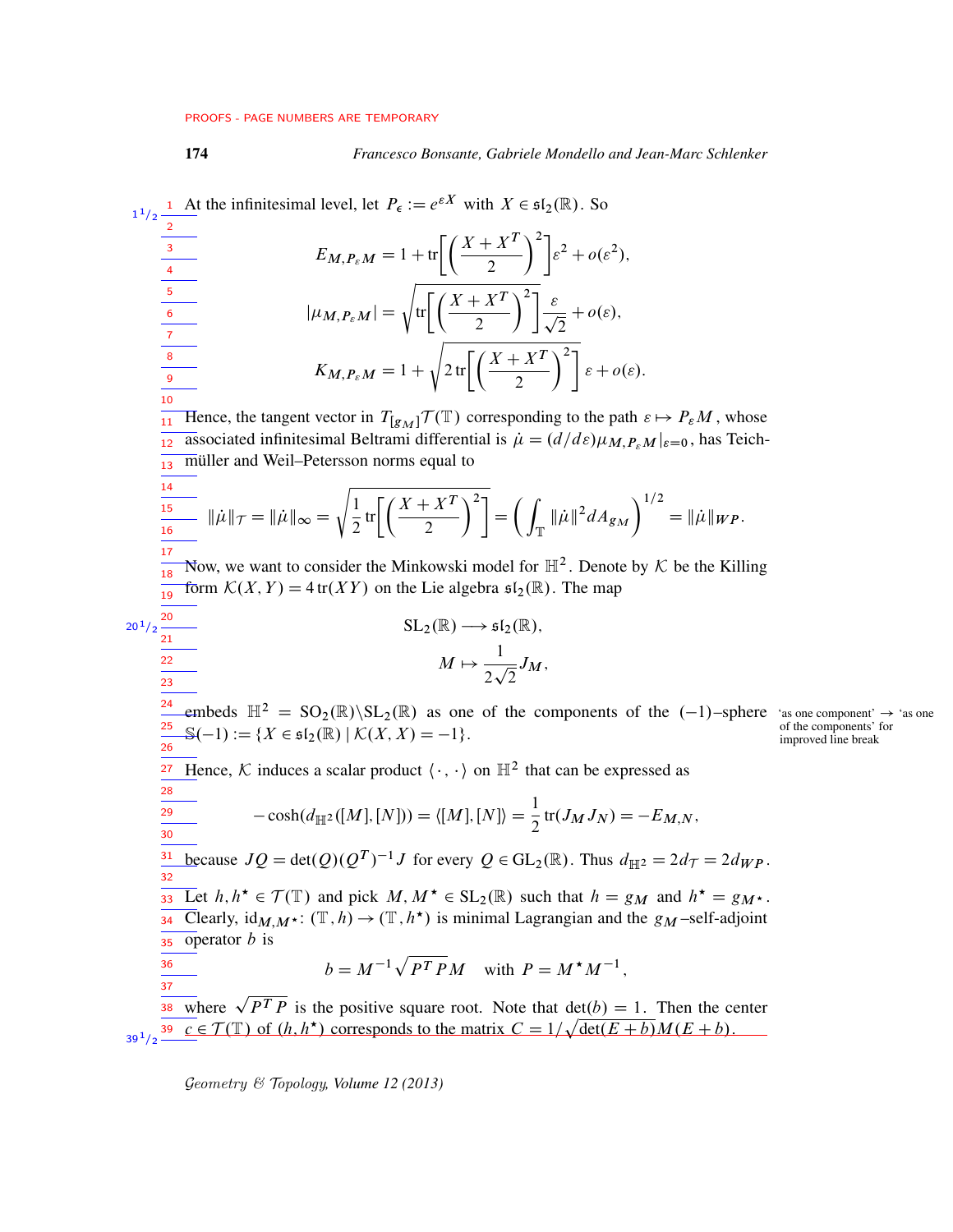1 At the infinitesimal level, let  $P_{\epsilon} := e^{\epsilon X}$  with  $X \in \mathfrak{sl}_2(\mathbb{R})$ . So

1  $1/2$ 2

## 174 *Francesco Bonsante, Gabriele Mondello and Jean-Marc Schlenker*

 $E_{M,P_{\varepsilon}M} = 1 + \text{tr}\bigg[\bigg(\frac{X+X^{T}}{2}\bigg)$  $\bigg\}^2 \bigg] \varepsilon^2 + o(\varepsilon^2),$  $|\mu_{M,P_{\varepsilon}M}| = \sqrt{\text{tr}\left[\left(\frac{X+X^{T}}{2}\right)\right]}$  $\Big)^2 \Big] \frac{\varepsilon}{2}$ 2  $+ o(\varepsilon),$  $K_{M,P_{\varepsilon}M} = 1 +$  $\sqrt{2 \text{ tr}\left[\left(\frac{X+X^{T}}{2}\right.$  $\Big)^2$   $\Big] \varepsilon + o(\varepsilon).$  $\frac{1}{11}$  Hence, the tangent vector in  $T_{[g_M]} \mathcal{T}(\mathbb{T})$  corresponding to the path  $\varepsilon \mapsto P_{\varepsilon} M$ , whose associated infinitesimal Beltrami differential is  $\dot{\mu} = (d/d\varepsilon)\mu_{M,P_{\varepsilon}M}|_{\varepsilon=0}$ , has Teichmüller and Weil–Petersson norms equal to  $\|\dot{\mu}\|_{\mathcal{T}} = \|\dot{\mu}\|_{\infty} =$  $\sqrt{1}$  $\frac{1}{2}$  tr  $\left[\left(\frac{X+X^{T}}{2}\right)\right]$  $\bigcap^2$  = ( T  $\|\mu\|^2 dA_{g_M}$  $\lambda^{1/2}$  $=\|\dot{\mu}\|_{WP}.$ Now, we want to consider the Minkowski model for  $\mathbb{H}^2$ . Denote by  $\mathcal K$  be the Killing form  $\mathcal{K}(X, Y) = 4 \text{ tr}(XY)$  on the Lie algebra  $\mathfrak{sl}_2(\mathbb{R})$ . The map  $SL_2(\mathbb{R}) \longrightarrow \mathfrak{sl}_2(\mathbb{R}),$  $M \mapsto \frac{1}{\cdot \cdot \cdot}$ 2  $\frac{1}{\sqrt{2}}$ 2  $J_M,$ embeds  $\mathbb{H}^2 = SO_2(\mathbb{R})\backslash SL_2(\mathbb{R})$  as one of the components of the  $(-1)$ –sphere 'as one component'  $\rightarrow$  'as one  $\mathbb{S}(-1) := \{ X \in \mathfrak{sl}_2(\mathbb{R}) \mid \mathcal{K}(X, X) = -1 \}.$  of the components' improved line break <sup>27</sup> Hence, K induces a scalar product  $\langle \cdot, \cdot \rangle$  on  $\mathbb{H}^2$  that can be expressed as  $-\cosh(d_{\mathbb{H}^2}([M],[N])) = \langle [M],[N]\rangle = \frac{1}{2} \text{tr}(J_M J_N) = -E_{M,N},$ because  $JQ = \det(Q)(Q^T)^{-1}J$  for every  $Q \in GL_2(\mathbb{R})$ . Thus  $d_{\mathbb{H}^2} = 2d_{\mathcal{T}} = 2d_{WP}$ . **Example 133** Let  $h, h^* \in \mathcal{T}(\mathbb{T})$  and pick  $M, M^* \in SL_2(\mathbb{R})$  such that  $h = g_M$  and  $h^* = g_M^*$ . Clearly,  $\mathrm{id}_{M,M^{\star}}$ :  $(\mathbb{T}, h) \to (\mathbb{T}, h^{\star})$  is minimal Lagrangian and the  $g_M$ -self-adjoint operator b is  $b = M^{-1} \sqrt{P^T P M}$  with  $P = M^* M^{-1}$ , where  $\sqrt{PT P}$  is the positive square root. Note that  $det(b) = 1$ . Then the center  $c \in \mathcal{T}(\mathbb{T})$  of  $(h, h^*)$  corresponds to the matrix  $C = 1/\sqrt{\det(E + b)}M(E + b)$ . 3 4 5 6 7 8 9 10 12 13 14 15  $\frac{1}{16}$ 17 18 19  $20^{1}/2 \frac{20}{21}$  $\frac{1}{22}$ 23 24 25 26 28 29 30 31 32 34 35 36 37 38 39  $39^{1/2}$ 

Geometry & Topology*, Volume 12 (2013)*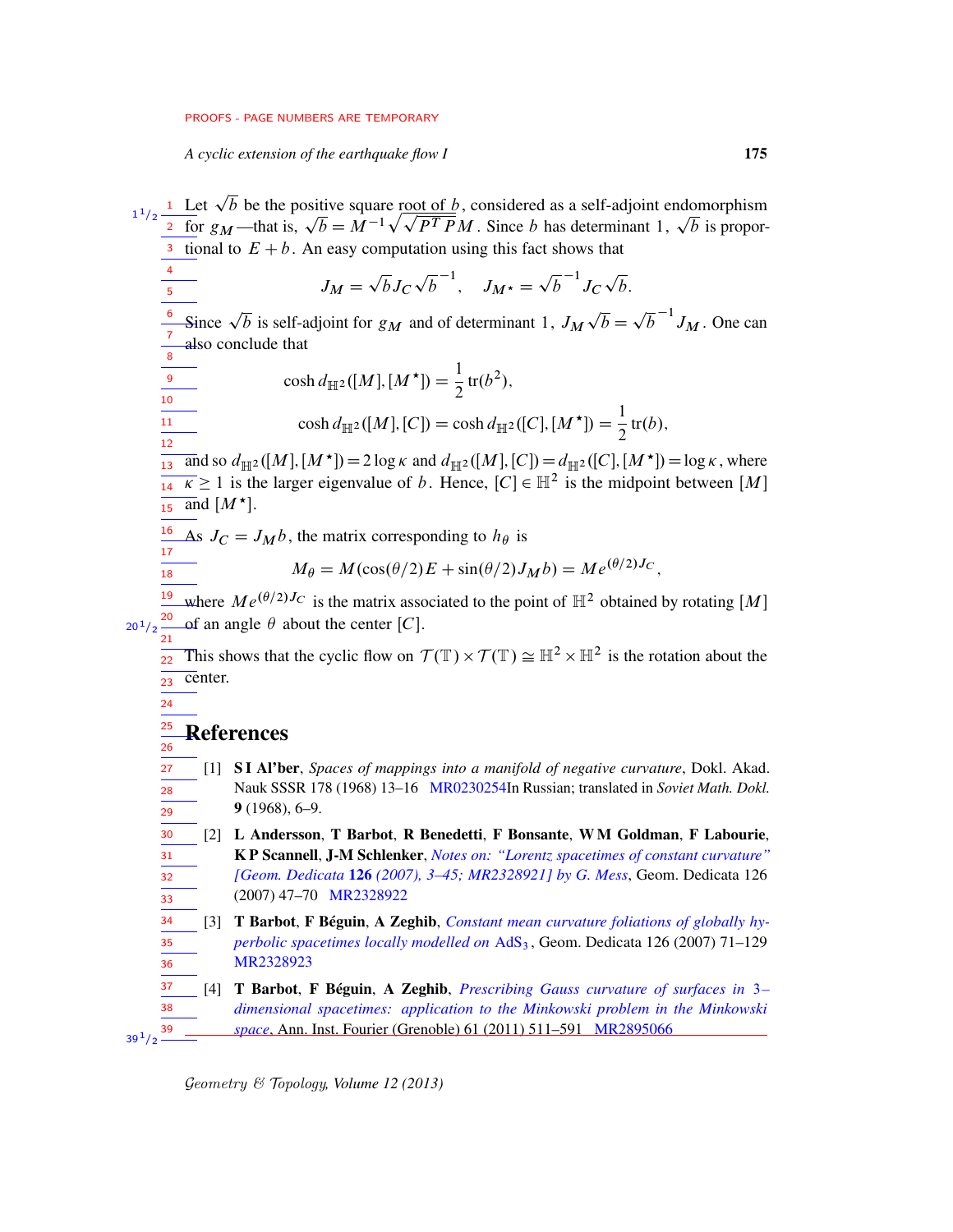*A cyclic extension of the earthquake flow I* 175

Let  $\sqrt{b}$  be the positive square root of b, considered as a self-adjoint endomorphism<br>for  $g_M$ —that is,  $\sqrt{b} = M^{-1} \sqrt{\sqrt{PT P} M}$ . Since b has determinant 1,  $\sqrt{b}$  is propor- $\mathfrak{p}$  $b$  is propor- $\frac{3}{3}$  tional to  $E + b$ . An easy computation using this fact shows that  $J_M =$ p  $bJ_{\mathcal{C}}$ p  $\overline{b}^{-1}$ ,  $J_{M^{\star}} =$  $\overline{b}^{-1}J_C$ p  $\mathfrak{b}.$ Since  $\sqrt{b}$  is self-adjoint for  $g_M$  and of determinant 1,  $J_M$ p  $\overline{b} =$ p  $\overline{b}^{-1} J_M$ . One can also conclude that  $\cosh d_{\mathbb{H}^2}([M],[M^{\star}])=\frac{1}{2}$  $\frac{1}{2}$  tr( $b^2$ ),  $\cosh d_{\mathbb{H}^2}([M],[C]) = \cosh d_{\mathbb{H}^2}([C],[M^{\star}]) = \frac{1}{2}$  $\frac{1}{2}$ tr $(b)$ ,  $\frac{1}{13}$  and so  $d_{\mathbb{H}^2}([M],[M^{\star}]) = 2 \log \kappa$  and  $d_{\mathbb{H}^2}([M],[C]) = d_{\mathbb{H}^2}([C],[M^{\star}]) = \log \kappa$ , where  $\frac{1}{14}$   $\kappa \ge 1$  is the larger eigenvalue of b. Hence,  $[C] \in \mathbb{H}^2$  is the midpoint between [M]  $\overline{15}$  and  $[M^{\star}]$ . As  $J_C = J_M b$ , the matrix corresponding to  $h_\theta$  is  $M_{\theta} = M(\cos(\theta/2)E + \sin(\theta/2)J_M b) = Me^{(\theta/2)J_C}$ where  $Me^{(\theta/2)J_C}$  is the matrix associated to the point of  $\mathbb{H}^2$  obtained by rotating [M] of an angle  $\theta$  about the center [C]. This shows that the cyclic flow on  $\mathcal{T}(\mathbb{T}) \times \mathcal{T}(\mathbb{T}) \cong \mathbb{H}^2 \times \mathbb{H}^2$  is the rotation about the center. References [1] S I Al'ber, *Spaces of mappings into a manifold of negative curvature*, Dokl. Akad. Nauk SSSR 178 (1968) 13–16 [MR0230254I](http://www.ams.org/mathscinet-getitem?mr=0230254)n Russian; translated in *Soviet Math. Dokl.* 9 (1968), 6–9. [2] L Andersson, T Barbot, R Benedetti, F Bonsante, W M Goldman, F Labourie, K P Scannell, J-M Schlenker, *[Notes on: "Lorentz spacetimes of constant curvature"](http://dx.doi.org/10.1007/s10711-007-9164-6) [Geom. Dedicata* 126 *[\(2007\), 3–45; MR2328921\] by G. Mess](http://dx.doi.org/10.1007/s10711-007-9164-6)*, Geom. Dedicata 126 (2007) 47–70 [MR2328922](http://www.ams.org/mathscinet-getitem?mr=2328922) [3] T Barbot, F Béguin, A Zeghib, *[Constant mean curvature foliations of globally hy](http://dx.doi.org/10.1007/s10711-005-6560-7)[perbolic spacetimes locally modelled on](http://dx.doi.org/10.1007/s10711-005-6560-7)* AdS<sub>3</sub>, Geom. Dedicata 126 (2007) 71-129 [MR2328923](http://www.ams.org/mathscinet-getitem?mr=2328923) [4] T Barbot, F Béguin, A Zeghib, *[Prescribing Gauss curvature of surfaces in](http://dx.doi.org/10.5802/aif.2622)* 3*– [dimensional spacetimes: application to the Minkowski problem in the Minkowski](http://dx.doi.org/10.5802/aif.2622) [space](http://dx.doi.org/10.5802/aif.2622)*, Ann. Inst. Fourier (Grenoble) 61 (2011) 511–591 [MR2895066](http://www.ams.org/mathscinet-getitem?mr=2895066) 1 1  $1/2$ 2 4 5 6 7 8 9  $\frac{1}{10}$ 11 12 16 17 18 19 20  $20^{1}/2$  $21$ 22 23 24 25 26 27 28 29 30 31 32 33 34 35 36 37 38 39  $39^{1}/2$ 

Geometry & Topology*, Volume 12 (2013)*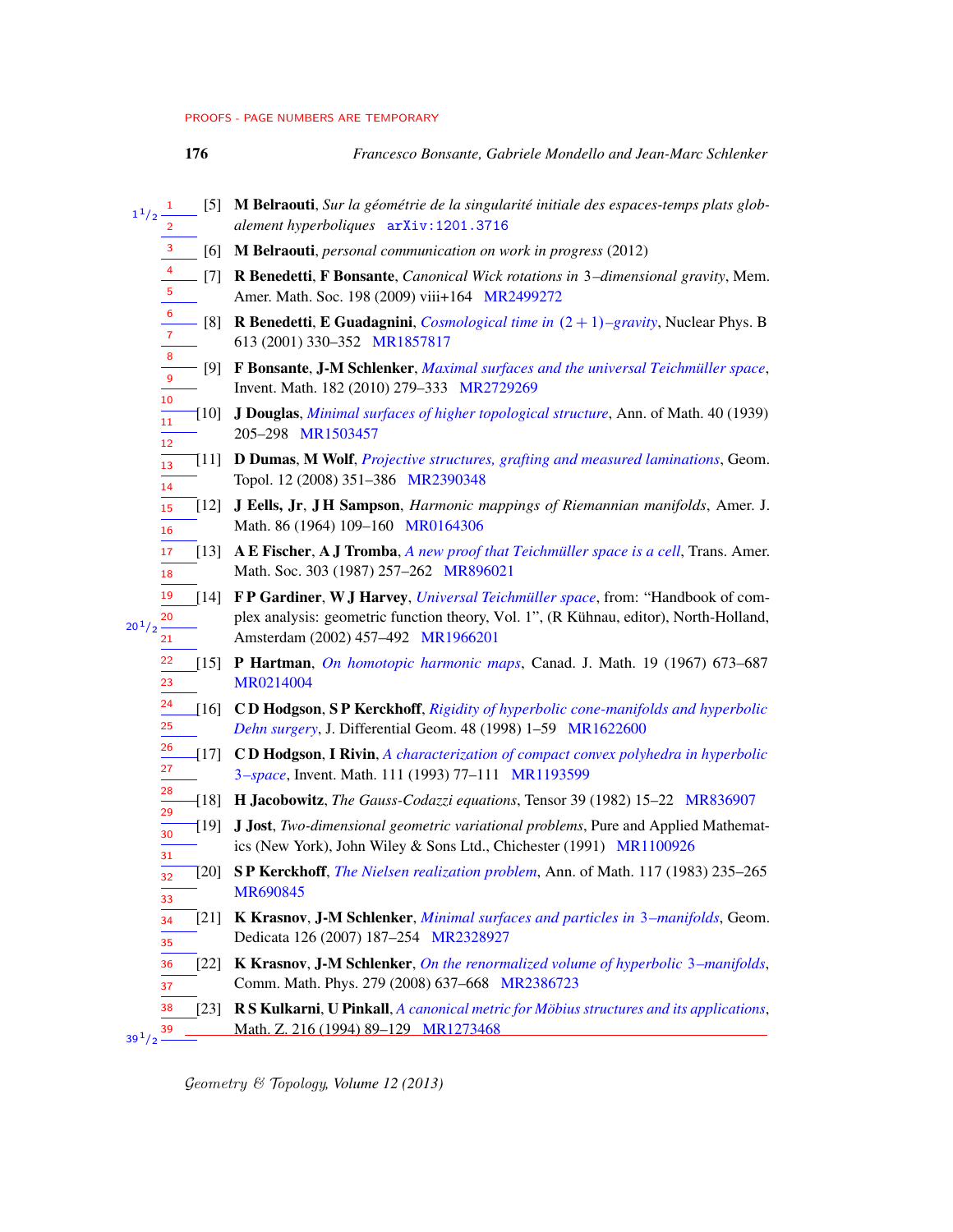9 10

- 176 *Francesco Bonsante, Gabriele Mondello and Jean-Marc Schlenker*
- [5] M Belraouti, *Sur la géométrie de la singularité initiale des espaces-temps plats globalement hyperboliques* [arXiv:1201.3716](http://arxiv.org/abs/1201.3716) 1  $1^{1}/2$ 2
	- [6] M Belraouti, *personal communication on work in progress* (2012) 3
	- [7] R Benedetti, F Bonsante, *Canonical Wick rotations in* 3*–dimensional gravity*, Mem. Amer. Math. Soc. 198 (2009) viii+164 [MR2499272](http://www.ams.org/mathscinet-getitem?mr=2499272) 4 5
	- [8] **R Benedetti, E Guadagnini,** *[Cosmological time in](http://dx.doi.org/10.1016/S0550-3213(01)00386-8)*  $(2 + 1)$ *–gravity*, Nuclear Phys. B 613 (2001) 330–352 [MR1857817](http://www.ams.org/mathscinet-getitem?mr=1857817) 6 7 8
		- [9] F Bonsante, J-M Schlenker, *[Maximal surfaces and the universal Teichmüller space](http://dx.doi.org/10.1007/s00222-010-0263-x)*, Invent. Math. 182 (2010) 279–333 [MR2729269](http://www.ams.org/mathscinet-getitem?mr=2729269)
	- [10] J Douglas, *[Minimal surfaces of higher topological structure](http://dx.doi.org/10.2307/1968552)*, Ann. of Math. 40 (1939) 205–298 [MR1503457](http://www.ams.org/mathscinet-getitem?mr=1503457) 11 12
	- [11] D Dumas, M Wolf, *[Projective structures, grafting and measured laminations](http://dx.doi.org/10.2140/gt.2008.12.351)*, Geom. Topol. 12 (2008) 351–386 [MR2390348](http://www.ams.org/mathscinet-getitem?mr=2390348) 13 14
	- [12] J Eells, Jr, J H Sampson, *Harmonic mappings of Riemannian manifolds*, Amer. J. Math. 86 (1964) 109–160 [MR0164306](http://www.ams.org/mathscinet-getitem?mr=0164306) 15 16
	- [13] A E Fischer, A J Tromba, *[A new proof that Teichmüller space is a cell](http://dx.doi.org/10.2307/2000792)*, Trans. Amer. Math. Soc. 303 (1987) 257-262 [MR896021](http://www.ams.org/mathscinet-getitem?mr=896021) 17 18
- [14] F P Gardiner, W J Harvey, *[Universal Teichmüller space](http://dx.doi.org/10.1016/S1874-5709(02)80016-6)*, from: "Handbook of complex analysis: geometric function theory, Vol. 1", (R Kühnau, editor), North-Holland, Amsterdam (2002) 457–492 [MR1966201](http://www.ams.org/mathscinet-getitem?mr=1966201) 19 20  $20^{1}/2$ 21
	- [15] P Hartman, *[On homotopic harmonic maps](http://dx.doi.org/10.4153/CJM-1967-062-6)*, Canad. J. Math. 19 (1967) 673–687 [MR0214004](http://www.ams.org/mathscinet-getitem?mr=0214004) 22 23
	- [16] C D Hodgson, S P Kerckhoff, *[Rigidity of hyperbolic cone-manifolds and hyperbolic](http://projecteuclid.org/euclid.jdg/1214460606) [Dehn surgery](http://projecteuclid.org/euclid.jdg/1214460606)*, J. Differential Geom. 48 (1998) 1–59 [MR1622600](http://www.ams.org/mathscinet-getitem?mr=1622600) 24 25
	- [17] C D Hodgson, I Rivin, *[A characterization of compact convex polyhedra in hyperbolic](http://dx.doi.org/10.1007/BF01231281)* 3*[–space](http://dx.doi.org/10.1007/BF01231281)*, Invent. Math. 111 (1993) 77–111 [MR1193599](http://www.ams.org/mathscinet-getitem?mr=1193599) 26 27
	- [18] H Jacobowitz, *The Gauss-Codazzi equations*, Tensor 39 (1982) 15–22 [MR836907](http://www.ams.org/mathscinet-getitem?mr=836907) 28 29
	- [19] J Jost, *Two-dimensional geometric variational problems*, Pure and Applied Mathematics (New York), John Wiley & Sons Ltd., Chichester (1991) [MR1100926](http://www.ams.org/mathscinet-getitem?mr=1100926) 30 31
	- [20] S P Kerckhoff, *[The Nielsen realization problem](http://dx.doi.org/10.2307/2007076)*, Ann. of Math. 117 (1983) 235–265 [MR690845](http://www.ams.org/mathscinet-getitem?mr=690845) 32 33
	- [21] K Krasnov, J-M Schlenker, *[Minimal surfaces and particles in](http://dx.doi.org/10.1007/s10711-007-9132-1)* 3*–manifolds*, Geom. Dedicata 126 (2007) 187–254 [MR2328927](http://www.ams.org/mathscinet-getitem?mr=2328927) 34 35
	- [22] K Krasnov, J-M Schlenker, *[On the renormalized volume of hyperbolic](http://dx.doi.org/10.1007/s00220-008-0423-7)* 3*–manifolds*, Comm. Math. Phys. 279 (2008) 637–668 [MR2386723](http://www.ams.org/mathscinet-getitem?mr=2386723) 36 37
- <span id="page-75-0"></span>[23] R S Kulkarni, U Pinkall, *[A canonical metric for Möbius structures and its applications](http://dx.doi.org/10.1007/BF02572311)*, Math. Z. 216 (1994) 89–129 [MR1273468](http://www.ams.org/mathscinet-getitem?mr=1273468) 38 39  $39^{1/2}$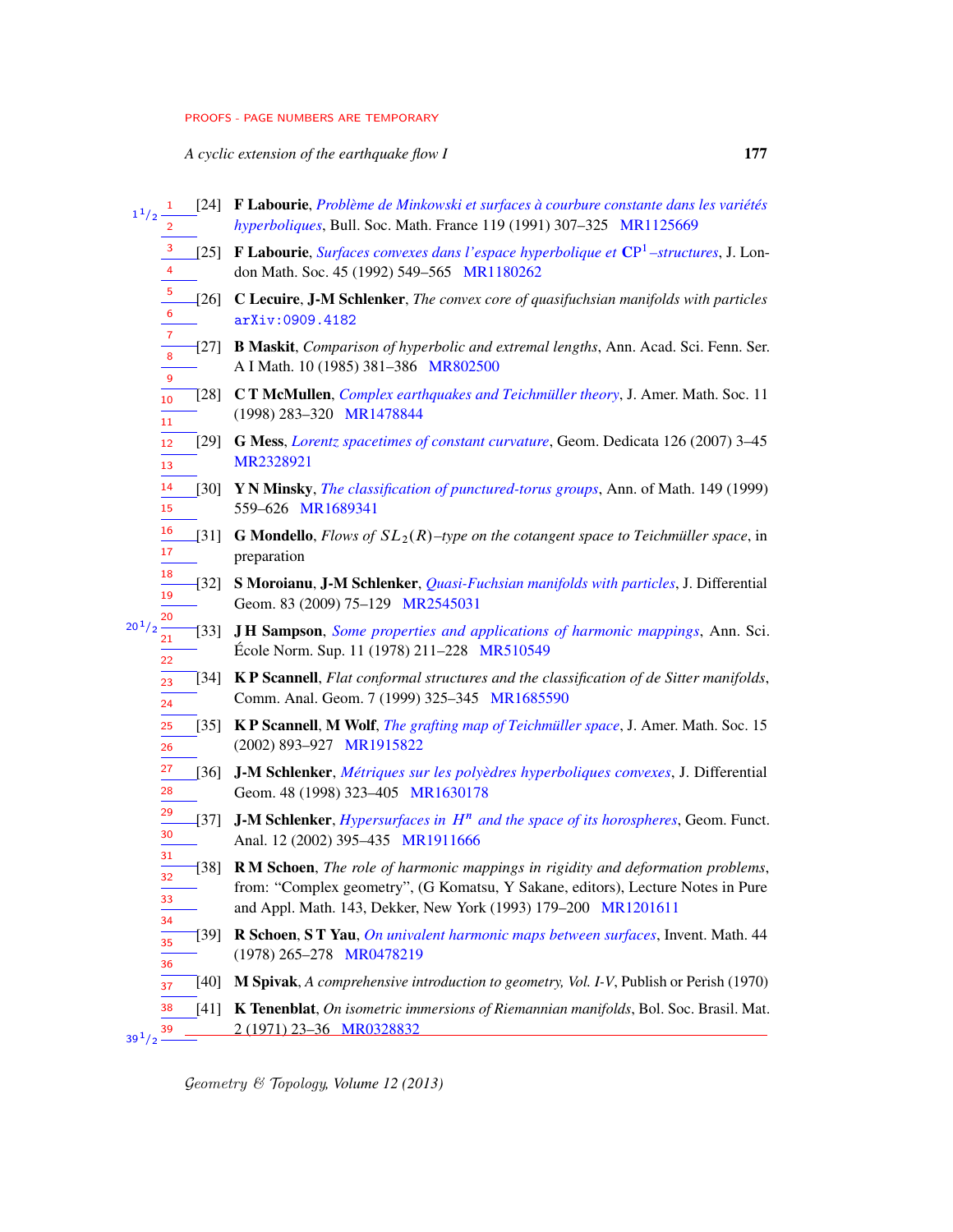*A cyclic extension of the earthquake flow I* 177

<span id="page-76-1"></span><span id="page-76-0"></span>

| $1^{1}/2$                               | [24] F Labourie, Problème de Minkowski et surfaces à courbure constante dans les variétés<br>hyperboliques, Bull. Soc. Math. France 119 (1991) 307-325 MR1125669                                                                    |  |  |
|-----------------------------------------|-------------------------------------------------------------------------------------------------------------------------------------------------------------------------------------------------------------------------------------|--|--|
| 3<br>$\overline{\mathbf{4}}$            | [25] F Labourie, Surfaces convexes dans l'espace hyperbolique et CP <sup>1</sup> -structures, J. Lon-<br>don Math. Soc. 45 (1992) 549-565 MR1180262                                                                                 |  |  |
| $\frac{5}{1}$<br>6                      | [26] C Lecuire, J-M Schlenker, The convex core of quasifuchsian manifolds with particles<br>arXiv: 0909.4182                                                                                                                        |  |  |
| $\boldsymbol{7}$<br>8<br>$\overline{9}$ | [27] B Maskit, Comparison of hyperbolic and extremal lengths, Ann. Acad. Sci. Fenn. Ser.<br>A I Math. 10 (1985) 381-386 MR802500                                                                                                    |  |  |
| T281 I<br>10<br>11                      | <b>CT McMullen, Complex earthquakes and Teichmüller theory, J. Amer. Math. Soc. 11</b><br>(1998) 283-320 MR1478844                                                                                                                  |  |  |
| 12<br>13                                | [29] G Mess, Lorentz spacetimes of constant curvature, Geom. Dedicata 126 (2007) 3-45<br>MR2328921                                                                                                                                  |  |  |
| 14<br>$\left[30\right]$<br>15           | Y N Minsky, The classification of punctured-torus groups, Ann. of Math. 149 (1999)<br>559-626 MR1689341                                                                                                                             |  |  |
| 16<br>- 1311<br>17                      | <b>G Mondello</b> , Flows of $SL_2(R)$ –type on the cotangent space to Teichmüller space, in<br>preparation                                                                                                                         |  |  |
| 18<br>$-$ [32]<br>19<br>20              | S Moroianu, J-M Schlenker, Quasi-Fuchsian manifolds with particles, J. Differential<br>Geom. 83 (2009) 75-129 MR2545031                                                                                                             |  |  |
| $20^{1}/2$<br>1331<br>21<br>22          | JH Sampson, Some properties and applications of harmonic mappings, Ann. Sci.<br>École Norm. Sup. 11 (1978) 211–228 MR510549                                                                                                         |  |  |
| 23<br>24                                | [34] <b>KP Scannell</b> , Flat conformal structures and the classification of de Sitter manifolds,<br>Comm. Anal. Geom. 7 (1999) 325-345 MR1685590                                                                                  |  |  |
| $\left[35\right]$<br>25<br>26           | KP Scannell, M Wolf, <i>The grafting map of Teichmüller space</i> , J. Amer. Math. Soc. 15<br>(2002) 893-927 MR1915822                                                                                                              |  |  |
| 27<br>[36]<br>28                        | J-M Schlenker, Métriques sur les polyèdres hyperboliques convexes, J. Differential<br>Geom. 48 (1998) 323-405 MR1630178                                                                                                             |  |  |
| 29<br>- 1371<br>30                      | <b>J-M Schlenker</b> , <i>Hypersurfaces in</i> $Hn$ <i>and the space of its horospheres</i> , Geom. Funct.<br>Anal. 12 (2002) 395-435 MR1911666                                                                                     |  |  |
| 31<br>-1381<br>32<br>33                 | RM Schoen, The role of harmonic mappings in rigidity and deformation problems,<br>from: "Complex geometry", (G Komatsu, Y Sakane, editors), Lecture Notes in Pure<br>and Appl. Math. 143, Dekker, New York (1993) 179-200 MR1201611 |  |  |
| 34<br>1391<br>35                        | R Schoen, ST Yau, On univalent harmonic maps between surfaces, Invent. Math. 44<br>(1978) 265-278 MR0478219                                                                                                                         |  |  |
| 36<br>$[40]$<br>37                      | M Spivak, A comprehensive introduction to geometry, Vol. I-V, Publish or Perish (1970)                                                                                                                                              |  |  |
| 38<br>[41]<br>$39^{1}/2$ $\frac{39}{1}$ | K Tenenblat, On isometric immersions of Riemannian manifolds, Bol. Soc. Brasil. Mat.<br>2 (1971) 23-36 MR0328832                                                                                                                    |  |  |